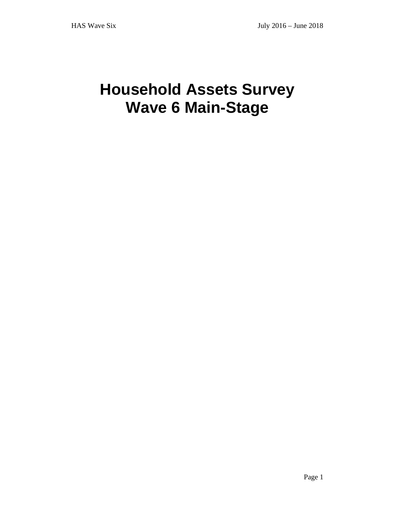# **Household Assets Survey Wave 6 Main-Stage**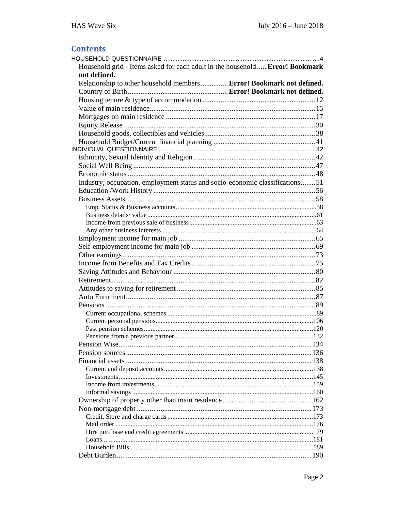### **Contents**

| Household grid - Items asked for each adult in the household  Error! Bookmark |  |
|-------------------------------------------------------------------------------|--|
| not defined.                                                                  |  |
| Relationship to other household members  Error! Bookmark not defined.         |  |
|                                                                               |  |
|                                                                               |  |
|                                                                               |  |
|                                                                               |  |
|                                                                               |  |
|                                                                               |  |
|                                                                               |  |
|                                                                               |  |
|                                                                               |  |
|                                                                               |  |
|                                                                               |  |
| Industry, occupation, employment status and socio-economic classifications51  |  |
|                                                                               |  |
|                                                                               |  |
|                                                                               |  |
|                                                                               |  |
|                                                                               |  |
|                                                                               |  |
|                                                                               |  |
|                                                                               |  |
|                                                                               |  |
|                                                                               |  |
|                                                                               |  |
|                                                                               |  |
|                                                                               |  |
|                                                                               |  |
|                                                                               |  |
|                                                                               |  |
|                                                                               |  |
|                                                                               |  |
|                                                                               |  |
|                                                                               |  |
|                                                                               |  |
|                                                                               |  |
|                                                                               |  |
|                                                                               |  |
|                                                                               |  |
|                                                                               |  |
|                                                                               |  |
|                                                                               |  |
|                                                                               |  |
|                                                                               |  |
|                                                                               |  |
|                                                                               |  |
|                                                                               |  |
|                                                                               |  |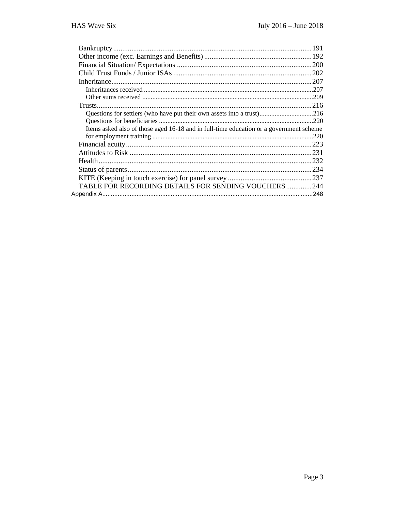| Questions for settlers (who have put their own assets into a trust)216                 |  |
|----------------------------------------------------------------------------------------|--|
|                                                                                        |  |
| Items asked also of those aged 16-18 and in full-time education or a government scheme |  |
|                                                                                        |  |
|                                                                                        |  |
|                                                                                        |  |
|                                                                                        |  |
|                                                                                        |  |
|                                                                                        |  |
| TABLE FOR RECORDING DETAILS FOR SENDING VOUCHERS244                                    |  |
|                                                                                        |  |
|                                                                                        |  |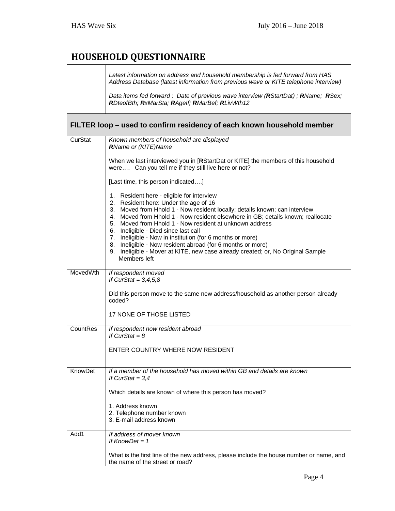## **HOUSEHOLD QUESTIONNAIRE**

|          | Latest information on address and household membership is fed forward from HAS<br>Address Database (latest information from previous wave or KITE telephone interview)<br>Data items fed forward : Date of previous wave interview (RStartDat); RName; RSex;<br>RDteofBth; RxMarSta; RAgelf; RMarBef; RLivWth12                                                                                                                                                                                                                                                                      |
|----------|--------------------------------------------------------------------------------------------------------------------------------------------------------------------------------------------------------------------------------------------------------------------------------------------------------------------------------------------------------------------------------------------------------------------------------------------------------------------------------------------------------------------------------------------------------------------------------------|
|          | FILTER loop – used to confirm residency of each known household member                                                                                                                                                                                                                                                                                                                                                                                                                                                                                                               |
| CurStat  | Known members of household are displayed<br>RName or (KITE)Name                                                                                                                                                                                                                                                                                                                                                                                                                                                                                                                      |
|          | When we last interviewed you in [RStartDat or KITE] the members of this household<br>were Can you tell me if they still live here or not?                                                                                                                                                                                                                                                                                                                                                                                                                                            |
|          | [Last time, this person indicated]                                                                                                                                                                                                                                                                                                                                                                                                                                                                                                                                                   |
|          | 1. Resident here - eligible for interview<br>2. Resident here: Under the age of 16<br>3. Moved from Hhold 1 - Now resident locally; details known; can interview<br>4. Moved from Hhold 1 - Now resident elsewhere in GB; details known; reallocate<br>5. Moved from Hhold 1 - Now resident at unknown address<br>6. Ineligible - Died since last call<br>7. Ineligible - Now in institution (for 6 months or more)<br>8. Ineligible - Now resident abroad (for 6 months or more)<br>9. Ineligible - Mover at KITE, new case already created; or, No Original Sample<br>Members left |
| MovedWth | If respondent moved<br>If CurStat = $3,4,5,8$                                                                                                                                                                                                                                                                                                                                                                                                                                                                                                                                        |
|          | Did this person move to the same new address/household as another person already<br>coded?                                                                                                                                                                                                                                                                                                                                                                                                                                                                                           |
|          | 17 NONE OF THOSE LISTED                                                                                                                                                                                                                                                                                                                                                                                                                                                                                                                                                              |
| CountRes | If respondent now resident abroad<br>If CurStat = $8$                                                                                                                                                                                                                                                                                                                                                                                                                                                                                                                                |
|          | ENTER COUNTRY WHERE NOW RESIDENT                                                                                                                                                                                                                                                                                                                                                                                                                                                                                                                                                     |
| KnowDet  | If a member of the household has moved within GB and details are known<br>If CurStat = $3,4$                                                                                                                                                                                                                                                                                                                                                                                                                                                                                         |
|          | Which details are known of where this person has moved?                                                                                                                                                                                                                                                                                                                                                                                                                                                                                                                              |
|          | 1. Address known<br>2. Telephone number known<br>3. E-mail address known                                                                                                                                                                                                                                                                                                                                                                                                                                                                                                             |
| Add1     | If address of mover known<br>If $KnowDet = 1$                                                                                                                                                                                                                                                                                                                                                                                                                                                                                                                                        |
|          | What is the first line of the new address, please include the house number or name, and<br>the name of the street or road?                                                                                                                                                                                                                                                                                                                                                                                                                                                           |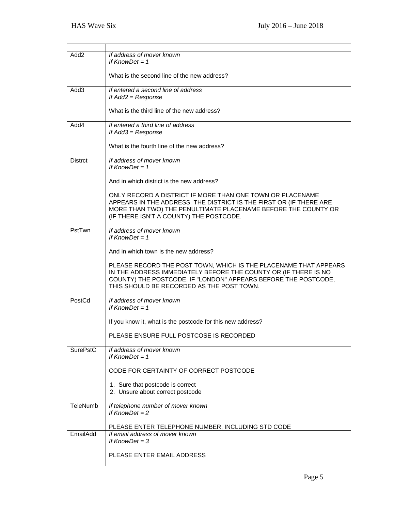| Add2            | If address of mover known<br>If $KnowDet = 1$                                                                                                                                                                                                      |
|-----------------|----------------------------------------------------------------------------------------------------------------------------------------------------------------------------------------------------------------------------------------------------|
|                 | What is the second line of the new address?                                                                                                                                                                                                        |
| Add3            | If entered a second line of address<br>If $Add2 = Response$                                                                                                                                                                                        |
|                 | What is the third line of the new address?                                                                                                                                                                                                         |
| Add4            | If entered a third line of address<br>If $Add3 = Response$                                                                                                                                                                                         |
|                 | What is the fourth line of the new address?                                                                                                                                                                                                        |
| <b>Distrct</b>  | If address of mover known                                                                                                                                                                                                                          |
|                 | If $KnowDet = 1$                                                                                                                                                                                                                                   |
|                 | And in which district is the new address?                                                                                                                                                                                                          |
|                 | ONLY RECORD A DISTRICT IF MORE THAN ONE TOWN OR PLACENAME<br>APPEARS IN THE ADDRESS. THE DISTRICT IS THE FIRST OR (IF THERE ARE<br>MORE THAN TWO) THE PENULTIMATE PLACENAME BEFORE THE COUNTY OR<br>(IF THERE ISN'T A COUNTY) THE POSTCODE.        |
| PstTwn          | If address of mover known<br>If $KnowDet = 1$                                                                                                                                                                                                      |
|                 | And in which town is the new address?                                                                                                                                                                                                              |
|                 | PLEASE RECORD THE POST TOWN, WHICH IS THE PLACENAME THAT APPEARS<br>IN THE ADDRESS IMMEDIATELY BEFORE THE COUNTY OR (IF THERE IS NO<br>COUNTY) THE POSTCODE. IF "LONDON" APPEARS BEFORE THE POSTCODE,<br>THIS SHOULD BE RECORDED AS THE POST TOWN. |
| PostCd          | If address of mover known<br>If $KnowDet = 1$                                                                                                                                                                                                      |
|                 | If you know it, what is the postcode for this new address?                                                                                                                                                                                         |
|                 | PLEASE ENSURE FULL POSTCOSE IS RECORDED                                                                                                                                                                                                            |
| <b>SurePstC</b> | If address of mover known<br>If $KnowDet = 1$                                                                                                                                                                                                      |
|                 | CODE FOR CERTAINTY OF CORRECT POSTCODE                                                                                                                                                                                                             |
|                 | 1. Sure that postcode is correct<br>2. Unsure about correct postcode                                                                                                                                                                               |
| TeleNumb        | If telephone number of mover known<br>If $KnowDet = 2$                                                                                                                                                                                             |
|                 | PLEASE ENTER TELEPHONE NUMBER, INCLUDING STD CODE                                                                                                                                                                                                  |
| EmailAdd        | If email address of mover known<br>If $KnowDet = 3$                                                                                                                                                                                                |
|                 | PLEASE ENTER EMAIL ADDRESS                                                                                                                                                                                                                         |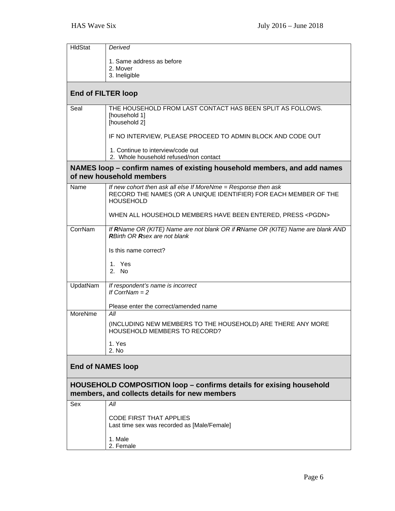| HIdStat                   | Derived                                                                                                                                                |  |
|---------------------------|--------------------------------------------------------------------------------------------------------------------------------------------------------|--|
|                           | 1. Same address as before                                                                                                                              |  |
|                           | 2. Mover                                                                                                                                               |  |
|                           | 3. Ineligible                                                                                                                                          |  |
| <b>End of FILTER loop</b> |                                                                                                                                                        |  |
| Seal                      | THE HOUSEHOLD FROM LAST CONTACT HAS BEEN SPLIT AS FOLLOWS.<br>[household 1]<br>[household 2]                                                           |  |
|                           | IF NO INTERVIEW, PLEASE PROCEED TO ADMIN BLOCK AND CODE OUT                                                                                            |  |
|                           | 1. Continue to interview/code out<br>2. Whole household refused/non contact                                                                            |  |
|                           | NAMES loop - confirm names of existing household members, and add names<br>of new household members                                                    |  |
| Name                      | If new cohort then ask all else If MoreNme = Response then ask<br>RECORD THE NAMES (OR A UNIQUE IDENTIFIER) FOR EACH MEMBER OF THE<br><b>HOUSEHOLD</b> |  |
|                           | WHEN ALL HOUSEHOLD MEMBERS HAVE BEEN ENTERED, PRESS <pgdn></pgdn>                                                                                      |  |
| CorrNam                   | If RName OR (KITE) Name are not blank OR if RName OR (KITE) Name are blank AND<br><b>RBirth OR Rsex are not blank</b>                                  |  |
|                           | Is this name correct?                                                                                                                                  |  |
|                           | 1. Yes<br>2. No.                                                                                                                                       |  |
| UpdatNam                  | If respondent's name is incorrect<br>If CorrNam $= 2$                                                                                                  |  |
|                           | Please enter the correct/amended name                                                                                                                  |  |
| MoreNme                   | All                                                                                                                                                    |  |
|                           | (INCLUDING NEW MEMBERS TO THE HOUSEHOLD) ARE THERE ANY MORE<br>HOUSEHOLD MEMBERS TO RECORD?                                                            |  |
|                           | 1. Yes<br>2. No                                                                                                                                        |  |
| <b>End of NAMES loop</b>  |                                                                                                                                                        |  |
|                           | <b>HOUSEHOLD COMPOSITION loop – confirms details for exising household</b><br>members, and collects details for new members                            |  |
| Sex                       | All                                                                                                                                                    |  |
|                           | <b>CODE FIRST THAT APPLIES</b><br>Last time sex was recorded as [Male/Female]                                                                          |  |
|                           | 1. Male<br>2. Female                                                                                                                                   |  |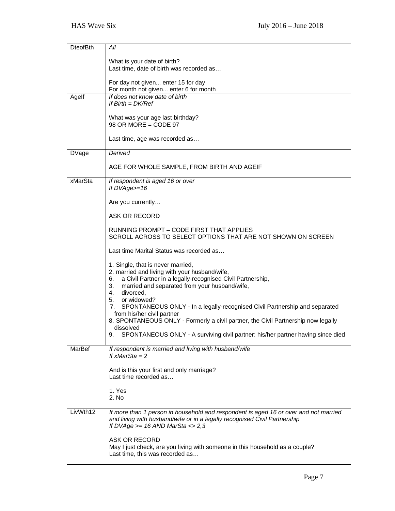| <b>DteofBth</b> | All                                                                                                                     |
|-----------------|-------------------------------------------------------------------------------------------------------------------------|
|                 | What is your date of birth?                                                                                             |
|                 | Last time, date of birth was recorded as                                                                                |
|                 |                                                                                                                         |
|                 | For day not given enter 15 for day<br>For month not given enter 6 for month                                             |
| Agelf           | If does not know date of birth                                                                                          |
|                 | If $Birth = DK/Ref$                                                                                                     |
|                 |                                                                                                                         |
|                 | What was your age last birthday?<br>$98$ OR MORE = CODE $97$                                                            |
|                 |                                                                                                                         |
|                 | Last time, age was recorded as                                                                                          |
| <b>DVage</b>    | Derived                                                                                                                 |
|                 |                                                                                                                         |
|                 | AGE FOR WHOLE SAMPLE, FROM BIRTH AND AGEIF                                                                              |
| xMarSta         | If respondent is aged 16 or over                                                                                        |
|                 | If DVAge>=16                                                                                                            |
|                 | Are you currently                                                                                                       |
|                 |                                                                                                                         |
|                 | ASK OR RECORD                                                                                                           |
|                 | RUNNING PROMPT – CODE FIRST THAT APPLIES                                                                                |
|                 | SCROLL ACROSS TO SELECT OPTIONS THAT ARE NOT SHOWN ON SCREEN                                                            |
|                 | Last time Marital Status was recorded as                                                                                |
|                 | 1. Single, that is never married,                                                                                       |
|                 | 2. married and living with your husband/wife,                                                                           |
|                 | a Civil Partner in a legally-recognised Civil Partnership,<br>6.<br>married and separated from your husband/wife,<br>3. |
|                 | divorced,<br>4.                                                                                                         |
|                 | 5. or widowed?                                                                                                          |
|                 | 7 <sub>1</sub><br>SPONTANEOUS ONLY - In a legally-recognised Civil Partnership and separated                            |
|                 | from his/her civil partner<br>8. SPONTANEOUS ONLY - Formerly a civil partner, the Civil Partnership now legally         |
|                 | dissolved                                                                                                               |
|                 | SPONTANEOUS ONLY - A surviving civil partner: his/her partner having since died<br>9.                                   |
| MarBef          | If respondent is married and living with husband/wife                                                                   |
|                 | If $xMarSta = 2$                                                                                                        |
|                 |                                                                                                                         |
|                 | And is this your first and only marriage?<br>Last time recorded as                                                      |
|                 |                                                                                                                         |
|                 | 1. Yes                                                                                                                  |
|                 | 2. No                                                                                                                   |
| LivWth12        | If more than 1 person in household and respondent is aged 16 or over and not married                                    |
|                 | and living with husband/wife or in a legally recognised Civil Partnership                                               |
|                 | If DVAge $>= 16$ AND MarSta $\lt$ 2,3                                                                                   |
|                 | ASK OR RECORD                                                                                                           |
|                 | May I just check, are you living with someone in this household as a couple?                                            |
|                 | Last time, this was recorded as                                                                                         |
|                 |                                                                                                                         |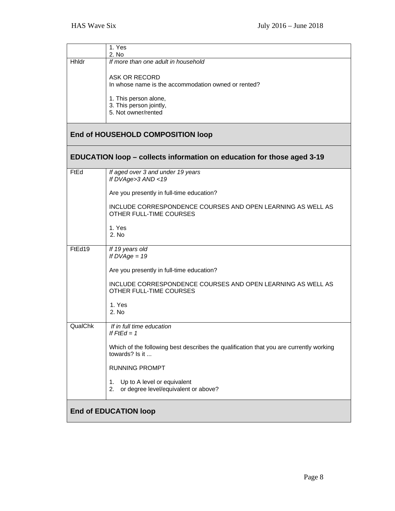|                              | 1. Yes<br>2. No                                                                                          |
|------------------------------|----------------------------------------------------------------------------------------------------------|
| Hhldr                        | If more than one adult in household                                                                      |
|                              | ASK OR RECORD                                                                                            |
|                              | In whose name is the accommodation owned or rented?                                                      |
|                              | 1. This person alone,                                                                                    |
|                              | 3. This person jointly,<br>5. Not owner/rented                                                           |
|                              |                                                                                                          |
|                              | End of HOUSEHOLD COMPOSITION loop                                                                        |
|                              | EDUCATION loop – collects information on education for those aged 3-19                                   |
| FtEd                         | If aged over 3 and under 19 years<br>If DVAge>3 AND <19                                                  |
|                              | Are you presently in full-time education?                                                                |
|                              | INCLUDE CORRESPONDENCE COURSES AND OPEN LEARNING AS WELL AS<br>OTHER FULL-TIME COURSES                   |
|                              | 1. Yes<br>2. No                                                                                          |
| FtEd19                       | If 19 years old<br>If $DVAge = 19$                                                                       |
|                              | Are you presently in full-time education?                                                                |
|                              | INCLUDE CORRESPONDENCE COURSES AND OPEN LEARNING AS WELL AS<br>OTHER FULL-TIME COURSES                   |
|                              | 1. Yes<br>2. No                                                                                          |
| QualChk                      | If in full time education                                                                                |
|                              | It $H = 1$                                                                                               |
|                              | Which of the following best describes the qualification that you are currently working<br>towards? Is it |
|                              | <b>RUNNING PROMPT</b>                                                                                    |
|                              | Up to A level or equivalent<br>1.<br>or degree level/equivalent or above?<br>2.                          |
| <b>End of EDUCATION loop</b> |                                                                                                          |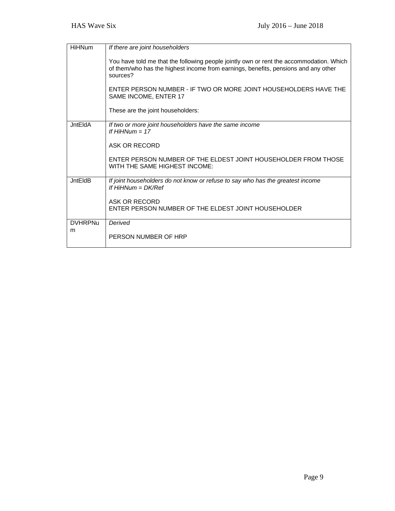| <b>HiHNum</b>  | If there are joint householders                                                                                                                                                           |
|----------------|-------------------------------------------------------------------------------------------------------------------------------------------------------------------------------------------|
|                | You have told me that the following people jointly own or rent the accommodation. Which<br>of them/who has the highest income from earnings, benefits, pensions and any other<br>sources? |
|                | ENTER PERSON NUMBER - IF TWO OR MORE JOINT HOUSEHOLDERS HAVE THE<br>SAME INCOME, ENTER 17                                                                                                 |
|                | These are the joint householders:                                                                                                                                                         |
| <b>JntEldA</b> | If two or more joint householders have the same income<br>If $HiHNum = 17$                                                                                                                |
|                | ASK OR RECORD                                                                                                                                                                             |
|                | ENTER PERSON NUMBER OF THE ELDEST JOINT HOUSEHOLDER FROM THOSE<br>WITH THE SAME HIGHEST INCOME:                                                                                           |
| <b>JntEldB</b> | If joint householders do not know or refuse to say who has the greatest income<br>If $HiHNum = DK/Ref$                                                                                    |
|                | ASK OR RECORD<br>ENTER PERSON NUMBER OF THE ELDEST JOINT HOUSEHOLDER                                                                                                                      |
| <b>DVHRPNu</b> | Derived                                                                                                                                                                                   |
| m              | PERSON NUMBER OF HRP                                                                                                                                                                      |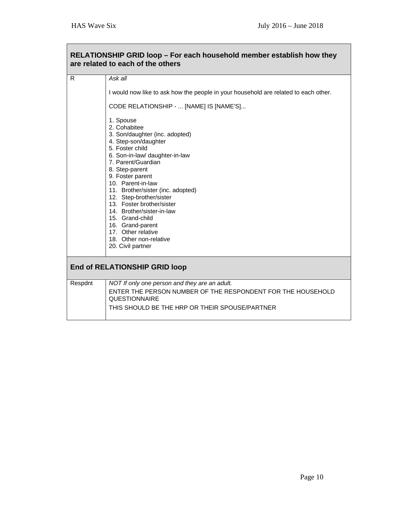#### **are related to each of the others**  R *Ask all*  I would now like to ask how the people in your household are related to each other. CODE RELATIONSHIP - ... [NAME] IS [NAME'S]... 1. Spouse 2. Cohabitee 3. Son/daughter (inc. adopted) 4. Step-son/daughter 5. Foster child 6. Son-in-law/ daughter-in-law 7. Parent/Guardian 8. Step-parent 9. Foster parent 10. Parent-in-law 11. Brother/sister (inc. adopted) 12. Step-brother/sister 13. Foster brother/sister 14. Brother/sister-in-law 15. Grand-child 16. Grand-parent 17. Other relative 18. Other non-relative 20. Civil partner **End of RELATIONSHIP GRID loop**  Respdnt *NOT If only one person and they are an adult.*  ENTER THE PERSON NUMBER OF THE RESPONDENT FOR THE HOUSEHOLD **QUESTIONNAIRE** THIS SHOULD BE THE HRP OR THEIR SPOUSE/PARTNER

## **RELATIONSHIP GRID loop – For each household member establish how they**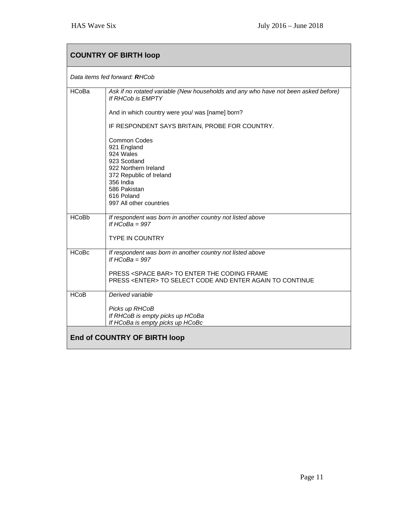| <b>COUNTRY OF BIRTH loop</b> |                                                                                                                                                                                                               |
|------------------------------|---------------------------------------------------------------------------------------------------------------------------------------------------------------------------------------------------------------|
|                              | Data items fed forward: RHCob                                                                                                                                                                                 |
| <b>HCoBa</b>                 | Ask if no rotated variable (New households and any who have not been asked before)<br>If RHCob is EMPTY                                                                                                       |
|                              | And in which country were you/ was [name] born?                                                                                                                                                               |
|                              | IF RESPONDENT SAYS BRITAIN, PROBE FOR COUNTRY.                                                                                                                                                                |
|                              | <b>Common Codes</b><br>921 England<br>924 Wales<br>923 Scotland<br>922 Northern Ireland<br>372 Republic of Ireland<br>356 India<br>586 Pakistan<br>616 Poland<br>997 All other countries                      |
| <b>HCoBb</b>                 | If respondent was born in another country not listed above<br>If $HCOBa = 997$<br><b>TYPE IN COUNTRY</b>                                                                                                      |
| <b>HCoBc</b>                 | If respondent was born in another country not listed above<br>If $HCoBa = 997$<br>PRESS <space bar=""> TO ENTER THE CODING FRAME<br/>PRESS <enter> TO SELECT CODE AND ENTER AGAIN TO CONTINUE</enter></space> |
| <b>HCoB</b>                  | Derived variable                                                                                                                                                                                              |
|                              | Picks up RHCoB<br>If RHCoB is empty picks up HCoBa<br>If HCoBa is empty picks up HCoBc                                                                                                                        |
| End of COUNTRY OF BIRTH loop |                                                                                                                                                                                                               |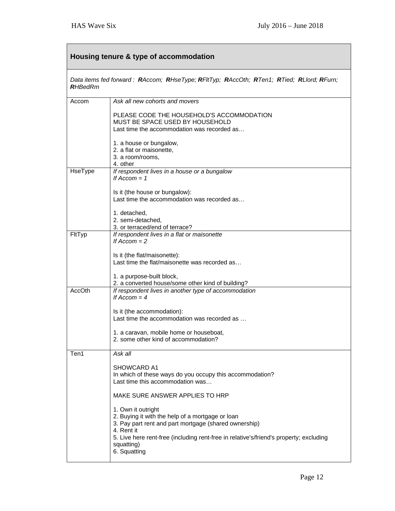| Housing tenure & type of accommodation |                                                                                                                                                                                                                                                                       |
|----------------------------------------|-----------------------------------------------------------------------------------------------------------------------------------------------------------------------------------------------------------------------------------------------------------------------|
| <b>R</b> HBedRm                        | Data items fed forward: RAccom; RHseType; RFItTyp; RAccOth; RTen1; RTied; RLIord; RFurn;                                                                                                                                                                              |
| Accom                                  | Ask all new cohorts and movers                                                                                                                                                                                                                                        |
|                                        | PLEASE CODE THE HOUSEHOLD'S ACCOMMODATION<br>MUST BE SPACE USED BY HOUSEHOLD<br>Last time the accommodation was recorded as                                                                                                                                           |
|                                        | 1. a house or bungalow,<br>2. a flat or maisonette,<br>3. a room/rooms,<br>4. other                                                                                                                                                                                   |
| HseType                                | If respondent lives in a house or a bungalow<br>If $Accom = 1$                                                                                                                                                                                                        |
|                                        | Is it (the house or bungalow):<br>Last time the accommodation was recorded as                                                                                                                                                                                         |
|                                        | 1. detached,<br>2. semi-detached,<br>3. or terraced/end of terrace?                                                                                                                                                                                                   |
| FltTyp                                 | If respondent lives in a flat or maisonette<br>If $Accom = 2$                                                                                                                                                                                                         |
|                                        | Is it (the flat/maisonette):<br>Last time the flat/maisonette was recorded as<br>1. a purpose-built block,                                                                                                                                                            |
| AccOth                                 | 2. a converted house/some other kind of building?<br>If respondent lives in another type of accommodation<br>If $Accom = 4$                                                                                                                                           |
|                                        | Is it (the accommodation):<br>Last time the accommodation was recorded as                                                                                                                                                                                             |
|                                        | 1. a caravan, mobile home or houseboat,<br>2. some other kind of accommodation?                                                                                                                                                                                       |
| Ten1                                   | Ask all                                                                                                                                                                                                                                                               |
|                                        | <b>SHOWCARD A1</b><br>In which of these ways do you occupy this accommodation?<br>Last time this accommodation was                                                                                                                                                    |
|                                        | MAKE SURE ANSWER APPLIES TO HRP                                                                                                                                                                                                                                       |
|                                        | 1. Own it outright<br>2. Buying it with the help of a mortgage or loan<br>3. Pay part rent and part mortgage (shared ownership)<br>4. Rent it<br>5. Live here rent-free (including rent-free in relative's/friend's property; excluding<br>squatting)<br>6. Squatting |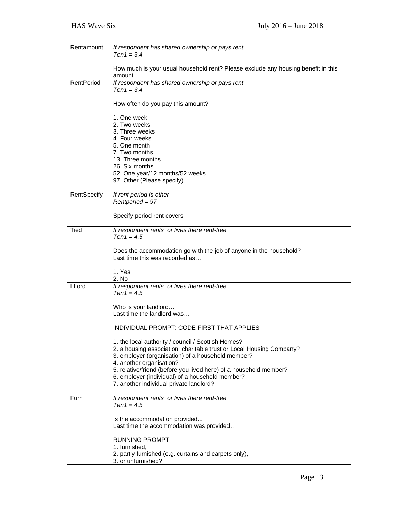| Rentamount  | If respondent has shared ownership or pays rent<br>$Ten 1 = 3,4$                                                                                                                                                                                                                                                                    |
|-------------|-------------------------------------------------------------------------------------------------------------------------------------------------------------------------------------------------------------------------------------------------------------------------------------------------------------------------------------|
|             | How much is your usual household rent? Please exclude any housing benefit in this<br>amount.                                                                                                                                                                                                                                        |
| RentPeriod  | If respondent has shared ownership or pays rent<br>$Ten 1 = 3,4$                                                                                                                                                                                                                                                                    |
|             | How often do you pay this amount?                                                                                                                                                                                                                                                                                                   |
|             | 1. One week<br>2. Two weeks<br>3. Three weeks<br>4. Four weeks<br>5. One month<br>7. Two months<br>13. Three months<br>26. Six months<br>52. One year/12 months/52 weeks<br>97. Other (Please specify)                                                                                                                              |
| RentSpecify | If rent period is other<br>Rentperiod = 97                                                                                                                                                                                                                                                                                          |
|             | Specify period rent covers                                                                                                                                                                                                                                                                                                          |
| Tied        | If respondent rents or lives there rent-free<br>$Ten 1 = 4.5$                                                                                                                                                                                                                                                                       |
|             | Does the accommodation go with the job of anyone in the household?<br>Last time this was recorded as                                                                                                                                                                                                                                |
|             | 1. Yes<br>2. No                                                                                                                                                                                                                                                                                                                     |
| LLord       | If respondent rents or lives there rent-free<br>$Ten 1 = 4.5$                                                                                                                                                                                                                                                                       |
|             | Who is your landlord<br>Last time the landlord was                                                                                                                                                                                                                                                                                  |
|             | INDIVIDUAL PROMPT: CODE FIRST THAT APPLIES                                                                                                                                                                                                                                                                                          |
|             | 1. the local authority / council / Scottish Homes?<br>2. a housing association, charitable trust or Local Housing Company?<br>3. employer (organisation) of a household member?<br>4. another organisation?<br>5. relative/friend (before you lived here) of a household member?<br>6. employer (individual) of a household member? |
|             | 7. another individual private landlord?                                                                                                                                                                                                                                                                                             |
| Furn        | If respondent rents or lives there rent-free<br>$Ten 1 = 4.5$                                                                                                                                                                                                                                                                       |
|             | Is the accommodation provided<br>Last time the accommodation was provided                                                                                                                                                                                                                                                           |
|             | <b>RUNNING PROMPT</b><br>1. furnished,                                                                                                                                                                                                                                                                                              |
|             | 2. partly furnished (e.g. curtains and carpets only),<br>3. or unfurnished?                                                                                                                                                                                                                                                         |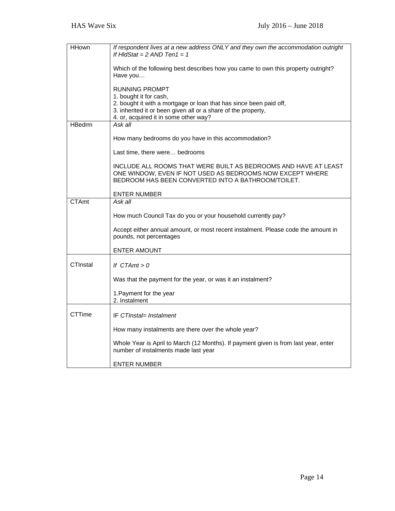| <b>HHown</b>  | If respondent lives at a new address ONLY and they own the accommodation outright                                           |
|---------------|-----------------------------------------------------------------------------------------------------------------------------|
|               | If HIdStat = $2$ AND Ten1 = 1                                                                                               |
|               | Which of the following best describes how you came to own this property outright?                                           |
|               | Have you                                                                                                                    |
|               | <b>RUNNING PROMPT</b>                                                                                                       |
|               | 1. bought it for cash,                                                                                                      |
|               | 2. bought it with a mortgage or loan that has since been paid off,                                                          |
|               | 3. inherited it or been given all or a share of the property,<br>4. or, acquired it in some other way?                      |
| <b>HBedrm</b> | Ask all                                                                                                                     |
|               |                                                                                                                             |
|               | How many bedrooms do you have in this accommodation?                                                                        |
|               | Last time, there were bedrooms                                                                                              |
|               | INCLUDE ALL ROOMS THAT WERE BUILT AS BEDROOMS AND HAVE AT LEAST                                                             |
|               | ONE WINDOW, EVEN IF NOT USED AS BEDROOMS NOW EXCEPT WHERE                                                                   |
|               | BEDROOM HAS BEEN CONVERTED INTO A BATHROOM/TOILET.                                                                          |
|               | <b>ENTER NUMBER</b>                                                                                                         |
| CTAmt         | Ask all                                                                                                                     |
|               | How much Council Tax do you or your household currently pay?                                                                |
|               |                                                                                                                             |
|               | Accept either annual amount, or most recent instalment. Please code the amount in<br>pounds, not percentages                |
|               | <b>ENTER AMOUNT</b>                                                                                                         |
|               |                                                                                                                             |
| CTInstal      | If $CTAmt > 0$                                                                                                              |
|               | Was that the payment for the year, or was it an instalment?                                                                 |
|               | 1. Payment for the year                                                                                                     |
|               | 2. Instalment                                                                                                               |
| CTTime        | IF CTInstal= Instalment                                                                                                     |
|               |                                                                                                                             |
|               | How many instalments are there over the whole year?                                                                         |
|               | Whole Year is April to March (12 Months). If payment given is from last year, enter<br>number of instalments made last year |
|               | <b>ENTER NUMBER</b>                                                                                                         |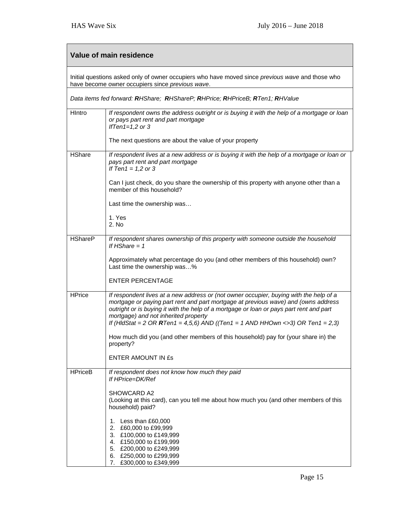| Value of main residence                                                                                                                              |                                                                                                                                                                                                                                                                                                                                                                                                   |  |
|------------------------------------------------------------------------------------------------------------------------------------------------------|---------------------------------------------------------------------------------------------------------------------------------------------------------------------------------------------------------------------------------------------------------------------------------------------------------------------------------------------------------------------------------------------------|--|
| Initial questions asked only of owner occupiers who have moved since previous wave and those who<br>have become owner occupiers since previous wave. |                                                                                                                                                                                                                                                                                                                                                                                                   |  |
| Data items fed forward: RHShare; RHShareP; RHPrice; RHPriceB; RTen1; RHValue                                                                         |                                                                                                                                                                                                                                                                                                                                                                                                   |  |
| HIntro                                                                                                                                               | If respondent owns the address outright or is buying it with the help of a mortgage or loan<br>or pays part rent and part mortgage<br>IfTen1=1,2 or $3$                                                                                                                                                                                                                                           |  |
|                                                                                                                                                      | The next questions are about the value of your property                                                                                                                                                                                                                                                                                                                                           |  |
| <b>HShare</b>                                                                                                                                        | If respondent lives at a new address or is buying it with the help of a mortgage or loan or<br>pays part rent and part mortgage<br>If Ten1 = $1,2$ or 3                                                                                                                                                                                                                                           |  |
|                                                                                                                                                      | Can I just check, do you share the ownership of this property with anyone other than a<br>member of this household?                                                                                                                                                                                                                                                                               |  |
|                                                                                                                                                      | Last time the ownership was                                                                                                                                                                                                                                                                                                                                                                       |  |
|                                                                                                                                                      | 1. Yes<br>2. No                                                                                                                                                                                                                                                                                                                                                                                   |  |
| <b>HShareP</b>                                                                                                                                       | If respondent shares ownership of this property with someone outside the household<br>If HShare $= 1$                                                                                                                                                                                                                                                                                             |  |
|                                                                                                                                                      | Approximately what percentage do you (and other members of this household) own?<br>Last time the ownership was%                                                                                                                                                                                                                                                                                   |  |
|                                                                                                                                                      | <b>ENTER PERCENTAGE</b>                                                                                                                                                                                                                                                                                                                                                                           |  |
| <b>HPrice</b>                                                                                                                                        | If respondent lives at a new address or (not owner occupier, buying with the help of a<br>mortgage or paying part rent and part mortgage at previous wave) and (owns address<br>outright or is buying it with the help of a mortgage or loan or pays part rent and part<br>mortgage) and not inherited property<br>If (HIdStat = 2 OR RTen1 = 4,5,6) AND ((Ten1 = 1 AND HHOwn <>3) OR Ten1 = 2,3) |  |
|                                                                                                                                                      | How much did you (and other members of this household) pay for (your share in) the<br>property?                                                                                                                                                                                                                                                                                                   |  |
|                                                                                                                                                      | ENTER AMOUNT IN £s                                                                                                                                                                                                                                                                                                                                                                                |  |
| <b>HPriceB</b>                                                                                                                                       | If respondent does not know how much they paid<br>If HPrice=DK/Ref                                                                                                                                                                                                                                                                                                                                |  |
|                                                                                                                                                      | SHOWCARD A2<br>(Looking at this card), can you tell me about how much you (and other members of this<br>household) paid?                                                                                                                                                                                                                                                                          |  |
|                                                                                                                                                      | 1. Less than £60,000<br>2. £60,000 to £99,999<br>3. £100,000 to £149,999<br>4. £150,000 to £199,999<br>5. £200,000 to £249,999<br>6. £250,000 to £299,999<br>£300,000 to £349,999<br>7.                                                                                                                                                                                                           |  |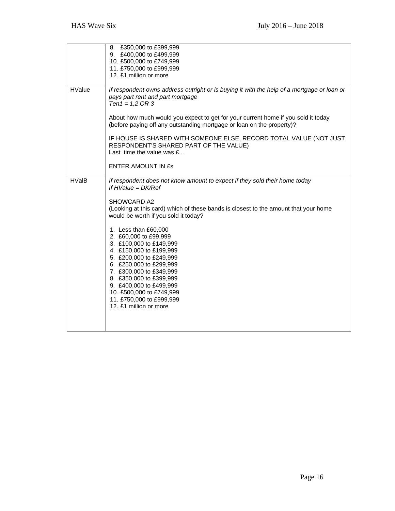|               | 8. £350,000 to £399,999<br>9. £400,000 to £499,999<br>10. £500,000 to £749,999<br>11. £750,000 to £999,999<br>12. £1 million or more                                                                                                                                                                                                                                                                                                                                                                                                                                             |
|---------------|----------------------------------------------------------------------------------------------------------------------------------------------------------------------------------------------------------------------------------------------------------------------------------------------------------------------------------------------------------------------------------------------------------------------------------------------------------------------------------------------------------------------------------------------------------------------------------|
| <b>HValue</b> | If respondent owns address outright or is buying it with the help of a mortgage or loan or<br>pays part rent and part mortgage<br>$Ten1 = 1,2 OR 3$                                                                                                                                                                                                                                                                                                                                                                                                                              |
|               | About how much would you expect to get for your current home if you sold it today<br>(before paying off any outstanding mortgage or loan on the property)?                                                                                                                                                                                                                                                                                                                                                                                                                       |
|               | IF HOUSE IS SHARED WITH SOMEONE ELSE, RECORD TOTAL VALUE (NOT JUST<br>RESPONDENT'S SHARED PART OF THE VALUE)<br>Last time the value was $f_{\dots}$                                                                                                                                                                                                                                                                                                                                                                                                                              |
|               | <b>ENTER AMOUNT IN £s</b>                                                                                                                                                                                                                                                                                                                                                                                                                                                                                                                                                        |
| <b>HValB</b>  | If respondent does not know amount to expect if they sold their home today<br>If $HValue = DK/Ref$<br>SHOWCARD A2<br>(Looking at this card) which of these bands is closest to the amount that your home<br>would be worth if you sold it today?<br>1. Less than £60,000<br>2. £60,000 to £99,999<br>3. £100,000 to £149,999<br>4. £150,000 to £199,999<br>5. £200,000 to £249,999<br>6. £250,000 to £299,999<br>7. £300,000 to £349,999<br>8. £350,000 to £399,999<br>9. £400,000 to £499,999<br>10. £500,000 to £749,999<br>11. £750,000 to £999,999<br>12. £1 million or more |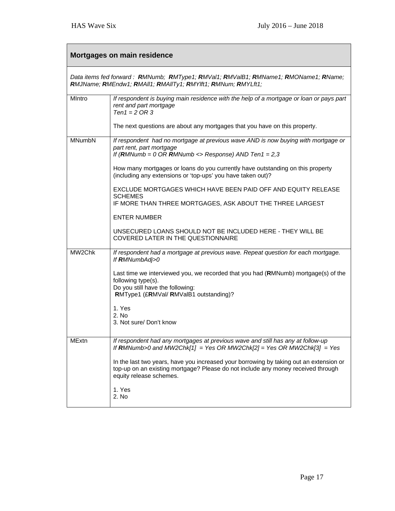| Mortgages on main residence                                                                                                                         |                                                                                                                                                                                                       |  |
|-----------------------------------------------------------------------------------------------------------------------------------------------------|-------------------------------------------------------------------------------------------------------------------------------------------------------------------------------------------------------|--|
| Data items fed forward: RMNumb; RMType1; RMVal1; RMValB1; RMName1; RMOName1; RName;<br>RMJName; RMEndw1; RMAII1; RMAIITy1; RMYIft1; RMNum; RMYLft1; |                                                                                                                                                                                                       |  |
| MIntro                                                                                                                                              | If respondent is buying main residence with the help of a mortgage or loan or pays part<br>rent and part mortgage<br>$Ten1 = 2 OR 3$                                                                  |  |
|                                                                                                                                                     | The next questions are about any mortgages that you have on this property.                                                                                                                            |  |
| <b>MNumbN</b>                                                                                                                                       | If respondent had no mortgage at previous wave AND is now buying with mortgage or<br>part rent, part mortgage<br>If (RMNumb = $0$ OR RMNumb <> Response) AND Ten1 = 2,3                               |  |
|                                                                                                                                                     | How many mortgages or loans do you currently have outstanding on this property<br>(including any extensions or 'top-ups' you have taken out)?                                                         |  |
|                                                                                                                                                     | EXCLUDE MORTGAGES WHICH HAVE BEEN PAID OFF AND EQUITY RELEASE<br><b>SCHEMES</b><br>IF MORE THAN THREE MORTGAGES, ASK ABOUT THE THREE LARGEST                                                          |  |
|                                                                                                                                                     | <b>ENTER NUMBER</b>                                                                                                                                                                                   |  |
|                                                                                                                                                     | UNSECURED LOANS SHOULD NOT BE INCLUDED HERE - THEY WILL BE<br>COVERED LATER IN THE QUESTIONNAIRE                                                                                                      |  |
| MW2Chk                                                                                                                                              | If respondent had a mortgage at previous wave. Repeat question for each mortgage.<br>If RMNumbAdj>0                                                                                                   |  |
|                                                                                                                                                     | Last time we interviewed you, we recorded that you had (RMNumb) mortgage(s) of the<br>following type(s).<br>Do you still have the following:<br>RMType1 (£RMVal/ RMValB1 outstanding)?                |  |
|                                                                                                                                                     | 1. Yes<br>2. No<br>3. Not sure/Don't know                                                                                                                                                             |  |
| <b>MExtn</b>                                                                                                                                        | If respondent had any mortgages at previous wave and still has any at follow-up<br>If RMNumb>0 and MW2Chk[1] = Yes OR MW2Chk[2] = Yes OR MW2Chk[3] = Yes                                              |  |
|                                                                                                                                                     | In the last two years, have you increased your borrowing by taking out an extension or<br>top-up on an existing mortgage? Please do not include any money received through<br>equity release schemes. |  |
|                                                                                                                                                     | 1. Yes<br>2. No                                                                                                                                                                                       |  |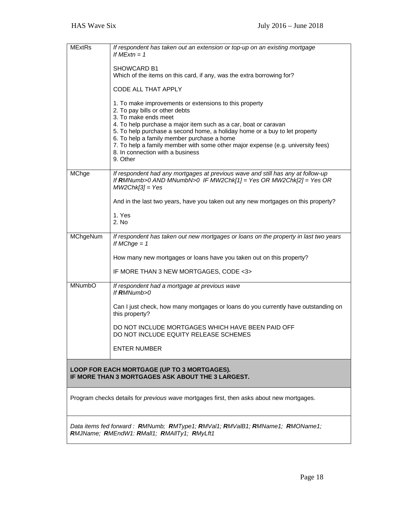| <b>MExtRs</b>                                                                                                               | If respondent has taken out an extension or top-up on an existing mortgage<br>If $MExtn = 1$                                                                                                                                                                                                                                                                                                                                                       |  |
|-----------------------------------------------------------------------------------------------------------------------------|----------------------------------------------------------------------------------------------------------------------------------------------------------------------------------------------------------------------------------------------------------------------------------------------------------------------------------------------------------------------------------------------------------------------------------------------------|--|
|                                                                                                                             | <b>SHOWCARD B1</b><br>Which of the items on this card, if any, was the extra borrowing for?                                                                                                                                                                                                                                                                                                                                                        |  |
|                                                                                                                             | CODE ALL THAT APPLY                                                                                                                                                                                                                                                                                                                                                                                                                                |  |
|                                                                                                                             | 1. To make improvements or extensions to this property<br>2. To pay bills or other debts<br>3. To make ends meet<br>4. To help purchase a major item such as a car, boat or caravan<br>5. To help purchase a second home, a holiday home or a buy to let property<br>6. To help a family member purchase a home<br>7. To help a family member with some other major expense (e.g. university fees)<br>8. In connection with a business<br>9. Other |  |
| MChge                                                                                                                       | If respondent had any mortgages at previous wave and still has any at follow-up<br>If RMNumb>0 AND MNumbN>0 IF MW2Chk[1] = Yes OR MW2Chk[2] = Yes OR<br>$MW2Chk[3] = Yes$                                                                                                                                                                                                                                                                          |  |
|                                                                                                                             | And in the last two years, have you taken out any new mortgages on this property?                                                                                                                                                                                                                                                                                                                                                                  |  |
|                                                                                                                             | 1. Yes<br>2. No                                                                                                                                                                                                                                                                                                                                                                                                                                    |  |
| MChgeNum                                                                                                                    | If respondent has taken out new mortgages or loans on the property in last two years<br>If MChge $= 1$                                                                                                                                                                                                                                                                                                                                             |  |
|                                                                                                                             | How many new mortgages or loans have you taken out on this property?                                                                                                                                                                                                                                                                                                                                                                               |  |
|                                                                                                                             | IF MORE THAN 3 NEW MORTGAGES, CODE <3>                                                                                                                                                                                                                                                                                                                                                                                                             |  |
| <b>MNumbO</b>                                                                                                               | If respondent had a mortgage at previous wave<br>If $RMNumb>0$                                                                                                                                                                                                                                                                                                                                                                                     |  |
|                                                                                                                             | Can I just check, how many mortgages or loans do you currently have outstanding on<br>this property?                                                                                                                                                                                                                                                                                                                                               |  |
|                                                                                                                             | DO NOT INCLUDE MORTGAGES WHICH HAVE BEEN PAID OFF<br>DO NOT INCLUDE EQUITY RELEASE SCHEMES                                                                                                                                                                                                                                                                                                                                                         |  |
|                                                                                                                             | <b>ENTER NUMBER</b>                                                                                                                                                                                                                                                                                                                                                                                                                                |  |
| LOOP FOR EACH MORTGAGE (UP TO 3 MORTGAGES).<br>IF MORE THAN 3 MORTGAGES ASK ABOUT THE 3 LARGEST.                            |                                                                                                                                                                                                                                                                                                                                                                                                                                                    |  |
| Program checks details for <i>previous wave</i> mortgages first, then asks about new mortgages.                             |                                                                                                                                                                                                                                                                                                                                                                                                                                                    |  |
| Data items fed forward: RMNumb; RMType1; RMVal1; RMValB1; RMName1; RMOName1;<br>RMJName; RMEndW1: RMall1; RMAllTy1; RMyLft1 |                                                                                                                                                                                                                                                                                                                                                                                                                                                    |  |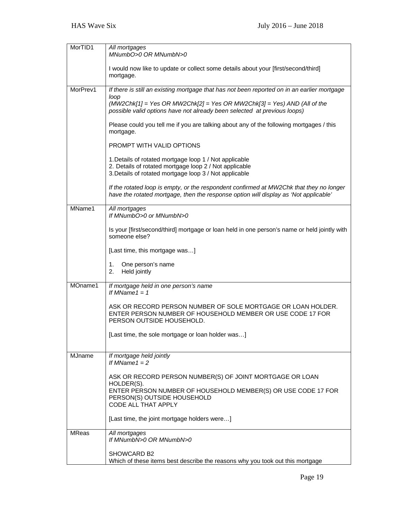| MorTID1       | All mortgages<br>MNumbO>0 OR MNumbN>0                                                                                                                                           |
|---------------|---------------------------------------------------------------------------------------------------------------------------------------------------------------------------------|
|               | I would now like to update or collect some details about your [first/second/third]<br>mortgage.                                                                                 |
| MorPrev1      | If there is still an existing mortgage that has not been reported on in an earlier mortgage                                                                                     |
|               | loop<br>$(MW2Chk[1] = Yes \ OR \ MW2Chk[2] = Yes \ OR \ MW2Chk[3] = Yes) \ AND \ (All \ of \ the$<br>possible valid options have not already been selected at previous loops)   |
|               | Please could you tell me if you are talking about any of the following mortgages / this<br>mortgage.                                                                            |
|               | PROMPT WITH VALID OPTIONS                                                                                                                                                       |
|               | 1. Details of rotated mortgage loop 1 / Not applicable                                                                                                                          |
|               | 2. Details of rotated mortgage loop 2 / Not applicable<br>3. Details of rotated mortgage loop 3 / Not applicable                                                                |
|               | If the rotated loop is empty, or the respondent confirmed at MW2Chk that they no longer<br>have the rotated mortgage, then the response option will display as 'Not applicable' |
| MName1        | All mortgages<br>If MNumbO>0 or MNumbN>0                                                                                                                                        |
|               | Is your [first/second/third] mortgage or loan held in one person's name or held jointly with<br>someone else?                                                                   |
|               | [Last time, this mortgage was]                                                                                                                                                  |
|               | One person's name<br>1.<br>2.<br>Held jointly                                                                                                                                   |
| MOname1       | If mortgage held in one person's name<br>If MName1 = $1$                                                                                                                        |
|               | ASK OR RECORD PERSON NUMBER OF SOLE MORTGAGE OR LOAN HOLDER.<br>ENTER PERSON NUMBER OF HOUSEHOLD MEMBER OR USE CODE 17 FOR<br>PERSON OUTSIDE HOUSEHOLD.                         |
|               | [Last time, the sole mortgage or loan holder was]                                                                                                                               |
| <b>MJname</b> | If mortgage held jointly<br>If MName $1 = 2$                                                                                                                                    |
|               | ASK OR RECORD PERSON NUMBER(S) OF JOINT MORTGAGE OR LOAN<br>HOLDER(S).                                                                                                          |
|               | ENTER PERSON NUMBER OF HOUSEHOLD MEMBER(S) OR USE CODE 17 FOR<br>PERSON(S) OUTSIDE HOUSEHOLD<br>CODE ALL THAT APPLY                                                             |
|               | [Last time, the joint mortgage holders were]                                                                                                                                    |
| <b>MReas</b>  | All mortgages<br>If MNumbN>0 OR MNumbN>0                                                                                                                                        |
|               | SHOWCARD B2<br>Which of these items best describe the reasons why you took out this mortgage                                                                                    |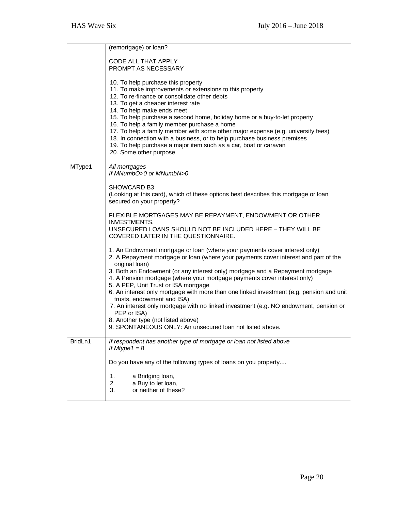|         | (remortgage) or loan?                                                                                                                                                                                                                                                                                                                                                                                                                                                                                                                                                                                       |
|---------|-------------------------------------------------------------------------------------------------------------------------------------------------------------------------------------------------------------------------------------------------------------------------------------------------------------------------------------------------------------------------------------------------------------------------------------------------------------------------------------------------------------------------------------------------------------------------------------------------------------|
|         | CODE ALL THAT APPLY<br>PROMPT AS NECESSARY                                                                                                                                                                                                                                                                                                                                                                                                                                                                                                                                                                  |
|         | 10. To help purchase this property<br>11. To make improvements or extensions to this property<br>12. To re-finance or consolidate other debts<br>13. To get a cheaper interest rate<br>14. To help make ends meet<br>15. To help purchase a second home, holiday home or a buy-to-let property<br>16. To help a family member purchase a home<br>17. To help a family member with some other major expense (e.g. university fees)<br>18. In connection with a business, or to help purchase business premises<br>19. To help purchase a major item such as a car, boat or caravan<br>20. Some other purpose |
| MType1  | All mortgages<br>If MNumbO>0 or MNumbN>0                                                                                                                                                                                                                                                                                                                                                                                                                                                                                                                                                                    |
|         | <b>SHOWCARD B3</b><br>(Looking at this card), which of these options best describes this mortgage or loan<br>secured on your property?                                                                                                                                                                                                                                                                                                                                                                                                                                                                      |
|         | FLEXIBLE MORTGAGES MAY BE REPAYMENT, ENDOWMENT OR OTHER<br><b>INVESTMENTS.</b>                                                                                                                                                                                                                                                                                                                                                                                                                                                                                                                              |
|         | UNSECURED LOANS SHOULD NOT BE INCLUDED HERE - THEY WILL BE<br>COVERED LATER IN THE QUESTIONNAIRE.                                                                                                                                                                                                                                                                                                                                                                                                                                                                                                           |
|         | 1. An Endowment mortgage or loan (where your payments cover interest only)<br>2. A Repayment mortgage or loan (where your payments cover interest and part of the<br>original loan)                                                                                                                                                                                                                                                                                                                                                                                                                         |
|         | 3. Both an Endowment (or any interest only) mortgage and a Repayment mortgage<br>4. A Pension mortgage (where your mortgage payments cover interest only)                                                                                                                                                                                                                                                                                                                                                                                                                                                   |
|         | 5. A PEP, Unit Trust or ISA mortgage<br>6. An interest only mortgage with more than one linked investment (e.g. pension and unit<br>trusts, endowment and ISA)                                                                                                                                                                                                                                                                                                                                                                                                                                              |
|         | 7. An interest only mortgage with no linked investment (e.g. NO endowment, pension or<br>PEP or ISA)                                                                                                                                                                                                                                                                                                                                                                                                                                                                                                        |
|         | 8. Another type (not listed above)<br>9. SPONTANEOUS ONLY: An unsecured loan not listed above.                                                                                                                                                                                                                                                                                                                                                                                                                                                                                                              |
| BridLn1 | If respondent has another type of mortgage or loan not listed above<br>If Mtype $1 = 8$                                                                                                                                                                                                                                                                                                                                                                                                                                                                                                                     |
|         | Do you have any of the following types of loans on you property                                                                                                                                                                                                                                                                                                                                                                                                                                                                                                                                             |
|         | 1.<br>a Bridging loan,<br>2.<br>a Buy to let loan,<br>or neither of these?<br>3.                                                                                                                                                                                                                                                                                                                                                                                                                                                                                                                            |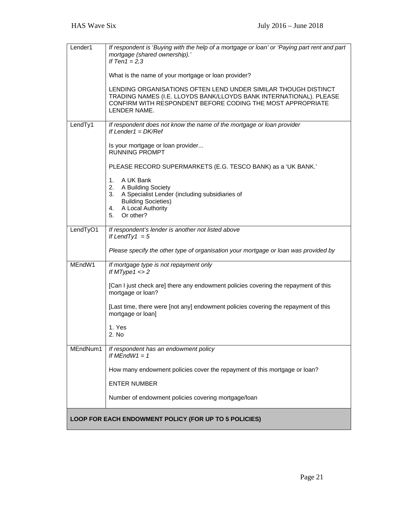| Lender1                                               | If respondent is 'Buying with the help of a mortgage or loan' or 'Paying part rent and part<br>mortgage (shared ownership).'<br>If Ten1 = $2,3$                                                                    |
|-------------------------------------------------------|--------------------------------------------------------------------------------------------------------------------------------------------------------------------------------------------------------------------|
|                                                       | What is the name of your mortgage or loan provider?                                                                                                                                                                |
|                                                       | LENDING ORGANISATIONS OFTEN LEND UNDER SIMILAR THOUGH DISTINCT<br>TRADING NAMES (I.E. LLOYDS BANK/LLOYDS BANK INTERNATIONAL). PLEASE<br>CONFIRM WITH RESPONDENT BEFORE CODING THE MOST APPROPRIATE<br>LENDER NAME. |
| LendTy1                                               | If respondent does not know the name of the mortgage or loan provider<br>If Lender1 = $DK/Ref$                                                                                                                     |
|                                                       | Is your mortgage or loan provider<br><b>RUNNING PROMPT</b>                                                                                                                                                         |
|                                                       | PLEASE RECORD SUPERMARKETS (E.G. TESCO BANK) as a 'UK BANK.'                                                                                                                                                       |
|                                                       | A UK Bank<br>1.<br>2.<br>A Building Society                                                                                                                                                                        |
|                                                       | A Specialist Lender (including subsidiaries of<br>3.<br><b>Building Societies)</b>                                                                                                                                 |
|                                                       | A Local Authority<br>4.<br>Or other?<br>5.                                                                                                                                                                         |
| LendTyO1                                              | If respondent's lender is another not listed above<br>If LendTy1 = $5$                                                                                                                                             |
|                                                       | Please specify the other type of organisation your mortgage or loan was provided by                                                                                                                                |
| MEndW1                                                | If mortgage type is not repayment only<br>If $MType1 \leq 2$                                                                                                                                                       |
|                                                       | [Can I just check are] there any endowment policies covering the repayment of this<br>mortgage or loan?                                                                                                            |
|                                                       | [Last time, there were [not any] endowment policies covering the repayment of this<br>mortgage or loan]                                                                                                            |
|                                                       | 1. Yes<br>2. No                                                                                                                                                                                                    |
| MEndNum1                                              | If respondent has an endowment policy<br>If $MEMM1 = 1$                                                                                                                                                            |
|                                                       | How many endowment policies cover the repayment of this mortgage or loan?                                                                                                                                          |
|                                                       | <b>ENTER NUMBER</b>                                                                                                                                                                                                |
|                                                       | Number of endowment policies covering mortgage/loan                                                                                                                                                                |
| LOOP FOR EACH ENDOWMENT POLICY (FOR UP TO 5 POLICIES) |                                                                                                                                                                                                                    |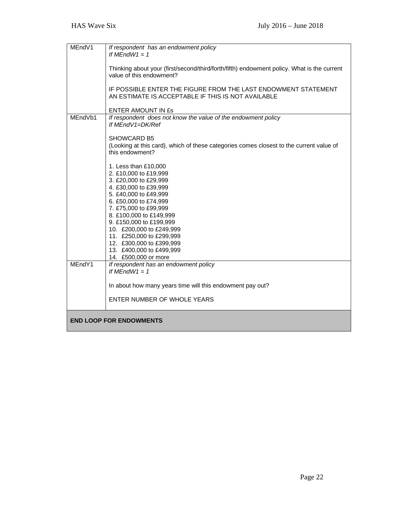| MEndV1  | If respondent has an endowment policy<br>If $MEMEndW1 = 1$                                                                                                                                                                                                                                                                                                               |
|---------|--------------------------------------------------------------------------------------------------------------------------------------------------------------------------------------------------------------------------------------------------------------------------------------------------------------------------------------------------------------------------|
|         |                                                                                                                                                                                                                                                                                                                                                                          |
|         | Thinking about your (first/second/third/forth/fifth) endowment policy. What is the current<br>value of this endowment?                                                                                                                                                                                                                                                   |
|         | IF POSSIBLE ENTER THE FIGURE FROM THE LAST ENDOWMENT STATEMENT<br>AN ESTIMATE IS ACCEPTABLE IF THIS IS NOT AVAILABLE                                                                                                                                                                                                                                                     |
|         | <b>ENTER AMOUNT IN £s</b>                                                                                                                                                                                                                                                                                                                                                |
| MEndVb1 | If respondent does not know the value of the endowment policy<br>If MEndV1=DK/Ref                                                                                                                                                                                                                                                                                        |
|         | SHOWCARD B5                                                                                                                                                                                                                                                                                                                                                              |
|         | (Looking at this card), which of these categories comes closest to the current value of<br>this endowment?                                                                                                                                                                                                                                                               |
|         | 1. Less than £10,000<br>2. £10,000 to £19,999<br>3. £20,000 to £29,999<br>4. £30,000 to £39,999<br>5. £40,000 to £49,999<br>6. £50,000 to £74,999<br>7. £75,000 to £99,999<br>8. £100,000 to £149,999<br>9. £150,000 to £199,999<br>10. £200,000 to £249,999<br>11. £250,000 to £299,999<br>12. £300,000 to £399,999<br>13. £400,000 to £499,999<br>14. £500,000 or more |
| MEndY1  | If respondent has an endowment policy                                                                                                                                                                                                                                                                                                                                    |
|         | If $MEndW1 = 1$                                                                                                                                                                                                                                                                                                                                                          |
|         | In about how many years time will this endowment pay out?                                                                                                                                                                                                                                                                                                                |
|         | ENTER NUMBER OF WHOLE YEARS                                                                                                                                                                                                                                                                                                                                              |
|         | <b>END LOOP FOR ENDOWMENTS</b>                                                                                                                                                                                                                                                                                                                                           |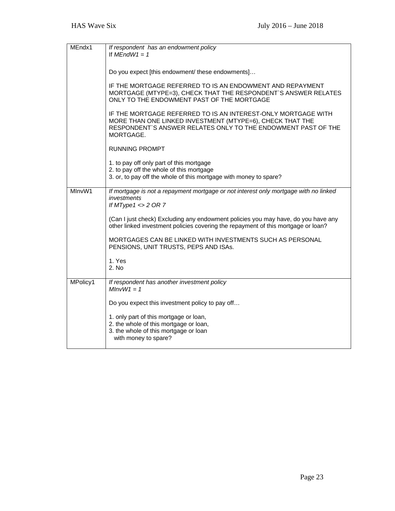| MEndx1   | If respondent has an endowment policy<br>If $MFndW1 = 1$                                                                                                                                                 |
|----------|----------------------------------------------------------------------------------------------------------------------------------------------------------------------------------------------------------|
|          | Do you expect [this endowment/ these endowments]                                                                                                                                                         |
|          | IF THE MORTGAGE REFERRED TO IS AN ENDOWMENT AND REPAYMENT<br>MORTGAGE (MTYPE=3), CHECK THAT THE RESPONDENT'S ANSWER RELATES<br>ONLY TO THE ENDOWMENT PAST OF THE MORTGAGE                                |
|          | IF THE MORTGAGE REFERRED TO IS AN INTEREST-ONLY MORTGAGE WITH<br>MORE THAN ONE LINKED INVESTMENT (MTYPE=6), CHECK THAT THE<br>RESPONDENT'S ANSWER RELATES ONLY TO THE ENDOWMENT PAST OF THE<br>MORTGAGE. |
|          | <b>RUNNING PROMPT</b>                                                                                                                                                                                    |
|          | 1. to pay off only part of this mortgage<br>2. to pay off the whole of this mortgage<br>3. or, to pay off the whole of this mortgage with money to spare?                                                |
| MInvW1   | If mortgage is not a repayment mortgage or not interest only mortgage with no linked<br>investments<br>If $MType1 \leq 2$ OR 7                                                                           |
|          | (Can I just check) Excluding any endowment policies you may have, do you have any<br>other linked investment policies covering the repayment of this mortgage or loan?                                   |
|          | MORTGAGES CAN BE LINKED WITH INVESTMENTS SUCH AS PERSONAL<br>PENSIONS, UNIT TRUSTS, PEPS AND ISAs.                                                                                                       |
|          | 1. Yes<br>2. No                                                                                                                                                                                          |
| MPolicy1 | If respondent has another investment policy<br>$MInvW1 = 1$                                                                                                                                              |
|          | Do you expect this investment policy to pay off                                                                                                                                                          |
|          | 1. only part of this mortgage or loan,<br>2. the whole of this mortgage or loan,<br>3. the whole of this mortgage or loan<br>with money to spare?                                                        |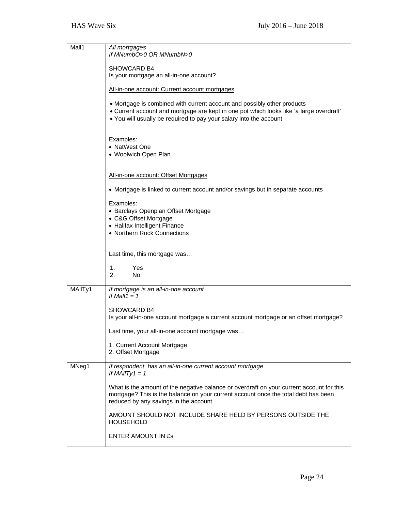| Mall1   | All mortgages<br>If MNumbO>0 OR MNumbN>0                                                                                                                                                                                                 |
|---------|------------------------------------------------------------------------------------------------------------------------------------------------------------------------------------------------------------------------------------------|
|         | SHOWCARD B4<br>Is your mortgage an all-in-one account?                                                                                                                                                                                   |
|         | All-in-one account: Current account mortgages                                                                                                                                                                                            |
|         | • Mortgage is combined with current account and possibly other products<br>• Current account and mortgage are kept in one pot which looks like 'a large overdraft'<br>• You will usually be required to pay your salary into the account |
|         | Examples:<br>• NatWest One<br>• Woolwich Open Plan                                                                                                                                                                                       |
|         | All-in-one account: Offset Mortgages                                                                                                                                                                                                     |
|         | • Mortgage is linked to current account and/or savings but in separate accounts                                                                                                                                                          |
|         | Examples:<br>• Barclays Openplan Offset Mortgage<br>• C&G Offset Mortgage<br>• Halifax Intelligent Finance<br>• Northern Rock Connections                                                                                                |
|         | Last time, this mortgage was<br>$\mathbf{1}$ .<br>Yes<br>2.<br>No.                                                                                                                                                                       |
| MAIITy1 | If mortgage is an all-in-one account<br>If Mall1 = $1$                                                                                                                                                                                   |
|         | SHOWCARD B4<br>Is your all-in-one account mortgage a current account mortgage or an offset mortgage?                                                                                                                                     |
|         | Last time, your all-in-one account mortgage was<br>1. Current Account Mortgage<br>2. Offset Mortgage                                                                                                                                     |
| MNeg1   | If respondent has an all-in-one current account mortgage<br>If MAIITy1 = $1$                                                                                                                                                             |
|         | What is the amount of the negative balance or overdraft on your current account for this<br>mortgage? This is the balance on your current account once the total debt has been<br>reduced by any savings in the account.                 |
|         | AMOUNT SHOULD NOT INCLUDE SHARE HELD BY PERSONS OUTSIDE THE<br><b>HOUSEHOLD</b>                                                                                                                                                          |
|         | ENTER AMOUNT IN £s                                                                                                                                                                                                                       |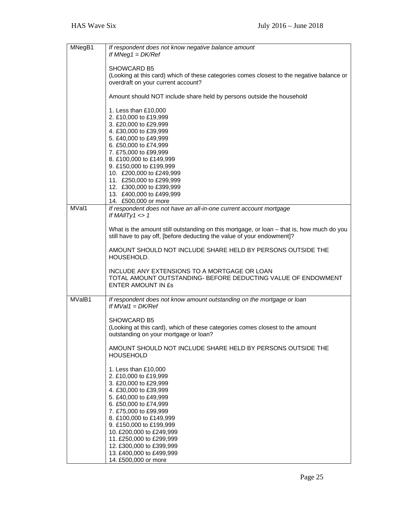| MNegB1 | If respondent does not know negative balance amount<br>If $MNeg1 = DK/Ref$                                                                                                                                                                                                                                                                                               |
|--------|--------------------------------------------------------------------------------------------------------------------------------------------------------------------------------------------------------------------------------------------------------------------------------------------------------------------------------------------------------------------------|
|        | SHOWCARD B5<br>(Looking at this card) which of these categories comes closest to the negative balance or<br>overdraft on your current account?                                                                                                                                                                                                                           |
|        | Amount should NOT include share held by persons outside the household                                                                                                                                                                                                                                                                                                    |
|        | 1. Less than £10,000<br>2. £10,000 to £19,999<br>3. £20,000 to £29,999<br>4. £30,000 to £39,999<br>5. £40,000 to £49,999<br>6. £50,000 to £74,999<br>7. £75,000 to £99,999<br>8. £100,000 to £149,999<br>9. £150,000 to £199,999<br>10. £200,000 to £249,999<br>11. £250,000 to £299,999<br>12. £300,000 to £399,999<br>13. £400,000 to £499,999<br>14. £500,000 or more |
| MVal1  | If respondent does not have an all-in-one current account mortgage<br>If MAIITy1 $\lt$ >1                                                                                                                                                                                                                                                                                |
|        | What is the amount still outstanding on this mortgage, or loan - that is, how much do you<br>still have to pay off, [before deducting the value of your endowment]?                                                                                                                                                                                                      |
|        | AMOUNT SHOULD NOT INCLUDE SHARE HELD BY PERSONS OUTSIDE THE<br>HOUSEHOLD.                                                                                                                                                                                                                                                                                                |
|        | INCLUDE ANY EXTENSIONS TO A MORTGAGE OR LOAN<br>TOTAL AMOUNT OUTSTANDING- BEFORE DEDUCTING VALUE OF ENDOWMENT<br><b>ENTER AMOUNT IN £s</b>                                                                                                                                                                                                                               |
| MValB1 | If respondent does not know amount outstanding on the mortgage or loan<br>If $MVal1 = DK/Ref$                                                                                                                                                                                                                                                                            |
|        | SHOWCARD B5<br>(Looking at this card), which of these categories comes closest to the amount<br>outstanding on your mortgage or loan?                                                                                                                                                                                                                                    |
|        | AMOUNT SHOULD NOT INCLUDE SHARE HELD BY PERSONS OUTSIDE THE<br><b>HOUSEHOLD</b>                                                                                                                                                                                                                                                                                          |
|        | 1. Less than £10,000<br>2. £10,000 to £19,999<br>3. £20,000 to £29,999<br>4. £30,000 to £39,999<br>5. £40,000 to £49,999<br>6. £50,000 to £74,999<br>7. £75,000 to £99,999<br>8. £100,000 to £149,999<br>9. £150,000 to £199,999<br>10. £200,000 to £249,999<br>11. £250,000 to £299,999<br>12. £300,000 to £399,999<br>13. £400,000 to £499,999<br>14. £500,000 or more |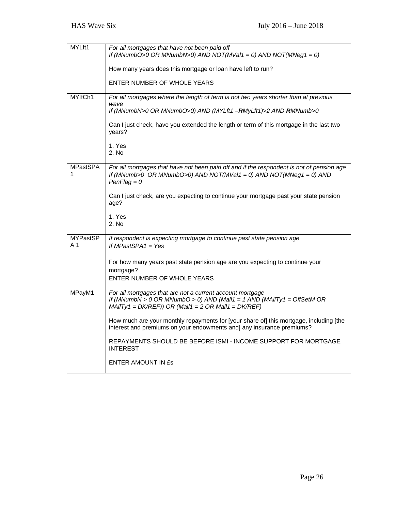| MYLft1                 | For all mortgages that have not been paid off<br>If (MNumbO>0 OR MNumbN>0) AND NOT(MVal1 = 0) AND NOT(MNeg1 = 0)                                                                              |
|------------------------|-----------------------------------------------------------------------------------------------------------------------------------------------------------------------------------------------|
|                        | How many years does this mortgage or loan have left to run?                                                                                                                                   |
|                        | ENTER NUMBER OF WHOLE YEARS                                                                                                                                                                   |
| MYIfCh1                | For all mortgages where the length of term is not two years shorter than at previous                                                                                                          |
|                        | wave<br>If (MNumbN>0 OR MNumbO>0) AND (MYLft1 -RMyLft1)>2 AND RMNumb>0                                                                                                                        |
|                        | Can I just check, have you extended the length or term of this mortgage in the last two<br>years?                                                                                             |
|                        | 1. Yes<br>2. No                                                                                                                                                                               |
| <b>MPastSPA</b><br>1   | For all mortgages that have not been paid off and if the respondent is not of pension age<br>If (MNumb>0 OR MNumbO>0) AND NOT(MVal1 = 0) AND NOT(MNeg1 = 0) AND<br>$PenFlag = 0$              |
|                        | Can I just check, are you expecting to continue your mortgage past your state pension<br>age?                                                                                                 |
|                        | 1. Yes<br>2. No                                                                                                                                                                               |
| <b>MYPastSP</b><br>A 1 | If respondent is expecting mortgage to continue past state pension age<br>If MPastSPA1 = Yes                                                                                                  |
|                        | For how many years past state pension age are you expecting to continue your<br>mortgage?                                                                                                     |
|                        | ENTER NUMBER OF WHOLE YEARS                                                                                                                                                                   |
| MPayM1                 | For all mortgages that are not a current account mortgage<br>If (MNumbN > 0 OR MNumbO > 0) AND (Mall1 = 1 AND (MAIITy1 = OffSetM OR<br>$MAIITY1 = DK/REF)$ ) OR (Mall1 = 2 OR Mall1 = DK/REF) |
|                        | How much are your monthly repayments for [your share of] this mortgage, including [the<br>interest and premiums on your endowments and] any insurance premiums?                               |
|                        | REPAYMENTS SHOULD BE BEFORE ISMI - INCOME SUPPORT FOR MORTGAGE<br><b>INTEREST</b>                                                                                                             |
|                        | ENTER AMOUNT IN ES                                                                                                                                                                            |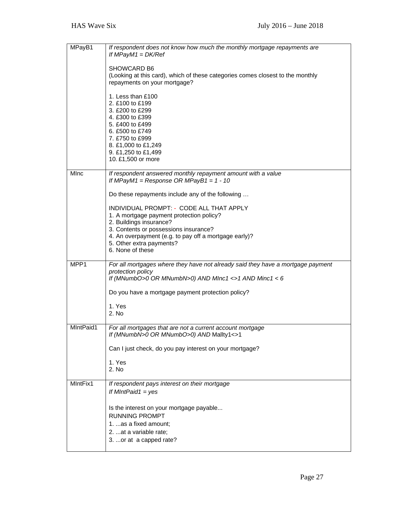| MPayB1      | If respondent does not know how much the monthly mortgage repayments are<br>If $MPaVM1 = DK/Ref$                                                              |
|-------------|---------------------------------------------------------------------------------------------------------------------------------------------------------------|
|             | SHOWCARD B6<br>(Looking at this card), which of these categories comes closest to the monthly<br>repayments on your mortgage?                                 |
|             | 1. Less than £100<br>2. £100 to £199<br>3. £200 to £299                                                                                                       |
|             | 4. £300 to £399<br>5. £400 to £499<br>6. £500 to £749                                                                                                         |
|             | 7. £750 to £999<br>8. £1,000 to £1,249<br>9. £1,250 to £1,499                                                                                                 |
|             | 10. £1,500 or more                                                                                                                                            |
| <b>MInc</b> | If respondent answered monthly repayment amount with a value<br>If MPayM1 = Response OR MPayB1 = $1 - 10$                                                     |
|             | Do these repayments include any of the following                                                                                                              |
|             | INDIVIDUAL PROMPT: - CODE ALL THAT APPLY<br>1. A mortgage payment protection policy?<br>2. Buildings insurance?                                               |
|             | 3. Contents or possessions insurance?<br>4. An overpayment (e.g. to pay off a mortgage early)?<br>5. Other extra payments?                                    |
|             | 6. None of these                                                                                                                                              |
| MPP1        | For all mortgages where they have not already said they have a mortgage payment<br>protection policy<br>If (MNumbO>0 OR MNumbN>0) AND MInc1 <>1 AND Minc1 < 6 |
|             | Do you have a mortgage payment protection policy?                                                                                                             |
|             | 1. Yes<br>2. No                                                                                                                                               |
| MIntPaid1   | For all mortgages that are not a current account mortgage<br>If (MNumbN>0 OR MNumbO>0) AND Mallty1<>1                                                         |
|             | Can I just check, do you pay interest on your mortgage?                                                                                                       |
|             | 1. Yes<br>2. No                                                                                                                                               |
| MIntFix1    | If respondent pays interest on their mortgage<br>If MIntPaid1 = $yes$                                                                                         |
|             | Is the interest on your mortgage payable<br><b>RUNNING PROMPT</b><br>1.  as a fixed amount;<br>2. at a variable rate;<br>3.  or at a capped rate?             |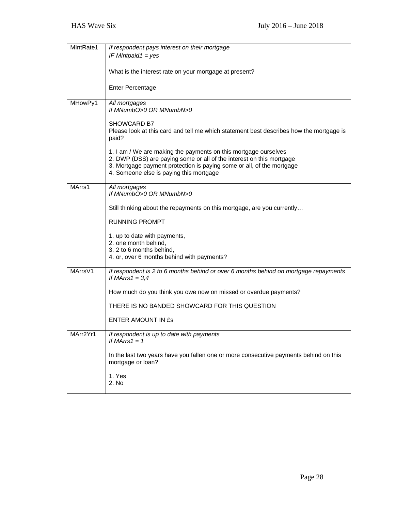| MIntRate1 | If respondent pays interest on their mortgage                                                                                           |
|-----------|-----------------------------------------------------------------------------------------------------------------------------------------|
|           | IF MIntpaid1 = $yes$                                                                                                                    |
|           |                                                                                                                                         |
|           | What is the interest rate on your mortgage at present?                                                                                  |
|           |                                                                                                                                         |
|           | <b>Enter Percentage</b>                                                                                                                 |
|           |                                                                                                                                         |
| MHowPy1   | All mortgages<br>If MNumbO>0 OR MNumbN>0                                                                                                |
|           |                                                                                                                                         |
|           | <b>SHOWCARD B7</b>                                                                                                                      |
|           | Please look at this card and tell me which statement best describes how the mortgage is                                                 |
|           | paid?                                                                                                                                   |
|           |                                                                                                                                         |
|           | 1. I am / We are making the payments on this mortgage ourselves<br>2. DWP (DSS) are paying some or all of the interest on this mortgage |
|           | 3. Mortgage payment protection is paying some or all, of the mortgage                                                                   |
|           | 4. Someone else is paying this mortgage                                                                                                 |
|           |                                                                                                                                         |
| MArrs1    | All mortgages                                                                                                                           |
|           | If MNumbO>0 OR MNumbN>0                                                                                                                 |
|           | Still thinking about the repayments on this mortgage, are you currently                                                                 |
|           |                                                                                                                                         |
|           | <b>RUNNING PROMPT</b>                                                                                                                   |
|           |                                                                                                                                         |
|           | 1. up to date with payments,                                                                                                            |
|           | 2. one month behind,<br>3. 2 to 6 months behind,                                                                                        |
|           | 4. or, over 6 months behind with payments?                                                                                              |
|           |                                                                                                                                         |
| MArrsV1   | If respondent is 2 to 6 months behind or over 6 months behind on mortgage repayments                                                    |
|           | If MArrs $1 = 3,4$                                                                                                                      |
|           | How much do you think you owe now on missed or overdue payments?                                                                        |
|           |                                                                                                                                         |
|           | THERE IS NO BANDED SHOWCARD FOR THIS QUESTION                                                                                           |
|           |                                                                                                                                         |
|           | <b>ENTER AMOUNT IN ES</b>                                                                                                               |
| MArr2Yr1  | If respondent is up to date with payments                                                                                               |
|           | If MArrs $1 = 1$                                                                                                                        |
|           |                                                                                                                                         |
|           | In the last two years have you fallen one or more consecutive payments behind on this                                                   |
|           | mortgage or loan?                                                                                                                       |
|           | 1. Yes                                                                                                                                  |
|           | 2. No                                                                                                                                   |
|           |                                                                                                                                         |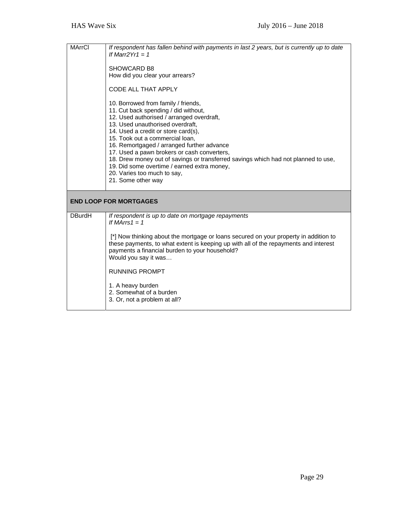| <b>MArrCl</b> | If respondent has fallen behind with payments in last 2 years, but is currently up to date<br>If Marr2 $Yr1 = 1$<br>SHOWCARD B8<br>How did you clear your arrears?<br>CODE ALL THAT APPLY<br>10. Borrowed from family / friends,<br>11. Cut back spending / did without,<br>12. Used authorised / arranged overdraft,<br>13. Used unauthorised overdraft,<br>14. Used a credit or store card(s),<br>15. Took out a commercial loan,<br>16. Remortgaged / arranged further advance<br>17. Used a pawn brokers or cash converters,<br>18. Drew money out of savings or transferred savings which had not planned to use,<br>19. Did some overtime / earned extra money,<br>20. Varies too much to say,<br>21. Some other way |
|---------------|----------------------------------------------------------------------------------------------------------------------------------------------------------------------------------------------------------------------------------------------------------------------------------------------------------------------------------------------------------------------------------------------------------------------------------------------------------------------------------------------------------------------------------------------------------------------------------------------------------------------------------------------------------------------------------------------------------------------------|
|               | <b>END LOOP FOR MORTGAGES</b>                                                                                                                                                                                                                                                                                                                                                                                                                                                                                                                                                                                                                                                                                              |
| <b>DBurdH</b> | If respondent is up to date on mortgage repayments<br>If MArrs $1 = 1$<br>[*] Now thinking about the mortgage or loans secured on your property in addition to<br>these payments, to what extent is keeping up with all of the repayments and interest<br>payments a financial burden to your household?<br>Would you say it was<br><b>RUNNING PROMPT</b><br>1. A heavy burden<br>2. Somewhat of a burden<br>3. Or, not a problem at all?                                                                                                                                                                                                                                                                                  |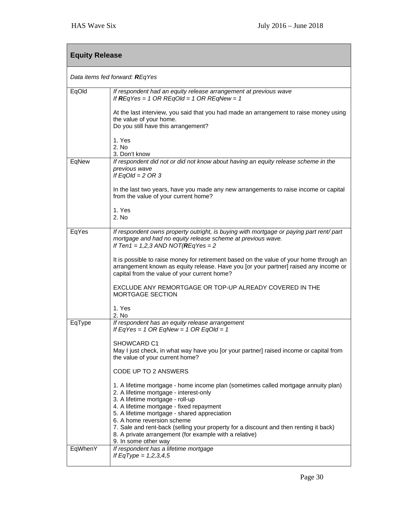| <b>Equity Release</b> |                                                                                                                                                                                                                                                                                            |  |
|-----------------------|--------------------------------------------------------------------------------------------------------------------------------------------------------------------------------------------------------------------------------------------------------------------------------------------|--|
|                       | Data items fed forward: REqYes                                                                                                                                                                                                                                                             |  |
| EqOld                 | If respondent had an equity release arrangement at previous wave<br>If $REqYes = 1 OR REqOld = 1 OR REqNew = 1$                                                                                                                                                                            |  |
|                       | At the last interview, you said that you had made an arrangement to raise money using<br>the value of your home.<br>Do you still have this arrangement?                                                                                                                                    |  |
|                       | 1. Yes<br>2. No<br>3. Don't know                                                                                                                                                                                                                                                           |  |
| EqNew                 | If respondent did not or did not know about having an equity release scheme in the<br>previous wave<br>If $EqOld = 2 OR 3$                                                                                                                                                                 |  |
|                       | In the last two years, have you made any new arrangements to raise income or capital<br>from the value of your current home?                                                                                                                                                               |  |
|                       | 1. Yes<br>2. No                                                                                                                                                                                                                                                                            |  |
| EqYes                 | If respondent owns property outright, is buying with mortgage or paying part rent/ part<br>mortgage and had no equity release scheme at previous wave.<br>If Ten1 = $1,2,3$ AND NOT(REqYes = 2                                                                                             |  |
|                       | It is possible to raise money for retirement based on the value of your home through an<br>arrangement known as equity release. Have you [or your partner] raised any income or<br>capital from the value of your current home?                                                            |  |
|                       | EXCLUDE ANY REMORTGAGE OR TOP-UP ALREADY COVERED IN THE<br>MORTGAGE SECTION                                                                                                                                                                                                                |  |
|                       | 1. Yes<br>2. No                                                                                                                                                                                                                                                                            |  |
| EqType                | If respondent has an equity release arrangement<br>If EqYes = 1 OR EqNew = 1 OR EqOld = 1                                                                                                                                                                                                  |  |
|                       | SHOWCARD C1<br>May I just check, in what way have you [or your partner] raised income or capital from<br>the value of your current home?                                                                                                                                                   |  |
|                       | CODE UP TO 2 ANSWERS                                                                                                                                                                                                                                                                       |  |
|                       | 1. A lifetime mortgage - home income plan (sometimes called mortgage annuity plan)<br>2. A lifetime mortgage - interest-only<br>3. A lifetime mortgage - roll-up<br>4. A lifetime mortgage - fixed repayment<br>5. A lifetime mortgage - shared appreciation<br>6. A home reversion scheme |  |
|                       | 7. Sale and rent-back (selling your property for a discount and then renting it back)<br>8. A private arrangement (for example with a relative)<br>9. In some other way                                                                                                                    |  |
| EqWhenY               | If respondent has a lifetime mortgage<br>If EqType = $1,2,3,4,5$                                                                                                                                                                                                                           |  |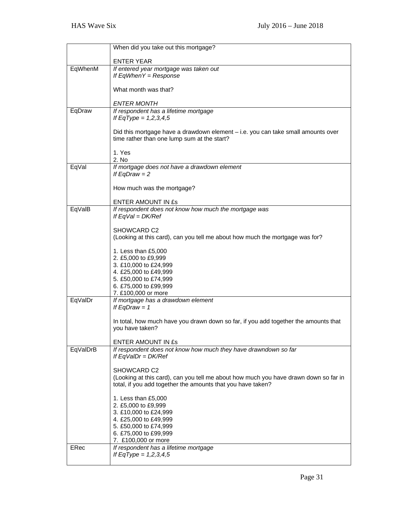|          | When did you take out this mortgage?                                                                                                                |
|----------|-----------------------------------------------------------------------------------------------------------------------------------------------------|
|          | <b>ENTER YEAR</b>                                                                                                                                   |
| EqWhenM  | If entered year mortgage was taken out<br>If $EqWhen Y = Response$                                                                                  |
|          | What month was that?                                                                                                                                |
|          | <b>ENTER MONTH</b>                                                                                                                                  |
| EqDraw   | If respondent has a lifetime mortgage<br>If EqType = $1,2,3,4,5$                                                                                    |
|          | Did this mortgage have a drawdown element – i.e. you can take small amounts over<br>time rather than one lump sum at the start?                     |
|          | 1. Yes<br>2. No                                                                                                                                     |
| EqVal    | If mortgage does not have a drawdown element<br>If $EqDraw = 2$                                                                                     |
|          | How much was the mortgage?                                                                                                                          |
|          | <b>ENTER AMOUNT IN £s</b>                                                                                                                           |
| EqValB   | If respondent does not know how much the mortgage was<br>If $EqVal = DK/Ref$                                                                        |
|          | SHOWCARD C2<br>(Looking at this card), can you tell me about how much the mortgage was for?                                                         |
|          | 1. Less than £5,000<br>2. £5,000 to £9,999<br>3. £10,000 to £24,999                                                                                 |
|          | 4. £25,000 to £49,999                                                                                                                               |
|          | 5. £50,000 to £74,999<br>6. £75,000 to £99,999                                                                                                      |
|          | 7. £100,000 or more                                                                                                                                 |
| EqValDr  | If mortgage has a drawdown element<br>If EqDraw = $1$                                                                                               |
|          | In total, how much have you drawn down so far, if you add together the amounts that<br>you have taken?                                              |
|          | ENTER AMOUNT IN £s                                                                                                                                  |
| EqValDrB | If respondent does not know how much they have drawndown so far<br>If $EqValDr = DK/Ref$                                                            |
|          | SHOWCARD C2                                                                                                                                         |
|          | (Looking at this card), can you tell me about how much you have drawn down so far in<br>total, if you add together the amounts that you have taken? |
|          | 1. Less than £5,000                                                                                                                                 |
|          | 2. £5,000 to £9,999<br>3. £10,000 to £24,999                                                                                                        |
|          | 4. £25,000 to £49,999                                                                                                                               |
|          | 5. £50,000 to £74,999                                                                                                                               |
|          | 6. £75,000 to £99,999<br>7. £100,000 or more                                                                                                        |
| ERec     | If respondent has a lifetime mortgage                                                                                                               |
|          | If EqType = $1,2,3,4,5$                                                                                                                             |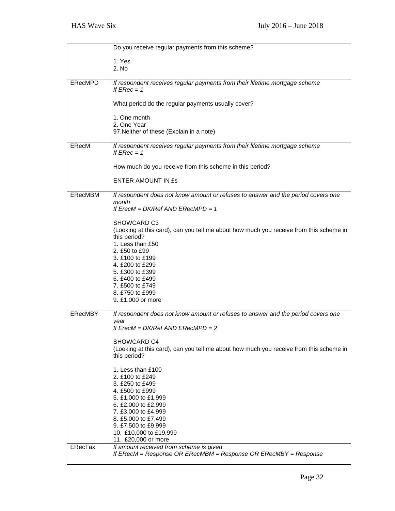|                | Do you receive regular payments from this scheme?                                                      |
|----------------|--------------------------------------------------------------------------------------------------------|
|                | 1. Yes                                                                                                 |
|                | 2. No                                                                                                  |
|                |                                                                                                        |
| <b>ERecMPD</b> | If respondent receives regular payments from their lifetime mortgage scheme<br>If $FRec = 1$           |
|                | What period do the regular payments usually cover?                                                     |
|                | 1. One month                                                                                           |
|                | 2. One Year                                                                                            |
|                | 97. Neither of these (Explain in a note)                                                               |
| ERecM          | If respondent receives regular payments from their lifetime mortgage scheme<br>If $ERec = 1$           |
|                | How much do you receive from this scheme in this period?                                               |
|                | <b>ENTER AMOUNT IN £s</b>                                                                              |
| ERecMBM        | If respondent does not know amount or refuses to answer and the period covers one                      |
|                | month<br>If $E$ rec $M = DK$ Ref AND $E$ RecMPD = 1                                                    |
|                |                                                                                                        |
|                | SHOWCARD C3                                                                                            |
|                | (Looking at this card), can you tell me about how much you receive from this scheme in<br>this period? |
|                | 1. Less than £50                                                                                       |
|                | 2. £50 to £99                                                                                          |
|                | 3. £100 to £199                                                                                        |
|                | 4. £200 to £299<br>5. £300 to £399                                                                     |
|                | 6. £400 to £499                                                                                        |
|                | 7. £500 to £749                                                                                        |
|                | 8. £750 to £999                                                                                        |
|                | 9. £1,000 or more                                                                                      |
| <b>ERecMBY</b> | If respondent does not know amount or refuses to answer and the period covers one                      |
|                | vear                                                                                                   |
|                | If $E$ rec $M = DK$ Ref AND $E$ RecMPD = 2                                                             |
|                | SHOWCARD C4                                                                                            |
|                | (Looking at this card), can you tell me about how much you receive from this scheme in                 |
|                | this period?                                                                                           |
|                | 1. Less than £100                                                                                      |
|                | 2. £100 to £249                                                                                        |
|                | 3. £250 to £499                                                                                        |
|                | 4. £500 to £999                                                                                        |
|                | 5. £1,000 to £1,999<br>6. £2,000 to £2,999                                                             |
|                | 7. £3,000 to £4,999                                                                                    |
|                | 8. £5,000 to £7,499                                                                                    |
|                | 9. £7,500 to £9,999                                                                                    |
|                | 10. £10,000 to £19,999<br>11. £20,000 or more                                                          |
| <b>ERecTax</b> | If amount received from scheme is given                                                                |
|                | If ERecM = Response OR ERecMBM = Response OR ERecMBY = Response                                        |
|                |                                                                                                        |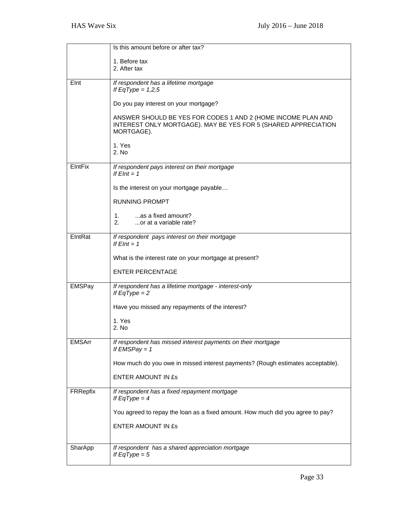|                | Is this amount before or after tax?                                                                                                          |
|----------------|----------------------------------------------------------------------------------------------------------------------------------------------|
|                | 1. Before tax                                                                                                                                |
|                | 2. After tax                                                                                                                                 |
|                |                                                                                                                                              |
| Elnt           | If respondent has a lifetime mortgage<br>If EqType = $1,2,5$                                                                                 |
|                | Do you pay interest on your mortgage?                                                                                                        |
|                | ANSWER SHOULD BE YES FOR CODES 1 AND 2 (HOME INCOME PLAN AND<br>INTEREST ONLY MORTGAGE). MAY BE YES FOR 5 (SHARED APPRECIATION<br>MORTGAGE). |
|                | 1. Yes<br>2. No                                                                                                                              |
| <b>EIntFix</b> | If respondent pays interest on their mortgage<br>If $EInt = 1$                                                                               |
|                | Is the interest on your mortgage payable                                                                                                     |
|                | <b>RUNNING PROMPT</b>                                                                                                                        |
|                | as a fixed amount?<br>2.<br>or at a variable rate?                                                                                           |
| EIntRat        | If respondent pays interest on their mortgage<br>If $EInt = 1$                                                                               |
|                | What is the interest rate on your mortgage at present?                                                                                       |
|                | <b>ENTER PERCENTAGE</b>                                                                                                                      |
| EMSPay         | If respondent has a lifetime mortgage - interest-only<br>If $EqType = 2$                                                                     |
|                | Have you missed any repayments of the interest?                                                                                              |
|                | 1. Yes<br>2. No                                                                                                                              |
| <b>EMSArr</b>  | If respondent has missed interest payments on their mortgage<br>If $EMSPay = 1$                                                              |
|                | How much do you owe in missed interest payments? (Rough estimates acceptable).                                                               |
|                | <b>ENTER AMOUNT IN £s</b>                                                                                                                    |
| FRRepfix       | If respondent has a fixed repayment mortgage<br>If $EqType = 4$                                                                              |
|                | You agreed to repay the loan as a fixed amount. How much did you agree to pay?                                                               |
|                | ENTER AMOUNT IN ES                                                                                                                           |
|                |                                                                                                                                              |
| SharApp        | If respondent has a shared appreciation mortgage<br>If $EqType = 5$                                                                          |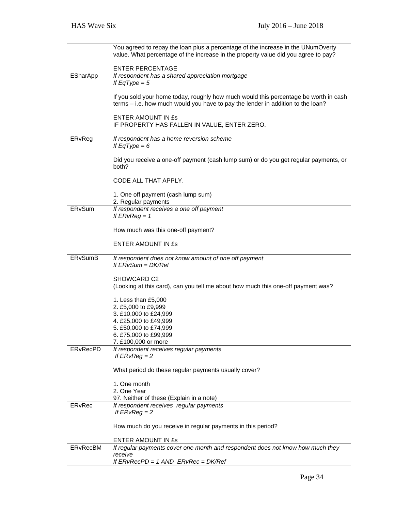|                 | You agreed to repay the loan plus a percentage of the increase in the UNumOverty<br>value. What percentage of the increase in the property value did you agree to pay?  |
|-----------------|-------------------------------------------------------------------------------------------------------------------------------------------------------------------------|
|                 | <b>ENTER PERCENTAGE</b>                                                                                                                                                 |
| ESharApp        | If respondent has a shared appreciation mortgage<br>If $EqType = 5$                                                                                                     |
|                 | If you sold your home today, roughly how much would this percentage be worth in cash<br>terms - i.e. how much would you have to pay the lender in addition to the loan? |
|                 | <b>ENTER AMOUNT IN £s</b><br>IF PROPERTY HAS FALLEN IN VALUE, ENTER ZERO.                                                                                               |
| ERvReg          | If respondent has a home reversion scheme<br>If $EqType = 6$                                                                                                            |
|                 | Did you receive a one-off payment (cash lump sum) or do you get regular payments, or<br>both?                                                                           |
|                 | CODE ALL THAT APPLY.                                                                                                                                                    |
|                 | 1. One off payment (cash lump sum)<br>2. Regular payments                                                                                                               |
| ERvSum          | If respondent receives a one off payment<br>If $ERvReg = 1$                                                                                                             |
|                 | How much was this one-off payment?                                                                                                                                      |
|                 | <b>ENTER AMOUNT IN £s</b>                                                                                                                                               |
| <b>ERvSumB</b>  | If respondent does not know amount of one off payment<br>If $ERvSum = DK/Ref$                                                                                           |
|                 | SHOWCARD C2<br>(Looking at this card), can you tell me about how much this one-off payment was?                                                                         |
|                 | 1. Less than £5,000                                                                                                                                                     |
|                 | 2. £5,000 to £9,999<br>3. £10,000 to £24,999                                                                                                                            |
|                 | 4. £25,000 to £49,999                                                                                                                                                   |
|                 | 5. £50,000 to £74,999                                                                                                                                                   |
|                 | 6. £75,000 to £99,999<br>7. £100,000 or more                                                                                                                            |
| <b>ERvRecPD</b> | If respondent receives regular payments<br>If $ERvReg = 2$                                                                                                              |
|                 | What period do these regular payments usually cover?                                                                                                                    |
|                 | 1. One month                                                                                                                                                            |
|                 | 2. One Year                                                                                                                                                             |
| ERvRec          | 97. Neither of these (Explain in a note)<br>If respondent receives regular payments                                                                                     |
|                 | If $ERvReg = 2$                                                                                                                                                         |
|                 | How much do you receive in regular payments in this period?                                                                                                             |
|                 | ENTER AMOUNT IN £s                                                                                                                                                      |
| <b>ERvRecBM</b> | If regular payments cover one month and respondent does not know how much they                                                                                          |
|                 | receive<br>If $ERvRecPD = 1 AND$ $ERvRec = DK/Ref$                                                                                                                      |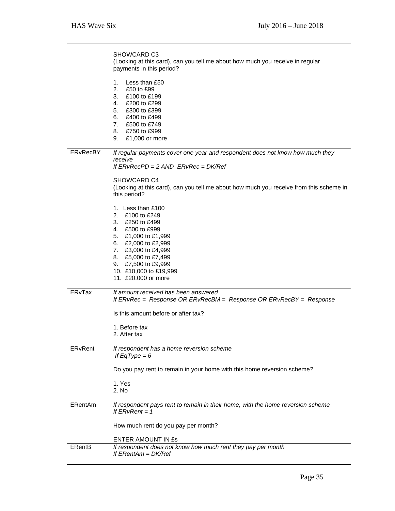|                 | SHOWCARD C3<br>(Looking at this card), can you tell me about how much you receive in regular<br>payments in this period?<br>Less than £50<br>1.<br>2.<br>£50 to £99<br>3. £100 to £199<br>4. £200 to £299<br>5. £300 to £399<br>6. £400 to £499<br>7. £500 to £749<br>8. £750 to £999<br>9. £1,000 or more |
|-----------------|------------------------------------------------------------------------------------------------------------------------------------------------------------------------------------------------------------------------------------------------------------------------------------------------------------|
| <b>ERvRecBY</b> | If regular payments cover one year and respondent does not know how much they<br>receive<br>If $ERvRecPD = 2 AND$ $ERvRec = DK/Ref$<br>SHOWCARD C4<br>(Looking at this card), can you tell me about how much you receive from this scheme in<br>this period?                                               |
|                 | 1. Less than £100<br>2. £100 to £249<br>3. £250 to £499<br>4. £500 to £999<br>5. £1,000 to £1,999<br>6. £2,000 to £2,999<br>7. £3,000 to £4,999<br>8. £5,000 to £7,499<br>9. £7,500 to £9,999<br>10. £10,000 to £19,999<br>11. £20,000 or more                                                             |
| <b>ERvTax</b>   | If amount received has been answered<br>If ERvRec = Response OR ERvRecBM = Response OR ERvRecBY = Response<br>Is this amount before or after tax?<br>1. Before tax<br>2. After tax                                                                                                                         |
| ERvRent         | If respondent has a home reversion scheme<br>If $EqType = 6$<br>Do you pay rent to remain in your home with this home reversion scheme?<br>1. Yes<br>2. No                                                                                                                                                 |
| ERentAm         | If respondent pays rent to remain in their home, with the home reversion scheme<br>If $ERvRent = 1$<br>How much rent do you pay per month?<br><b>ENTER AMOUNT IN £s</b>                                                                                                                                    |
| <b>ERentB</b>   | If respondent does not know how much rent they pay per month<br>If $E$ RentAm = $DK/Ref$                                                                                                                                                                                                                   |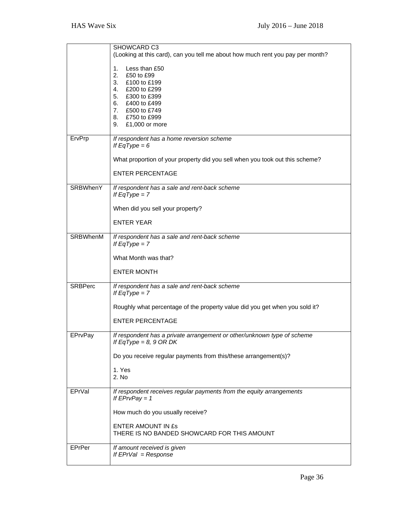|                 | SHOWCARD C3                                                                              |
|-----------------|------------------------------------------------------------------------------------------|
|                 | (Looking at this card), can you tell me about how much rent you pay per month?           |
|                 | Less than £50<br>1.                                                                      |
|                 | 2.<br>£50 to £99                                                                         |
|                 | £100 to £199<br>3.                                                                       |
|                 | 4.<br>£200 to £299<br>5.                                                                 |
|                 | £300 to £399<br>6. £400 to £499                                                          |
|                 | 7. £500 to £749                                                                          |
|                 | 8. £750 to £999                                                                          |
|                 | 9. £1,000 or more                                                                        |
| ErvPrp          | If respondent has a home reversion scheme                                                |
|                 | If $EqType = 6$                                                                          |
|                 | What proportion of your property did you sell when you took out this scheme?             |
|                 | <b>ENTER PERCENTAGE</b>                                                                  |
| <b>SRBWhenY</b> | If respondent has a sale and rent-back scheme                                            |
|                 | If $EqType = 7$                                                                          |
|                 | When did you sell your property?                                                         |
|                 | <b>ENTER YEAR</b>                                                                        |
| SRBWhenM        | If respondent has a sale and rent-back scheme                                            |
|                 | If $EqType = 7$                                                                          |
|                 | What Month was that?                                                                     |
|                 | <b>ENTER MONTH</b>                                                                       |
| <b>SRBPerc</b>  | If respondent has a sale and rent-back scheme                                            |
|                 | If $EqType = 7$                                                                          |
|                 | Roughly what percentage of the property value did you get when you sold it?              |
|                 | <b>ENTER PERCENTAGE</b>                                                                  |
| EPrvPay         | If respondent has a private arrangement or other/unknown type of scheme                  |
|                 | If EqType = 8, 9 OR DK                                                                   |
|                 | Do you receive regular payments from this/these arrangement(s)?                          |
|                 | 1. Yes                                                                                   |
|                 | 2. No                                                                                    |
| EPrVal          | If respondent receives regular payments from the equity arrangements<br>If $EPrvPay = 1$ |
|                 | How much do you usually receive?                                                         |
|                 | ENTER AMOUNT IN ES                                                                       |
|                 | THERE IS NO BANDED SHOWCARD FOR THIS AMOUNT                                              |
|                 |                                                                                          |
| EPrPer          | If amount received is given<br>If $EPrVal = Response$                                    |
|                 |                                                                                          |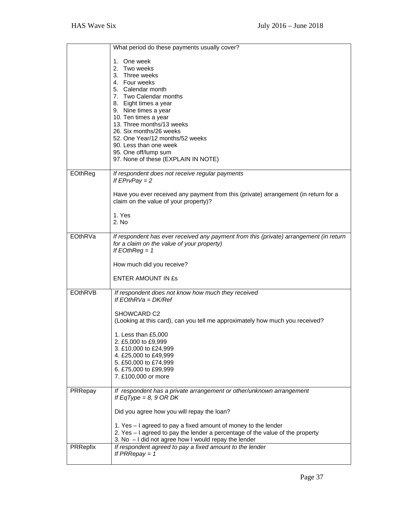|                | What period do these payments usually cover?                                           |
|----------------|----------------------------------------------------------------------------------------|
|                |                                                                                        |
|                | 1. One week<br>2. Two weeks                                                            |
|                | 3. Three weeks                                                                         |
|                | 4. Four weeks                                                                          |
|                | 5. Calendar month                                                                      |
|                | 7. Two Calendar months                                                                 |
|                | 8. Eight times a year                                                                  |
|                | 9. Nine times a year                                                                   |
|                | 10. Ten times a year<br>13. Three months/13 weeks                                      |
|                | 26. Six months/26 weeks                                                                |
|                | 52. One Year/12 months/52 weeks                                                        |
|                | 90. Less than one week                                                                 |
|                | 95. One off/lump sum                                                                   |
|                | 97. None of these (EXPLAIN IN NOTE)                                                    |
| EOthReg        | If respondent does not receive regular payments                                        |
|                | If $EPrvPay = 2$                                                                       |
|                |                                                                                        |
|                | Have you ever received any payment from this (private) arrangement (in return for a    |
|                | claim on the value of your property)?                                                  |
|                | 1. Yes                                                                                 |
|                | 2. No                                                                                  |
|                |                                                                                        |
| EOthRVa        | If respondent has ever received any payment from this (private) arrangement (in return |
|                | for a claim on the value of your property)                                             |
|                | If $EOtherReg = 1$                                                                     |
|                | How much did you receive?                                                              |
|                |                                                                                        |
|                | <b>ENTER AMOUNT IN ES</b>                                                              |
|                |                                                                                        |
|                |                                                                                        |
| <b>EOthRVB</b> | If respondent does not know how much they received                                     |
|                | If $FOhRVa = DK/Ref$                                                                   |
|                | SHOWCARD C2                                                                            |
|                | (Looking at this card), can you tell me approximately how much you received?           |
|                |                                                                                        |
|                | 1. Less than £5,000                                                                    |
|                | 2. £5,000 to £9,999                                                                    |
|                | 3. £10,000 to £24,999                                                                  |
|                | 4. £25,000 to £49,999                                                                  |
|                | 5. £50,000 to £74,999<br>6. £75,000 to £99,999                                         |
|                | 7. £100,000 or more                                                                    |
|                |                                                                                        |
| PRRepay        | If respondent has a private arrangement or other/unknown arrangement                   |
|                | If EqType = 8, 9 OR DK                                                                 |
|                | Did you agree how you will repay the loan?                                             |
|                |                                                                                        |
|                | 1. Yes – I agreed to pay a fixed amount of money to the lender                         |
|                | 2. Yes - I agreed to pay the lender a percentage of the value of the property          |
|                | 3. No - I did not agree how I would repay the lender                                   |
| PRRepfix       | If respondent agreed to pay a fixed amount to the lender<br>If $PRRepository = 1$      |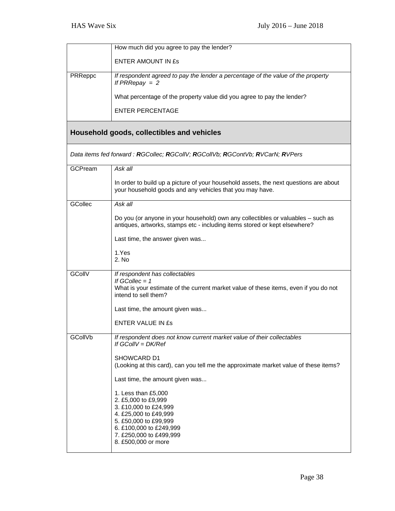|                | How much did you agree to pay the lender?                                                                                                                                                          |
|----------------|----------------------------------------------------------------------------------------------------------------------------------------------------------------------------------------------------|
|                | <b>ENTER AMOUNT IN ES</b>                                                                                                                                                                          |
| PRReppc        | If respondent agreed to pay the lender a percentage of the value of the property<br>If $PRRepository = 2$                                                                                          |
|                | What percentage of the property value did you agree to pay the lender?                                                                                                                             |
|                | <b>ENTER PERCENTAGE</b>                                                                                                                                                                            |
|                | Household goods, collectibles and vehicles                                                                                                                                                         |
|                | Data items fed forward : RGCollec; RGCollV; RGCollVb; RGContVb; RVCarN; RVPers                                                                                                                     |
| <b>GCPream</b> | Ask all                                                                                                                                                                                            |
|                | In order to build up a picture of your household assets, the next questions are about<br>your household goods and any vehicles that you may have.                                                  |
| <b>GCollec</b> | Ask all                                                                                                                                                                                            |
|                | Do you (or anyone in your household) own any collectibles or valuables - such as<br>antiques, artworks, stamps etc - including items stored or kept elsewhere?                                     |
|                | Last time, the answer given was                                                                                                                                                                    |
|                | 1.Yes<br>2. No                                                                                                                                                                                     |
| GCollV         | If respondent has collectables<br>If GCollec $= 1$<br>What is your estimate of the current market value of these items, even if you do not<br>intend to sell them?                                 |
|                | Last time, the amount given was                                                                                                                                                                    |
|                | <b>ENTER VALUE IN ES</b>                                                                                                                                                                           |
| GCollVb        | If respondent does not know current market value of their collectables<br>If $GCOIV = DK/Ref$                                                                                                      |
|                | SHOWCARD D1<br>(Looking at this card), can you tell me the approximate market value of these items?                                                                                                |
|                | Last time, the amount given was                                                                                                                                                                    |
|                | 1. Less than £5,000<br>2. £5,000 to £9,999<br>3. £10,000 to £24,999<br>4. £25,000 to £49,999<br>5. £50,000 to £99,999<br>6. £100,000 to £249,999<br>7. £250,000 to £499,999<br>8. £500,000 or more |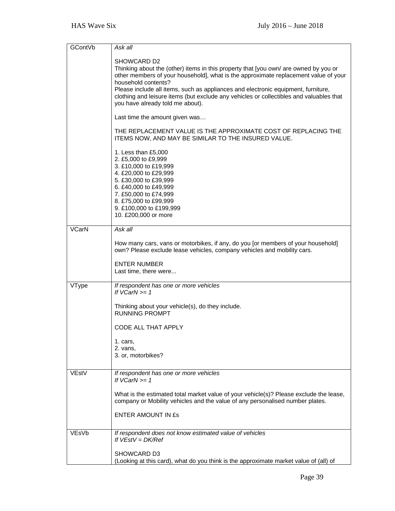| <b>GContVb</b> | Ask all                                                                                                                                                     |
|----------------|-------------------------------------------------------------------------------------------------------------------------------------------------------------|
|                | SHOWCARD D2                                                                                                                                                 |
|                | Thinking about the (other) items in this property that [you own/ are owned by you or                                                                        |
|                | other members of your household], what is the approximate replacement value of your                                                                         |
|                | household contents?                                                                                                                                         |
|                | Please include all items, such as appliances and electronic equipment, furniture,                                                                           |
|                | clothing and leisure items (but exclude any vehicles or collectibles and valuables that<br>you have already told me about).                                 |
|                |                                                                                                                                                             |
|                | Last time the amount given was                                                                                                                              |
|                | THE REPLACEMENT VALUE IS THE APPROXIMATE COST OF REPLACING THE<br>ITEMS NOW, AND MAY BE SIMILAR TO THE INSURED VALUE.                                       |
|                |                                                                                                                                                             |
|                | 1. Less than £5,000<br>2. £5,000 to £9,999                                                                                                                  |
|                | 3. £10,000 to £19,999                                                                                                                                       |
|                | 4. £20,000 to £29,999                                                                                                                                       |
|                | 5. £30,000 to £39,999                                                                                                                                       |
|                | 6. £40,000 to £49,999<br>7. £50,000 to £74,999                                                                                                              |
|                | 8. £75,000 to £99,999                                                                                                                                       |
|                | 9. £100,000 to £199,999                                                                                                                                     |
|                | 10. £200,000 or more                                                                                                                                        |
| <b>VCarN</b>   | Ask all                                                                                                                                                     |
|                |                                                                                                                                                             |
|                | How many cars, vans or motorbikes, if any, do you [or members of your household]<br>own? Please exclude lease vehicles, company vehicles and mobility cars. |
|                | <b>ENTER NUMBER</b>                                                                                                                                         |
|                | Last time, there were                                                                                                                                       |
|                |                                                                                                                                                             |
| VType          | If respondent has one or more vehicles<br>If $VCarN >= 1$                                                                                                   |
|                |                                                                                                                                                             |
|                | Thinking about your vehicle(s), do they include.<br><b>RUNNING PROMPT</b>                                                                                   |
|                |                                                                                                                                                             |
|                | <b>CODE ALL THAT APPLY</b>                                                                                                                                  |
|                | 1. cars,                                                                                                                                                    |
|                | 2. vans,                                                                                                                                                    |
|                | 3. or, motorbikes?                                                                                                                                          |
| VEstV          | If respondent has one or more vehicles                                                                                                                      |
|                | If $VCarN >= 1$                                                                                                                                             |
|                |                                                                                                                                                             |
|                | What is the estimated total market value of your vehicle(s)? Please exclude the lease,                                                                      |
|                | company or Mobility vehicles and the value of any personalised number plates.                                                                               |
|                | <b>ENTER AMOUNT IN ES</b>                                                                                                                                   |
|                |                                                                                                                                                             |
| VEsVb          | If respondent does not know estimated value of vehicles                                                                                                     |
|                | If $VEstV = DK/Ref$                                                                                                                                         |
|                | SHOWCARD D3                                                                                                                                                 |
|                | (Looking at this card), what do you think is the approximate market value of (all) of                                                                       |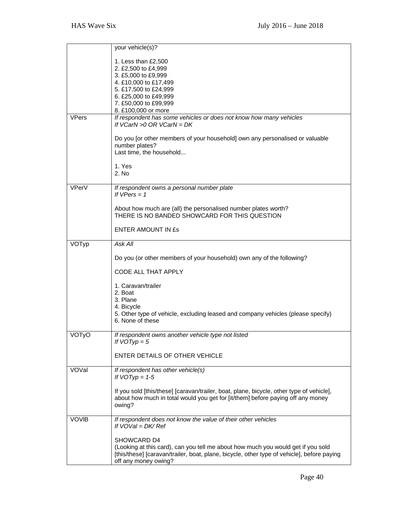|              | your vehicle(s)?                                                                                                                                                               |
|--------------|--------------------------------------------------------------------------------------------------------------------------------------------------------------------------------|
|              | 1. Less than £2,500                                                                                                                                                            |
|              | 2. £2,500 to £4,999                                                                                                                                                            |
|              | 3. £5,000 to £9,999                                                                                                                                                            |
|              | 4. £10,000 to £17,499                                                                                                                                                          |
|              | 5. £17,500 to £24,999                                                                                                                                                          |
|              | 6. £25,000 to £49,999                                                                                                                                                          |
|              | 7. £50,000 to £99,999<br>8. £100,000 or more                                                                                                                                   |
| <b>VPers</b> | If respondent has some vehicles or does not know how many vehicles                                                                                                             |
|              | If $VCarN > 0$ OR $VCarN = DK$                                                                                                                                                 |
|              | Do you [or other members of your household] own any personalised or valuable                                                                                                   |
|              | number plates?                                                                                                                                                                 |
|              | Last time, the household                                                                                                                                                       |
|              | 1. Yes                                                                                                                                                                         |
|              | 2. No                                                                                                                                                                          |
|              |                                                                                                                                                                                |
| VPerV        | If respondent owns a personal number plate<br>If $VPers = 1$                                                                                                                   |
|              |                                                                                                                                                                                |
|              | About how much are (all) the personalised number plates worth?<br>THERE IS NO BANDED SHOWCARD FOR THIS QUESTION                                                                |
|              | <b>ENTER AMOUNT IN £s</b>                                                                                                                                                      |
| VOTyp        | Ask All                                                                                                                                                                        |
|              | Do you (or other members of your household) own any of the following?                                                                                                          |
|              | CODE ALL THAT APPLY                                                                                                                                                            |
|              | 1. Caravan/trailer                                                                                                                                                             |
|              | 2. Boat                                                                                                                                                                        |
|              | 3. Plane                                                                                                                                                                       |
|              | 4. Bicycle                                                                                                                                                                     |
|              | 5. Other type of vehicle, excluding leased and company vehicles (please specify)<br>6. None of these                                                                           |
|              |                                                                                                                                                                                |
| VOTyO        | If respondent owns another vehicle type not listed                                                                                                                             |
|              | If $VOTyp = 5$                                                                                                                                                                 |
|              |                                                                                                                                                                                |
|              | ENTER DETAILS OF OTHER VEHICLE                                                                                                                                                 |
| VOVal        | If respondent has other vehicle(s)                                                                                                                                             |
|              | If $VOTyp = 1-5$                                                                                                                                                               |
|              |                                                                                                                                                                                |
|              | If you sold [this/these] [caravan/trailer, boat, plane, bicycle, other type of vehicle],                                                                                       |
|              | about how much in total would you get for [it/them] before paying off any money                                                                                                |
|              | owing?                                                                                                                                                                         |
| <b>VOVIB</b> | If respondent does not know the value of their other vehicles                                                                                                                  |
|              | If $VOVal = DK/Ref$                                                                                                                                                            |
|              |                                                                                                                                                                                |
|              | SHOWCARD D4                                                                                                                                                                    |
|              | (Looking at this card), can you tell me about how much you would get if you sold<br>[this/these] [caravan/trailer, boat, plane, bicycle, other type of vehicle], before paying |
|              | off any money owing?                                                                                                                                                           |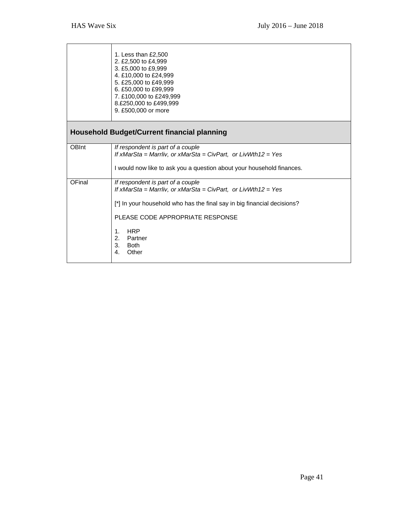$\top$ 

 $\overline{\phantom{a}}$ 

|              | 1. Less than £2,500<br>2. £2,500 to £4,999<br>3. £5,000 to £9,999<br>4. £10,000 to £24,999<br>5. £25,000 to £49,999<br>6. £50,000 to £99,999<br>7. £100,000 to £249,999<br>8.£250,000 to £499,999<br>9. £500,000 or more                                                                                     |
|--------------|--------------------------------------------------------------------------------------------------------------------------------------------------------------------------------------------------------------------------------------------------------------------------------------------------------------|
|              | <b>Household Budget/Current financial planning</b>                                                                                                                                                                                                                                                           |
| <b>OBInt</b> | If respondent is part of a couple<br>If $xMarSta = Marrliv$ , or $xMarSta = CivPart$ , or $LivWth12 = Yes$<br>I would now like to ask you a question about your household finances.                                                                                                                          |
| OFinal       | If respondent is part of a couple<br>If $x$ MarSta = Marrliv, or $x$ MarSta = CivPart, or LivWth12 = Yes<br>[*] In your household who has the final say in big financial decisions?<br>PLEASE CODE APPROPRIATE RESPONSE<br><b>HRP</b><br>1 <sub>1</sub><br>2.<br>Partner<br>3.<br><b>Both</b><br>Other<br>4. |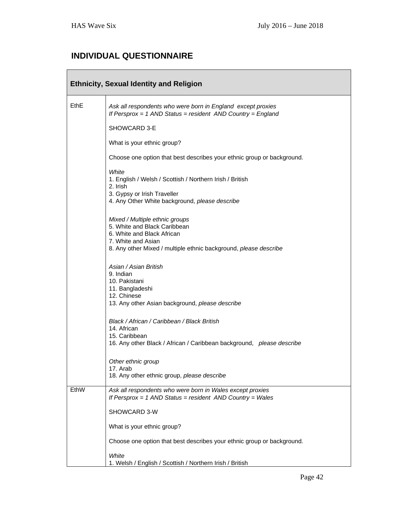## **INDIVIDUAL QUESTIONNAIRE**

| <b>Ethnicity, Sexual Identity and Religion</b> |                                                                                                                                                                                        |  |
|------------------------------------------------|----------------------------------------------------------------------------------------------------------------------------------------------------------------------------------------|--|
| EthE                                           | Ask all respondents who were born in England except proxies<br>If Persprox = 1 AND Status = resident AND Country = England                                                             |  |
|                                                | SHOWCARD 3-E                                                                                                                                                                           |  |
|                                                | What is your ethnic group?                                                                                                                                                             |  |
|                                                | Choose one option that best describes your ethnic group or background.                                                                                                                 |  |
|                                                | White<br>1. English / Welsh / Scottish / Northern Irish / British<br>2. Irish<br>3. Gypsy or Irish Traveller<br>4. Any Other White background, please describe                         |  |
|                                                | Mixed / Multiple ethnic groups<br>5. White and Black Caribbean<br>6. White and Black African<br>7. White and Asian<br>8. Any other Mixed / multiple ethnic background, please describe |  |
|                                                | Asian / Asian British<br>9. Indian<br>10. Pakistani<br>11. Bangladeshi<br>12. Chinese<br>13. Any other Asian background, please describe                                               |  |
|                                                | Black / African / Caribbean / Black British<br>14. African<br>15. Caribbean<br>16. Any other Black / African / Caribbean background, please describe                                   |  |
|                                                | Other ethnic group<br>17. Arab<br>18. Any other ethnic group, please describe                                                                                                          |  |
| EthW                                           | Ask all respondents who were born in Wales except proxies<br>If Persprox = $1$ AND Status = resident AND Country = Wales                                                               |  |
|                                                | SHOWCARD 3-W                                                                                                                                                                           |  |
|                                                | What is your ethnic group?                                                                                                                                                             |  |
|                                                | Choose one option that best describes your ethnic group or background.                                                                                                                 |  |
|                                                | White<br>1. Welsh / English / Scottish / Northern Irish / British                                                                                                                      |  |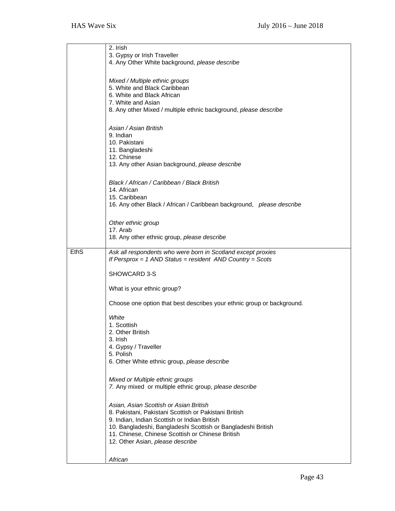|             | 2. Irish<br>3. Gypsy or Irish Traveller<br>4. Any Other White background, please describe                                                                                                                                                                                                               |
|-------------|---------------------------------------------------------------------------------------------------------------------------------------------------------------------------------------------------------------------------------------------------------------------------------------------------------|
|             | Mixed / Multiple ethnic groups<br>5. White and Black Caribbean<br>6. White and Black African<br>7. White and Asian<br>8. Any other Mixed / multiple ethnic background, please describe                                                                                                                  |
|             | Asian / Asian British<br>9. Indian<br>10. Pakistani<br>11. Bangladeshi<br>12. Chinese<br>13. Any other Asian background, please describe                                                                                                                                                                |
|             | Black / African / Caribbean / Black British<br>14. African<br>15. Caribbean<br>16. Any other Black / African / Caribbean background, please describe                                                                                                                                                    |
|             | Other ethnic group<br>17. Arab<br>18. Any other ethnic group, please describe                                                                                                                                                                                                                           |
| <b>EthS</b> | Ask all respondents who were born in Scotland except proxies<br>If Persprox = $1$ AND Status = resident AND Country = Scots                                                                                                                                                                             |
|             | SHOWCARD 3-S                                                                                                                                                                                                                                                                                            |
|             | What is your ethnic group?                                                                                                                                                                                                                                                                              |
|             | Choose one option that best describes your ethnic group or background.                                                                                                                                                                                                                                  |
|             | White<br>1. Scottish<br>2. Other British<br>3. Irish<br>4. Gypsy / Traveller<br>5. Polish<br>6. Other White ethnic group, please describe                                                                                                                                                               |
|             | Mixed or Multiple ethnic groups<br>7. Any mixed or multiple ethnic group, please describe                                                                                                                                                                                                               |
|             | Asian, Asian Scottish or Asian British<br>8. Pakistani, Pakistani Scottish or Pakistani British<br>9. Indian, Indian Scottish or Indian British<br>10. Bangladeshi, Bangladeshi Scottish or Bangladeshi British<br>11. Chinese, Chinese Scottish or Chinese British<br>12. Other Asian, please describe |
|             | African                                                                                                                                                                                                                                                                                                 |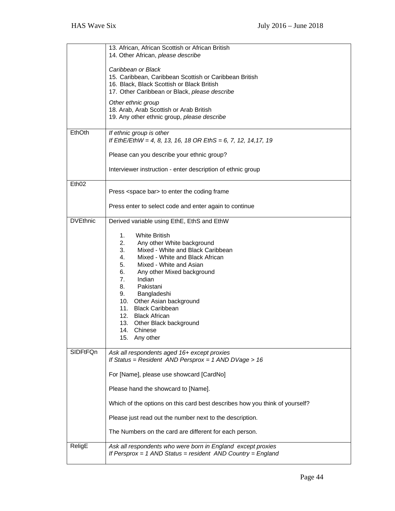|                   | 13. African, African Scottish or African British                            |
|-------------------|-----------------------------------------------------------------------------|
|                   | 14. Other African, please describe                                          |
|                   |                                                                             |
|                   | Caribbean or Black                                                          |
|                   | 15. Caribbean, Caribbean Scottish or Caribbean British                      |
|                   | 16. Black, Black Scottish or Black British                                  |
|                   | 17. Other Caribbean or Black, please describe                               |
|                   | Other ethnic group                                                          |
|                   | 18. Arab, Arab Scottish or Arab British                                     |
|                   | 19. Any other ethnic group, please describe                                 |
|                   |                                                                             |
| EthOth            | If ethnic group is other                                                    |
|                   | If EthE/EthW = 4, 8, 13, 16, 18 OR EthS = 6, 7, 12, 14, 17, 19              |
|                   | Please can you describe your ethnic group?                                  |
|                   |                                                                             |
|                   | Interviewer instruction - enter description of ethnic group                 |
|                   |                                                                             |
| Eth <sub>02</sub> |                                                                             |
|                   | Press <space bar=""> to enter the coding frame</space>                      |
|                   |                                                                             |
|                   | Press enter to select code and enter again to continue                      |
| <b>DVEthnic</b>   |                                                                             |
|                   | Derived variable using EthE, EthS and EthW                                  |
|                   | 1.<br><b>White British</b>                                                  |
|                   | 2.<br>Any other White background                                            |
|                   | Mixed - White and Black Caribbean<br>3.                                     |
|                   | Mixed - White and Black African<br>4.                                       |
|                   | 5.<br>Mixed - White and Asian                                               |
|                   | 6.<br>Any other Mixed background                                            |
|                   | 7.<br>Indian                                                                |
|                   | 8.<br>Pakistani                                                             |
|                   | 9.<br>Bangladeshi                                                           |
|                   | 10. Other Asian background                                                  |
|                   | 11. Black Caribbean                                                         |
|                   | 12. Black African                                                           |
|                   | 13. Other Black background                                                  |
|                   | 14.<br>Chinese                                                              |
|                   | 15. Any other                                                               |
| <b>SIDFtFQn</b>   | Ask all respondents aged 16+ except proxies                                 |
|                   | If Status = Resident AND Persprox = $1$ AND DVage > $16$                    |
|                   |                                                                             |
|                   | For [Name], please use showcard [CardNo]                                    |
|                   |                                                                             |
|                   | Please hand the showcard to [Name].                                         |
|                   | Which of the options on this card best describes how you think of yourself? |
|                   |                                                                             |
|                   | Please just read out the number next to the description.                    |
|                   |                                                                             |
|                   | The Numbers on the card are different for each person.                      |
|                   |                                                                             |
| ReligE            | Ask all respondents who were born in England except proxies                 |
|                   | If Persprox = 1 AND Status = resident AND Country = England                 |

 $\overline{\phantom{a}}$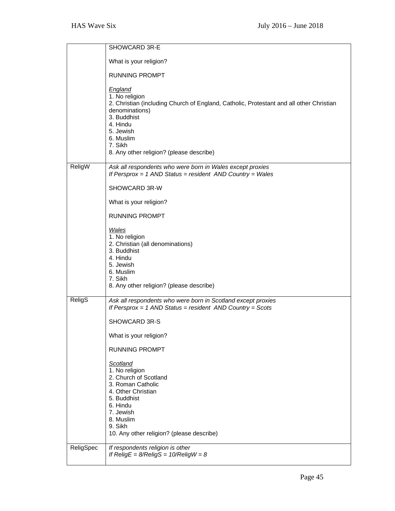|           | SHOWCARD 3R-E                                                                                                                                                                                                                                             |
|-----------|-----------------------------------------------------------------------------------------------------------------------------------------------------------------------------------------------------------------------------------------------------------|
|           | What is your religion?                                                                                                                                                                                                                                    |
|           | <b>RUNNING PROMPT</b>                                                                                                                                                                                                                                     |
|           | <b>England</b><br>1. No religion<br>2. Christian (including Church of England, Catholic, Protestant and all other Christian<br>denominations)<br>3. Buddhist<br>4. Hindu<br>5. Jewish<br>6. Muslim<br>7. Sikh<br>8. Any other religion? (please describe) |
| ReligW    | Ask all respondents who were born in Wales except proxies<br>If Persprox = 1 AND Status = resident AND Country = Wales                                                                                                                                    |
|           | SHOWCARD 3R-W                                                                                                                                                                                                                                             |
|           | What is your religion?                                                                                                                                                                                                                                    |
|           | <b>RUNNING PROMPT</b>                                                                                                                                                                                                                                     |
|           | Wales<br>1. No religion<br>2. Christian (all denominations)<br>3. Buddhist<br>4. Hindu<br>5. Jewish<br>6. Muslim<br>7. Sikh<br>8. Any other religion? (please describe)                                                                                   |
| ReligS    | Ask all respondents who were born in Scotland except proxies<br>If Persprox = $1$ AND Status = resident AND Country = Scots                                                                                                                               |
|           | SHOWCARD 3R-S                                                                                                                                                                                                                                             |
|           | What is your religion?                                                                                                                                                                                                                                    |
|           | <b>RUNNING PROMPT</b>                                                                                                                                                                                                                                     |
|           | <b>Scotland</b><br>1. No religion<br>2. Church of Scotland<br>3. Roman Catholic<br>4. Other Christian<br>5. Buddhist<br>6. Hindu<br>7. Jewish<br>8. Muslim<br>9. Sikh<br>10. Any other religion? (please describe)                                        |
| ReligSpec | If respondents religion is other<br>If ReligE = $8/ReligS = 10/ReligW = 8$                                                                                                                                                                                |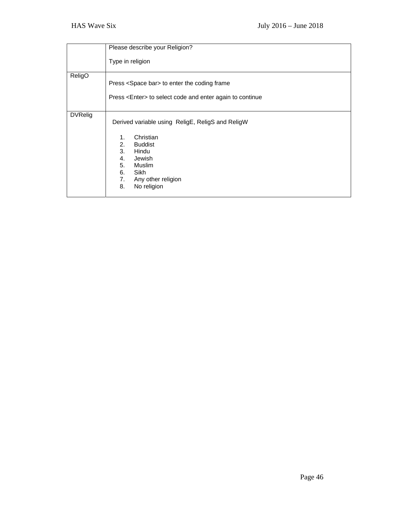|                | Please describe your Religion?                                                                       |
|----------------|------------------------------------------------------------------------------------------------------|
|                | Type in religion                                                                                     |
| ReligO         | Press <space bar=""> to enter the coding frame</space>                                               |
|                | Press <enter> to select code and enter again to continue</enter>                                     |
| <b>DVRelig</b> | Derived variable using ReligE, ReligS and ReligW                                                     |
|                | Christian<br>1.<br>2.<br><b>Buddist</b><br>3.<br>Hindu<br>4.<br>Jewish<br>5.<br>Muslim<br>6.<br>Sikh |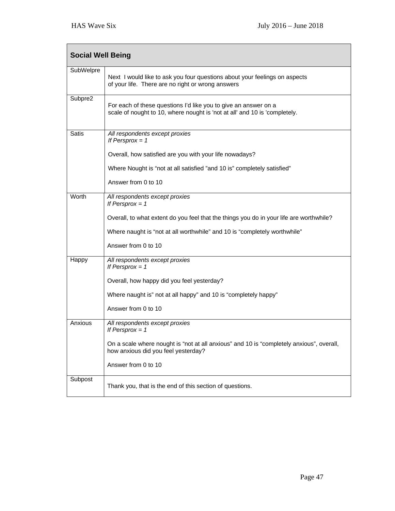| <b>Social Well Being</b> |                                                                                                                                               |
|--------------------------|-----------------------------------------------------------------------------------------------------------------------------------------------|
| SubWelpre                | Next I would like to ask you four questions about your feelings on aspects<br>of your life. There are no right or wrong answers               |
| Subpre2                  | For each of these questions I'd like you to give an answer on a<br>scale of nought to 10, where nought is 'not at all' and 10 is 'completely. |
| <b>Satis</b>             | All respondents except proxies<br>If Persprox $= 1$                                                                                           |
|                          | Overall, how satisfied are you with your life nowadays?                                                                                       |
|                          | Where Nought is "not at all satisfied "and 10 is" completely satisfied"                                                                       |
|                          | Answer from 0 to 10                                                                                                                           |
| Worth                    | All respondents except proxies<br>If Persprox $= 1$                                                                                           |
|                          | Overall, to what extent do you feel that the things you do in your life are worthwhile?                                                       |
|                          | Where naught is "not at all worthwhile" and 10 is "completely worthwhile"                                                                     |
|                          | Answer from 0 to 10                                                                                                                           |
| Happy                    | All respondents except proxies<br>If Persprox $= 1$                                                                                           |
|                          | Overall, how happy did you feel yesterday?                                                                                                    |
|                          | Where naught is" not at all happy" and 10 is "completely happy"                                                                               |
|                          | Answer from 0 to 10                                                                                                                           |
| Anxious                  | All respondents except proxies<br>If Persprox $= 1$                                                                                           |
|                          | On a scale where nought is "not at all anxious" and 10 is "completely anxious", overall,<br>how anxious did you feel yesterday?               |
|                          | Answer from 0 to 10                                                                                                                           |
| Subpost                  | Thank you, that is the end of this section of questions.                                                                                      |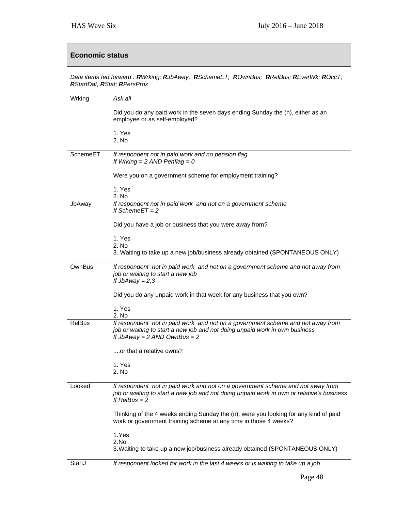| <b>Economic status</b>                                                                                                       |                                                                                                                                                                                                    |
|------------------------------------------------------------------------------------------------------------------------------|----------------------------------------------------------------------------------------------------------------------------------------------------------------------------------------------------|
| Data items fed forward: RWrking; RJbAway, RSchemeET; ROwnBus; RRelBus; REverWk; ROccT;<br><b>RStartDat; RStat; RPersProx</b> |                                                                                                                                                                                                    |
| Wrking                                                                                                                       | Ask all                                                                                                                                                                                            |
|                                                                                                                              | Did you do any paid work in the seven days ending Sunday the (n), either as an<br>employee or as self-employed?                                                                                    |
|                                                                                                                              | 1. Yes<br>2. No                                                                                                                                                                                    |
| SchemeET                                                                                                                     | If respondent not in paid work and no pension flag<br>If Wrking = $2$ AND Penflag = $0$                                                                                                            |
|                                                                                                                              | Were you on a government scheme for employment training?                                                                                                                                           |
|                                                                                                                              | 1. Yes<br>2. No                                                                                                                                                                                    |
| JbAway                                                                                                                       | If respondent not in paid work and not on a government scheme<br>If Scheme $ET = 2$                                                                                                                |
|                                                                                                                              | Did you have a job or business that you were away from?                                                                                                                                            |
|                                                                                                                              | 1. Yes<br>2. No                                                                                                                                                                                    |
|                                                                                                                              | 3. Waiting to take up a new job/business already obtained (SPONTANEOUS ONLY)                                                                                                                       |
| OwnBus                                                                                                                       | If respondent not in paid work and not on a government scheme and not away from<br>job or waiting to start a new job<br>If $JbAway = 2,3$                                                          |
|                                                                                                                              | Did you do any unpaid work in that week for any business that you own?                                                                                                                             |
|                                                                                                                              | 1. Yes<br>2. No                                                                                                                                                                                    |
| <b>RelBus</b>                                                                                                                | If respondent not in paid work and not on a government scheme and not away from<br>job or waiting to start a new job and not doing unpaid work in own business<br>If JbAway = $2$ AND OwnBus = $2$ |
|                                                                                                                              | or that a relative owns?                                                                                                                                                                           |
|                                                                                                                              | 1. Yes<br>2. No                                                                                                                                                                                    |
| Looked                                                                                                                       | If respondent not in paid work and not on a government scheme and not away from<br>job or waiting to start a new job and not doing unpaid work in own or relative's business<br>If $RelBus = 2$    |
|                                                                                                                              | Thinking of the 4 weeks ending Sunday the (n), were you looking for any kind of paid<br>work or government training scheme at any time in those 4 weeks?                                           |
|                                                                                                                              | 1.Yes                                                                                                                                                                                              |
|                                                                                                                              | 2.No<br>3. Waiting to take up a new job/business already obtained (SPONTANEOUS ONLY)                                                                                                               |
| StartJ                                                                                                                       | If respondent looked for work in the last 4 weeks or is waiting to take up a job                                                                                                                   |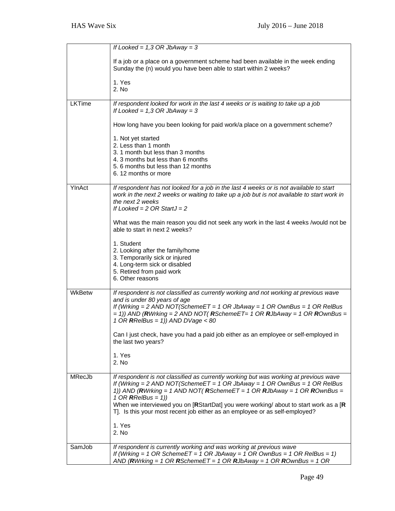|        | If Looked = $1,3$ OR JbAway = 3                                                                                                                                                                                                                                                                                                                                                                                                                   |
|--------|---------------------------------------------------------------------------------------------------------------------------------------------------------------------------------------------------------------------------------------------------------------------------------------------------------------------------------------------------------------------------------------------------------------------------------------------------|
|        | If a job or a place on a government scheme had been available in the week ending<br>Sunday the (n) would you have been able to start within 2 weeks?                                                                                                                                                                                                                                                                                              |
|        | 1. Yes<br>2. N <sub>0</sub>                                                                                                                                                                                                                                                                                                                                                                                                                       |
| LKTime | If respondent looked for work in the last 4 weeks or is waiting to take up a job<br>If Looked = $1,3$ OR JbAway = 3                                                                                                                                                                                                                                                                                                                               |
|        | How long have you been looking for paid work/a place on a government scheme?                                                                                                                                                                                                                                                                                                                                                                      |
|        | 1. Not yet started<br>2. Less than 1 month<br>3. 1 month but less than 3 months<br>4. 3 months but less than 6 months<br>5.6 months but less than 12 months<br>6.12 months or more                                                                                                                                                                                                                                                                |
| YInAct | If respondent has not looked for a job in the last 4 weeks or is not available to start<br>work in the next 2 weeks or waiting to take up a job but is not available to start work in<br>the next 2 weeks<br>If Looked = $2$ OR StartJ = $2$                                                                                                                                                                                                      |
|        | What was the main reason you did not seek any work in the last 4 weeks /would not be<br>able to start in next 2 weeks?                                                                                                                                                                                                                                                                                                                            |
|        | 1. Student<br>2. Looking after the family/home<br>3. Temporarily sick or injured<br>4. Long-term sick or disabled<br>5. Retired from paid work<br>6. Other reasons                                                                                                                                                                                                                                                                                |
| WkBetw | If respondent is not classified as currently working and not working at previous wave<br>and is under 80 years of age<br>If (Wrking = 2 AND NOT(SchemeET = 1 OR JbAway = 1 OR OwnBus = 1 OR RelBus<br>$=$ 1)) AND (RWrking = 2 AND NOT(RSchemeET= 1 OR RJbAway = 1 OR ROwnBus =<br>1 OR RRelBus = 1)) AND DVage < 80                                                                                                                              |
|        | Can I just check, have you had a paid job either as an employee or self-employed in<br>the last two years?<br>1. Yes                                                                                                                                                                                                                                                                                                                              |
|        | 2. No                                                                                                                                                                                                                                                                                                                                                                                                                                             |
| MRecJb | If respondent is not classified as currently working but was working at previous wave<br>If (Wrking = 2 AND NOT(SchemeET = 1 OR JbAway = 1 OR OwnBus = 1 OR RelBus<br>1)) AND (RWrking = 1 AND NOT(RSchemeET = 1 OR RJbAway = 1 OR ROwnBus =<br>1 OR <b>R</b> RelBus = 1))<br>When we interviewed you on [RStartDat] you were working/ about to start work as a [R<br>T]. Is this your most recent job either as an employee or as self-employed? |
|        | 1. Yes<br>2. No                                                                                                                                                                                                                                                                                                                                                                                                                                   |
| SamJob | If respondent is currently working and was working at previous wave<br>If (Wrking = 1 OR SchemeET = 1 OR JbAway = 1 OR OwnBus = 1 OR RelBus = 1)<br>AND (RWrking = 1 OR RSchemeET = 1 OR RJbAway = 1 OR ROwnBus = 1 OR                                                                                                                                                                                                                            |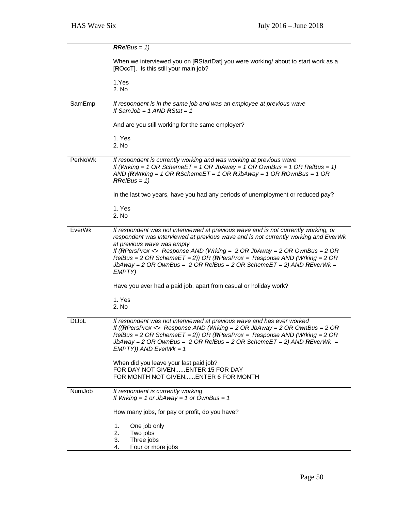|                | $RRelBus = 1$                                                                                                                                                                                                                                                                                                                                                                                                                                             |
|----------------|-----------------------------------------------------------------------------------------------------------------------------------------------------------------------------------------------------------------------------------------------------------------------------------------------------------------------------------------------------------------------------------------------------------------------------------------------------------|
|                | When we interviewed you on [RStartDat] you were working/ about to start work as a<br>[ROccT]. Is this still your main job?                                                                                                                                                                                                                                                                                                                                |
|                | 1.Yes<br>2. No                                                                                                                                                                                                                                                                                                                                                                                                                                            |
| SamEmp         | If respondent is in the same job and was an employee at previous wave<br>If SamJob = $1$ AND RStat = $1$                                                                                                                                                                                                                                                                                                                                                  |
|                | And are you still working for the same employer?                                                                                                                                                                                                                                                                                                                                                                                                          |
|                | 1. Yes<br>2. No                                                                                                                                                                                                                                                                                                                                                                                                                                           |
| <b>PerNoWk</b> | If respondent is currently working and was working at previous wave<br>If (Wrking = 1 OR SchemeET = 1 OR JbAway = 1 OR OwnBus = 1 OR RelBus = 1)<br>AND (RWrking = 1 OR RSchemeET = 1 OR RJbAway = 1 OR ROwnBus = 1 OR<br>$RRelBus = 1$                                                                                                                                                                                                                   |
|                | In the last two years, have you had any periods of unemployment or reduced pay?                                                                                                                                                                                                                                                                                                                                                                           |
|                | 1. Yes<br>2. No                                                                                                                                                                                                                                                                                                                                                                                                                                           |
| EverWk         | If respondent was not interviewed at previous wave and is not currently working, or<br>respondent was interviewed at previous wave and is not currently working and EverWk<br>at previous wave was empty<br>If (RPersProx <> Response AND (Wrking = $2$ OR JbAway = $2$ OR OwnBus = $2$ OR<br>RelBus = 2 OR SchemeET = 2)) OR (RPersProx = Response AND (Wrking = 2 OR<br>JbAway = 2 OR OwnBus = 2 OR RelBus = 2 OR SchemeET = 2) AND REverWk =<br>EMPTY) |
|                | Have you ever had a paid job, apart from casual or holiday work?                                                                                                                                                                                                                                                                                                                                                                                          |
|                | 1. Yes<br>2. No                                                                                                                                                                                                                                                                                                                                                                                                                                           |
| <b>DtJbL</b>   | If respondent was not interviewed at previous wave and has ever worked<br>If ((RPersProx <> Response AND (Wrking = 2 OR JbAway = 2 OR OwnBus = 2 OR<br>RelBus = 2 OR SchemeET = 2)) OR (RPersProx = Response AND (Wrking = 2 OR<br>JbAway = 2 OR OwnBus = 2 OR RelBus = 2 OR SchemeET = 2) AND REverWk =<br>$EMPTY)$ ) AND EverWk = 1                                                                                                                     |
|                | When did you leave your last paid job?<br>FOR DAY NOT GIVENENTER 15 FOR DAY<br>FOR MONTH NOT GIVENENTER 6 FOR MONTH                                                                                                                                                                                                                                                                                                                                       |
| NumJob         | If respondent is currently working<br>If Wrking = 1 or JbAway = 1 or OwnBus = 1                                                                                                                                                                                                                                                                                                                                                                           |
|                | How many jobs, for pay or profit, do you have?                                                                                                                                                                                                                                                                                                                                                                                                            |
|                | One job only<br>1.<br>2.<br>Two jobs                                                                                                                                                                                                                                                                                                                                                                                                                      |
|                | 3.<br>Three jobs<br>Four or more jobs<br>4.                                                                                                                                                                                                                                                                                                                                                                                                               |
|                |                                                                                                                                                                                                                                                                                                                                                                                                                                                           |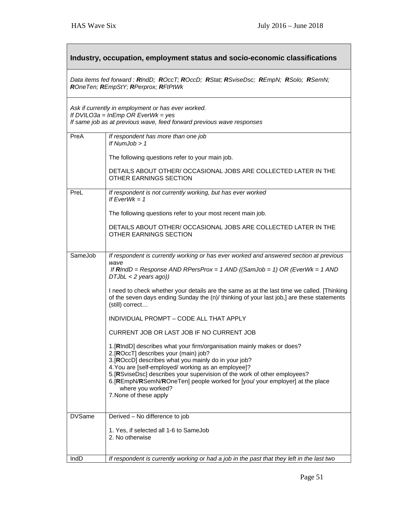| Industry, occupation, employment status and socio-economic classifications                                                                                                |                                                                                                                                                                                                                                                                                                                                                                                                                                           |  |
|---------------------------------------------------------------------------------------------------------------------------------------------------------------------------|-------------------------------------------------------------------------------------------------------------------------------------------------------------------------------------------------------------------------------------------------------------------------------------------------------------------------------------------------------------------------------------------------------------------------------------------|--|
| Data items fed forward: RIndD; ROccT; ROccD; RStat; RSviseDsc; REmpN; RSolo; RSemN;<br>ROneTen; REmpStY; RPerprox; RFtPtWk                                                |                                                                                                                                                                                                                                                                                                                                                                                                                                           |  |
| Ask if currently in employment or has ever worked.<br>If $DVILO3a = InEmp OR Every$ EverWk = yes<br>If same job as at previous wave, feed forward previous wave responses |                                                                                                                                                                                                                                                                                                                                                                                                                                           |  |
| PreA                                                                                                                                                                      | If respondent has more than one job<br>If NumJob $> 1$                                                                                                                                                                                                                                                                                                                                                                                    |  |
|                                                                                                                                                                           | The following questions refer to your main job.                                                                                                                                                                                                                                                                                                                                                                                           |  |
|                                                                                                                                                                           | DETAILS ABOUT OTHER/ OCCASIONAL JOBS ARE COLLECTED LATER IN THE<br><b>OTHER EARNINGS SECTION</b>                                                                                                                                                                                                                                                                                                                                          |  |
| PreL                                                                                                                                                                      | If respondent is not currently working, but has ever worked<br>If $EverWk = 1$                                                                                                                                                                                                                                                                                                                                                            |  |
|                                                                                                                                                                           | The following questions refer to your most recent main job.                                                                                                                                                                                                                                                                                                                                                                               |  |
|                                                                                                                                                                           | DETAILS ABOUT OTHER/ OCCASIONAL JOBS ARE COLLECTED LATER IN THE<br>OTHER EARNINGS SECTION                                                                                                                                                                                                                                                                                                                                                 |  |
| SameJob                                                                                                                                                                   | If respondent is currently working or has ever worked and answered section at previous<br>wave<br>If $RIndD =$ Response AND RPersProx = 1 AND ((SamJob = 1) OR (EverWk = 1 AND                                                                                                                                                                                                                                                            |  |
|                                                                                                                                                                           | $DTJbL < 2$ years ago))<br>I need to check whether your details are the same as at the last time we called. [Thinking<br>of the seven days ending Sunday the (n)/ thinking of your last job,] are these statements<br>(still) correct                                                                                                                                                                                                     |  |
|                                                                                                                                                                           | INDIVIDUAL PROMPT - CODE ALL THAT APPLY                                                                                                                                                                                                                                                                                                                                                                                                   |  |
|                                                                                                                                                                           | CURRENT JOB OR LAST JOB IF NO CURRENT JOB                                                                                                                                                                                                                                                                                                                                                                                                 |  |
|                                                                                                                                                                           | 1. [RIndD] describes what your firm/organisation mainly makes or does?<br>2.[ROccT] describes your (main) job?<br>3. [ROccD] describes what you mainly do in your job?<br>4. You are [self-employed/ working as an employee]?<br>5. [RSviseDsc] describes your supervision of the work of other employees?<br>6. [REmpN/RSemN/ROneTen] people worked for [you/ your employer] at the place<br>where you worked?<br>7. None of these apply |  |
| <b>DVSame</b>                                                                                                                                                             | Derived - No difference to job                                                                                                                                                                                                                                                                                                                                                                                                            |  |
|                                                                                                                                                                           | 1. Yes, if selected all 1-6 to SameJob<br>2. No otherwise                                                                                                                                                                                                                                                                                                                                                                                 |  |
| IndD                                                                                                                                                                      | If respondent is currently working or had a job in the past that they left in the last two                                                                                                                                                                                                                                                                                                                                                |  |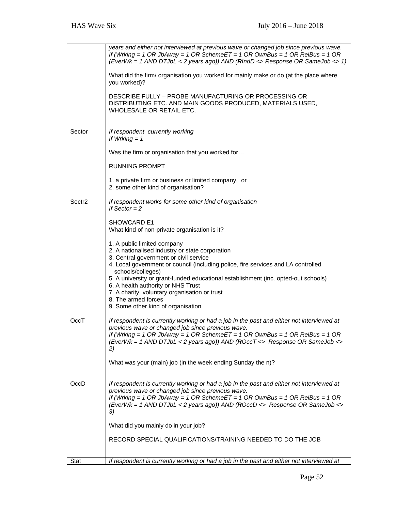|                    | years and either not interviewed at previous wave or changed job since previous wave.<br>If (Wrking = 1 OR JbAway = 1 OR SchemeET = 1 OR OwnBus = 1 OR RelBus = 1 OR<br>(EverWk = 1 AND DTJbL < 2 years ago)) AND (RIndD <> Response OR SameJob <> 1)<br>What did the firm/ organisation you worked for mainly make or do (at the place where<br>you worked)?<br>DESCRIBE FULLY - PROBE MANUFACTURING OR PROCESSING OR<br>DISTRIBUTING ETC. AND MAIN GOODS PRODUCED, MATERIALS USED,<br>WHOLESALE OR RETAIL ETC. |
|--------------------|------------------------------------------------------------------------------------------------------------------------------------------------------------------------------------------------------------------------------------------------------------------------------------------------------------------------------------------------------------------------------------------------------------------------------------------------------------------------------------------------------------------|
| Sector             | If respondent currently working<br>If Wrking $= 1$                                                                                                                                                                                                                                                                                                                                                                                                                                                               |
|                    | Was the firm or organisation that you worked for                                                                                                                                                                                                                                                                                                                                                                                                                                                                 |
|                    | <b>RUNNING PROMPT</b>                                                                                                                                                                                                                                                                                                                                                                                                                                                                                            |
|                    | 1. a private firm or business or limited company, or<br>2. some other kind of organisation?                                                                                                                                                                                                                                                                                                                                                                                                                      |
| Sectr <sub>2</sub> | If respondent works for some other kind of organisation<br>If Sector $= 2$                                                                                                                                                                                                                                                                                                                                                                                                                                       |
|                    | SHOWCARD E1<br>What kind of non-private organisation is it?                                                                                                                                                                                                                                                                                                                                                                                                                                                      |
|                    | 1. A public limited company<br>2. A nationalised industry or state corporation<br>3. Central government or civil service<br>4. Local government or council (including police, fire services and LA controlled<br>schools/colleges)<br>5. A university or grant-funded educational establishment (inc. opted-out schools)<br>6. A health authority or NHS Trust<br>7. A charity, voluntary organisation or trust<br>8. The armed forces<br>9. Some other kind of organisation                                     |
| OccT               | If respondent is currently working or had a job in the past and either not interviewed at<br>previous wave or changed job since previous wave.<br>If (Wrking = 1 OR JbAway = 1 OR SchemeET = 1 OR OwnBus = 1 OR RelBus = 1 OR<br>(EverWk = 1 AND DTJbL < 2 years ago)) AND (ROccT <> Response OR SameJob <><br>2)<br>What was your (main) job (in the week ending Sunday the n)?                                                                                                                                 |
| OccD               | If respondent is currently working or had a job in the past and either not interviewed at<br>previous wave or changed job since previous wave.<br>If (Wrking = 1 OR JbAway = 1 OR SchemeET = 1 OR OwnBus = 1 OR RelBus = 1 OR<br>(EverWk = 1 AND DTJbL < 2 years ago)) AND (ROccD <> Response OR SameJob <><br>3)<br>What did you mainly do in your job?<br>RECORD SPECIAL QUALIFICATIONS/TRAINING NEEDED TO DO THE JOB                                                                                          |
| Stat               | If respondent is currently working or had a job in the past and either not interviewed at                                                                                                                                                                                                                                                                                                                                                                                                                        |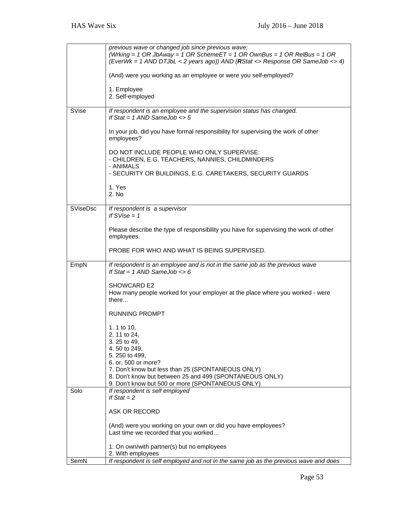|                 | previous wave or changed job since previous wave;<br>(Wrking = 1 OR JbAway = 1 OR SchemeET = 1 OR OwnBus = 1 OR RelBus = 1 OR<br>(EverWk = 1 AND DTJbL < 2 years ago)) AND (RStat <> Response OR SameJob <> 4) |
|-----------------|----------------------------------------------------------------------------------------------------------------------------------------------------------------------------------------------------------------|
|                 | (And) were you working as an employee or were you self-employed?                                                                                                                                               |
|                 | 1. Employee<br>2. Self-employed                                                                                                                                                                                |
| SVise           | If respondent is an employee and the supervision status has changed.<br>If Stat = $1$ AND SameJob <> $5$                                                                                                       |
|                 | In your job, did you have formal responsibility for supervising the work of other<br>employees?                                                                                                                |
|                 | DO NOT INCLUDE PEOPLE WHO ONLY SUPERVISE:<br>- CHILDREN, E.G. TEACHERS, NANNIES, CHILDMINDERS<br>- ANIMALS                                                                                                     |
|                 | - SECURITY OR BUILDINGS, E.G. CARETAKERS, SECURITY GUARDS                                                                                                                                                      |
|                 | 1. Yes<br>2. No                                                                                                                                                                                                |
| <b>SViseDsc</b> | If respondent is a supervisor<br>If $SVise = 1$                                                                                                                                                                |
|                 | Please describe the type of responsibility you have for supervising the work of other<br>employees.                                                                                                            |
|                 | PROBE FOR WHO AND WHAT IS BEING SUPERVISED.                                                                                                                                                                    |
| EmpN            | If respondent is an employee and is not in the same job as the previous wave<br>If Stat = $1$ AND SameJob <> 6                                                                                                 |
|                 | <b>SHOWCARD E2</b><br>How many people worked for your employer at the place where you worked - were<br>there                                                                                                   |
|                 | <b>RUNNING PROMPT</b>                                                                                                                                                                                          |
|                 | 1. 1 to 10,<br>2. 11 to 24,                                                                                                                                                                                    |
|                 | 3.25 to 49,<br>4.50 to 249,                                                                                                                                                                                    |
|                 | 5.250 to 499,                                                                                                                                                                                                  |
|                 | 6. or, 500 or more?<br>7. Don't know but less than 25 (SPONTANEOUS ONLY)                                                                                                                                       |
|                 | 8. Don't know but between 25 and 499 (SPONTANEOUS ONLY)<br>9. Don't know but 500 or more (SPONTANEOUS ONLY)                                                                                                    |
| Solo            | If respondent is self employed<br>If $Stat = 2$                                                                                                                                                                |
|                 | ASK OR RECORD                                                                                                                                                                                                  |
|                 | (And) were you working on your own or did you have employees?<br>Last time we recorded that you worked                                                                                                         |
|                 | 1. On own/with partner(s) but no employees<br>2. With employees                                                                                                                                                |
| SemN            | If respondent is self employed and not in the same job as the previous wave and does                                                                                                                           |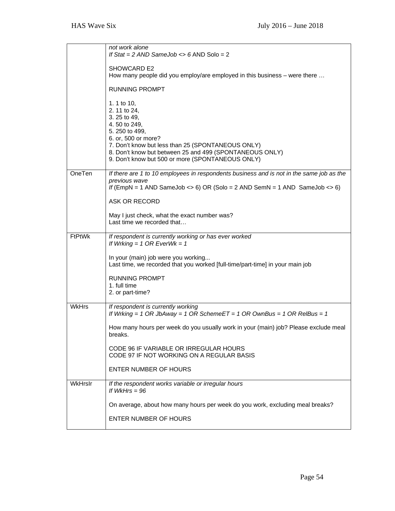|               | not work alone<br>If Stat = 2 AND SameJob <> 6 AND Solo = 2                                                          |
|---------------|----------------------------------------------------------------------------------------------------------------------|
|               |                                                                                                                      |
|               | SHOWCARD E2<br>How many people did you employ/are employed in this business - were there                             |
|               |                                                                                                                      |
|               | <b>RUNNING PROMPT</b>                                                                                                |
|               | 1. 1 to 10,                                                                                                          |
|               | 2. 11 to 24,<br>3. 25 to 49,                                                                                         |
|               | 4.50 to 249,<br>5. 250 to 499,                                                                                       |
|               | 6. or, 500 or more?                                                                                                  |
|               | 7. Don't know but less than 25 (SPONTANEOUS ONLY)<br>8. Don't know but between 25 and 499 (SPONTANEOUS ONLY)         |
|               | 9. Don't know but 500 or more (SPONTANEOUS ONLY)                                                                     |
| OneTen        | If there are 1 to 10 employees in respondents business and is not in the same job as the                             |
|               | previous wave<br>If (EmpN = 1 AND SameJob <> 6) OR (Solo = 2 AND SemN = 1 AND SameJob <> 6)                          |
|               |                                                                                                                      |
|               | ASK OR RECORD                                                                                                        |
|               | May I just check, what the exact number was?<br>Last time we recorded that                                           |
|               |                                                                                                                      |
| <b>FtPtWk</b> | If respondent is currently working or has ever worked<br>If Wrking = $1$ OR EverWk = $1$                             |
|               | In your (main) job were you working<br>Last time, we recorded that you worked [full-time/part-time] in your main job |
|               | <b>RUNNING PROMPT</b>                                                                                                |
|               | 1. full time<br>2. or part-time?                                                                                     |
|               |                                                                                                                      |
| <b>WkHrs</b>  | If respondent is currently working<br>If Wrking = 1 OR JbAway = 1 OR SchemeET = 1 OR OwnBus = 1 OR RelBus = 1        |
|               | How many hours per week do you usually work in your (main) job? Please exclude meal<br>breaks.                       |
|               | CODE 96 IF VARIABLE OR IRREGULAR HOURS                                                                               |
|               | CODE 97 IF NOT WORKING ON A REGULAR BASIS                                                                            |
|               | <b>ENTER NUMBER OF HOURS</b>                                                                                         |
| WkHrslr       | If the respondent works variable or irregular hours<br>If WkHrs $= 96$                                               |
|               | On average, about how many hours per week do you work, excluding meal breaks?                                        |
|               | ENTER NUMBER OF HOURS                                                                                                |
|               |                                                                                                                      |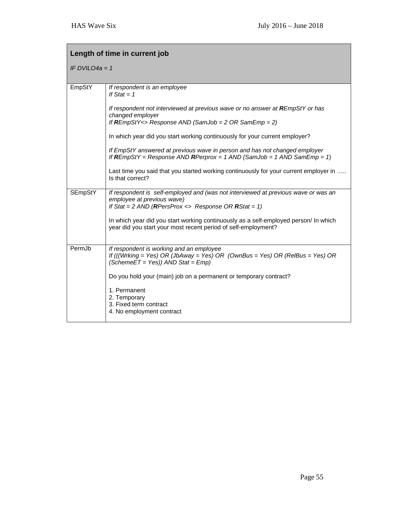| Length of time in current job |                                                                                                                                                                                                                                                                                                                                    |  |
|-------------------------------|------------------------------------------------------------------------------------------------------------------------------------------------------------------------------------------------------------------------------------------------------------------------------------------------------------------------------------|--|
| IF DVILO4a = 1                |                                                                                                                                                                                                                                                                                                                                    |  |
| EmpStY                        | If respondent is an employee<br>If $Stat = 1$                                                                                                                                                                                                                                                                                      |  |
|                               | If respondent not interviewed at previous wave or no answer at REmpStY or has<br>changed employer<br>If $REmpStY \leq$ Response AND (SamJob = 2 OR SamEmp = 2)                                                                                                                                                                     |  |
|                               | In which year did you start working continuously for your current employer?                                                                                                                                                                                                                                                        |  |
|                               | If EmpStY answered at previous wave in person and has not changed employer<br>If $REmpStY = Response AND$ $RPerprox = 1$ $AND$ $(SamJob = 1$ $AND$ $SamEmp = 1)$                                                                                                                                                                   |  |
|                               | Last time you said that you started working continuously for your current employer in<br>Is that correct?                                                                                                                                                                                                                          |  |
| <b>SEmpStY</b>                | If respondent is self-employed and (was not interviewed at previous wave or was an<br>employee at previous wave)<br>If Stat = 2 AND (RPersProx <> Response OR RStat = 1)<br>In which year did you start working continuously as a self-employed person/ In which<br>year did you start your most recent period of self-employment? |  |
| PermJb                        | If respondent is working and an employee<br>If (((Wrking = Yes) OR (JbAway = Yes) OR (OwnBus = Yes) OR (RelBus = Yes) OR<br>$(SchemeET = Yes))$ AND Stat = $Emp)$<br>Do you hold your (main) job on a permanent or temporary contract?                                                                                             |  |
|                               | 1. Permanent<br>2. Temporary<br>3. Fixed term contract<br>4. No employment contract                                                                                                                                                                                                                                                |  |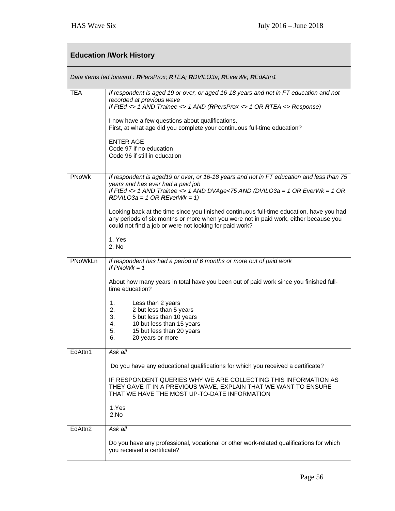| <b>Education /Work History</b> |                                                                                                                                                                                                                                                                                                                                                  |  |
|--------------------------------|--------------------------------------------------------------------------------------------------------------------------------------------------------------------------------------------------------------------------------------------------------------------------------------------------------------------------------------------------|--|
|                                | Data items fed forward: RPersProx; RTEA; RDVILO3a; REverWk; REdAttn1                                                                                                                                                                                                                                                                             |  |
| <b>TEA</b>                     | If respondent is aged 19 or over, or aged 16-18 years and not in FT education and not<br>recorded at previous wave<br>If FtEd <> 1 AND Trainee <> 1 AND (RPersProx <> 1 OR RTEA <> Response)<br>I now have a few questions about qualifications.<br>First, at what age did you complete your continuous full-time education?<br><b>ENTER AGE</b> |  |
|                                | Code 97 if no education<br>Code 96 if still in education                                                                                                                                                                                                                                                                                         |  |
| PNoWk                          | If respondent is aged19 or over, or 16-18 years and not in FT education and less than 75<br>years and has ever had a paid job<br>If FtEd <> 1 AND Trainee <> 1 AND DVAge<75 AND (DVILO3a = 1 OR EverWk = 1 OR<br>$RDVILO3a = 1 OR REverWk = 1$                                                                                                   |  |
|                                | Looking back at the time since you finished continuous full-time education, have you had<br>any periods of six months or more when you were not in paid work, either because you<br>could not find a job or were not looking for paid work?                                                                                                      |  |
|                                | 1. Yes<br>2. No                                                                                                                                                                                                                                                                                                                                  |  |
| PNoWkLn                        | If respondent has had a period of 6 months or more out of paid work<br>If $PNoWk = 1$                                                                                                                                                                                                                                                            |  |
|                                | About how many years in total have you been out of paid work since you finished full-<br>time education?                                                                                                                                                                                                                                         |  |
|                                | 1.<br>Less than 2 years<br>2.<br>2 but less than 5 years<br>3.<br>5 but less than 10 years<br>4.<br>10 but less than 15 years<br>5.<br>15 but less than 20 years<br>6.<br>20 years or more                                                                                                                                                       |  |
| EdAttn1                        | Ask all<br>Do you have any educational qualifications for which you received a certificate?                                                                                                                                                                                                                                                      |  |
|                                | IF RESPONDENT QUERIES WHY WE ARE COLLECTING THIS INFORMATION AS<br>THEY GAVE IT IN A PREVIOUS WAVE, EXPLAIN THAT WE WANT TO ENSURE<br>THAT WE HAVE THE MOST UP-TO-DATE INFORMATION<br>1.Yes                                                                                                                                                      |  |
|                                | 2.No                                                                                                                                                                                                                                                                                                                                             |  |
| EdAttn <sub>2</sub>            | Ask all<br>Do you have any professional, vocational or other work-related qualifications for which<br>you received a certificate?                                                                                                                                                                                                                |  |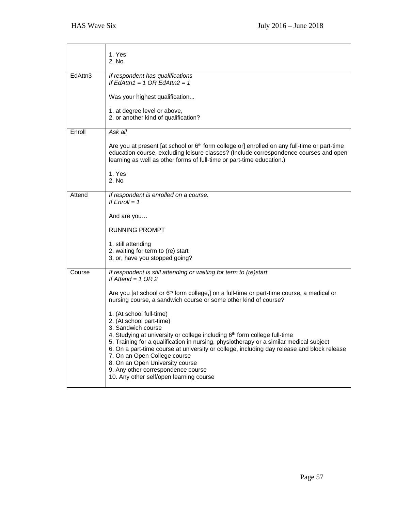|         | 1. Yes<br>2. No                                                                                                                                                                                                                                                                                                                                                                                                       |
|---------|-----------------------------------------------------------------------------------------------------------------------------------------------------------------------------------------------------------------------------------------------------------------------------------------------------------------------------------------------------------------------------------------------------------------------|
| EdAttn3 | If respondent has qualifications<br>If EdAttn1 = 1 OR EdAttn2 = 1                                                                                                                                                                                                                                                                                                                                                     |
|         | Was your highest qualification                                                                                                                                                                                                                                                                                                                                                                                        |
|         | 1. at degree level or above,<br>2. or another kind of qualification?                                                                                                                                                                                                                                                                                                                                                  |
| Enroll  | Ask all                                                                                                                                                                                                                                                                                                                                                                                                               |
|         | Are you at present [at school or 6 <sup>th</sup> form college or] enrolled on any full-time or part-time<br>education course, excluding leisure classes? (Include correspondence courses and open<br>learning as well as other forms of full-time or part-time education.)                                                                                                                                            |
|         | 1. Yes<br>2. No                                                                                                                                                                                                                                                                                                                                                                                                       |
| Attend  | If respondent is enrolled on a course.<br>If $Enroll = 1$                                                                                                                                                                                                                                                                                                                                                             |
|         | And are you                                                                                                                                                                                                                                                                                                                                                                                                           |
|         | <b>RUNNING PROMPT</b>                                                                                                                                                                                                                                                                                                                                                                                                 |
|         | 1. still attending                                                                                                                                                                                                                                                                                                                                                                                                    |
|         | 2. waiting for term to (re) start<br>3. or, have you stopped going?                                                                                                                                                                                                                                                                                                                                                   |
| Course  | If respondent is still attending or waiting for term to (re)start.<br>If Attend = $1$ OR 2                                                                                                                                                                                                                                                                                                                            |
|         | Are you [at school or 6 <sup>th</sup> form college,] on a full-time or part-time course, a medical or<br>nursing course, a sandwich course or some other kind of course?                                                                                                                                                                                                                                              |
|         | 1. (At school full-time)<br>2. (At school part-time)<br>3. Sandwich course                                                                                                                                                                                                                                                                                                                                            |
|         | 4. Studying at university or college including 6th form college full-time<br>5. Training for a qualification in nursing, physiotherapy or a similar medical subject<br>6. On a part-time course at university or college, including day release and block release<br>7. On an Open College course<br>8. On an Open University course<br>9. Any other correspondence course<br>10. Any other self/open learning course |
|         |                                                                                                                                                                                                                                                                                                                                                                                                                       |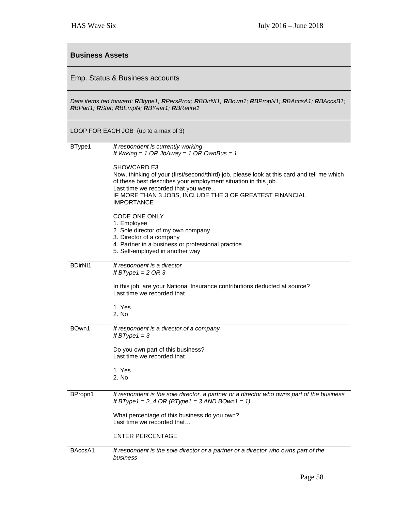| <b>Business Assets</b>                                                                                                                    |                                                                                                                                                                                                                                                                                                                                                                                                                      |  |
|-------------------------------------------------------------------------------------------------------------------------------------------|----------------------------------------------------------------------------------------------------------------------------------------------------------------------------------------------------------------------------------------------------------------------------------------------------------------------------------------------------------------------------------------------------------------------|--|
| Emp. Status & Business accounts                                                                                                           |                                                                                                                                                                                                                                                                                                                                                                                                                      |  |
| Data items fed forward: RBtype1; RPersProx; RBDirNI1; RBown1; RBPropN1; RBAccsA1; RBAccsB1;<br>RBPart1; RStat; RBEmpN; RBYear1; RBRetire1 |                                                                                                                                                                                                                                                                                                                                                                                                                      |  |
|                                                                                                                                           | LOOP FOR EACH JOB (up to a max of 3)                                                                                                                                                                                                                                                                                                                                                                                 |  |
| BType1                                                                                                                                    | If respondent is currently working<br>If Wrking = $1$ OR JbAway = $1$ OR OwnBus = $1$<br>SHOWCARD E3<br>Now, thinking of your (first/second/third) job, please look at this card and tell me which<br>of these best describes your employment situation in this job.<br>Last time we recorded that you were<br>IF MORE THAN 3 JOBS, INCLUDE THE 3 OF GREATEST FINANCIAL<br><b>IMPORTANCE</b><br><b>CODE ONE ONLY</b> |  |
|                                                                                                                                           | 1. Employee<br>2. Sole director of my own company<br>3. Director of a company<br>4. Partner in a business or professional practice<br>5. Self-employed in another way                                                                                                                                                                                                                                                |  |
| <b>BDirNI1</b>                                                                                                                            | If respondent is a director<br>If BType1 = $2$ OR 3<br>In this job, are your National Insurance contributions deducted at source?<br>Last time we recorded that<br>1. Yes<br>2. No                                                                                                                                                                                                                                   |  |
| BOwn1                                                                                                                                     | If respondent is a director of a company<br>If $BType1 = 3$<br>Do you own part of this business?<br>Last time we recorded that<br>1. Yes<br>2. No                                                                                                                                                                                                                                                                    |  |
| BPropn1                                                                                                                                   | If respondent is the sole director, a partner or a director who owns part of the business<br>If BType1 = 2, 4 OR (BType1 = 3 AND BOwn1 = 1)<br>What percentage of this business do you own?<br>Last time we recorded that<br><b>ENTER PERCENTAGE</b>                                                                                                                                                                 |  |
| BAccsA1                                                                                                                                   | If respondent is the sole director or a partner or a director who owns part of the<br>business                                                                                                                                                                                                                                                                                                                       |  |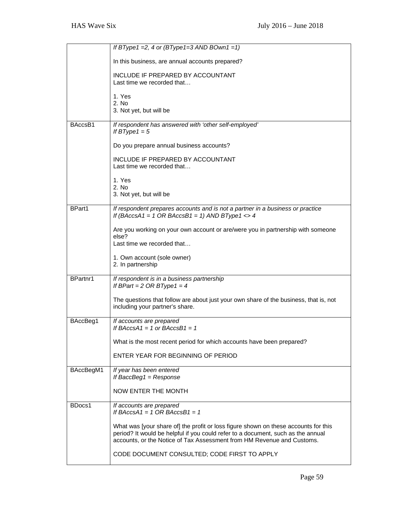|           | If BType1 = 2, 4 or (BType1=3 AND BOwn1 = 1)                                                                                                                                                                                                      |
|-----------|---------------------------------------------------------------------------------------------------------------------------------------------------------------------------------------------------------------------------------------------------|
|           | In this business, are annual accounts prepared?                                                                                                                                                                                                   |
|           | INCLUDE IF PREPARED BY ACCOUNTANT<br>Last time we recorded that                                                                                                                                                                                   |
|           | 1. Yes<br>2. No                                                                                                                                                                                                                                   |
|           | 3. Not yet, but will be                                                                                                                                                                                                                           |
| BAccsB1   | If respondent has answered with 'other self-employed'<br>If BType1 = $5$                                                                                                                                                                          |
|           | Do you prepare annual business accounts?                                                                                                                                                                                                          |
|           | INCLUDE IF PREPARED BY ACCOUNTANT<br>Last time we recorded that                                                                                                                                                                                   |
|           | 1. Yes                                                                                                                                                                                                                                            |
|           | 2. No<br>3. Not yet, but will be                                                                                                                                                                                                                  |
| BPart1    | If respondent prepares accounts and is not a partner in a business or practice<br>If (BAccsA1 = 1 OR BAccsB1 = 1) AND BType1 <> 4                                                                                                                 |
|           | Are you working on your own account or are/were you in partnership with someone<br>else?                                                                                                                                                          |
|           | Last time we recorded that                                                                                                                                                                                                                        |
|           | 1. Own account (sole owner)<br>2. In partnership                                                                                                                                                                                                  |
| BPartnr1  | If respondent is in a business partnership<br>If BPart = $2$ OR BType1 = $4$                                                                                                                                                                      |
|           | The questions that follow are about just your own share of the business, that is, not<br>including your partner's share.                                                                                                                          |
| BAccBeg1  | If accounts are prepared<br>If BAccsA1 = 1 or BAccsB1 = 1                                                                                                                                                                                         |
|           | What is the most recent period for which accounts have been prepared?                                                                                                                                                                             |
|           | ENTER YEAR FOR BEGINNING OF PERIOD                                                                                                                                                                                                                |
| BAccBegM1 | If year has been entered<br>If BaccBeg1 = $Response$                                                                                                                                                                                              |
|           | <b>NOW ENTER THE MONTH</b>                                                                                                                                                                                                                        |
| BDocs1    | If accounts are prepared<br>If BAccsA1 = 1 OR BAccsB1 = 1                                                                                                                                                                                         |
|           | What was [your share of] the profit or loss figure shown on these accounts for this<br>period? It would be helpful if you could refer to a document, such as the annual<br>accounts, or the Notice of Tax Assessment from HM Revenue and Customs. |
|           | CODE DOCUMENT CONSULTED; CODE FIRST TO APPLY                                                                                                                                                                                                      |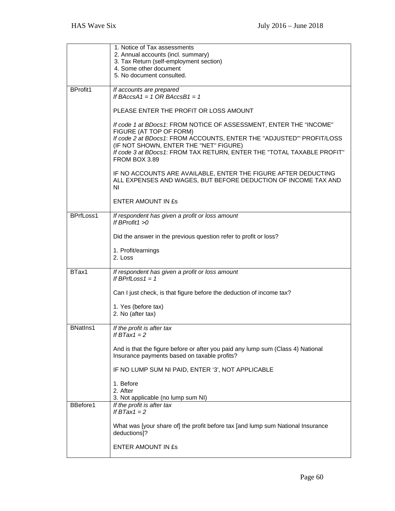|                 | 1. Notice of Tax assessments                                                                    |
|-----------------|-------------------------------------------------------------------------------------------------|
|                 | 2. Annual accounts (incl. summary)                                                              |
|                 | 3. Tax Return (self-employment section)<br>4. Some other document                               |
|                 | 5. No document consulted.                                                                       |
|                 |                                                                                                 |
| <b>BProfit1</b> | If accounts are prepared                                                                        |
|                 | If BAccsA1 = 1 OR BAccsB1 = 1                                                                   |
|                 | PLEASE ENTER THE PROFIT OR LOSS AMOUNT                                                          |
|                 | If code 1 at BDocs1: FROM NOTICE OF ASSESSMENT, ENTER THE "INCOME"                              |
|                 | FIGURE (AT TOP OF FORM)<br>If code 2 at BDocs1: FROM ACCOUNTS, ENTER THE "ADJUSTED" PROFIT/LOSS |
|                 | (IF NOT SHOWN, ENTER THE "NET" FIGURE)                                                          |
|                 | If code 3 at BDocs1: FROM TAX RETURN, ENTER THE "TOTAL TAXABLE PROFIT"<br>FROM BOX 3.89         |
|                 | IF NO ACCOUNTS ARE AVAILABLE, ENTER THE FIGURE AFTER DEDUCTING                                  |
|                 | ALL EXPENSES AND WAGES, BUT BEFORE DEDUCTION OF INCOME TAX AND                                  |
|                 | ΝI                                                                                              |
|                 | <b>ENTER AMOUNT IN ES</b>                                                                       |
|                 |                                                                                                 |
| BPrfLoss1       | If respondent has given a profit or loss amount<br>If $BProfit1 > 0$                            |
|                 | Did the answer in the previous question refer to profit or loss?                                |
|                 |                                                                                                 |
|                 | 1. Profit/earnings<br>2. Loss                                                                   |
|                 |                                                                                                 |
| BTax1           | If respondent has given a profit or loss amount                                                 |
|                 | If BPrfLoss $1 = 1$                                                                             |
|                 | Can I just check, is that figure before the deduction of income tax?                            |
|                 | 1. Yes (before tax)                                                                             |
|                 | 2. No (after tax)                                                                               |
| <b>BNatIns1</b> |                                                                                                 |
|                 | If the profit is after tax<br>It B1ax1 = 2                                                      |
|                 | And is that the figure before or after you paid any lump sum (Class 4) National                 |
|                 | Insurance payments based on taxable profits?                                                    |
|                 | IF NO LUMP SUM NI PAID, ENTER '3', NOT APPLICABLE                                               |
|                 | 1. Before                                                                                       |
|                 | 2. After                                                                                        |
|                 | 3. Not applicable (no lump sum NI)                                                              |
| BBefore1        | If the profit is after tax<br>If $BTax1 = 2$                                                    |
|                 | What was [your share of] the profit before tax [and lump sum National Insurance                 |
|                 | deductions]?                                                                                    |
|                 |                                                                                                 |
|                 | ENTER AMOUNT IN £s                                                                              |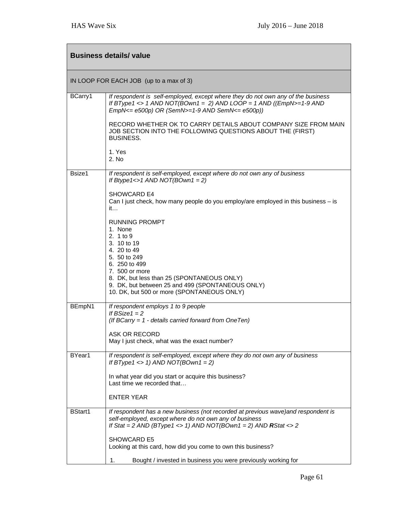| <b>Business details/ value</b> |                                                                                                                                                                                                                                                                                |
|--------------------------------|--------------------------------------------------------------------------------------------------------------------------------------------------------------------------------------------------------------------------------------------------------------------------------|
|                                | IN LOOP FOR EACH JOB (up to a max of 3)                                                                                                                                                                                                                                        |
| BCarry1                        | If respondent is self-employed, except where they do not own any of the business<br>If BType1 <> 1 AND NOT(BOwn1 = 2) AND LOOP = 1 AND ((EmpN>=1-9 AND<br>$EmpN<= e500p$ ) OR (SemN $>= 1-9$ AND SemN $<= e500p$ ))                                                            |
|                                | RECORD WHETHER OK TO CARRY DETAILS ABOUT COMPANY SIZE FROM MAIN<br>JOB SECTION INTO THE FOLLOWING QUESTIONS ABOUT THE (FIRST)<br><b>BUSINESS.</b>                                                                                                                              |
|                                | 1. Yes<br>2. No                                                                                                                                                                                                                                                                |
| Bsize1                         | If respondent is self-employed, except where do not own any of business<br>If Btype1 <> 1 AND NOT(BOwn1 = 2)                                                                                                                                                                   |
|                                | SHOWCARD E4<br>Can I just check, how many people do you employ/are employed in this business – is<br>it                                                                                                                                                                        |
|                                | <b>RUNNING PROMPT</b><br>1. None<br>2. 1 to 9<br>3. 10 to 19<br>4. 20 to 49<br>5. 50 to 249<br>6. 250 to 499<br>7. 500 or more<br>8. DK, but less than 25 (SPONTANEOUS ONLY)<br>9. DK, but between 25 and 499 (SPONTANEOUS ONLY)<br>10. DK, but 500 or more (SPONTANEOUS ONLY) |
| BEmpN1                         | If respondent employs 1 to 9 people<br>If $BSize1 = 2$<br>(If BCarry = $1$ - details carried forward from OneTen)                                                                                                                                                              |
|                                | ASK OR RECORD<br>May I just check, what was the exact number?                                                                                                                                                                                                                  |
| BYear1                         | If respondent is self-employed, except where they do not own any of business<br>If BType1 <> 1) AND NOT(BOwn1 = 2)                                                                                                                                                             |
|                                | In what year did you start or acquire this business?<br>Last time we recorded that                                                                                                                                                                                             |
|                                | <b>ENTER YEAR</b>                                                                                                                                                                                                                                                              |
| <b>BStart1</b>                 | If respondent has a new business (not recorded at previous wave) and respondent is<br>self-employed, except where do not own any of business<br>If Stat = 2 AND (BType1 <> 1) AND NOT(BOwn1 = 2) AND RStat <> 2                                                                |
|                                | SHOWCARD E5<br>Looking at this card, how did you come to own this business?                                                                                                                                                                                                    |
|                                | Bought / invested in business you were previously working for<br>1.                                                                                                                                                                                                            |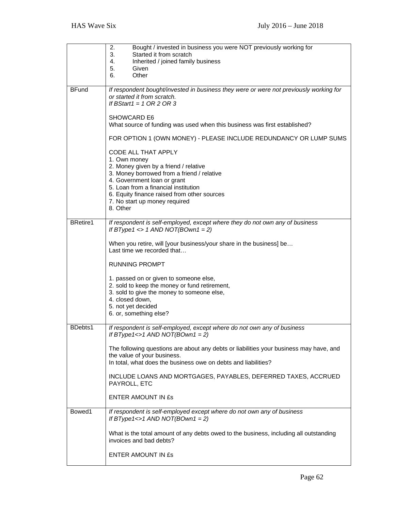|                 | 2.<br>Bought / invested in business you were NOT previously working for<br>Started it from scratch<br>3.<br>4.<br>Inherited / joined family business<br>5.<br>Given<br>Other<br>6.                                        |
|-----------------|---------------------------------------------------------------------------------------------------------------------------------------------------------------------------------------------------------------------------|
| <b>BFund</b>    | If respondent bought/invested in business they were or were not previously working for<br>or started it from scratch.<br>If BStart1 = $1$ OR 2 OR 3<br>SHOWCARD E6                                                        |
|                 | What source of funding was used when this business was first established?                                                                                                                                                 |
|                 | FOR OPTION 1 (OWN MONEY) - PLEASE INCLUDE REDUNDANCY OR LUMP SUMS<br>CODE ALL THAT APPLY                                                                                                                                  |
|                 | 1. Own money<br>2. Money given by a friend / relative<br>3. Money borrowed from a friend / relative<br>4. Government loan or grant<br>5. Loan from a financial institution<br>6. Equity finance raised from other sources |
|                 | 7. No start up money required<br>8. Other                                                                                                                                                                                 |
| <b>BRetire1</b> | If respondent is self-employed, except where they do not own any of business<br>If BType1 <> $1$ AND NOT(BOwn1 = 2)                                                                                                       |
|                 | When you retire, will [your business/your share in the business] be<br>Last time we recorded that                                                                                                                         |
|                 | <b>RUNNING PROMPT</b>                                                                                                                                                                                                     |
|                 | 1. passed on or given to someone else,<br>2. sold to keep the money or fund retirement,<br>3. sold to give the money to someone else,<br>4. closed down,<br>5. not yet decided<br>6. or, something else?                  |
| BDebts1         | If respondent is self-employed, except where do not own any of business<br>If BType1<>1 AND NOT(BOwn1 = 2)                                                                                                                |
|                 | The following questions are about any debts or liabilities your business may have, and<br>the value of your business.<br>In total, what does the business owe on debts and liabilities?                                   |
|                 | INCLUDE LOANS AND MORTGAGES, PAYABLES, DEFERRED TAXES, ACCRUED<br>PAYROLL, ETC                                                                                                                                            |
|                 | ENTER AMOUNT IN £s                                                                                                                                                                                                        |
| Bowed1          | If respondent is self-employed except where do not own any of business<br>If BType1<>1 AND NOT(BOwn1 = 2)                                                                                                                 |
|                 | What is the total amount of any debts owed to the business, including all outstanding<br>invoices and bad debts?                                                                                                          |
|                 | ENTER AMOUNT IN £s                                                                                                                                                                                                        |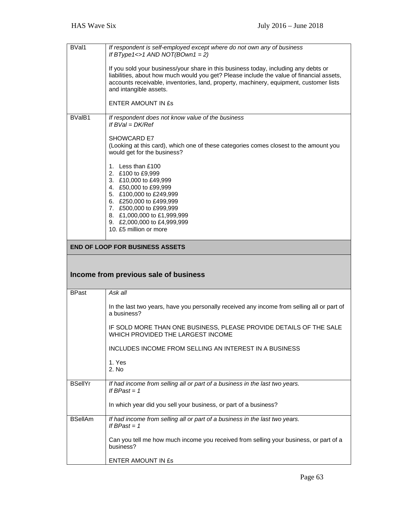| BVal1          | If respondent is self-employed except where do not own any of business<br>If BType1<>1 AND NOT(BOwn1 = 2)                                                                                                                                                                                           |
|----------------|-----------------------------------------------------------------------------------------------------------------------------------------------------------------------------------------------------------------------------------------------------------------------------------------------------|
|                | If you sold your business/your share in this business today, including any debts or<br>liabilities, about how much would you get? Please include the value of financial assets,<br>accounts receivable, inventories, land, property, machinery, equipment, customer lists<br>and intangible assets. |
|                | ENTER AMOUNT IN £s                                                                                                                                                                                                                                                                                  |
| BValB1         | If respondent does not know value of the business<br>If $BVal = DK/Ref$                                                                                                                                                                                                                             |
|                | <b>SHOWCARD E7</b><br>(Looking at this card), which one of these categories comes closest to the amount you<br>would get for the business?                                                                                                                                                          |
|                | 1. Less than £100<br>2. £100 to £9,999<br>3. £10,000 to £49,999<br>4. £50,000 to £99,999<br>5. £100,000 to £249,999<br>6. £250,000 to £499,999<br>7. £500,000 to £999,999<br>8. £1,000,000 to £1,999,999<br>9. £2,000,000 to £4,999,999<br>10. £5 million or more                                   |
|                | <b>END OF LOOP FOR BUSINESS ASSETS</b>                                                                                                                                                                                                                                                              |
|                |                                                                                                                                                                                                                                                                                                     |
|                | Income from previous sale of business                                                                                                                                                                                                                                                               |
| <b>BPast</b>   | Ask all                                                                                                                                                                                                                                                                                             |
|                | In the last two years, have you personally received any income from selling all or part of<br>a business?                                                                                                                                                                                           |
|                | IF SOLD MORE THAN ONE BUSINESS, PLEASE PROVIDE DETAILS OF THE SALE<br>WHICH PROVIDED THE LARGEST INCOME                                                                                                                                                                                             |
|                | INCLUDES INCOME FROM SELLING AN INTEREST IN A BUSINESS                                                                                                                                                                                                                                              |
|                | 1. Yes<br>2. No                                                                                                                                                                                                                                                                                     |
| <b>BSellYr</b> | If had income from selling all or part of a business in the last two years.<br>If BPast = $1$                                                                                                                                                                                                       |
|                | In which year did you sell your business, or part of a business?                                                                                                                                                                                                                                    |
| <b>BSellAm</b> | If had income from selling all or part of a business in the last two years.<br>If BPast $= 1$                                                                                                                                                                                                       |
|                | Can you tell me how much income you received from selling your business, or part of a<br>business?                                                                                                                                                                                                  |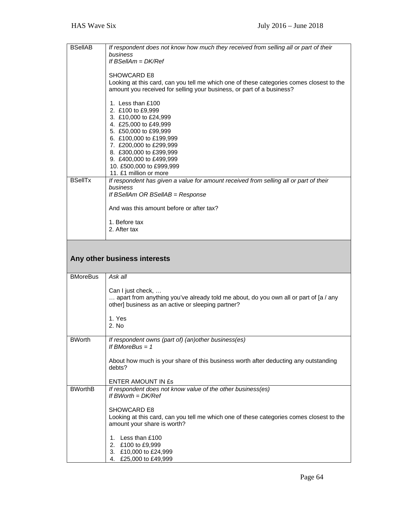| <b>BSelIAB</b>  | If respondent does not know how much they received from selling all or part of their<br>business<br>If $BSellAm = DK/Ref$<br><b>SHOWCARD E8</b><br>Looking at this card, can you tell me which one of these categories comes closest to the<br>amount you received for selling your business, or part of a business?<br>1. Less than £100<br>2. £100 to £9,999<br>3. £10,000 to £24,999<br>4. £25,000 to £49,999<br>5. £50,000 to £99,999<br>6. £100,000 to £199,999<br>7. £200,000 to £299,999<br>8. £300,000 to £399,999<br>9. £400,000 to £499,999<br>10. £500,000 to £999,999<br>11. £1 million or more |
|-----------------|-------------------------------------------------------------------------------------------------------------------------------------------------------------------------------------------------------------------------------------------------------------------------------------------------------------------------------------------------------------------------------------------------------------------------------------------------------------------------------------------------------------------------------------------------------------------------------------------------------------|
| <b>BSellTx</b>  | If respondent has given a value for amount received from selling all or part of their<br>business<br>If BSellAm OR BSellAB = Response<br>And was this amount before or after tax?                                                                                                                                                                                                                                                                                                                                                                                                                           |
|                 | 1. Before tax<br>2. After tax                                                                                                                                                                                                                                                                                                                                                                                                                                                                                                                                                                               |
|                 | Any other business interests                                                                                                                                                                                                                                                                                                                                                                                                                                                                                                                                                                                |
| <b>BMoreBus</b> | Ask all                                                                                                                                                                                                                                                                                                                                                                                                                                                                                                                                                                                                     |
|                 | Can I just check,<br>apart from anything you've already told me about, do you own all or part of [a / any<br>other] business as an active or sleeping partner?<br>1. Yes<br>2. No                                                                                                                                                                                                                                                                                                                                                                                                                           |
|                 |                                                                                                                                                                                                                                                                                                                                                                                                                                                                                                                                                                                                             |
| <b>BWorth</b>   | If respondent owns (part of) (an) other business(es)<br>If BMoreBus $= 1$<br>About how much is your share of this business worth after deducting any outstanding<br>debts?                                                                                                                                                                                                                                                                                                                                                                                                                                  |
|                 | ENTER AMOUNT IN £s                                                                                                                                                                                                                                                                                                                                                                                                                                                                                                                                                                                          |
| <b>BWorthB</b>  | If respondent does not know value of the other business(es)<br>If $BWorth = DK/Ref$<br>SHOWCARD E8<br>Looking at this card, can you tell me which one of these categories comes closest to the<br>amount your share is worth?<br>1. Less than £100<br>2. £100 to £9,999                                                                                                                                                                                                                                                                                                                                     |
|                 | 3. £10,000 to £24,999                                                                                                                                                                                                                                                                                                                                                                                                                                                                                                                                                                                       |

4. £25,000 to £49,999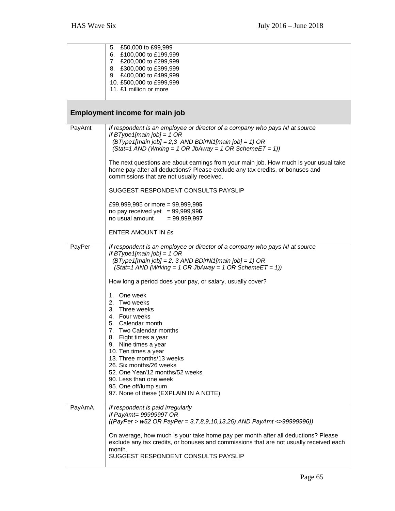|        | 5. £50,000 to £99,999<br>6. £100,000 to £199,999<br>7. £200,000 to £299,999<br>8. £300,000 to £399,999<br>9. £400,000 to £499,999<br>10. £500,000 to £999,999<br>11. £1 million or more                                                                                                                                                                                                                              |
|--------|----------------------------------------------------------------------------------------------------------------------------------------------------------------------------------------------------------------------------------------------------------------------------------------------------------------------------------------------------------------------------------------------------------------------|
|        | <b>Employment income for main job</b>                                                                                                                                                                                                                                                                                                                                                                                |
| PayAmt | If respondent is an employee or director of a company who pays NI at source<br>If BType1[main job] = 1 OR<br>$(BType1[main job] = 2,3 AND BDirNi1[main job] = 1) OR$<br>$(Stat=1 AND (Wrking = 1 OR JbAway = 1 OR SchemeET = 1))$<br>The next questions are about earnings from your main job. How much is your usual take                                                                                           |
|        | home pay after all deductions? Please exclude any tax credits, or bonuses and<br>commissions that are not usually received.                                                                                                                                                                                                                                                                                          |
|        | SUGGEST RESPONDENT CONSULTS PAYSLIP                                                                                                                                                                                                                                                                                                                                                                                  |
|        | £99,999,995 or more = 99,999,995<br>no pay received yet $= 99,999,996$<br>no usual amount<br>$= 99,999,997$                                                                                                                                                                                                                                                                                                          |
|        | ENTER AMOUNT IN £s                                                                                                                                                                                                                                                                                                                                                                                                   |
| PayPer | If respondent is an employee or director of a company who pays NI at source<br>If BType1[main job] = 1 OR<br>$(BType1[main job] = 2, 3 AND BDirNi1[main job] = 1) OR$<br>$(Stat=1 AND (Wrking = 1 OR JbAway = 1 OR SchemeET = 1))$                                                                                                                                                                                   |
|        | How long a period does your pay, or salary, usually cover?                                                                                                                                                                                                                                                                                                                                                           |
| PayAmA | 1. One week<br>2. Two weeks<br>3. Three weeks<br>4. Four weeks<br>5. Calendar month<br>Two Calendar months<br>7.<br>8. Eight times a year<br>9. Nine times a year<br>10. Ten times a year<br>13. Three months/13 weeks<br>26. Six months/26 weeks<br>52. One Year/12 months/52 weeks<br>90. Less than one week<br>95. One off/lump sum<br>97. None of these (EXPLAIN IN A NOTE)<br>If respondent is paid irregularly |
|        | If PayAmt= 99999997 OR<br>$((PayPer > w52 OR PayPer = 3,7,8,9,10,13,26) AND PayAmt < 399999996))$                                                                                                                                                                                                                                                                                                                    |
|        | On average, how much is your take home pay per month after all deductions? Please<br>exclude any tax credits, or bonuses and commissions that are not usually received each<br>month.<br>SUGGEST RESPONDENT CONSULTS PAYSLIP                                                                                                                                                                                         |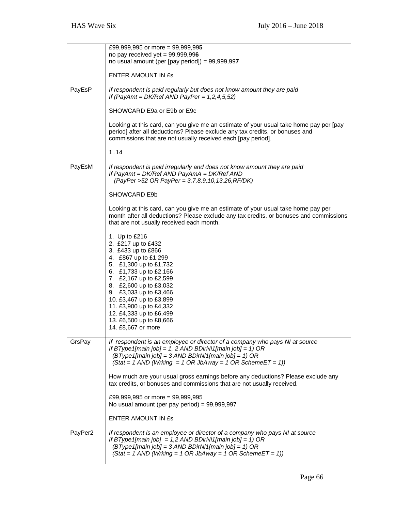|         | £99,999,995 or more = 99,999,995                                                       |
|---------|----------------------------------------------------------------------------------------|
|         | no pay received yet = $99,999,996$                                                     |
|         | no usual amount (per [pay period]) = $99,999,997$                                      |
|         |                                                                                        |
|         | <b>ENTER AMOUNT IN £s</b>                                                              |
|         |                                                                                        |
| PayEsP  | If respondent is paid regularly but does not know amount they are paid                 |
|         | If (PayAmt = DK/Ref AND PayPer = $1,2,4,5,52$ )                                        |
|         |                                                                                        |
|         | SHOWCARD E9a or E9b or E9c                                                             |
|         |                                                                                        |
|         | Looking at this card, can you give me an estimate of your usual take home pay per [pay |
|         | period] after all deductions? Please exclude any tax credits, or bonuses and           |
|         | commissions that are not usually received each [pay period].                           |
|         |                                                                                        |
|         | 1.14                                                                                   |
|         |                                                                                        |
| PayEsM  | If respondent is paid irregularly and does not know amount they are paid               |
|         | If PayAmt = DK/Ref AND PayAmA = DK/Ref AND                                             |
|         | (PayPer >52 OR PayPer = 3,7,8,9,10,13,26,RF/DK)                                        |
|         | SHOWCARD E9b                                                                           |
|         |                                                                                        |
|         | Looking at this card, can you give me an estimate of your usual take home pay per      |
|         | month after all deductions? Please exclude any tax credits, or bonuses and commissions |
|         | that are not usually received each month.                                              |
|         |                                                                                        |
|         | 1. Up to £216                                                                          |
|         | 2. £217 up to £432                                                                     |
|         | 3. £433 up to £866                                                                     |
|         | 4. £867 up to £1,299                                                                   |
|         | 5. £1,300 up to £1,732                                                                 |
|         | 6. £1,733 up to £2,166                                                                 |
|         | 7. £2,167 up to £2,599                                                                 |
|         | 8. £2,600 up to £3,032                                                                 |
|         | 9. £3,033 up to £3,466                                                                 |
|         | 10. £3,467 up to £3,899                                                                |
|         | 11. £3,900 up to £4,332                                                                |
|         | 12. £4,333 up to £6,499                                                                |
|         | 13. £6,500 up to £8,666                                                                |
|         | 14. £8,667 or more                                                                     |
|         | If respondent is an employee or director of a company who pays NI at source            |
| GrsPay  | If BType1[main job] = 1, 2 AND BDirNi1[main job] = 1) OR                               |
|         | $(BType1[main job] = 3 AND BDirNi1[main job] = 1) OR$                                  |
|         | $(Stat = 1$ AND (Wrking = 1 OR JbAway = 1 OR SchemeET = 1))                            |
|         |                                                                                        |
|         | How much are your usual gross earnings before any deductions? Please exclude any       |
|         | tax credits, or bonuses and commissions that are not usually received.                 |
|         |                                                                                        |
|         | £99,999,995 or more = 99,999,995                                                       |
|         | No usual amount (per pay period) = $99,999,997$                                        |
|         |                                                                                        |
|         | ENTER AMOUNT IN ES                                                                     |
|         |                                                                                        |
| PayPer2 | If respondent is an employee or director of a company who pays NI at source            |
|         | If BType1[main job] = 1,2 AND BDirNi1[main job] = 1) OR                                |
|         | $(BType1[main job] = 3 AND BDirNi1[main job] = 1) OR$                                  |
|         | $(Stat = 1$ AND (Wrking = 1 OR JbAway = 1 OR SchemeET = 1))                            |
|         |                                                                                        |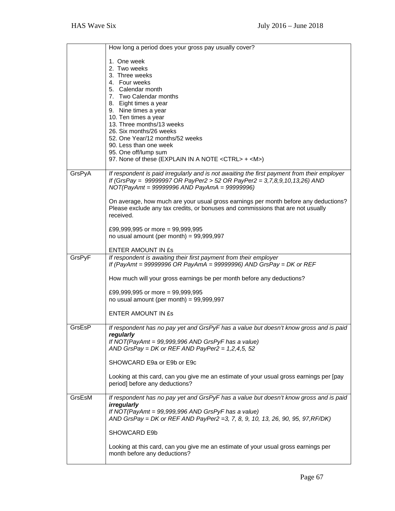|        | How long a period does your gross pay usually cover?                                                                                                                                                                                                                                                                                                                                                              |
|--------|-------------------------------------------------------------------------------------------------------------------------------------------------------------------------------------------------------------------------------------------------------------------------------------------------------------------------------------------------------------------------------------------------------------------|
|        | 1. One week<br>2. Two weeks<br>3. Three weeks<br>4. Four weeks<br>5. Calendar month<br>7. Two Calendar months<br>8. Eight times a year<br>9. Nine times a year<br>10. Ten times a year<br>13. Three months/13 weeks<br>26. Six months/26 weeks<br>52. One Year/12 months/52 weeks<br>90. Less than one week<br>95. One off/lump sum<br>97. None of these (EXPLAIN IN A NOTE <ctrl> + <m>)</m></ctrl>              |
| GrsPyA | If respondent is paid irregularly and is not awaiting the first payment from their employer<br>If (GrsPay = 99999997 OR PayPer2 > 52 OR PayPer2 = 3,7,8,9,10,13,26) AND<br>$NOT (PayAmt = 99999996 AND PayAmA = 99999996)$<br>On average, how much are your usual gross earnings per month before any deductions?<br>Please exclude any tax credits, or bonuses and commissions that are not usually<br>received. |
|        | £99,999,995 or more = 99,999,995<br>no usual amount (per month) = $99,999,997$                                                                                                                                                                                                                                                                                                                                    |
| GrsPyF | ENTER AMOUNT IN ES<br>If respondent is awaiting their first payment from their employer<br>If (PayAmt = 99999996 OR PayAmA = 99999996) AND GrsPay = DK or REF<br>How much will your gross earnings be per month before any deductions?<br>£99,999,995 or more = 99,999,995<br>no usual amount (per month) = $99,999,997$<br>ENTER AMOUNT IN £s                                                                    |
| GrsEsP | If respondent has no pay yet and GrsPyF has a value but doesn't know gross and is paid<br>regularly<br>If NOT(PayAmt = $99,999,996$ AND GrsPyF has a value)<br>AND GrsPay = DK or REF AND PayPer2 = $1,2,4,5,52$<br>SHOWCARD E9a or E9b or E9c<br>Looking at this card, can you give me an estimate of your usual gross earnings per [pay<br>period] before any deductions?                                       |
| GrsEsM | If respondent has no pay yet and GrsPyF has a value but doesn't know gross and is paid<br>irregularly<br>If NOT(PayAmt = $99,999,996$ AND GrsPyF has a value)<br>AND GrsPay = DK or REF AND PayPer2 = 3, 7, 8, 9, 10, 13, 26, 90, 95, 97, RF/DK)<br>SHOWCARD E9b<br>Looking at this card, can you give me an estimate of your usual gross earnings per<br>month before any deductions?                            |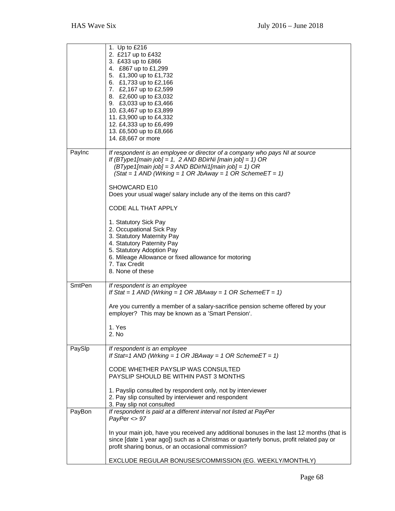|               | 1. Up to £216<br>2. £217 up to £432<br>3. £433 up to £866<br>4. £867 up to £1,299<br>5. £1,300 up to £1,732<br>6. £1,733 up to £2,166<br>7. £2,167 up to £2,599<br>8. £2,600 up to £3,032<br>9. £3,033 up to £3,466<br>10. £3,467 up to £3,899<br>11. £3,900 up to £4,332<br>12. £4,333 up to £6,499<br>13. £6,500 up to £8,666<br>14. £8,667 or more                                                                                                                                                                                                                                                                            |
|---------------|----------------------------------------------------------------------------------------------------------------------------------------------------------------------------------------------------------------------------------------------------------------------------------------------------------------------------------------------------------------------------------------------------------------------------------------------------------------------------------------------------------------------------------------------------------------------------------------------------------------------------------|
| Paylnc        | If respondent is an employee or director of a company who pays NI at source<br>If (BType1[main job] = 1, 2 AND BDirNi [main job] = 1) OR<br>$(BType1$ [main job] = 3 AND BDirNi1[main job] = 1) OR<br>$(Stat = 1$ AND (Wrking = 1 OR JbAway = 1 OR SchemeET = 1)<br>SHOWCARD E10<br>Does your usual wage/ salary include any of the items on this card?<br><b>CODE ALL THAT APPLY</b><br>1. Statutory Sick Pay<br>2. Occupational Sick Pay<br>3. Statutory Maternity Pay<br>4. Statutory Paternity Pay<br>5. Statutory Adoption Pay<br>6. Mileage Allowance or fixed allowance for motoring<br>7. Tax Credit<br>8. None of these |
| <b>SmtPen</b> | If respondent is an employee<br>If Stat = 1 AND (Wrking = 1 OR JBAway = 1 OR SchemeET = 1)<br>Are you currently a member of a salary-sacrifice pension scheme offered by your<br>employer? This may be known as a 'Smart Pension'.<br>1. Yes<br>2. No                                                                                                                                                                                                                                                                                                                                                                            |
| PaySlp        | If respondent is an employee<br>If Stat=1 AND (Wrking = 1 OR JBAway = 1 OR SchemeET = 1)<br>CODE WHETHER PAYSLIP WAS CONSULTED<br>PAYSLIP SHOULD BE WITHIN PAST 3 MONTHS<br>1. Payslip consulted by respondent only, not by interviewer<br>2. Pay slip consulted by interviewer and respondent<br>3. Pay slip not consulted                                                                                                                                                                                                                                                                                                      |
| PayBon        | If respondent is paid at a different interval not listed at PayPer<br>PayPer < 97<br>In your main job, have you received any additional bonuses in the last 12 months (that is<br>since [date 1 year ago]) such as a Christmas or quarterly bonus, profit related pay or<br>profit sharing bonus, or an occasional commission?<br>EXCLUDE REGULAR BONUSES/COMMISSION (EG. WEEKLY/MONTHLY)                                                                                                                                                                                                                                        |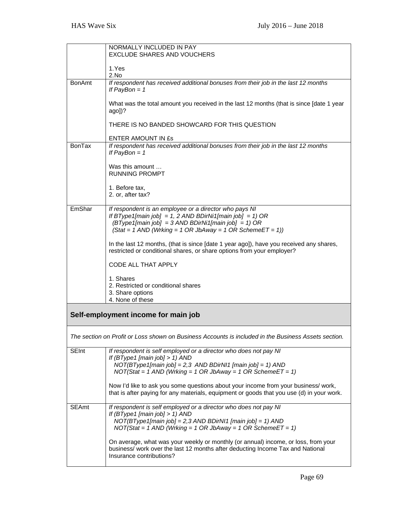|               | NORMALLY INCLUDED IN PAY<br>EXCLUDE SHARES AND VOUCHERS                                                                                                                                                                                     |
|---------------|---------------------------------------------------------------------------------------------------------------------------------------------------------------------------------------------------------------------------------------------|
|               | 1.Yes                                                                                                                                                                                                                                       |
|               | 2.No                                                                                                                                                                                                                                        |
| <b>BonAmt</b> | If respondent has received additional bonuses from their job in the last 12 months<br>If PayBon = $1$                                                                                                                                       |
|               | What was the total amount you received in the last 12 months (that is since [date 1 year<br>ago])?                                                                                                                                          |
|               | THERE IS NO BANDED SHOWCARD FOR THIS QUESTION                                                                                                                                                                                               |
|               | <b>ENTER AMOUNT IN £s</b>                                                                                                                                                                                                                   |
| <b>BonTax</b> | If respondent has received additional bonuses from their job in the last 12 months<br>If PayBon = $1$                                                                                                                                       |
|               | Was this amount<br><b>RUNNING PROMPT</b>                                                                                                                                                                                                    |
|               | 1. Before tax,<br>2. or, after tax?                                                                                                                                                                                                         |
| EmShar        | If respondent is an employee or a director who pays NI<br>If BType1[main job] = 1, 2 AND BDirNi1[main job] = 1) OR<br>$(BType1$ [main job] = 3 AND BDirNi1[main job] = 1) OR<br>$(Stat = 1$ AND (Wrking = 1 OR JbAway = 1 OR SchemeET = 1)) |
|               | In the last 12 months, (that is since [date 1 year ago]), have you received any shares,<br>restricted or conditional shares, or share options from your employer?                                                                           |
|               | <b>CODE ALL THAT APPLY</b>                                                                                                                                                                                                                  |
|               | 1. Shares<br>2. Restricted or conditional shares<br>3. Share options<br>4. None of these                                                                                                                                                    |
|               | Self-employment income for main job                                                                                                                                                                                                         |
|               | The section on Profit or Loss shown on Business Accounts is included in the Business Assets section.                                                                                                                                        |
| <b>SEInt</b>  | If respondent is self employed or a director who does not pay NI<br>If $(BType1$ [main job] > 1) AND<br>$NOT(BType1[main job] = 2,3 AND BDirN11 [main job] = 1) AND$<br>$NOT(Stat = 1 AND (Wrking = 1 OR JbAway = 1 OR SchemeET = 1)$       |
|               | Now I'd like to ask you some questions about your income from your business/ work,<br>that is after paying for any materials, equipment or goods that you use (d) in your work.                                                             |
| <b>SEAmt</b>  | If respondent is self employed or a director who does not pay NI<br>If $(BType1$ [main job] > 1) AND<br>$NOT(BType1[main job] = 2,3 AND BDirNI1 [main job] = 1) AND$<br>$NOT(Stat = 1 AND (Writing = 1 OR JbAway = 1 OR SchemeET = 1)$      |
|               | On average, what was your weekly or monthly (or annual) income, or loss, from your<br>business/ work over the last 12 months after deducting Income Tax and National<br>Insurance contributions?                                            |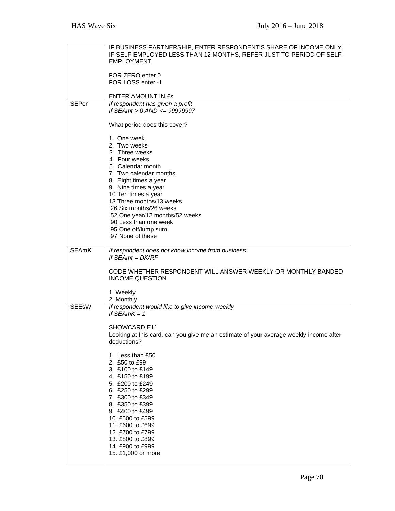|              | IF BUSINESS PARTNERSHIP, ENTER RESPONDENT'S SHARE OF INCOME ONLY.                     |
|--------------|---------------------------------------------------------------------------------------|
|              | IF SELF-EMPLOYED LESS THAN 12 MONTHS, REFER JUST TO PERIOD OF SELF-<br>EMPLOYMENT.    |
|              |                                                                                       |
|              | FOR ZERO enter 0<br>FOR LOSS enter -1                                                 |
|              |                                                                                       |
|              | ENTER AMOUNT IN £s                                                                    |
| <b>SEPer</b> | If respondent has given a profit<br>If SEAmt > $0$ AND <= 99999997                    |
|              |                                                                                       |
|              | What period does this cover?                                                          |
|              | 1. One week                                                                           |
|              | 2. Two weeks                                                                          |
|              | 3. Three weeks<br>4. Four weeks                                                       |
|              | 5. Calendar month                                                                     |
|              | 7. Two calendar months                                                                |
|              | 8. Eight times a year                                                                 |
|              | 9. Nine times a year<br>10. Ten times a year                                          |
|              | 13. Three months/13 weeks                                                             |
|              | 26. Six months/26 weeks                                                               |
|              | 52. One year/12 months/52 weeks<br>90. Less than one week                             |
|              | 95.One off/lump sum                                                                   |
|              | 97. None of these                                                                     |
|              |                                                                                       |
| <b>SEAmK</b> | If respondent does not know income from business<br>If $SEAmt = DK/RF$                |
|              |                                                                                       |
|              | CODE WHETHER RESPONDENT WILL ANSWER WEEKLY OR MONTHLY BANDED                          |
|              | <b>INCOME QUESTION</b>                                                                |
|              | 1. Weekly                                                                             |
|              | 2. Monthly                                                                            |
| <b>SEEsW</b> | If respondent would like to give income weekly<br>If $SFAmK = 1$                      |
|              |                                                                                       |
|              | SHOWCARD E11                                                                          |
|              | Looking at this card, can you give me an estimate of your average weekly income after |
|              | deductions?                                                                           |
|              | 1. Less than £50                                                                      |
|              | 2. £50 to £99                                                                         |
|              | 3. £100 to £149<br>4. £150 to £199                                                    |
|              | 5. £200 to £249                                                                       |
|              | 6. £250 to £299                                                                       |
|              | 7. £300 to £349                                                                       |
|              | 8. £350 to £399<br>9. £400 to £499                                                    |
|              | 10. £500 to £599                                                                      |
|              | 11. £600 to £699                                                                      |
|              | 12. £700 to £799                                                                      |
|              | 13. £800 to £899<br>14. £900 to £999                                                  |
|              | 15. £1,000 or more                                                                    |
|              |                                                                                       |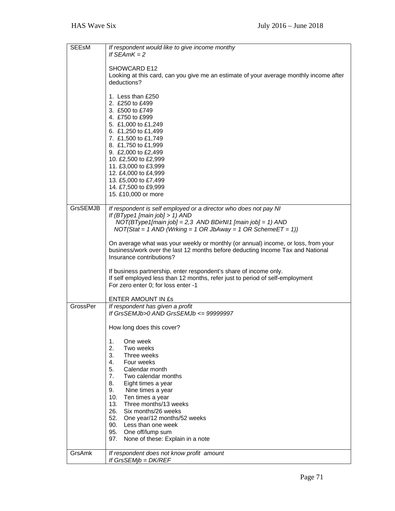| <b>SEEsM</b>    | If respondent would like to give income monthy<br>If $SEAMK = 2$                                                                                                                                                                                                                                                                             |
|-----------------|----------------------------------------------------------------------------------------------------------------------------------------------------------------------------------------------------------------------------------------------------------------------------------------------------------------------------------------------|
|                 | SHOWCARD E12<br>Looking at this card, can you give me an estimate of your average monthly income after<br>deductions?                                                                                                                                                                                                                        |
|                 | 1. Less than £250<br>2. £250 to £499<br>3. £500 to £749<br>4. £750 to £999<br>5. £1,000 to £1,249<br>6. £1,250 to £1,499<br>7. £1,500 to £1,749<br>8. £1,750 to £1,999<br>9. £2,000 to £2,499<br>10. £2,500 to £2,999<br>11. £3,000 to £3,999<br>12. £4,000 to £4,999<br>13. £5,000 to £7,499<br>14. £7,500 to £9,999<br>15. £10,000 or more |
| <b>GrsSEMJB</b> | If respondent is self employed or a director who does not pay NI<br>If (BType1 [main job] > 1) AND<br>$NOT(BType1[main job] = 2,3 AND BDirN11 [main job] = 1) AND$<br>$NOT(Stat = 1 AND (Writing = 1 OR JbAway = 1 OR SchemeET = 1))$                                                                                                        |
|                 | On average what was your weekly or monthly (or annual) income, or loss, from your<br>business/work over the last 12 months before deducting Income Tax and National<br>Insurance contributions?                                                                                                                                              |
|                 | If business partnership, enter respondent's share of income only.<br>If self employed less than 12 months, refer just to period of self-employment<br>For zero enter 0; for loss enter -1                                                                                                                                                    |
|                 | ENTER AMOUNT IN ES                                                                                                                                                                                                                                                                                                                           |
| GrossPer        | If respondent has given a profit<br>If GrsSEMJb>0 AND GrsSEMJb <= 99999997                                                                                                                                                                                                                                                                   |
|                 | How long does this cover?                                                                                                                                                                                                                                                                                                                    |
|                 | One week<br>1.<br>2.<br>Two weeks<br>3.<br>Three weeks<br>4.<br>Four weeks<br>5.<br>Calendar month<br>7 <sup>1</sup><br>Two calendar months<br>8.<br>Eight times a year<br>9.<br>Nine times a year<br>10.<br>Ten times a year<br>13.<br>Three months/13 weeks                                                                                |
|                 | 26. Six months/26 weeks<br>52. One year/12 months/52 weeks<br>90. Less than one week<br>95. One off/lump sum<br>None of these: Explain in a note<br>97.                                                                                                                                                                                      |
| GrsAmk          | If respondent does not know profit amount<br>If GrsSEMjb = DK/REF                                                                                                                                                                                                                                                                            |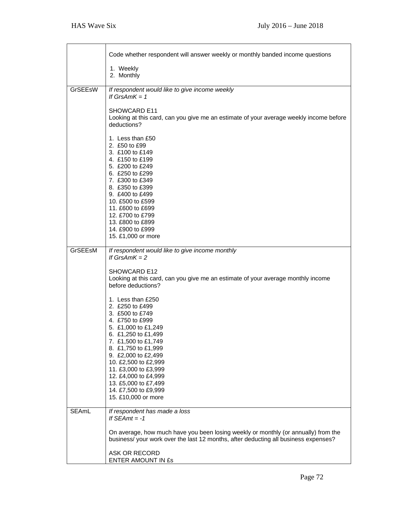T

٦

|         | Code whether respondent will answer weekly or monthly banded income questions                                                                                                                                                                                                                                                                |
|---------|----------------------------------------------------------------------------------------------------------------------------------------------------------------------------------------------------------------------------------------------------------------------------------------------------------------------------------------------|
|         | 1. Weekly<br>2. Monthly                                                                                                                                                                                                                                                                                                                      |
| GrSEEsW | If respondent would like to give income weekly<br>If $GrsAmK = 1$                                                                                                                                                                                                                                                                            |
|         | SHOWCARD E11<br>Looking at this card, can you give me an estimate of your average weekly income before<br>deductions?                                                                                                                                                                                                                        |
|         | 1. Less than £50<br>2. £50 to £99<br>3. £100 to £149<br>4. £150 to £199<br>5. £200 to £249<br>6. £250 to £299<br>7. £300 to £349<br>8. £350 to £399<br>9. £400 to £499<br>10. £500 to £599<br>11. £600 to £699<br>12. £700 to £799<br>13. £800 to £899<br>14. £900 to £999<br>15. £1,000 or more                                             |
| GrSEEsM | If respondent would like to give income monthly<br>If $GrsAmK = 2$                                                                                                                                                                                                                                                                           |
|         | SHOWCARD E12<br>Looking at this card, can you give me an estimate of your average monthly income<br>before deductions?                                                                                                                                                                                                                       |
|         | 1. Less than £250<br>2. £250 to £499<br>3. £500 to £749<br>4. £750 to £999<br>5. £1,000 to £1,249<br>6. £1,250 to £1,499<br>7. £1,500 to £1,749<br>8. £1,750 to £1,999<br>9. £2,000 to £2,499<br>10. £2,500 to £2,999<br>11. £3,000 to £3,999<br>12. £4,000 to £4,999<br>13. £5,000 to £7,499<br>14. £7,500 to £9,999<br>15. £10,000 or more |
| SEAmL   | If respondent has made a loss<br>If $SEAmt = -1$                                                                                                                                                                                                                                                                                             |
|         | On average, how much have you been losing weekly or monthly (or annually) from the<br>business/ your work over the last 12 months, after deducting all business expenses?<br>ASK OR RECORD                                                                                                                                                   |
|         | ENTER AMOUNT IN £s                                                                                                                                                                                                                                                                                                                           |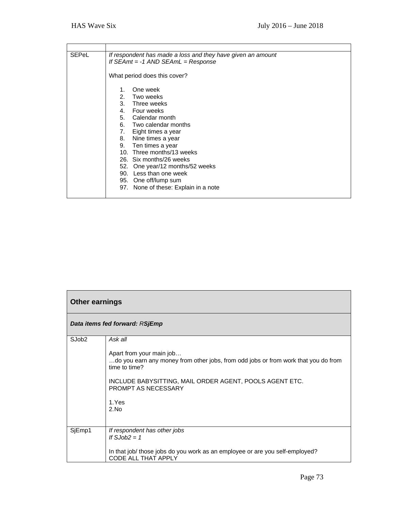| <b>SEPeL</b> | If respondent has made a loss and they have given an amount |
|--------------|-------------------------------------------------------------|
|              | If $SEAmt = -1$ AND $SEAml = Response$                      |
|              |                                                             |
|              | What period does this cover?                                |
|              |                                                             |
|              | One week                                                    |
|              | 2. Two weeks                                                |
|              | 3. Three weeks                                              |
|              | 4. Four weeks                                               |
|              | 5. Calendar month                                           |
|              | 6. Two calendar months                                      |
|              | 7. Eight times a year                                       |
|              | 8. Nine times a year                                        |
|              | 9. Ten times a year                                         |
|              | 10. Three months/13 weeks                                   |
|              | 26. Six months/26 weeks                                     |
|              | 52. One year/12 months/52 weeks                             |
|              | 90. Less than one week                                      |
|              | 95. One off/lump sum                                        |
|              | 97. None of these: Explain in a note                        |
|              |                                                             |

| <b>Other earnings</b>          |                                                                                                                                                                                                                                               |
|--------------------------------|-----------------------------------------------------------------------------------------------------------------------------------------------------------------------------------------------------------------------------------------------|
| Data items fed forward: RSjEmp |                                                                                                                                                                                                                                               |
| SJob <sub>2</sub>              | Ask all<br>Apart from your main job<br>do you earn any money from other jobs, from odd jobs or from work that you do from<br>time to time?<br>INCLUDE BABYSITTING, MAIL ORDER AGENT, POOLS AGENT ETC.<br>PROMPT AS NECESSARY<br>1.Yes<br>2.No |
| SjEmp1                         | If respondent has other jobs<br>If $SJob2 = 1$<br>In that job/ those jobs do you work as an employee or are you self-employed?<br>CODE ALL THAT APPLY                                                                                         |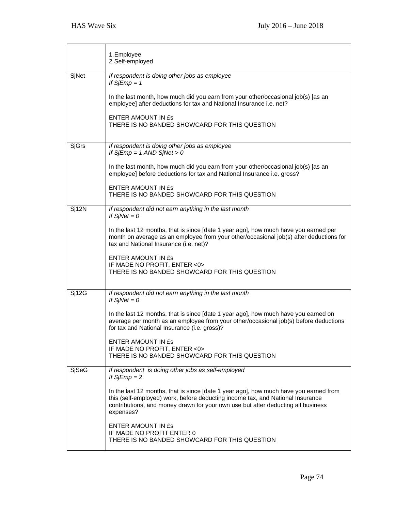|       | 1.Employee<br>2.Self-employed                                                                                                                                                                                                                                                                                                                                                                                                                        |
|-------|------------------------------------------------------------------------------------------------------------------------------------------------------------------------------------------------------------------------------------------------------------------------------------------------------------------------------------------------------------------------------------------------------------------------------------------------------|
| SjNet | If respondent is doing other jobs as employee<br>If $SjEmp = 1$<br>In the last month, how much did you earn from your other/occasional job(s) [as an<br>employee] after deductions for tax and National Insurance i.e. net?<br><b>ENTER AMOUNT IN £s</b><br>THERE IS NO BANDED SHOWCARD FOR THIS QUESTION                                                                                                                                            |
| SjGrs | If respondent is doing other jobs as employee<br>If $SjEmp = 1$ AND $SjNet > 0$<br>In the last month, how much did you earn from your other/occasional job(s) [as an<br>employee] before deductions for tax and National Insurance i.e. gross?<br><b>ENTER AMOUNT IN ES</b><br>THERE IS NO BANDED SHOWCARD FOR THIS QUESTION                                                                                                                         |
| Sj12N | If respondent did not earn anything in the last month<br>If $S/Net = 0$<br>In the last 12 months, that is since [date 1 year ago], how much have you earned per<br>month on average as an employee from your other/occasional job(s) after deductions for<br>tax and National Insurance (i.e. net)?<br>ENTER AMOUNT IN £s<br>IF MADE NO PROFIT, ENTER <0><br>THERE IS NO BANDED SHOWCARD FOR THIS QUESTION                                           |
| Sj12G | If respondent did not earn anything in the last month<br>If $SjNet = 0$<br>In the last 12 months, that is since [date 1 year ago], how much have you earned on<br>average per month as an employee from your other/occasional job(s) before deductions<br>for tax and National Insurance (i.e. gross)?<br>ENTER AMOUNT IN ES<br>IF MADE NO PROFIT, ENTER <0><br>THERE IS NO BANDED SHOWCARD FOR THIS QUESTION                                        |
| SjSeG | If respondent is doing other jobs as self-employed<br>If $SjEmp = 2$<br>In the last 12 months, that is since [date 1 year ago], how much have you earned from<br>this (self-employed) work, before deducting income tax, and National Insurance<br>contributions, and money drawn for your own use but after deducting all business<br>expenses?<br>ENTER AMOUNT IN ES<br>IF MADE NO PROFIT ENTER 0<br>THERE IS NO BANDED SHOWCARD FOR THIS QUESTION |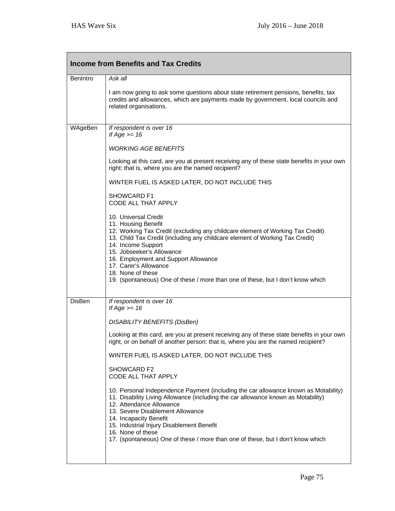| <b>Income from Benefits and Tax Credits</b> |                                                                                                                                                                                                                                                                                                                                                                                                                                           |  |
|---------------------------------------------|-------------------------------------------------------------------------------------------------------------------------------------------------------------------------------------------------------------------------------------------------------------------------------------------------------------------------------------------------------------------------------------------------------------------------------------------|--|
| <b>BenIntro</b>                             | Ask all                                                                                                                                                                                                                                                                                                                                                                                                                                   |  |
|                                             | I am now going to ask some questions about state retirement pensions, benefits, tax<br>credits and allowances, which are payments made by government, local councils and<br>related organisations.                                                                                                                                                                                                                                        |  |
| WAgeBen                                     | If respondent is over 16<br>If $Age \ge 16$                                                                                                                                                                                                                                                                                                                                                                                               |  |
|                                             | <b>WORKING AGE BENEFITS</b>                                                                                                                                                                                                                                                                                                                                                                                                               |  |
|                                             | Looking at this card, are you at present receiving any of these state benefits in your own<br>right: that is, where you are the named recipient?                                                                                                                                                                                                                                                                                          |  |
|                                             | WINTER FUEL IS ASKED LATER, DO NOT INCLUDE THIS                                                                                                                                                                                                                                                                                                                                                                                           |  |
|                                             | SHOWCARD F1<br>CODE ALL THAT APPLY                                                                                                                                                                                                                                                                                                                                                                                                        |  |
|                                             | 10. Universal Credit<br>11. Housing Benefit<br>12. Working Tax Credit (excluding any childcare element of Working Tax Credit)<br>13. Child Tax Credit (including any childcare element of Working Tax Credit)<br>14. Income Support<br>15. Jobseeker's Allowance<br>16. Employment and Support Allowance<br>17. Carer's Allowance<br>18. None of these<br>19. (spontaneous) One of these / more than one of these, but I don't know which |  |
| <b>DisBen</b>                               | If respondent is over 16<br>If $Age \ge 16$                                                                                                                                                                                                                                                                                                                                                                                               |  |
|                                             | <b>DISABILITY BENEFITS (DisBen)</b>                                                                                                                                                                                                                                                                                                                                                                                                       |  |
|                                             | Looking at this card, are you at present receiving any of these state benefits in your own<br>right, or on behalf of another person: that is, where you are the named recipient?                                                                                                                                                                                                                                                          |  |
|                                             | WINTER FUEL IS ASKED LATER, DO NOT INCLUDE THIS                                                                                                                                                                                                                                                                                                                                                                                           |  |
|                                             | SHOWCARD F2<br>CODE ALL THAT APPLY                                                                                                                                                                                                                                                                                                                                                                                                        |  |
|                                             | 10. Personal Independence Payment (including the car allowance known as Motability)<br>11. Disability Living Allowance (including the car allowance known as Motability)<br>12. Attendance Allowance<br>13. Severe Disablement Allowance<br>14. Incapacity Benefit<br>15. Industrial Injury Disablement Benefit<br>16. None of these<br>17. (spontaneous) One of these / more than one of these, but I don't know which                   |  |
|                                             |                                                                                                                                                                                                                                                                                                                                                                                                                                           |  |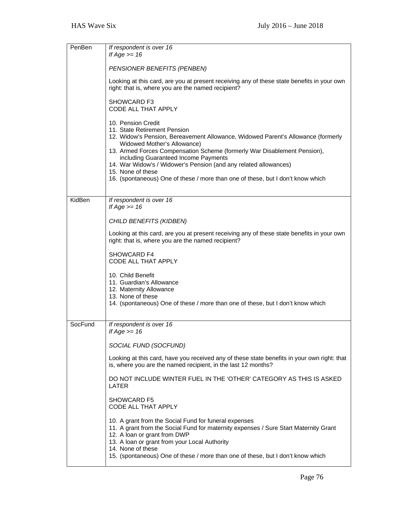| PenBen  | If respondent is over 16<br>If Age $>= 16$                                                                                                                                                                                                                                                                                                                                                                                                                            |
|---------|-----------------------------------------------------------------------------------------------------------------------------------------------------------------------------------------------------------------------------------------------------------------------------------------------------------------------------------------------------------------------------------------------------------------------------------------------------------------------|
|         | PENSIONER BENEFITS (PENBEN)                                                                                                                                                                                                                                                                                                                                                                                                                                           |
|         | Looking at this card, are you at present receiving any of these state benefits in your own<br>right: that is, where you are the named recipient?                                                                                                                                                                                                                                                                                                                      |
|         | SHOWCARD F3<br>CODE ALL THAT APPLY                                                                                                                                                                                                                                                                                                                                                                                                                                    |
|         | 10. Pension Credit<br>11. State Retirement Pension<br>12. Widow's Pension, Bereavement Allowance, Widowed Parent's Allowance (formerly<br>Widowed Mother's Allowance)<br>13. Armed Forces Compensation Scheme (formerly War Disablement Pension),<br>including Guaranteed Income Payments<br>14. War Widow's / Widower's Pension (and any related allowances)<br>15. None of these<br>16. (spontaneous) One of these / more than one of these, but I don't know which |
| KidBen  | If respondent is over 16                                                                                                                                                                                                                                                                                                                                                                                                                                              |
|         | If $Age \ge 16$<br>CHILD BENEFITS (KIDBEN)                                                                                                                                                                                                                                                                                                                                                                                                                            |
|         | Looking at this card, are you at present receiving any of these state benefits in your own<br>right: that is, where you are the named recipient?                                                                                                                                                                                                                                                                                                                      |
|         | SHOWCARD F4<br>CODE ALL THAT APPLY                                                                                                                                                                                                                                                                                                                                                                                                                                    |
|         | 10. Child Benefit<br>11. Guardian's Allowance<br>12. Maternity Allowance<br>13. None of these<br>14. (spontaneous) One of these / more than one of these, but I don't know which                                                                                                                                                                                                                                                                                      |
| SocFund | If respondent is over 16                                                                                                                                                                                                                                                                                                                                                                                                                                              |
|         | If Age $\geq$ 16                                                                                                                                                                                                                                                                                                                                                                                                                                                      |
|         | SOCIAL FUND (SOCFUND)                                                                                                                                                                                                                                                                                                                                                                                                                                                 |
|         | Looking at this card, have you received any of these state benefits in your own right: that<br>is, where you are the named recipient, in the last 12 months?                                                                                                                                                                                                                                                                                                          |
|         | DO NOT INCLUDE WINTER FUEL IN THE 'OTHER' CATEGORY AS THIS IS ASKED<br>LATER                                                                                                                                                                                                                                                                                                                                                                                          |
|         | <b>SHOWCARD F5</b><br>CODE ALL THAT APPLY                                                                                                                                                                                                                                                                                                                                                                                                                             |
|         | 10. A grant from the Social Fund for funeral expenses<br>11. A grant from the Social Fund for maternity expenses / Sure Start Maternity Grant<br>12. A loan or grant from DWP<br>13. A loan or grant from your Local Authority<br>14. None of these<br>15. (spontaneous) One of these / more than one of these, but I don't know which                                                                                                                                |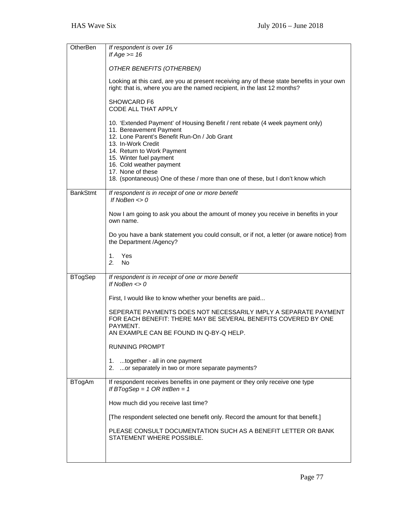| OtherBen        | If respondent is over 16<br>If Age $>= 16$                                                                                                                              |
|-----------------|-------------------------------------------------------------------------------------------------------------------------------------------------------------------------|
|                 | OTHER BENEFITS (OTHERBEN)                                                                                                                                               |
|                 | Looking at this card, are you at present receiving any of these state benefits in your own<br>right: that is, where you are the named recipient, in the last 12 months? |
|                 |                                                                                                                                                                         |
|                 | <b>SHOWCARD F6</b><br>CODE ALL THAT APPLY                                                                                                                               |
|                 | 10. 'Extended Payment' of Housing Benefit / rent rebate (4 week payment only)<br>11. Bereavement Payment<br>12. Lone Parent's Benefit Run-On / Job Grant                |
|                 | 13. In-Work Credit                                                                                                                                                      |
|                 | 14. Return to Work Payment<br>15. Winter fuel payment                                                                                                                   |
|                 | 16. Cold weather payment<br>17. None of these                                                                                                                           |
|                 | 18. (spontaneous) One of these / more than one of these, but I don't know which                                                                                         |
| <b>BankStmt</b> | If respondent is in receipt of one or more benefit<br>If NoBen $\lt$ > 0                                                                                                |
|                 | Now I am going to ask you about the amount of money you receive in benefits in your<br>own name.                                                                        |
|                 | Do you have a bank statement you could consult, or if not, a letter (or aware notice) from<br>the Department /Agency?                                                   |
|                 | Yes<br>1.<br>2.<br><b>No</b>                                                                                                                                            |
| <b>BTogSep</b>  | If respondent is in receipt of one or more benefit                                                                                                                      |
|                 | If NoBen $\lt$ > 0                                                                                                                                                      |
|                 | First, I would like to know whether your benefits are paid                                                                                                              |
|                 | SEPERATE PAYMENTS DOES NOT NECESSARILY IMPLY A SEPARATE PAYMENT<br>FOR EACH BENEFIT: THERE MAY BE SEVERAL BENEFITS COVERED BY ONE<br>PAYMENT.                           |
|                 | AN EXAMPLE CAN BE FOUND IN Q-BY-Q HELP.                                                                                                                                 |
|                 | <b>RUNNING PROMPT</b>                                                                                                                                                   |
|                 | together - all in one payment<br>1.<br>or separately in two or more separate payments?<br>2.                                                                            |
| <b>BTogAm</b>   | If respondent receives benefits in one payment or they only receive one type<br>If BTogSep = 1 OR IntBen = 1                                                            |
|                 | How much did you receive last time?                                                                                                                                     |
|                 | [The respondent selected one benefit only. Record the amount for that benefit.]                                                                                         |
|                 | PLEASE CONSULT DOCUMENTATION SUCH AS A BENEFIT LETTER OR BANK<br>STATEMENT WHERE POSSIBLE.                                                                              |
|                 |                                                                                                                                                                         |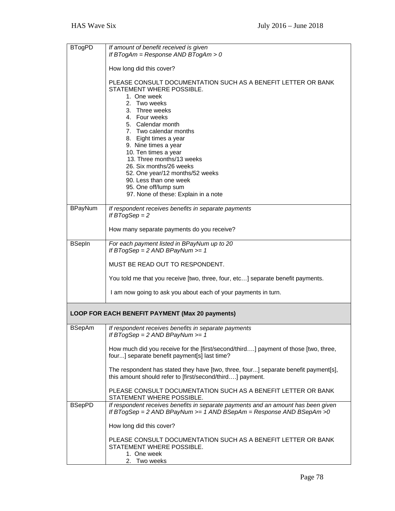| <b>BTogPD</b>  | If amount of benefit received is given                                                                                                                                                                                                                                                                                                       |
|----------------|----------------------------------------------------------------------------------------------------------------------------------------------------------------------------------------------------------------------------------------------------------------------------------------------------------------------------------------------|
|                | If BTogAm = Response AND BTogAm > 0                                                                                                                                                                                                                                                                                                          |
|                | How long did this cover?                                                                                                                                                                                                                                                                                                                     |
|                | PLEASE CONSULT DOCUMENTATION SUCH AS A BENEFIT LETTER OR BANK<br>STATEMENT WHERE POSSIBLE.<br>1. One week<br>2. Two weeks<br>3. Three weeks<br>4. Four weeks<br>5. Calendar month<br>7. Two calendar months<br>8. Eight times a year<br>9. Nine times a year<br>10. Ten times a year<br>13. Three months/13 weeks<br>26. Six months/26 weeks |
|                | 52. One year/12 months/52 weeks<br>90. Less than one week                                                                                                                                                                                                                                                                                    |
|                | 95. One off/lump sum                                                                                                                                                                                                                                                                                                                         |
|                | 97. None of these: Explain in a note                                                                                                                                                                                                                                                                                                         |
| <b>BPayNum</b> | If respondent receives benefits in separate payments<br>If $B7ogSep = 2$                                                                                                                                                                                                                                                                     |
|                | How many separate payments do you receive?                                                                                                                                                                                                                                                                                                   |
| <b>BSepIn</b>  | For each payment listed in BPayNum up to 20<br>If BTogSep = $2$ AND BPayNum >= $1$                                                                                                                                                                                                                                                           |
|                | MUST BE READ OUT TO RESPONDENT.                                                                                                                                                                                                                                                                                                              |
|                | You told me that you receive [two, three, four, etc] separate benefit payments.                                                                                                                                                                                                                                                              |
|                | I am now going to ask you about each of your payments in turn.                                                                                                                                                                                                                                                                               |
|                | LOOP FOR EACH BENEFIT PAYMENT (Max 20 payments)                                                                                                                                                                                                                                                                                              |
| <b>BSepAm</b>  | If respondent receives benefits in separate payments<br>If BTogSep = $2$ AND BPayNum >= $1$                                                                                                                                                                                                                                                  |
|                | How much did you receive for the [first/second/third] payment of those [two, three,<br>four] separate benefit payment[s] last time?                                                                                                                                                                                                          |
|                | The respondent has stated they have [two, three, four] separate benefit payment[s],<br>this amount should refer to [first/second/third] payment.                                                                                                                                                                                             |
|                | PLEASE CONSULT DOCUMENTATION SUCH AS A BENEFIT LETTER OR BANK<br>STATEMENT WHERE POSSIBLE.                                                                                                                                                                                                                                                   |
| <b>BSepPD</b>  | If respondent receives benefits in separate payments and an amount has been given<br>If BTogSep = $2$ AND BPayNum >= $1$ AND BSepAm = Response AND BSepAm > 0                                                                                                                                                                                |
|                | How long did this cover?                                                                                                                                                                                                                                                                                                                     |
|                | PLEASE CONSULT DOCUMENTATION SUCH AS A BENEFIT LETTER OR BANK<br>STATEMENT WHERE POSSIBLE.                                                                                                                                                                                                                                                   |
|                | 1. One week<br>2. Two weeks                                                                                                                                                                                                                                                                                                                  |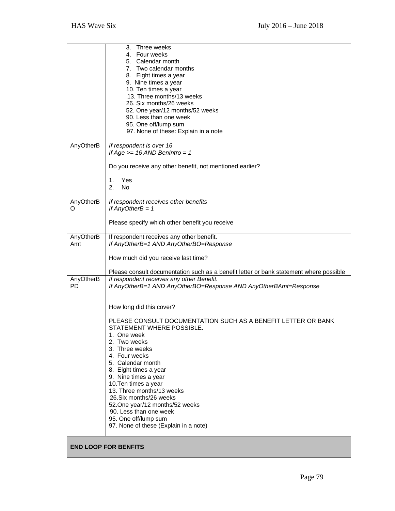|                | Three weeks<br>3.                                                                      |
|----------------|----------------------------------------------------------------------------------------|
|                | 4. Four weeks                                                                          |
|                | 5. Calendar month<br>7. Two calendar months                                            |
|                | 8. Eight times a year                                                                  |
|                | 9. Nine times a year                                                                   |
|                | 10. Ten times a year                                                                   |
|                | 13. Three months/13 weeks                                                              |
|                | 26. Six months/26 weeks                                                                |
|                | 52. One year/12 months/52 weeks                                                        |
|                | 90. Less than one week                                                                 |
|                | 95. One off/lump sum                                                                   |
|                | 97. None of these: Explain in a note                                                   |
| AnyOtherB      | If respondent is over 16                                                               |
|                | If Age $>= 16$ AND BenIntro = 1                                                        |
|                |                                                                                        |
|                | Do you receive any other benefit, not mentioned earlier?                               |
|                | 1.<br>Yes                                                                              |
|                | 2.<br><b>No</b>                                                                        |
|                |                                                                                        |
| AnyOtherB<br>O | If respondent receives other benefits<br>If $AnyOtherB = 1$                            |
|                |                                                                                        |
|                | Please specify which other benefit you receive                                         |
|                |                                                                                        |
| AnyOtherB      | If respondent receives any other benefit.                                              |
| Amt            | If AnyOtherB=1 AND AnyOtherBO=Response                                                 |
|                | How much did you receive last time?                                                    |
|                |                                                                                        |
|                | Please consult documentation such as a benefit letter or bank statement where possible |
| AnyOtherB      | If respondent receives any other Benefit.                                              |
| <b>PD</b>      | If AnyOtherB=1 AND AnyOtherBO=Response AND AnyOtherBAmt=Response                       |
|                |                                                                                        |
|                | How long did this cover?                                                               |
|                |                                                                                        |
|                | PLEASE CONSULT DOCUMENTATION SUCH AS A BENEFIT LETTER OR BANK                          |
|                | STATEMENT WHERE POSSIBLE.                                                              |
|                | 1. One week                                                                            |
|                | 2. Two weeks                                                                           |
|                | 3. Three weeks                                                                         |
|                | 4. Four weeks<br>5. Calendar month                                                     |
|                | 8. Eight times a year                                                                  |
|                | 9. Nine times a year                                                                   |
|                | 10. Ten times a year                                                                   |
|                | 13. Three months/13 weeks                                                              |
|                | 26. Six months/26 weeks                                                                |
|                | 52. One year/12 months/52 weeks                                                        |
|                | 90. Less than one week                                                                 |
|                | 95. One off/lump sum<br>97. None of these (Explain in a note)                          |
|                |                                                                                        |
|                |                                                                                        |
|                | <b>END LOOP FOR BENFITS</b>                                                            |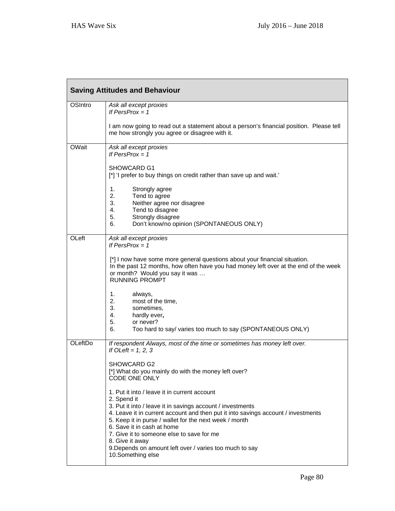| <b>Saving Attitudes and Behaviour</b> |                                                                                                                                                                                                                                                                                                                                                                                                                                                        |  |
|---------------------------------------|--------------------------------------------------------------------------------------------------------------------------------------------------------------------------------------------------------------------------------------------------------------------------------------------------------------------------------------------------------------------------------------------------------------------------------------------------------|--|
| <b>OSIntro</b>                        | Ask all except proxies<br>If PersProx = $1$                                                                                                                                                                                                                                                                                                                                                                                                            |  |
|                                       | I am now going to read out a statement about a person's financial position. Please tell<br>me how strongly you agree or disagree with it.                                                                                                                                                                                                                                                                                                              |  |
| OWait                                 | Ask all except proxies<br>If $PersProx = 1$                                                                                                                                                                                                                                                                                                                                                                                                            |  |
|                                       | SHOWCARD G1<br>[*] 'I prefer to buy things on credit rather than save up and wait.'                                                                                                                                                                                                                                                                                                                                                                    |  |
|                                       | 1.<br>Strongly agree<br>2.<br>Tend to agree<br>3.<br>Neither agree nor disagree<br>4.<br>Tend to disagree                                                                                                                                                                                                                                                                                                                                              |  |
|                                       | Strongly disagree<br>5.<br>Don't know/no opinion (SPONTANEOUS ONLY)<br>6.                                                                                                                                                                                                                                                                                                                                                                              |  |
| OLeft                                 | Ask all except proxies<br>If $PersProx = 1$                                                                                                                                                                                                                                                                                                                                                                                                            |  |
|                                       | [*] I now have some more general questions about your financial situation.<br>In the past 12 months, how often have you had money left over at the end of the week<br>or month? Would you say it was<br><b>RUNNING PROMPT</b>                                                                                                                                                                                                                          |  |
|                                       | 1.<br>always,<br>2.<br>most of the time,<br>3.<br>sometimes,<br>4.<br>hardly ever,<br>5.<br>or never?<br>6.<br>Too hard to say/ varies too much to say (SPONTANEOUS ONLY)                                                                                                                                                                                                                                                                              |  |
| OLeftDo                               | If respondent Always, most of the time or sometimes has money left over.<br>If OLeft = $1, 2, 3$                                                                                                                                                                                                                                                                                                                                                       |  |
|                                       | SHOWCARD G2<br>[*] What do you mainly do with the money left over?<br>CODE ONE ONLY                                                                                                                                                                                                                                                                                                                                                                    |  |
|                                       | 1. Put it into / leave it in current account<br>2. Spend it<br>3. Put it into / leave it in savings account / investments<br>4. Leave it in current account and then put it into savings account / investments<br>5. Keep it in purse / wallet for the next week / month<br>6. Save it in cash at home<br>7. Give it to someone else to save for me<br>8. Give it away<br>9. Depends on amount left over / varies too much to say<br>10.Something else |  |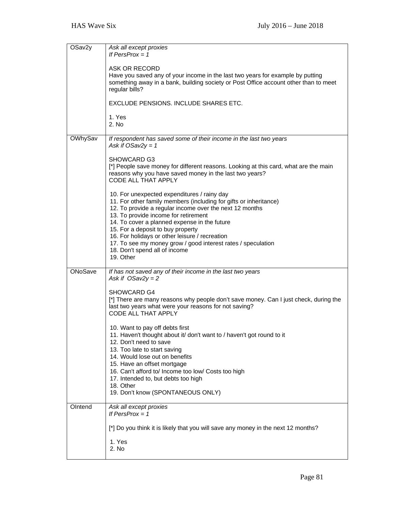| OSav2y  | Ask all except proxies<br>If $PersProx = 1$                                                                                                                                                                                                                                                                                                                |
|---------|------------------------------------------------------------------------------------------------------------------------------------------------------------------------------------------------------------------------------------------------------------------------------------------------------------------------------------------------------------|
|         | ASK OR RECORD<br>Have you saved any of your income in the last two years for example by putting<br>something away in a bank, building society or Post Office account other than to meet<br>regular bills?                                                                                                                                                  |
|         | EXCLUDE PENSIONS. INCLUDE SHARES ETC.                                                                                                                                                                                                                                                                                                                      |
|         | 1. Yes<br>2. No                                                                                                                                                                                                                                                                                                                                            |
| OWhySav | If respondent has saved some of their income in the last two years<br>Ask if $OSav2y = 1$                                                                                                                                                                                                                                                                  |
|         | <b>SHOWCARD G3</b><br>[*] People save money for different reasons. Looking at this card, what are the main<br>reasons why you have saved money in the last two years?<br>CODE ALL THAT APPLY                                                                                                                                                               |
|         | 10. For unexpected expenditures / rainy day<br>11. For other family members (including for gifts or inheritance)<br>12. To provide a regular income over the next 12 months<br>13. To provide income for retirement<br>14. To cover a planned expense in the future<br>15. For a deposit to buy property<br>16. For holidays or other leisure / recreation |
|         | 17. To see my money grow / good interest rates / speculation<br>18. Don't spend all of income<br>19. Other                                                                                                                                                                                                                                                 |
| ONoSave | If has not saved any of their income in the last two years<br>Ask if $OSav2y = 2$                                                                                                                                                                                                                                                                          |
|         | <b>SHOWCARD G4</b><br>[*] There are many reasons why people don't save money. Can I just check, during the<br>last two years what were your reasons for not saving?<br>CODE ALL THAT APPLY                                                                                                                                                                 |
|         | 10. Want to pay off debts first<br>11. Haven't thought about it/ don't want to / haven't got round to it<br>12. Don't need to save<br>13. Too late to start saving<br>14. Would lose out on benefits<br>15. Have an offset mortgage<br>16. Can't afford to/ Income too low/ Costs too high<br>17. Intended to, but debts too high                          |
|         | 18. Other<br>19. Don't know (SPONTANEOUS ONLY)                                                                                                                                                                                                                                                                                                             |
| OIntend | Ask all except proxies<br>If $PersProx = 1$                                                                                                                                                                                                                                                                                                                |
|         | [*] Do you think it is likely that you will save any money in the next 12 months?                                                                                                                                                                                                                                                                          |
|         | 1. Yes<br>2. No                                                                                                                                                                                                                                                                                                                                            |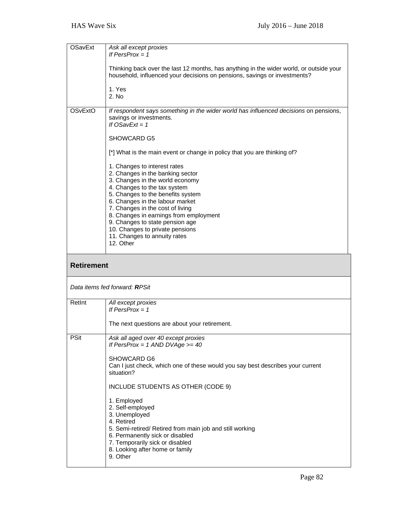| <b>OSavExt</b>    | Ask all except proxies<br>If PersProx = $1$                                                                                                                                                                                                                                                                                                                                                                  |
|-------------------|--------------------------------------------------------------------------------------------------------------------------------------------------------------------------------------------------------------------------------------------------------------------------------------------------------------------------------------------------------------------------------------------------------------|
|                   | Thinking back over the last 12 months, has anything in the wider world, or outside your<br>household, influenced your decisions on pensions, savings or investments?                                                                                                                                                                                                                                         |
|                   | 1. Yes<br>2. No                                                                                                                                                                                                                                                                                                                                                                                              |
| <b>OSvExtO</b>    | If respondent says something in the wider world has influenced decisions on pensions,<br>savings or investments.<br>If $OSavExt = 1$                                                                                                                                                                                                                                                                         |
|                   | SHOWCARD G5                                                                                                                                                                                                                                                                                                                                                                                                  |
|                   | [*] What is the main event or change in policy that you are thinking of?                                                                                                                                                                                                                                                                                                                                     |
|                   | 1. Changes to interest rates<br>2. Changes in the banking sector<br>3. Changes in the world economy<br>4. Changes to the tax system<br>5. Changes to the benefits system<br>6. Changes in the labour market<br>7. Changes in the cost of living<br>8. Changes in earnings from employment<br>9. Changes to state pension age<br>10. Changes to private pensions<br>11. Changes to annuity rates<br>12. Other |
|                   |                                                                                                                                                                                                                                                                                                                                                                                                              |
| <b>Retirement</b> |                                                                                                                                                                                                                                                                                                                                                                                                              |
|                   | Data items fed forward: RPSit                                                                                                                                                                                                                                                                                                                                                                                |
| RetInt            | All except proxies<br>If $PersProx = 1$                                                                                                                                                                                                                                                                                                                                                                      |
|                   | The next questions are about your retirement.                                                                                                                                                                                                                                                                                                                                                                |
| <b>PSit</b>       | Ask all aged over 40 except proxies<br>If PersProx = $1$ AND DVAge >= $40$                                                                                                                                                                                                                                                                                                                                   |
|                   | SHOWCARD G6<br>Can I just check, which one of these would you say best describes your current<br>situation?                                                                                                                                                                                                                                                                                                  |
|                   | INCLUDE STUDENTS AS OTHER (CODE 9)                                                                                                                                                                                                                                                                                                                                                                           |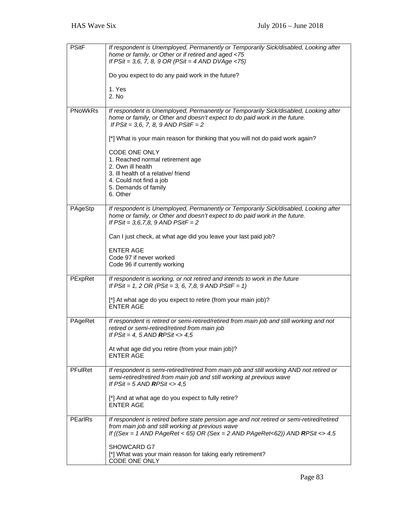| <b>PSitF</b>   | If respondent is Unemployed, Permanently or Temporarily Sick/disabled, Looking after<br>home or family, or Other or if retired and aged <75<br>If $PSit = 3,6, 7, 8, 9 \text{ OR } (PSit = 4 \text{ AND } DVAge < 75)$<br>Do you expect to do any paid work in the future?<br>1. Yes<br>2. No                               |
|----------------|-----------------------------------------------------------------------------------------------------------------------------------------------------------------------------------------------------------------------------------------------------------------------------------------------------------------------------|
| <b>PNoWkRs</b> | If respondent is Unemployed, Permanently or Temporarily Sick/disabled, Looking after<br>home or family, or Other and doesn't expect to do paid work in the future.<br>If $PSit = 3, 6, 7, 8, 9$ AND $PSitF = 2$                                                                                                             |
|                | [*] What is your main reason for thinking that you will not do paid work again?<br>CODE ONE ONLY<br>1. Reached normal retirement age<br>2. Own ill health<br>3. Ill health of a relative/friend<br>4. Could not find a job<br>5. Demands of family<br>6. Other                                                              |
| PAgeStp        | If respondent is Unemployed, Permanently or Temporarily Sick/disabled, Looking after<br>home or family, or Other and doesn't expect to do paid work in the future.<br>If $PSit = 3, 6, 7, 8, 9$ AND $PSitF = 2$<br>Can I just check, at what age did you leave your last paid job?<br><b>ENTER AGE</b>                      |
|                | Code 97 if never worked<br>Code 96 if currently working                                                                                                                                                                                                                                                                     |
| PExpRet        | If respondent is working, or not retired and intends to work in the future<br>If $PSit = 1$ , 2 OR ( $PSit = 3$ , 6, 7,8, 9 AND $PSitF = 1$ )<br>[*] At what age do you expect to retire (from your main job)?<br><b>ENTER AGE</b>                                                                                          |
| PAgeRet        | If respondent is retired or semi-retired/retired from main job and still working and not<br>retired or semi-retired/retired from main job<br>If $PSit = 4$ , 5 AND RPSit $\langle 4, 5 \rangle$<br>At what age did you retire (from your main job)?<br><b>ENTER AGE</b>                                                     |
| <b>PFulRet</b> | If respondent is semi-retired/retired from main job and still working AND not retired or<br>semi-retired/retired from main job and still working at previous wave<br>If $PSit = 5$ AND RPSit <> 4,5<br>[*] And at what age do you expect to fully retire?<br><b>ENTER AGE</b>                                               |
| PEarlRs        | If respondent is retired before state pension age and not retired or semi-retired/retired<br>from main job and still working at previous wave<br>If ((Sex = 1 AND PAgeRet < 65) OR (Sex = 2 AND PAgeRet<62)) AND RPSit <> 4,5<br>SHOWCARD G7<br>[*] What was your main reason for taking early retirement?<br>CODE ONE ONLY |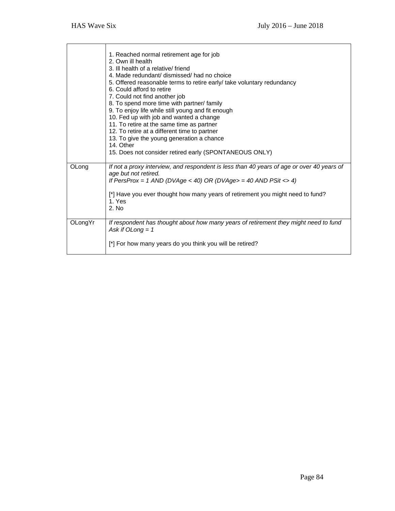|         | 1. Reached normal retirement age for job<br>2. Own ill health<br>3. Ill health of a relative/friend<br>4. Made redundant/ dismissed/ had no choice<br>5. Offered reasonable terms to retire early/ take voluntary redundancy<br>6. Could afford to retire<br>7. Could not find another job<br>8. To spend more time with partner/ family<br>9. To enjoy life while still young and fit enough<br>10. Fed up with job and wanted a change<br>11. To retire at the same time as partner<br>12. To retire at a different time to partner<br>13. To give the young generation a chance<br>14. Other<br>15. Does not consider retired early (SPONTANEOUS ONLY) |
|---------|-----------------------------------------------------------------------------------------------------------------------------------------------------------------------------------------------------------------------------------------------------------------------------------------------------------------------------------------------------------------------------------------------------------------------------------------------------------------------------------------------------------------------------------------------------------------------------------------------------------------------------------------------------------|
| OLong   | If not a proxy interview, and respondent is less than 40 years of age or over 40 years of<br>age but not retired.<br>If PersProx = 1 AND (DVAge < 40) OR (DVAge> = 40 AND PSit <> 4)<br>[*] Have you ever thought how many years of retirement you might need to fund?<br>1. Yes<br>2. No                                                                                                                                                                                                                                                                                                                                                                 |
| OLongYr | If respondent has thought about how many years of retirement they might need to fund<br>Ask if $Olong = 1$<br>[*] For how many years do you think you will be retired?                                                                                                                                                                                                                                                                                                                                                                                                                                                                                    |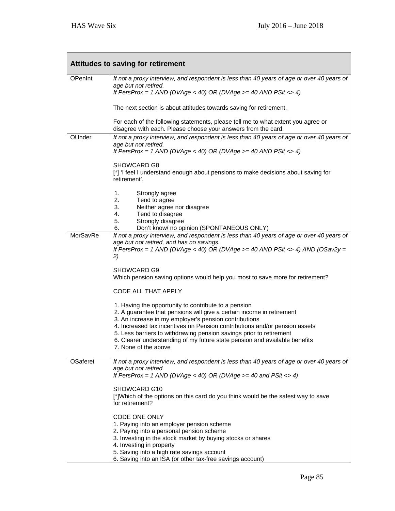| <b>Attitudes to saving for retirement</b> |                                                                                                                                                                                                                                                                                                                                                                                                                                                   |  |
|-------------------------------------------|---------------------------------------------------------------------------------------------------------------------------------------------------------------------------------------------------------------------------------------------------------------------------------------------------------------------------------------------------------------------------------------------------------------------------------------------------|--|
| OPenInt                                   | If not a proxy interview, and respondent is less than 40 years of age or over 40 years of<br>age but not retired.<br>If PersProx = 1 AND (DVAge < 40) OR (DVAge >= 40 AND PSit <> 4)                                                                                                                                                                                                                                                              |  |
|                                           | The next section is about attitudes towards saving for retirement.                                                                                                                                                                                                                                                                                                                                                                                |  |
|                                           | For each of the following statements, please tell me to what extent you agree or<br>disagree with each. Please choose your answers from the card.                                                                                                                                                                                                                                                                                                 |  |
| OUnder                                    | If not a proxy interview, and respondent is less than 40 years of age or over 40 years of<br>age but not retired.<br>If PersProx = 1 AND (DVAge < 40) OR (DVAge >= 40 AND PSit <> 4)                                                                                                                                                                                                                                                              |  |
|                                           | SHOWCARD G8<br>[*] 'I feel I understand enough about pensions to make decisions about saving for<br>retirement'.                                                                                                                                                                                                                                                                                                                                  |  |
|                                           | 1.<br>Strongly agree<br>2.<br>Tend to agree<br>3.<br>Neither agree nor disagree<br>4.<br>Tend to disagree<br>5.<br>Strongly disagree                                                                                                                                                                                                                                                                                                              |  |
| MorSavRe                                  | 6.<br>Don't know/ no opinion (SPONTANEOUS ONLY)<br>If not a proxy interview, and respondent is less than 40 years of age or over 40 years of<br>age but not retired, and has no savings.<br>If PersProx = 1 AND (DVAge < 40) OR (DVAge >= 40 AND PSit <> 4) AND (OSav2y =<br>2)                                                                                                                                                                   |  |
|                                           | SHOWCARD G9<br>Which pension saving options would help you most to save more for retirement?<br>CODE ALL THAT APPLY                                                                                                                                                                                                                                                                                                                               |  |
|                                           | 1. Having the opportunity to contribute to a pension<br>2. A guarantee that pensions will give a certain income in retirement<br>3. An increase in my employer's pension contributions<br>4. Increased tax incentives on Pension contributions and/or pension assets<br>5. Less barriers to withdrawing pension savings prior to retirement<br>6. Clearer understanding of my future state pension and available benefits<br>7. None of the above |  |
| <b>OSaferet</b>                           | If not a proxy interview, and respondent is less than 40 years of age or over 40 years of<br>age but not retired.<br>If PersProx = 1 AND (DVAge < 40) OR (DVAge >= 40 and PSit <> 4)                                                                                                                                                                                                                                                              |  |
|                                           | SHOWCARD G10<br>[*]Which of the options on this card do you think would be the safest way to save<br>for retirement?                                                                                                                                                                                                                                                                                                                              |  |
|                                           | CODE ONE ONLY<br>1. Paying into an employer pension scheme<br>2. Paying into a personal pension scheme<br>3. Investing in the stock market by buying stocks or shares<br>4. Investing in property<br>5. Saving into a high rate savings account<br>6. Saving into an ISA (or other tax-free savings account)                                                                                                                                      |  |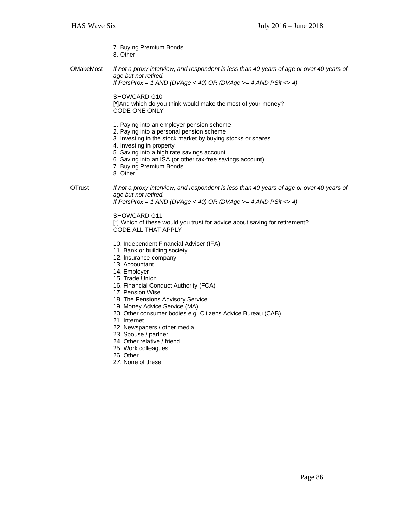|               | 7. Buying Premium Bonds<br>8. Other                                                                                                                                                            |
|---------------|------------------------------------------------------------------------------------------------------------------------------------------------------------------------------------------------|
| OMakeMost     | If not a proxy interview, and respondent is less than 40 years of age or over 40 years of<br>age but not retired.<br>If PersProx = 1 AND (DVAge < 40) OR (DVAge >= 4 AND PSit <> 4)            |
|               | SHOWCARD G10<br>[*] And which do you think would make the most of your money?<br>CODE ONE ONLY                                                                                                 |
|               | 1. Paying into an employer pension scheme<br>2. Paying into a personal pension scheme<br>3. Investing in the stock market by buying stocks or shares<br>4. Investing in property               |
|               | 5. Saving into a high rate savings account<br>6. Saving into an ISA (or other tax-free savings account)<br>7. Buying Premium Bonds<br>8. Other                                                 |
| <b>OTrust</b> | If not a proxy interview, and respondent is less than 40 years of age or over 40 years of<br>age but not retired.<br>If PersProx = 1 AND (DVAge < 40) OR (DVAge >= 4 AND PSit <> 4)            |
|               | SHOWCARD G11<br>[*] Which of these would you trust for advice about saving for retirement?<br><b>CODE ALL THAT APPLY</b>                                                                       |
|               | 10. Independent Financial Adviser (IFA)<br>11. Bank or building society<br>12. Insurance company<br>13. Accountant<br>14. Employer<br>15. Trade Union                                          |
|               | 16. Financial Conduct Authority (FCA)<br>17. Pension Wise<br>18. The Pensions Advisory Service<br>19. Money Advice Service (MA)<br>20. Other consumer bodies e.g. Citizens Advice Bureau (CAB) |
|               | 21. Internet<br>22. Newspapers / other media<br>23. Spouse / partner<br>24. Other relative / friend<br>25. Work colleagues<br>26. Other<br>27. None of these                                   |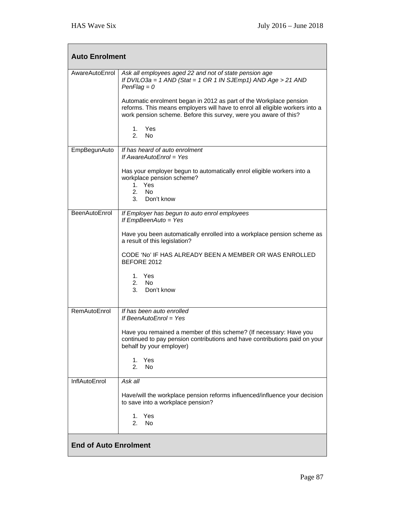| <b>Auto Enrolment</b>        |                                                                                                                                                                                                                                                                                                                                                                                           |  |
|------------------------------|-------------------------------------------------------------------------------------------------------------------------------------------------------------------------------------------------------------------------------------------------------------------------------------------------------------------------------------------------------------------------------------------|--|
| AwareAutoEnrol               | Ask all employees aged 22 and not of state pension age<br>If DVILO3a = 1 AND (Stat = 1 OR 1 IN SJEmp1) AND Age > 21 AND<br>$PenFlag = 0$<br>Automatic enrolment began in 2012 as part of the Workplace pension<br>reforms. This means employers will have to enrol all eligible workers into a<br>work pension scheme. Before this survey, were you aware of this?<br>1. Yes<br>2.<br>No. |  |
| EmpBegunAuto                 | If has heard of auto enrolment<br>If AwareAutoEnrol = $Yes$<br>Has your employer begun to automatically enrol eligible workers into a<br>workplace pension scheme?<br>1. Yes<br><b>No</b><br>2.<br>3. Don't know                                                                                                                                                                          |  |
| BeenAutoEnrol                | If Employer has begun to auto enrol employees<br>If EmpBeenAuto = Yes<br>Have you been automatically enrolled into a workplace pension scheme as<br>a result of this legislation?<br>CODE 'No' IF HAS ALREADY BEEN A MEMBER OR WAS ENROLLED<br>BEFORE 2012<br>1. Yes<br>2. No<br>3. Don't know                                                                                            |  |
| RemAutoEnrol                 | If has been auto enrolled<br>If BeenAutoEnrol = Yes<br>Have you remained a member of this scheme? (If necessary: Have you<br>continued to pay pension contributions and have contributions paid on your<br>behalf by your employer)<br>1. Yes<br>2.<br>No                                                                                                                                 |  |
| InflAutoEnrol                | Ask all<br>Have/will the workplace pension reforms influenced/influence your decision<br>to save into a workplace pension?<br>Yes<br>1.<br>2.<br>No                                                                                                                                                                                                                                       |  |
| <b>End of Auto Enrolment</b> |                                                                                                                                                                                                                                                                                                                                                                                           |  |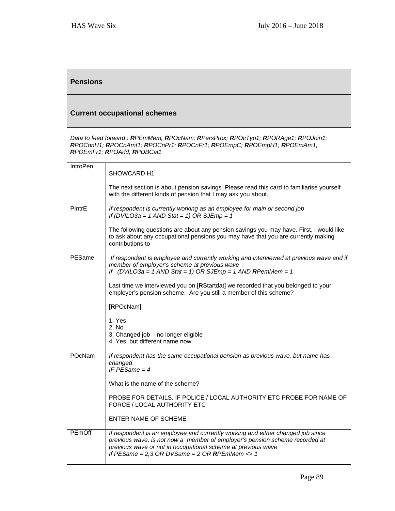| <b>Pensions</b>                     |                                                                                                                                                                                                                                                                                       |
|-------------------------------------|---------------------------------------------------------------------------------------------------------------------------------------------------------------------------------------------------------------------------------------------------------------------------------------|
| <b>Current occupational schemes</b> |                                                                                                                                                                                                                                                                                       |
|                                     | Data to feed forward: RPEmMem, RPOcNam; RPersProx; RPOcTyp1; RPORAge1; RPOJoin1;<br>RPOConH1; RPOCnAmt1; RPOCnPr1; RPOCnFr1; RPOEmpC; RPOEmpH1; RPOEmAm1;<br>RPOEmFr1; RPOAdd; RPDBCal1                                                                                               |
| <b>IntroPen</b>                     | SHOWCARD H1                                                                                                                                                                                                                                                                           |
|                                     | The next section is about pension savings. Please read this card to familiarise yourself<br>with the different kinds of pension that I may ask you about.                                                                                                                             |
| PIntrE                              | If respondent is currently working as an employee for main or second job<br>If (DVILO3a = 1 AND Stat = 1) OR SJEmp = 1                                                                                                                                                                |
|                                     | The following questions are about any pension savings you may have. First, I would like<br>to ask about any occupational pensions you may have that you are currently making<br>contributions to                                                                                      |
| PESame                              | If respondent is employee and currently working and interviewed at previous wave and if<br>member of employer's scheme at previous wave<br>If (DVILO3a = 1 AND Stat = 1) OR SJEmp = 1 AND RPemMem = 1                                                                                 |
|                                     | Last time we interviewed you on [RStartdat] we recorded that you belonged to your<br>employer's pension scheme. Are you still a member of this scheme?                                                                                                                                |
|                                     | [RPOcNam]                                                                                                                                                                                                                                                                             |
|                                     | 1. Yes<br>2. No<br>3. Changed job - no longer eligible<br>4. Yes, but different name now                                                                                                                                                                                              |
| POcNam                              | If respondent has the same occupational pension as previous wave, but name has<br>changed<br>IF PESame $=$ 4                                                                                                                                                                          |
|                                     | What is the name of the scheme?                                                                                                                                                                                                                                                       |
|                                     | PROBE FOR DETAILS. IF POLICE / LOCAL AUTHORITY ETC PROBE FOR NAME OF<br>FORCE / LOCAL AUTHORITY ETC                                                                                                                                                                                   |
|                                     | <b>ENTER NAME OF SCHEME</b>                                                                                                                                                                                                                                                           |
| PEmOff                              | If respondent is an employee and currently working and either changed job since<br>previous wave, is not now a member of employer's pension scheme recorded at<br>previous wave or not in occupational scheme at previous wave<br>If PESame = $2,3$ OR DVSame = $2$ OR RPEmMem <> $1$ |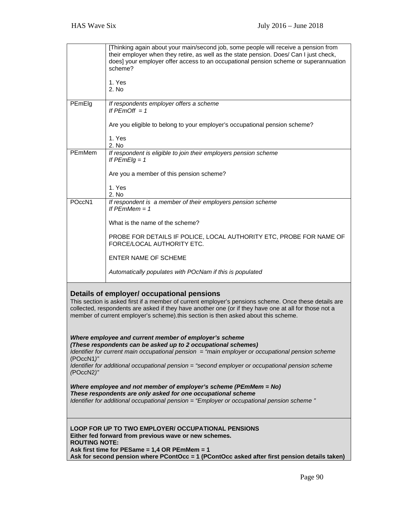|                                                                                                                                                                                                                                                                                                                                                                                                                                                                               | [Thinking again about your main/second job, some people will receive a pension from<br>their employer when they retire, as well as the state pension. Does/ Can I just check,<br>does] your employer offer access to an occupational pension scheme or superannuation<br>scheme? |  |
|-------------------------------------------------------------------------------------------------------------------------------------------------------------------------------------------------------------------------------------------------------------------------------------------------------------------------------------------------------------------------------------------------------------------------------------------------------------------------------|----------------------------------------------------------------------------------------------------------------------------------------------------------------------------------------------------------------------------------------------------------------------------------|--|
|                                                                                                                                                                                                                                                                                                                                                                                                                                                                               | 1. Yes<br>2. No                                                                                                                                                                                                                                                                  |  |
| PEmElg                                                                                                                                                                                                                                                                                                                                                                                                                                                                        | If respondents employer offers a scheme<br>If $PEmOff = 1$                                                                                                                                                                                                                       |  |
|                                                                                                                                                                                                                                                                                                                                                                                                                                                                               | Are you eligible to belong to your employer's occupational pension scheme?                                                                                                                                                                                                       |  |
|                                                                                                                                                                                                                                                                                                                                                                                                                                                                               | 1. Yes<br>2. No                                                                                                                                                                                                                                                                  |  |
| PEmMem                                                                                                                                                                                                                                                                                                                                                                                                                                                                        | If respondent is eligible to join their employers pension scheme<br>If $PEmElg = 1$                                                                                                                                                                                              |  |
|                                                                                                                                                                                                                                                                                                                                                                                                                                                                               | Are you a member of this pension scheme?                                                                                                                                                                                                                                         |  |
|                                                                                                                                                                                                                                                                                                                                                                                                                                                                               | 1. Yes<br>2. No                                                                                                                                                                                                                                                                  |  |
| POccN1                                                                                                                                                                                                                                                                                                                                                                                                                                                                        | If respondent is a member of their employers pension scheme<br>If $PEmMem = 1$                                                                                                                                                                                                   |  |
|                                                                                                                                                                                                                                                                                                                                                                                                                                                                               | What is the name of the scheme?                                                                                                                                                                                                                                                  |  |
|                                                                                                                                                                                                                                                                                                                                                                                                                                                                               | PROBE FOR DETAILS IF POLICE, LOCAL AUTHORITY ETC, PROBE FOR NAME OF<br>FORCE/LOCAL AUTHORITY ETC.                                                                                                                                                                                |  |
|                                                                                                                                                                                                                                                                                                                                                                                                                                                                               | <b>ENTER NAME OF SCHEME</b>                                                                                                                                                                                                                                                      |  |
|                                                                                                                                                                                                                                                                                                                                                                                                                                                                               | Automatically populates with POcNam if this is populated                                                                                                                                                                                                                         |  |
| Details of employer/ occupational pensions<br>This section is asked first if a member of current employer's pensions scheme. Once these details are<br>collected, respondents are asked if they have another one (or if they have one at all for those not a<br>member of current employer's scheme).this section is then asked about this scheme.<br>Where employee and current member of employer's scheme<br>(These respondents can be asked up to 2 occupational schemes) |                                                                                                                                                                                                                                                                                  |  |
| Identifier for current main occupational pension $=$ "main employer or occupational pension scheme<br>(POccN1)"<br>Identifier for additional occupational pension = "second employer or occupational pension scheme<br>(POccN2)"                                                                                                                                                                                                                                              |                                                                                                                                                                                                                                                                                  |  |
| Where employee and not member of employer's scheme (PEmMem = $No$ )<br>These respondents are only asked for one occupational scheme<br>Identifier for additional occupational pension = "Employer or occupational pension scheme"                                                                                                                                                                                                                                             |                                                                                                                                                                                                                                                                                  |  |
| <b>LOOP FOR UP TO TWO EMPLOYER/ OCCUPATIONAL PENSIONS</b><br>Either fed forward from previous wave or new schemes.<br><b>ROUTING NOTE:</b><br>Ask first time for PESame = 1,4 OR PEmMem = 1<br>Ask for second pension where PContOcc = 1 (PContOcc asked after first pension details taken)                                                                                                                                                                                   |                                                                                                                                                                                                                                                                                  |  |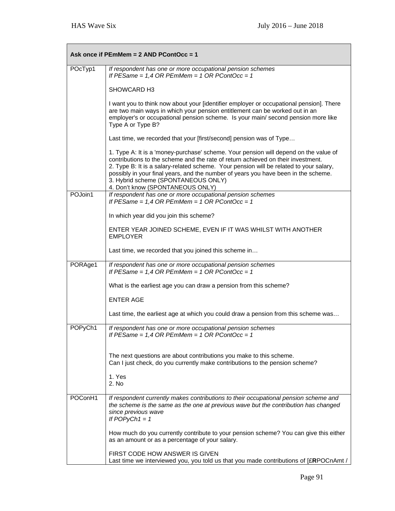|         | Ask once if PEmMem = 2 AND PContOcc = 1                                                                                                                                                                                                                                                                                                                                                                                             |
|---------|-------------------------------------------------------------------------------------------------------------------------------------------------------------------------------------------------------------------------------------------------------------------------------------------------------------------------------------------------------------------------------------------------------------------------------------|
| POcTyp1 | If respondent has one or more occupational pension schemes<br>If PESame = $1,4$ OR PEmMem = $1$ OR PContOcc = $1$                                                                                                                                                                                                                                                                                                                   |
|         | SHOWCARD H3                                                                                                                                                                                                                                                                                                                                                                                                                         |
|         | I want you to think now about your [identifier employer or occupational pension]. There<br>are two main ways in which your pension entitlement can be worked out in an<br>employer's or occupational pension scheme. Is your main/ second pension more like<br>Type A or Type B?                                                                                                                                                    |
|         | Last time, we recorded that your [first/second] pension was of Type                                                                                                                                                                                                                                                                                                                                                                 |
|         | 1. Type A: It is a 'money-purchase' scheme. Your pension will depend on the value of<br>contributions to the scheme and the rate of return achieved on their investment.<br>2. Type B: It is a salary-related scheme. Your pension will be related to your salary,<br>possibly in your final years, and the number of years you have been in the scheme.<br>3. Hybrid scheme (SPONTANEOUS ONLY)<br>4. Don't know (SPONTANEOUS ONLY) |
| POJoin1 | If respondent has one or more occupational pension schemes<br>If PESame = $1,4$ OR PEmMem = $1$ OR PContOcc = $1$                                                                                                                                                                                                                                                                                                                   |
|         | In which year did you join this scheme?                                                                                                                                                                                                                                                                                                                                                                                             |
|         | ENTER YEAR JOINED SCHEME, EVEN IF IT WAS WHILST WITH ANOTHER<br><b>EMPLOYER</b>                                                                                                                                                                                                                                                                                                                                                     |
|         | Last time, we recorded that you joined this scheme in                                                                                                                                                                                                                                                                                                                                                                               |
| PORAge1 | If respondent has one or more occupational pension schemes<br>If PESame = $1,4$ OR PEmMem = $1$ OR PContOcc = $1$                                                                                                                                                                                                                                                                                                                   |
|         | What is the earliest age you can draw a pension from this scheme?                                                                                                                                                                                                                                                                                                                                                                   |
|         | <b>ENTER AGE</b>                                                                                                                                                                                                                                                                                                                                                                                                                    |
|         | Last time, the earliest age at which you could draw a pension from this scheme was                                                                                                                                                                                                                                                                                                                                                  |
| POPyCh1 | If respondent has one or more occupational pension schemes<br>If $PESame = 1,4$ OR $PEmMem = 1$ OR $PContOcc = 1$                                                                                                                                                                                                                                                                                                                   |
|         | The next questions are about contributions you make to this scheme.<br>Can I just check, do you currently make contributions to the pension scheme?                                                                                                                                                                                                                                                                                 |
|         | 1. Yes<br>2. No                                                                                                                                                                                                                                                                                                                                                                                                                     |
| POConH1 | If respondent currently makes contributions to their occupational pension scheme and<br>the scheme is the same as the one at previous wave but the contribution has changed<br>since previous wave<br>If $POPyCh1 = 1$                                                                                                                                                                                                              |
|         | How much do you currently contribute to your pension scheme? You can give this either<br>as an amount or as a percentage of your salary.                                                                                                                                                                                                                                                                                            |
|         | FIRST CODE HOW ANSWER IS GIVEN<br>Last time we interviewed you, you told us that you made contributions of [£RPOCnAmt /                                                                                                                                                                                                                                                                                                             |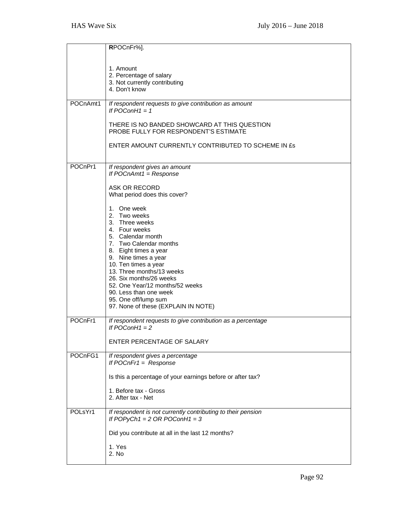|          | RPOCnFr%].                                                                                                                                                                                                                                     |
|----------|------------------------------------------------------------------------------------------------------------------------------------------------------------------------------------------------------------------------------------------------|
|          |                                                                                                                                                                                                                                                |
|          | 1. Amount<br>2. Percentage of salary<br>3. Not currently contributing<br>4. Don't know                                                                                                                                                         |
| POCnAmt1 | If respondent requests to give contribution as amount<br>If $POConH1 = 1$                                                                                                                                                                      |
|          | THERE IS NO BANDED SHOWCARD AT THIS QUESTION<br>PROBE FULLY FOR RESPONDENT'S ESTIMATE                                                                                                                                                          |
|          | ENTER AMOUNT CURRENTLY CONTRIBUTED TO SCHEME IN £s                                                                                                                                                                                             |
| POCnPr1  | If respondent gives an amount<br>If $POCnAmt1 = Response$                                                                                                                                                                                      |
|          | ASK OR RECORD<br>What period does this cover?                                                                                                                                                                                                  |
|          | 1. One week<br>2. Two weeks<br>3. Three weeks<br>4. Four weeks<br>5. Calendar month<br>7. Two Calendar months<br>8. Eight times a year<br>9. Nine times a year<br>10. Ten times a year<br>13. Three months/13 weeks<br>26. Six months/26 weeks |
|          | 52. One Year/12 months/52 weeks<br>90. Less than one week<br>95. One off/lump sum<br>97. None of these (EXPLAIN IN NOTE)                                                                                                                       |
| POCnFr1  | If respondent requests to give contribution as a percentage<br>If $POConH1 = 2$                                                                                                                                                                |
|          | ENTER PERCENTAGE OF SALARY                                                                                                                                                                                                                     |
| POCnFG1  | If respondent gives a percentage<br>If $POcnFr1 = Response$                                                                                                                                                                                    |
|          | Is this a percentage of your earnings before or after tax?                                                                                                                                                                                     |
|          | 1. Before tax - Gross<br>2. After tax - Net                                                                                                                                                                                                    |
| POLsYr1  | If respondent is not currently contributing to their pension<br>If POPyCh1 = $2$ OR POConH1 = $3$                                                                                                                                              |
|          | Did you contribute at all in the last 12 months?                                                                                                                                                                                               |
|          | 1. Yes<br>2. No                                                                                                                                                                                                                                |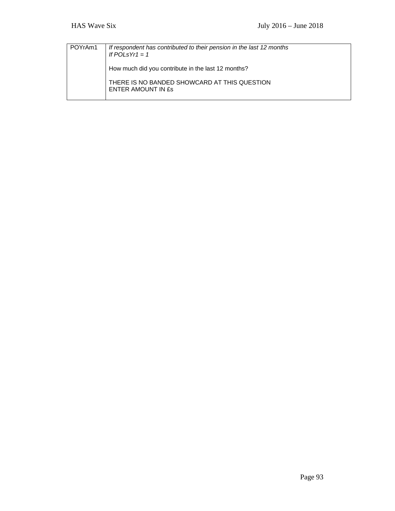| l POYrAm1 | If respondent has contributed to their pension in the last 12 months<br>If POLsYr1 $= 1$ |
|-----------|------------------------------------------------------------------------------------------|
|           | How much did you contribute in the last 12 months?                                       |
|           | THERE IS NO BANDED SHOWCARD AT THIS QUESTION<br>ENTER AMOUNT IN £s                       |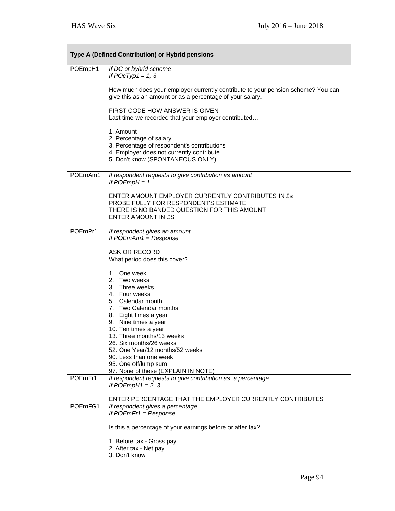| Type A (Defined Contribution) or Hybrid pensions |                                                                                                                                                                                                                                                                                   |  |
|--------------------------------------------------|-----------------------------------------------------------------------------------------------------------------------------------------------------------------------------------------------------------------------------------------------------------------------------------|--|
| POEmpH1                                          | If DC or hybrid scheme<br>If $POCType1 = 1, 3$                                                                                                                                                                                                                                    |  |
|                                                  | How much does your employer currently contribute to your pension scheme? You can<br>give this as an amount or as a percentage of your salary.                                                                                                                                     |  |
|                                                  | FIRST CODE HOW ANSWER IS GIVEN<br>Last time we recorded that your employer contributed                                                                                                                                                                                            |  |
|                                                  | 1. Amount<br>2. Percentage of salary<br>3. Percentage of respondent's contributions<br>4. Employer does not currently contribute<br>5. Don't know (SPONTANEOUS ONLY)                                                                                                              |  |
| POEmAm1                                          | If respondent requests to give contribution as amount<br>If $POEmpH = 1$                                                                                                                                                                                                          |  |
|                                                  | ENTER AMOUNT EMPLOYER CURRENTLY CONTRIBUTES IN ES<br>PROBE FULLY FOR RESPONDENT'S ESTIMATE<br>THERE IS NO BANDED QUESTION FOR THIS AMOUNT<br>ENTER AMOUNT IN £S                                                                                                                   |  |
| POEmPr1                                          | If respondent gives an amount<br>If $POEmAm1 = Response$                                                                                                                                                                                                                          |  |
|                                                  | ASK OR RECORD<br>What period does this cover?                                                                                                                                                                                                                                     |  |
|                                                  | 1. One week<br>2. Two weeks<br>3. Three weeks<br>4. Four weeks<br>5. Calendar month<br>7. Two Calendar months<br>8. Eight times a year<br>9. Nine times a year<br>10. Ten times a year<br>13. Three months/13 weeks<br>26. Six months/26 weeks<br>52. One Year/12 months/52 weeks |  |
|                                                  | 90. Less than one week<br>95. One off/lump sum                                                                                                                                                                                                                                    |  |
| POEmFr1                                          | 97. None of these (EXPLAIN IN NOTE)<br>If respondent requests to give contribution as a percentage<br>If $POEmpH1 = 2, 3$<br>ENTER PERCENTAGE THAT THE EMPLOYER CURRENTLY CONTRIBUTES                                                                                             |  |
| POEmFG1                                          | If respondent gives a percentage                                                                                                                                                                                                                                                  |  |
|                                                  | If $POEmFr1 = Response$<br>Is this a percentage of your earnings before or after tax?                                                                                                                                                                                             |  |
|                                                  | 1. Before tax - Gross pay<br>2. After tax - Net pay<br>3. Don't know                                                                                                                                                                                                              |  |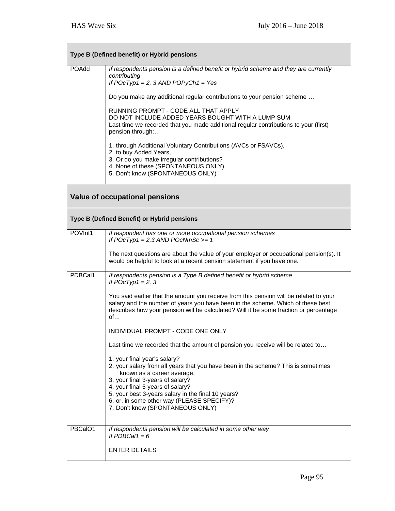| Type B (Defined benefit) or Hybrid pensions |                                                                                                                                                                                                                                                                          |  |
|---------------------------------------------|--------------------------------------------------------------------------------------------------------------------------------------------------------------------------------------------------------------------------------------------------------------------------|--|
| POAdd                                       | If respondents pension is a defined benefit or hybrid scheme and they are currently<br>contributing<br>If $POCType1 = 2$ , 3 AND $POPyCh1 = Yes$                                                                                                                         |  |
|                                             | Do you make any additional regular contributions to your pension scheme                                                                                                                                                                                                  |  |
|                                             | RUNNING PROMPT - CODE ALL THAT APPLY<br>DO NOT INCLUDE ADDED YEARS BOUGHT WITH A LUMP SUM<br>Last time we recorded that you made additional regular contributions to your (first)<br>pension through:                                                                    |  |
|                                             | 1. through Additional Voluntary Contributions (AVCs or FSAVCs),<br>2. to buy Added Years,<br>3. Or do you make irregular contributions?<br>4. None of these (SPONTANEOUS ONLY)<br>5. Don't know (SPONTANEOUS ONLY)                                                       |  |
|                                             | <b>Value of occupational pensions</b>                                                                                                                                                                                                                                    |  |
|                                             | Type B (Defined Benefit) or Hybrid pensions                                                                                                                                                                                                                              |  |
| POVInt1                                     | If respondent has one or more occupational pension schemes<br>If $POCType1 = 2,3 AND POCNmSc = 1$                                                                                                                                                                        |  |
|                                             | The next questions are about the value of your employer or occupational pension(s). It<br>would be helpful to look at a recent pension statement if you have one.                                                                                                        |  |
| PDBCal1                                     | If respondents pension is a Type B defined benefit or hybrid scheme<br>If $POCType1 = 2, 3$                                                                                                                                                                              |  |
|                                             | You said earlier that the amount you receive from this pension will be related to your<br>salary and the number of years you have been in the scheme. Which of these best<br>describes how your pension will be calculated? Will it be some fraction or percentage<br>of |  |
|                                             | INDIVIDUAL PROMPT - CODE ONE ONLY                                                                                                                                                                                                                                        |  |
|                                             | Last time we recorded that the amount of pension you receive will be related to                                                                                                                                                                                          |  |
|                                             | 1. your final year's salary?<br>2. your salary from all years that you have been in the scheme? This is sometimes<br>known as a career average.                                                                                                                          |  |
|                                             | 3. your final 3-years of salary?<br>4. your final 5-years of salary?<br>5. your best 3-years salary in the final 10 years?                                                                                                                                               |  |
|                                             | 6. or, in some other way (PLEASE SPECIFY)?<br>7. Don't know (SPONTANEOUS ONLY)                                                                                                                                                                                           |  |
| PBCalO1                                     | If respondents pension will be calculated in some other way<br>If PDBCal1 = $6$                                                                                                                                                                                          |  |
|                                             | <b>ENTER DETAILS</b>                                                                                                                                                                                                                                                     |  |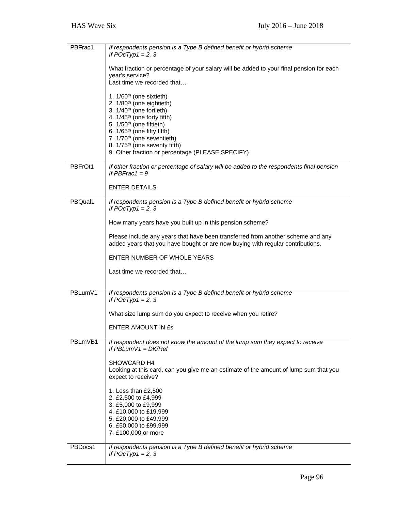| PBFrac1 | If respondents pension is a Type B defined benefit or hybrid scheme<br>If $POCType1 = 2, 3$                                                                       |
|---------|-------------------------------------------------------------------------------------------------------------------------------------------------------------------|
|         | What fraction or percentage of your salary will be added to your final pension for each<br>year's service?                                                        |
|         | Last time we recorded that                                                                                                                                        |
|         | 1. 1/60 <sup>th</sup> (one sixtieth)<br>2. 1/80 <sup>th</sup> (one eightieth)                                                                                     |
|         | 3. 1/40 <sup>th</sup> (one fortieth)<br>4. 1/45 <sup>th</sup> (one forty fifth)                                                                                   |
|         | 5. 1/50 <sup>th</sup> (one fiftieth)<br>6. 1/65 <sup>th</sup> (one fifty fifth)                                                                                   |
|         | 7. 1/70 <sup>th</sup> (one seventieth)                                                                                                                            |
|         | 8. 1/75 <sup>th</sup> (one seventy fifth)<br>9. Other fraction or percentage (PLEASE SPECIFY)                                                                     |
|         |                                                                                                                                                                   |
| PBFrOt1 | If other fraction or percentage of salary will be added to the respondents final pension<br>If PBFrac1 = $9$                                                      |
|         | <b>ENTER DETAILS</b>                                                                                                                                              |
| PBQual1 | If respondents pension is a Type B defined benefit or hybrid scheme<br>If $POCType1 = 2, 3$                                                                       |
|         | How many years have you built up in this pension scheme?                                                                                                          |
|         | Please include any years that have been transferred from another scheme and any<br>added years that you have bought or are now buying with regular contributions. |
|         | ENTER NUMBER OF WHOLE YEARS                                                                                                                                       |
|         | Last time we recorded that                                                                                                                                        |
| PBLumV1 | If respondents pension is a Type B defined benefit or hybrid scheme                                                                                               |
|         | If $POCType1 = 2, 3$                                                                                                                                              |
|         | What size lump sum do you expect to receive when you retire?                                                                                                      |
|         | <b>ENTER AMOUNT IN ES</b>                                                                                                                                         |
| PBLmVB1 | If respondent does not know the amount of the lump sum they expect to receive<br>If PBLumV1 = $DK/Ref$                                                            |
|         | SHOWCARD H4<br>Looking at this card, can you give me an estimate of the amount of lump sum that you<br>expect to receive?                                         |
|         | 1. Less than £2,500<br>2. £2,500 to £4,999<br>3. £5,000 to £9,999<br>4. £10,000 to £19,999<br>5. £20,000 to £49,999<br>6. £50,000 to £99,999                      |
|         | 7. £100,000 or more                                                                                                                                               |
| PBDocs1 | If respondents pension is a Type B defined benefit or hybrid scheme<br>If $POCType1 = 2, 3$                                                                       |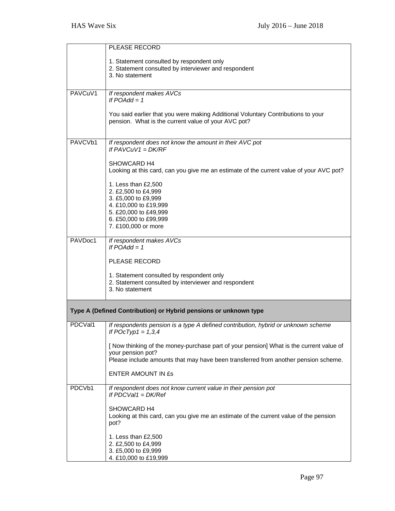|         | PLEASE RECORD                                                                           |
|---------|-----------------------------------------------------------------------------------------|
|         |                                                                                         |
|         | 1. Statement consulted by respondent only                                               |
|         | 2. Statement consulted by interviewer and respondent<br>3. No statement                 |
|         |                                                                                         |
|         |                                                                                         |
| PAVCuV1 | If respondent makes AVCs<br>If $POAdd = 1$                                              |
|         |                                                                                         |
|         | You said earlier that you were making Additional Voluntary Contributions to your        |
|         | pension. What is the current value of your AVC pot?                                     |
|         |                                                                                         |
|         |                                                                                         |
| PAVCVb1 | If respondent does not know the amount in their AVC pot                                 |
|         | If $PAVCuV1 = DK/RF$                                                                    |
|         | SHOWCARD H4                                                                             |
|         | Looking at this card, can you give me an estimate of the current value of your AVC pot? |
|         |                                                                                         |
|         | 1. Less than £2,500                                                                     |
|         | 2. £2,500 to £4,999                                                                     |
|         | 3. £5,000 to £9,999<br>4. £10,000 to £19,999                                            |
|         | 5. £20,000 to £49,999                                                                   |
|         | 6. £50,000 to £99,999                                                                   |
|         | 7. £100,000 or more                                                                     |
|         |                                                                                         |
| PAVDoc1 | If respondent makes AVCs                                                                |
|         | If $POAdd = 1$                                                                          |
|         | PLEASE RECORD                                                                           |
|         |                                                                                         |
|         | 1. Statement consulted by respondent only                                               |
|         | 2. Statement consulted by interviewer and respondent                                    |
|         | 3. No statement                                                                         |
|         |                                                                                         |
|         | Type A (Defined Contribution) or Hybrid pensions or unknown type                        |
|         |                                                                                         |
| PDCVal1 | If respondents pension is a type A defined contribution, hybrid or unknown scheme       |
|         | If $POCTyp1 = 1,3,4$                                                                    |
|         | [ Now thinking of the money-purchase part of your pension] What is the current value of |
|         | your pension pot?                                                                       |
|         | Please include amounts that may have been transferred from another pension scheme.      |
|         |                                                                                         |
|         | <b>ENTER AMOUNT IN £s</b>                                                               |
| PDCVb1  | If respondent does not know current value in their pension pot                          |
|         | If $PDCVal1 = DK/Ref$                                                                   |
|         |                                                                                         |
|         | SHOWCARD H4                                                                             |
|         | Looking at this card, can you give me an estimate of the current value of the pension   |
|         | pot?                                                                                    |
|         | 1. Less than £2,500                                                                     |
|         | 2. £2,500 to £4,999                                                                     |
|         | 3. £5,000 to £9,999                                                                     |
|         | 4. £10,000 to £19,999                                                                   |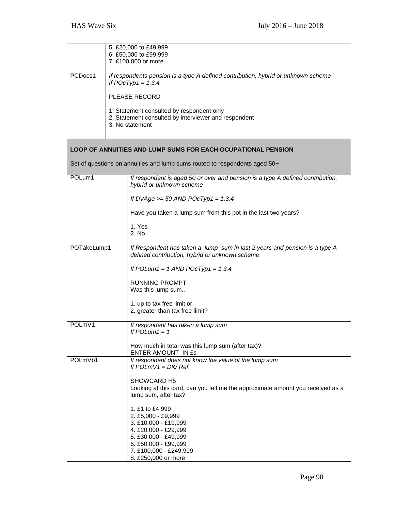|             |  | 5. £20,000 to £49,999<br>6. £50,000 to £99,999<br>7. £100,000 or more                                                                                                                  |
|-------------|--|----------------------------------------------------------------------------------------------------------------------------------------------------------------------------------------|
| PCDocs1     |  | If respondents pension is a type A defined contribution, hybrid or unknown scheme<br>If $POCType1 = 1,3,4$<br><b>PLEASE RECORD</b>                                                     |
|             |  | 1. Statement consulted by respondent only<br>2. Statement consulted by interviewer and respondent<br>3. No statement                                                                   |
|             |  | <b>LOOP OF ANNUITIES AND LUMP SUMS FOR EACH OCUPATIONAL PENSION</b>                                                                                                                    |
|             |  | Set of questions on annuities and lump sums routed to respondents aged 50+                                                                                                             |
| POLum1      |  | If respondent is aged 50 or over and pension is a type A defined contribution,<br>hybrid or unknown scheme                                                                             |
|             |  | If DVAge $>= 50$ AND POcTyp1 = 1,3,4                                                                                                                                                   |
|             |  | Have you taken a lump sum from this pot in the last two years?                                                                                                                         |
|             |  | 1. Yes<br>2. No                                                                                                                                                                        |
| POTakeLump1 |  | If Respondent has taken a lump sum in last 2 years and pension is a type A<br>defined contribution, hybrid or unknown scheme                                                           |
|             |  | If POLum1 = 1 AND POcTyp1 = $1,3,4$                                                                                                                                                    |
|             |  | <b>RUNNING PROMPT</b><br>Was this lump sum                                                                                                                                             |
|             |  | 1. up to tax free limit or<br>2. greater than tax free limit?                                                                                                                          |
| POLmV1      |  | If respondent has taken a lump sum<br>If $POLum1 = 1$                                                                                                                                  |
|             |  | How much in total was this lump sum (after tax)?<br>ENTER AMOUNT IN Es                                                                                                                 |
| POLmVb1     |  | If respondent does not know the value of the lump sum<br>If $POLmV1 = DK/Ref$                                                                                                          |
|             |  | SHOWCARD H5<br>Looking at this card, can you tell me the approximate amount you received as a<br>lump sum, after tax?                                                                  |
|             |  | 1. £1 to £4,999<br>2. £5,000 - £9,999<br>3. £10,000 - £19,999<br>4. £20,000 - £29,999<br>5. £30,000 - £49,999<br>6. £50,000 - £99,999<br>7. £100,000 - £249,999<br>8. £250,000 or more |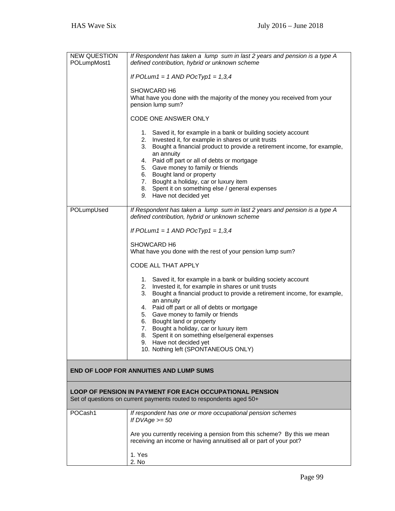| <b>NEW QUESTION</b><br>POLumpMost1                                                                                                     | If Respondent has taken a lump sum in last 2 years and pension is a type A<br>defined contribution, hybrid or unknown scheme                                                                                                                                                                                                                                                      |  |
|----------------------------------------------------------------------------------------------------------------------------------------|-----------------------------------------------------------------------------------------------------------------------------------------------------------------------------------------------------------------------------------------------------------------------------------------------------------------------------------------------------------------------------------|--|
|                                                                                                                                        | If POLum1 = 1 AND POcTyp1 = $1,3,4$                                                                                                                                                                                                                                                                                                                                               |  |
|                                                                                                                                        | SHOWCARD H6<br>What have you done with the majority of the money you received from your<br>pension lump sum?                                                                                                                                                                                                                                                                      |  |
|                                                                                                                                        | <b>CODE ONE ANSWER ONLY</b>                                                                                                                                                                                                                                                                                                                                                       |  |
|                                                                                                                                        | 1. Saved it, for example in a bank or building society account<br>2. Invested it, for example in shares or unit trusts<br>3. Bought a financial product to provide a retirement income, for example,<br>an annuity<br>4. Paid off part or all of debts or mortgage<br>5. Gave money to family or friends<br>6. Bought land or property<br>7. Bought a holiday, car or luxury item |  |
|                                                                                                                                        | 8. Spent it on something else / general expenses<br>9. Have not decided yet                                                                                                                                                                                                                                                                                                       |  |
| POLumpUsed                                                                                                                             | If Respondent has taken a lump sum in last 2 years and pension is a type A<br>defined contribution, hybrid or unknown scheme                                                                                                                                                                                                                                                      |  |
|                                                                                                                                        | If POLum1 = 1 AND POcTyp1 = $1,3,4$                                                                                                                                                                                                                                                                                                                                               |  |
|                                                                                                                                        | SHOWCARD H6<br>What have you done with the rest of your pension lump sum?                                                                                                                                                                                                                                                                                                         |  |
|                                                                                                                                        | <b>CODE ALL THAT APPLY</b>                                                                                                                                                                                                                                                                                                                                                        |  |
|                                                                                                                                        | 1. Saved it, for example in a bank or building society account<br>2. Invested it, for example in shares or unit trusts<br>Bought a financial product to provide a retirement income, for example,<br>3.<br>an annuity                                                                                                                                                             |  |
|                                                                                                                                        | 4. Paid off part or all of debts or mortgage<br>5. Gave money to family or friends                                                                                                                                                                                                                                                                                                |  |
|                                                                                                                                        | 6. Bought land or property<br>7. Bought a holiday, car or luxury item                                                                                                                                                                                                                                                                                                             |  |
|                                                                                                                                        | 8. Spent it on something else/general expenses<br>9. Have not decided yet                                                                                                                                                                                                                                                                                                         |  |
|                                                                                                                                        | 10. Nothing left (SPONTANEOUS ONLY)                                                                                                                                                                                                                                                                                                                                               |  |
|                                                                                                                                        | <b>END OF LOOP FOR ANNUITIES AND LUMP SUMS</b>                                                                                                                                                                                                                                                                                                                                    |  |
| <b>LOOP OF PENSION IN PAYMENT FOR EACH OCCUPATIONAL PENSION</b><br>Set of questions on current payments routed to respondents aged 50+ |                                                                                                                                                                                                                                                                                                                                                                                   |  |
| POCash1                                                                                                                                | If respondent has one or more occupational pension schemes<br>If $DVAge \ge 50$                                                                                                                                                                                                                                                                                                   |  |
|                                                                                                                                        | Are you currently receiving a pension from this scheme? By this we mean<br>receiving an income or having annuitised all or part of your pot?                                                                                                                                                                                                                                      |  |
|                                                                                                                                        | 1. Yes<br>2. No                                                                                                                                                                                                                                                                                                                                                                   |  |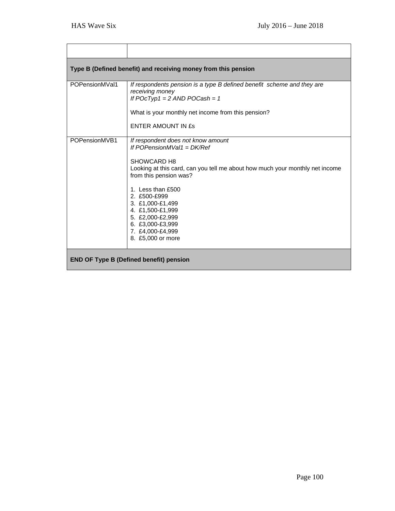|                                                | Type B (Defined benefit) and receiving money from this pension                                                                                                                                                                                                                                                                                            |  |  |
|------------------------------------------------|-----------------------------------------------------------------------------------------------------------------------------------------------------------------------------------------------------------------------------------------------------------------------------------------------------------------------------------------------------------|--|--|
| POPensionMVal1                                 | If respondents pension is a type B defined benefit scheme and they are<br>receiving money<br>If $POCType1 = 2$ AND $POCash = 1$<br>What is your monthly net income from this pension?<br>ENTER AMOUNT IN ES                                                                                                                                               |  |  |
| POPensionMVB1                                  | If respondent does not know amount<br>If POPensionMVal1 = $DK/Ref$<br>SHOWCARD H8<br>Looking at this card, can you tell me about how much your monthly net income<br>from this pension was?<br>1. Less than £500<br>2. £500-£999<br>3. £1,000-£1,499<br>4. £1,500-£1,999<br>5. £2,000-£2,999<br>6. £3,000-£3,999<br>7. £4,000-£4,999<br>8. £5,000 or more |  |  |
| <b>END OF Type B (Defined benefit) pension</b> |                                                                                                                                                                                                                                                                                                                                                           |  |  |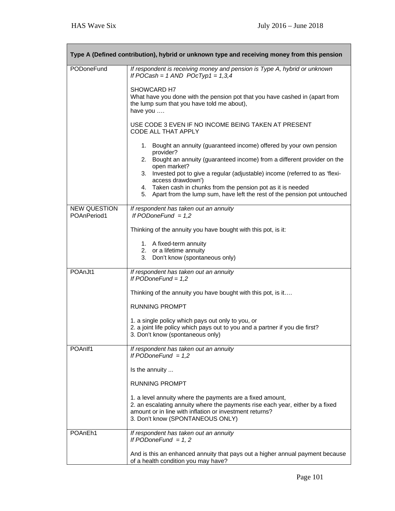٦

| Type A (Defined contribution), hybrid or unknown type and receiving money from this pension |                                                                                                                                                                                                                                           |  |
|---------------------------------------------------------------------------------------------|-------------------------------------------------------------------------------------------------------------------------------------------------------------------------------------------------------------------------------------------|--|
| PODoneFund                                                                                  | If respondent is receiving money and pension is Type A, hybrid or unknown<br>If POCash = $1$ AND POcTyp1 = $1,3,4$                                                                                                                        |  |
|                                                                                             | SHOWCARD H7<br>What have you done with the pension pot that you have cashed in (apart from<br>the lump sum that you have told me about),<br>have you                                                                                      |  |
|                                                                                             | USE CODE 3 EVEN IF NO INCOME BEING TAKEN AT PRESENT<br>CODE ALL THAT APPLY                                                                                                                                                                |  |
|                                                                                             | 1. Bought an annuity (guaranteed income) offered by your own pension<br>provider?                                                                                                                                                         |  |
|                                                                                             | 2. Bought an annuity (guaranteed income) from a different provider on the<br>open market?                                                                                                                                                 |  |
|                                                                                             | 3. Invested pot to give a regular (adjustable) income (referred to as 'flexi-<br>access drawdown')                                                                                                                                        |  |
|                                                                                             | 4. Taken cash in chunks from the pension pot as it is needed<br>5. Apart from the lump sum, have left the rest of the pension pot untouched                                                                                               |  |
| <b>NEW QUESTION</b><br>POAnPeriod1                                                          | If respondent has taken out an annuity<br>If $PODoneFund = 1,2$                                                                                                                                                                           |  |
|                                                                                             | Thinking of the annuity you have bought with this pot, is it:                                                                                                                                                                             |  |
|                                                                                             | 1. A fixed-term annuity<br>2. or a lifetime annuity                                                                                                                                                                                       |  |
|                                                                                             | 3. Don't know (spontaneous only)                                                                                                                                                                                                          |  |
| POAnJt1                                                                                     | If respondent has taken out an annuity<br>If $PODoneFund = 1,2$                                                                                                                                                                           |  |
|                                                                                             | Thinking of the annuity you have bought with this pot, is it                                                                                                                                                                              |  |
|                                                                                             | <b>RUNNING PROMPT</b>                                                                                                                                                                                                                     |  |
|                                                                                             | 1. a single policy which pays out only to you, or<br>2. a joint life policy which pays out to you and a partner if you die first?<br>3. Don't know (spontaneous only)                                                                     |  |
| POAnlf1                                                                                     | If respondent has taken out an annuity<br>If PODoneFund $= 1,2$                                                                                                                                                                           |  |
|                                                                                             | Is the annuity                                                                                                                                                                                                                            |  |
|                                                                                             | <b>RUNNING PROMPT</b>                                                                                                                                                                                                                     |  |
|                                                                                             | 1. a level annuity where the payments are a fixed amount,<br>2. an escalating annuity where the payments rise each year, either by a fixed<br>amount or in line with inflation or investment returns?<br>3. Don't know (SPONTANEOUS ONLY) |  |
| POAnEh1                                                                                     | If respondent has taken out an annuity<br>If PODoneFund $= 1, 2$                                                                                                                                                                          |  |
|                                                                                             | And is this an enhanced annuity that pays out a higher annual payment because<br>of a health condition you may have?                                                                                                                      |  |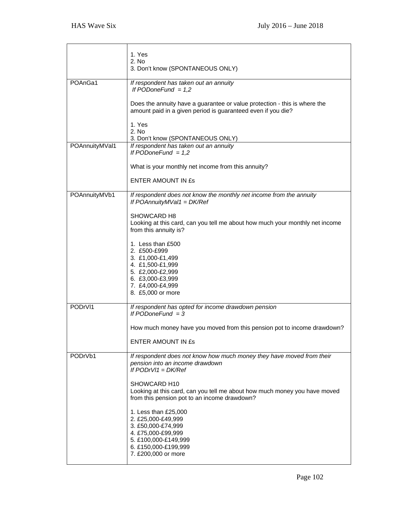|                | 1. Yes                                                                                                                                                        |
|----------------|---------------------------------------------------------------------------------------------------------------------------------------------------------------|
|                | 2. No<br>3. Don't know (SPONTANEOUS ONLY)                                                                                                                     |
| POAnGa1        | If respondent has taken out an annuity<br>If PODoneFund $= 1,2$                                                                                               |
|                | Does the annuity have a guarantee or value protection - this is where the<br>amount paid in a given period is guaranteed even if you die?                     |
|                | 1. Yes<br>2. No                                                                                                                                               |
| POAnnuityMVal1 | 3. Don't know (SPONTANEOUS ONLY)<br>If respondent has taken out an annuity                                                                                    |
|                | If PODoneFund $= 1,2$                                                                                                                                         |
|                | What is your monthly net income from this annuity?                                                                                                            |
|                | <b>ENTER AMOUNT IN £s</b>                                                                                                                                     |
| POAnnuityMVb1  | If respondent does not know the monthly net income from the annuity<br>If POAnnuityMVal1 = $DK/Ref$                                                           |
|                | SHOWCARD H8<br>Looking at this card, can you tell me about how much your monthly net income<br>from this annuity is?                                          |
|                | 1. Less than £500<br>2. £500-£999<br>3. £1,000-£1,499<br>4. £1,500-£1,999<br>5. £2,000-£2,999<br>6. £3,000-£3,999<br>7. £4,000-£4,999<br>8. £5,000 or more    |
| PODrVI1        | If respondent has opted for income drawdown pension<br>If $PODoneFund = 3$                                                                                    |
|                | How much money have you moved from this pension pot to income drawdown?                                                                                       |
|                | ENTER AMOUNT IN ES                                                                                                                                            |
| PODrVb1        | If respondent does not know how much money they have moved from their<br>pension into an income drawdown<br>If $PODrV1 = DK/Ref$                              |
|                | SHOWCARD H10<br>Looking at this card, can you tell me about how much money you have moved<br>from this pension pot to an income drawdown?                     |
|                | 1. Less than £25,000<br>2. £25,000-£49,999<br>3. £50,000-£74,999<br>4. £75,000-£99,999<br>5. £100,000-£149,999<br>6. £150,000-£199,999<br>7. £200,000 or more |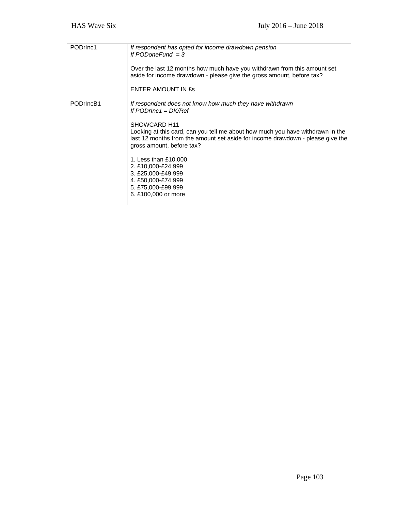| PODrlnc1  | If respondent has opted for income drawdown pension<br>If $PODoneFund = 3$<br>Over the last 12 months how much have you withdrawn from this amount set<br>aside for income drawdown - please give the gross amount, before tax?<br>ENTER AMOUNT IN ES                                                                                                                                                                                                  |
|-----------|--------------------------------------------------------------------------------------------------------------------------------------------------------------------------------------------------------------------------------------------------------------------------------------------------------------------------------------------------------------------------------------------------------------------------------------------------------|
| PODrIncB1 | If respondent does not know how much they have withdrawn<br>If $PODrInc1 = DK/Ref$<br>SHOWCARD H <sub>11</sub><br>Looking at this card, can you tell me about how much you have withdrawn in the<br>last 12 months from the amount set aside for income drawdown - please give the<br>gross amount, before tax?<br>1. Less than £10,000<br>2. £10,000-£24,999<br>3. £25,000-£49,999<br>4. £50,000-£74,999<br>5. £75,000-£99,999<br>6. £100,000 or more |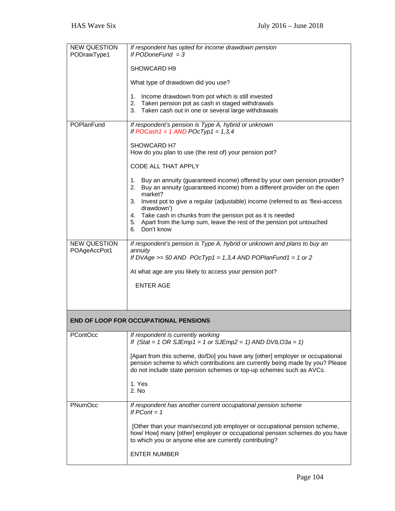| <b>NEW QUESTION</b><br>PODrawType1  | If respondent has opted for income drawdown pension<br>If $PODoneFund = 3$                                                                                                                                                             |
|-------------------------------------|----------------------------------------------------------------------------------------------------------------------------------------------------------------------------------------------------------------------------------------|
|                                     | SHOWCARD H9                                                                                                                                                                                                                            |
|                                     | What type of drawdown did you use?                                                                                                                                                                                                     |
|                                     | Income drawdown from pot which is still invested<br>1.<br>2. Taken pension pot as cash in staged withdrawals<br>3. Taken cash out in one or several large withdrawals                                                                  |
| POPlanFund                          | If respondent's pension is Type A, hybrid or unknown<br>If POCash1 = $1$ AND POcTyp1 = $1,3,4$                                                                                                                                         |
|                                     | SHOWCARD H7<br>How do you plan to use (the rest of) your pension pot?                                                                                                                                                                  |
|                                     | CODE ALL THAT APPLY                                                                                                                                                                                                                    |
|                                     | 1. Buy an annuity (guaranteed income) offered by your own pension provider?<br>2. Buy an annuity (guaranteed income) from a different provider on the open                                                                             |
|                                     | market?<br>3. Invest pot to give a regular (adjustable) income (referred to as 'flexi-access<br>drawdown')                                                                                                                             |
|                                     | 4. Take cash in chunks from the pension pot as it is needed<br>5. Apart from the lump sum, leave the rest of the pension pot untouched<br>6. Don't know                                                                                |
| <b>NEW QUESTION</b><br>POAgeAccPot1 | If respondent's pension is Type A, hybrid or unknown and plans to buy an<br>annuity                                                                                                                                                    |
|                                     | If DVAge $>= 50$ AND POcTyp1 = 1,3,4 AND POPlanFund1 = 1 or 2                                                                                                                                                                          |
|                                     | At what age are you likely to access your pension pot?                                                                                                                                                                                 |
|                                     | <b>ENTER AGE</b>                                                                                                                                                                                                                       |
|                                     |                                                                                                                                                                                                                                        |
|                                     | <b>END OF LOOP FOR OCCUPATIONAL PENSIONS</b>                                                                                                                                                                                           |
| <b>PContOcc</b>                     | If respondent is currently working<br>If $(Stat = 1 OR SLmp1 = 1 or SLEmp2 = 1) AND DVLO3a = 1)$                                                                                                                                       |
|                                     | [Apart from this scheme, do/Do] you have any [other] employer or occupational<br>pension scheme to which contributions are currently being made by you? Please<br>do not include state pension schemes or top-up schemes such as AVCs. |
|                                     | 1. Yes<br>2. No                                                                                                                                                                                                                        |
| PNumOcc                             | If respondent has another current occupational pension scheme<br>If $PCont = 1$                                                                                                                                                        |
|                                     | [Other than your main/second job employer or occupational pension scheme,<br>how/ How] many [other] employer or occupational pension schemes do you have<br>to which you or anyone else are currently contributing?                    |
|                                     | <b>ENTER NUMBER</b>                                                                                                                                                                                                                    |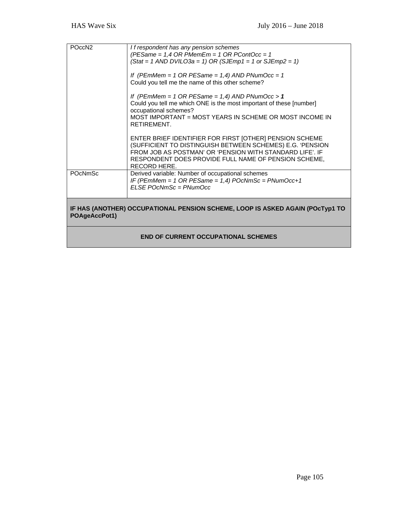| POccN <sub>2</sub>                                                                             | If respondent has any pension schemes<br>(PESame = $1,4$ OR PMemEm = $1$ OR PContOcc = $1$<br>$(Stat = 1 AND DVILO3a = 1) OR (SJEmp1 = 1 or SJEmp2 = 1)$<br>If (PEmMem = $1$ OR PESame = $1,4$ ) AND PNumOcc = $1$<br>Could you tell me the name of this other scheme? |
|------------------------------------------------------------------------------------------------|------------------------------------------------------------------------------------------------------------------------------------------------------------------------------------------------------------------------------------------------------------------------|
|                                                                                                | If (PEmMem = 1 OR PESame = $1,4$ ) AND PNumOcc > 1<br>Could you tell me which ONE is the most important of these [number]<br>occupational schemes?<br>MOST IMPORTANT = MOST YEARS IN SCHEME OR MOST INCOME IN<br>RETIREMENT.                                           |
|                                                                                                | ENTER BRIEF IDENTIFIER FOR FIRST [OTHER] PENSION SCHEME<br>(SUFFICIENT TO DISTINGUISH BETWEEN SCHEMES) E.G. 'PENSION<br>FROM JOB AS POSTMAN' OR 'PENSION WITH STANDARD LIFE'. IF<br>RESPONDENT DOES PROVIDE FULL NAME OF PENSION SCHEME,<br><b>RECORD HERE.</b>        |
| <b>POcNmSc</b>                                                                                 | Derived variable: Number of occupational schemes<br>IF (PEmMem = 1 OR PESame = $1,4$ ) POcNmSc = PNumOcc+1<br>$FLSF$ POcNmSc = PNumOcc                                                                                                                                 |
| IF HAS (ANOTHER) OCCUPATIONAL PENSION SCHEME, LOOP IS ASKED AGAIN (POcTyp1 TO<br>POAgeAccPot1) |                                                                                                                                                                                                                                                                        |
| <b>END OF CURRENT OCCUPATIONAL SCHEMES</b>                                                     |                                                                                                                                                                                                                                                                        |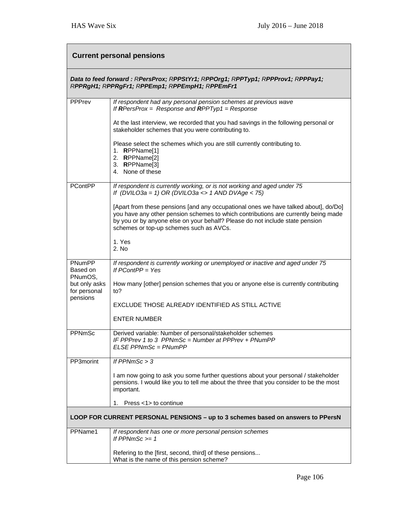| <b>Current personal pensions</b>          |                                                                                                                                                                                                                                                                                                      |  |  |
|-------------------------------------------|------------------------------------------------------------------------------------------------------------------------------------------------------------------------------------------------------------------------------------------------------------------------------------------------------|--|--|
|                                           | Data to feed forward: RPersProx; RPPStYr1; RPPOrg1; RPPTyp1; RPPProv1; RPPPay1;<br>RPPRgH1; RPPRgFr1; RPPEmp1; RPPEmpH1; RPPEmFr1                                                                                                                                                                    |  |  |
| <b>PPPrev</b>                             | If respondent had any personal pension schemes at previous wave<br>If RPersProx = Response and RPPTyp1 = Response                                                                                                                                                                                    |  |  |
|                                           | At the last interview, we recorded that you had savings in the following personal or<br>stakeholder schemes that you were contributing to.                                                                                                                                                           |  |  |
|                                           | Please select the schemes which you are still currently contributing to.<br>1. RPPName[1]<br>2. RPPName[2]<br>3. RPPName[3]<br>4. None of these                                                                                                                                                      |  |  |
| <b>PContPP</b>                            | If respondent is currently working, or is not working and aged under 75<br>If (DVILO3a = 1) OR (DVILO3a <> 1 AND DVAge < 75)                                                                                                                                                                         |  |  |
|                                           | [Apart from these pensions [and any occupational ones we have talked about], do/Do]<br>you have any other pension schemes to which contributions are currently being made<br>by you or by anyone else on your behalf? Please do not include state pension<br>schemes or top-up schemes such as AVCs. |  |  |
|                                           | 1. Yes<br>2. No                                                                                                                                                                                                                                                                                      |  |  |
| PNumPP<br>Based on<br>PNumOS,             | If respondent is currently working or unemployed or inactive and aged under 75<br>If $PContPP = Yes$                                                                                                                                                                                                 |  |  |
| but only asks<br>for personal<br>pensions | How many [other] pension schemes that you or anyone else is currently contributing<br>to?                                                                                                                                                                                                            |  |  |
|                                           | EXCLUDE THOSE ALREADY IDENTIFIED AS STILL ACTIVE                                                                                                                                                                                                                                                     |  |  |
|                                           | <b>ENTER NUMBER</b>                                                                                                                                                                                                                                                                                  |  |  |
| PPNmSc                                    | Derived variable: Number of personal/stakeholder schemes<br>IF PPPrev 1 to 3 PPNmSc = Number at PPPrev + PNumPP<br>$ELSE$ PPNmSc = PNumPP                                                                                                                                                            |  |  |
| PP3morint                                 | If $PPNmSc > 3$                                                                                                                                                                                                                                                                                      |  |  |
|                                           | I am now going to ask you some further questions about your personal / stakeholder<br>pensions. I would like you to tell me about the three that you consider to be the most<br>important.                                                                                                           |  |  |
|                                           | Press <1> to continue<br>1.                                                                                                                                                                                                                                                                          |  |  |
|                                           | LOOP FOR CURRENT PERSONAL PENSIONS - up to 3 schemes based on answers to PPersN                                                                                                                                                                                                                      |  |  |
| PPName1                                   | If respondent has one or more personal pension schemes<br>If $PPNmSc \ge 1$                                                                                                                                                                                                                          |  |  |
|                                           | Refering to the [first, second, third] of these pensions<br>What is the name of this pension scheme?                                                                                                                                                                                                 |  |  |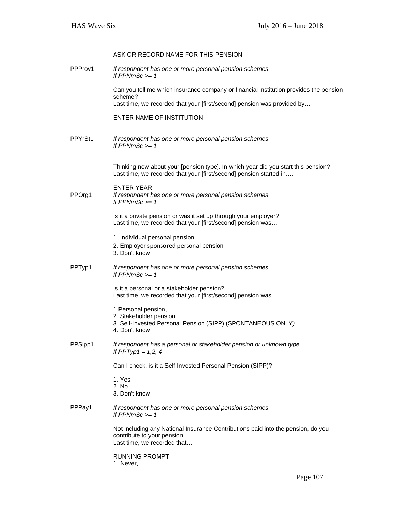|         | ASK OR RECORD NAME FOR THIS PENSION                                                                                                                     |
|---------|---------------------------------------------------------------------------------------------------------------------------------------------------------|
| PPProv1 | If respondent has one or more personal pension schemes<br>If PPNmSc $>= 1$                                                                              |
|         | Can you tell me which insurance company or financial institution provides the pension<br>scheme?                                                        |
|         | Last time, we recorded that your [first/second] pension was provided by                                                                                 |
|         | ENTER NAME OF INSTITUTION                                                                                                                               |
| PPYrSt1 | If respondent has one or more personal pension schemes<br>If PPNmSc $>= 1$                                                                              |
|         | Thinking now about your [pension type]. In which year did you start this pension?<br>Last time, we recorded that your [first/second] pension started in |
|         | <b>ENTER YEAR</b>                                                                                                                                       |
| PPOrg1  | If respondent has one or more personal pension schemes<br>If PPNmSc $>= 1$                                                                              |
|         | Is it a private pension or was it set up through your employer?<br>Last time, we recorded that your [first/second] pension was                          |
|         | 1. Individual personal pension                                                                                                                          |
|         | 2. Employer sponsored personal pension<br>3. Don't know                                                                                                 |
| PPTyp1  | If respondent has one or more personal pension schemes<br>If PPNmSc $>= 1$                                                                              |
|         | Is it a personal or a stakeholder pension?<br>Last time, we recorded that your [first/second] pension was                                               |
|         | 1. Personal pension,                                                                                                                                    |
|         | 2. Stakeholder pension<br>3. Self-Invested Personal Pension (SIPP) (SPONTANEOUS ONLY)<br>4. Don't know                                                  |
| PPSipp1 | If respondent has a personal or stakeholder pension or unknown type<br>If $PPTyp1 = 1,2,4$                                                              |
|         | Can I check, is it a Self-Invested Personal Pension (SIPP)?                                                                                             |
|         | 1. Yes                                                                                                                                                  |
|         | 2. No<br>3. Don't know                                                                                                                                  |
| PPPay1  | If respondent has one or more personal pension schemes<br>If $PPNmSc \ge 1$                                                                             |
|         | Not including any National Insurance Contributions paid into the pension, do you<br>contribute to your pension<br>Last time, we recorded that           |
|         | <b>RUNNING PROMPT</b><br>1. Never,                                                                                                                      |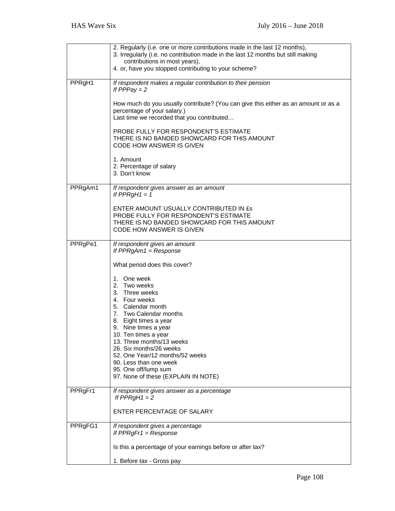|         | 2. Regularly (i.e. one or more contributions made in the last 12 months),<br>3. Irregularly (i.e. no contribution made in the last 12 months but still making                                                                                                                                                                                                              |
|---------|----------------------------------------------------------------------------------------------------------------------------------------------------------------------------------------------------------------------------------------------------------------------------------------------------------------------------------------------------------------------------|
|         | contributions in most years),<br>4. or, have you stopped contributing to your scheme?                                                                                                                                                                                                                                                                                      |
| PPRgH1  | If respondent makes a regular contribution to their pension<br>If $PPPay = 2$                                                                                                                                                                                                                                                                                              |
|         | How much do you usually contribute? (You can give this either as an amount or as a<br>percentage of your salary.)<br>Last time we recorded that you contributed                                                                                                                                                                                                            |
|         | PROBE FULLY FOR RESPONDENT'S ESTIMATE<br>THERE IS NO BANDED SHOWCARD FOR THIS AMOUNT<br><b>CODE HOW ANSWER IS GIVEN</b>                                                                                                                                                                                                                                                    |
|         | 1. Amount<br>2. Percentage of salary<br>3. Don't know                                                                                                                                                                                                                                                                                                                      |
| PPRgAm1 | If respondent gives answer as an amount<br>If $PPRgH1 = 1$                                                                                                                                                                                                                                                                                                                 |
|         | ENTER AMOUNT USUALLY CONTRIBUTED IN £s<br>PROBE FULLY FOR RESPONDENT'S ESTIMATE<br>THERE IS NO BANDED SHOWCARD FOR THIS AMOUNT<br>CODE HOW ANSWER IS GIVEN                                                                                                                                                                                                                 |
| PPRgPe1 | If respondent gives an amount<br>If $PPRgAm1 = Response$                                                                                                                                                                                                                                                                                                                   |
|         | What period does this cover?                                                                                                                                                                                                                                                                                                                                               |
|         | 1. One week<br>2. Two weeks<br>3. Three weeks<br>4. Four weeks<br>5. Calendar month<br>7. Two Calendar months<br>8. Eight times a year<br>9. Nine times a year<br>10. Ten times a year<br>13. Three months/13 weeks<br>26. Six months/26 weeks<br>52. One Year/12 months/52 weeks<br>90. Less than one week<br>95. One off/lump sum<br>97. None of these (EXPLAIN IN NOTE) |
| PPRgFr1 | If respondent gives answer as a percentage<br>If $PPRgH1 = 2$                                                                                                                                                                                                                                                                                                              |
|         | ENTER PERCENTAGE OF SALARY                                                                                                                                                                                                                                                                                                                                                 |
| PPRgFG1 | If respondent gives a percentage<br>If $PPRgFr1 = Response$                                                                                                                                                                                                                                                                                                                |
|         | Is this a percentage of your earnings before or after tax?                                                                                                                                                                                                                                                                                                                 |
|         | 1. Before tax - Gross pay                                                                                                                                                                                                                                                                                                                                                  |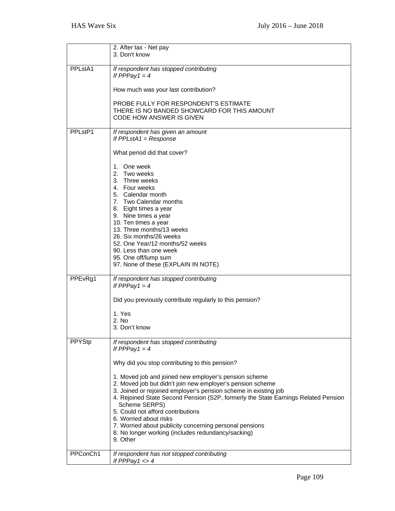|                                  | 2. After tax - Net pay<br>3. Don't know                                                                                                                                                                                                                                                                                                                                                                                                                                                             |
|----------------------------------|-----------------------------------------------------------------------------------------------------------------------------------------------------------------------------------------------------------------------------------------------------------------------------------------------------------------------------------------------------------------------------------------------------------------------------------------------------------------------------------------------------|
| PPL <sub>st</sub> A <sub>1</sub> | If respondent has stopped contributing<br>If PPPay1 = $4$                                                                                                                                                                                                                                                                                                                                                                                                                                           |
|                                  | How much was your last contribution?                                                                                                                                                                                                                                                                                                                                                                                                                                                                |
|                                  | PROBE FULLY FOR RESPONDENT'S ESTIMATE<br>THERE IS NO BANDED SHOWCARD FOR THIS AMOUNT<br><b>CODE HOW ANSWER IS GIVEN</b>                                                                                                                                                                                                                                                                                                                                                                             |
| PPLstP1                          | If respondent has given an amount<br>If $PPLstA1 = Response$                                                                                                                                                                                                                                                                                                                                                                                                                                        |
|                                  | What period did that cover?                                                                                                                                                                                                                                                                                                                                                                                                                                                                         |
| PPE <sub>vRg1</sub>              | 1. One week<br>2. Two weeks<br>3. Three weeks<br>4. Four weeks<br>5. Calendar month<br>7. Two Calendar months<br>8. Eight times a year<br>9. Nine times a year<br>10. Ten times a year<br>13. Three months/13 weeks<br>26. Six months/26 weeks<br>52. One Year/12 months/52 weeks<br>90. Less than one week<br>95. One off/lump sum<br>97. None of these (EXPLAIN IN NOTE)<br>If respondent has stopped contributing<br>If PPPay1 = $4$<br>Did you previously contribute regularly to this pension? |
|                                  | 1. Yes<br>2. No                                                                                                                                                                                                                                                                                                                                                                                                                                                                                     |
|                                  | 3. Don't know                                                                                                                                                                                                                                                                                                                                                                                                                                                                                       |
| <b>PPYStp</b>                    | If respondent has stopped contributing<br>If PPPay1 = $4$<br>Why did you stop contributing to this pension?                                                                                                                                                                                                                                                                                                                                                                                         |
|                                  | 1. Moved job and joined new employer's pension scheme<br>2. Moved job but didn't join new employer's pension scheme<br>3. Joined or rejoined employer's pension scheme in existing job<br>4. Rejoined State Second Pension (S2P, formerly the State Earnings Related Pension<br>Scheme SERPS)<br>5. Could not afford contributions<br>6. Worried about risks<br>7. Worried about publicity concerning personal pensions<br>8. No longer working (includes redundancy/sacking)<br>9. Other           |
| PPConCh1                         | If respondent has not stopped contributing<br>If PPPay1 $\lt$ >4                                                                                                                                                                                                                                                                                                                                                                                                                                    |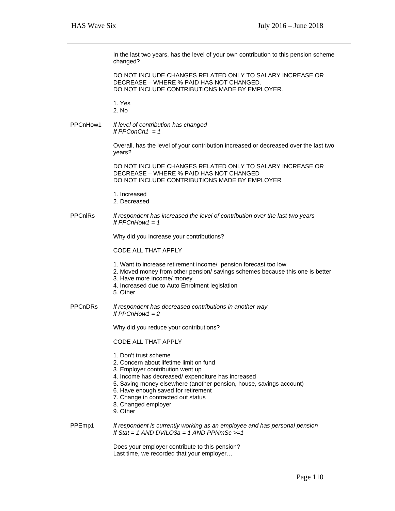|                | In the last two years, has the level of your own contribution to this pension scheme<br>changed?                                                                                                                                                                                                                                                 |
|----------------|--------------------------------------------------------------------------------------------------------------------------------------------------------------------------------------------------------------------------------------------------------------------------------------------------------------------------------------------------|
|                | DO NOT INCLUDE CHANGES RELATED ONLY TO SALARY INCREASE OR<br>DECREASE - WHERE % PAID HAS NOT CHANGED.<br>DO NOT INCLUDE CONTRIBUTIONS MADE BY EMPLOYER.                                                                                                                                                                                          |
|                | 1. Yes<br>2. No                                                                                                                                                                                                                                                                                                                                  |
| PPCnHow1       | If level of contribution has changed<br>If PPConCh1 = $1$                                                                                                                                                                                                                                                                                        |
|                | Overall, has the level of your contribution increased or decreased over the last two<br>years?                                                                                                                                                                                                                                                   |
|                | DO NOT INCLUDE CHANGES RELATED ONLY TO SALARY INCREASE OR<br>DECREASE - WHERE % PAID HAS NOT CHANGED<br>DO NOT INCLUDE CONTRIBUTIONS MADE BY EMPLOYER                                                                                                                                                                                            |
|                | 1. Increased<br>2. Decreased                                                                                                                                                                                                                                                                                                                     |
| <b>PPCnIRs</b> | If respondent has increased the level of contribution over the last two years<br>If PPCnHow1 = $1$                                                                                                                                                                                                                                               |
|                | Why did you increase your contributions?                                                                                                                                                                                                                                                                                                         |
|                | CODE ALL THAT APPLY                                                                                                                                                                                                                                                                                                                              |
|                | 1. Want to increase retirement income/ pension forecast too low<br>2. Moved money from other pension/ savings schemes because this one is better<br>3. Have more income/ money<br>4. Increased due to Auto Enrolment legislation<br>5. Other                                                                                                     |
| <b>PPCnDRs</b> | If respondent has decreased contributions in another way<br>If $PPChHow1 = 2$                                                                                                                                                                                                                                                                    |
|                | Why did you reduce your contributions?                                                                                                                                                                                                                                                                                                           |
|                | CODE ALL THAT APPLY                                                                                                                                                                                                                                                                                                                              |
|                | 1. Don't trust scheme<br>2. Concern about lifetime limit on fund<br>3. Employer contribution went up<br>4. Income has decreased/expenditure has increased<br>5. Saving money elsewhere (another pension, house, savings account)<br>6. Have enough saved for retirement<br>7. Change in contracted out status<br>8. Changed employer<br>9. Other |
| PPEmp1         | If respondent is currently working as an employee and has personal pension<br>If Stat = 1 AND DVILO3a = 1 AND PPNmSc $>=1$                                                                                                                                                                                                                       |
|                | Does your employer contribute to this pension?<br>Last time, we recorded that your employer                                                                                                                                                                                                                                                      |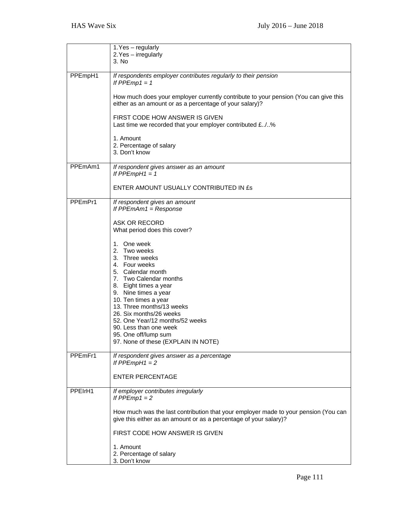|         | 1. Yes - regularly<br>2. Yes - irregularly                                                                                                                                                                                                                                                                                                                                 |
|---------|----------------------------------------------------------------------------------------------------------------------------------------------------------------------------------------------------------------------------------------------------------------------------------------------------------------------------------------------------------------------------|
|         | 3. No                                                                                                                                                                                                                                                                                                                                                                      |
| PPEmpH1 | If respondents employer contributes regularly to their pension<br>If $PPEmp1 = 1$                                                                                                                                                                                                                                                                                          |
|         | How much does your employer currently contribute to your pension (You can give this<br>either as an amount or as a percentage of your salary)?                                                                                                                                                                                                                             |
|         | FIRST CODE HOW ANSWER IS GIVEN<br>Last time we recorded that your employer contributed £/%                                                                                                                                                                                                                                                                                 |
|         | 1. Amount<br>2. Percentage of salary<br>3. Don't know                                                                                                                                                                                                                                                                                                                      |
| PPEmAm1 | If respondent gives answer as an amount<br>If $PPEmpH1 = 1$                                                                                                                                                                                                                                                                                                                |
|         | ENTER AMOUNT USUALLY CONTRIBUTED IN £s                                                                                                                                                                                                                                                                                                                                     |
| PPEmPr1 | If respondent gives an amount<br>If $PPEmAm1 = Response$                                                                                                                                                                                                                                                                                                                   |
|         | <b>ASK OR RECORD</b><br>What period does this cover?                                                                                                                                                                                                                                                                                                                       |
|         | 1. One week<br>2. Two weeks<br>3. Three weeks<br>4. Four weeks<br>5. Calendar month<br>7. Two Calendar months<br>8. Eight times a year<br>9. Nine times a year<br>10. Ten times a year<br>13. Three months/13 weeks<br>26. Six months/26 weeks<br>52. One Year/12 months/52 weeks<br>90. Less than one week<br>95. One off/lump sum<br>97. None of these (EXPLAIN IN NOTE) |
| PPEmFr1 | If respondent gives answer as a percentage<br>If $PPEmpH1 = 2$                                                                                                                                                                                                                                                                                                             |
|         | <b>ENTER PERCENTAGE</b>                                                                                                                                                                                                                                                                                                                                                    |
| PPEIrH1 | If employer contributes irregularly<br>If $PPEmp1 = 2$                                                                                                                                                                                                                                                                                                                     |
|         | How much was the last contribution that your employer made to your pension (You can<br>give this either as an amount or as a percentage of your salary)?                                                                                                                                                                                                                   |
|         | FIRST CODE HOW ANSWER IS GIVEN                                                                                                                                                                                                                                                                                                                                             |
|         | 1. Amount<br>2. Percentage of salary<br>3. Don't know                                                                                                                                                                                                                                                                                                                      |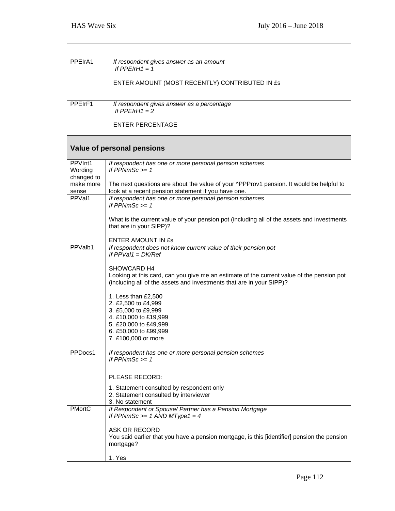| PPEIrA1               | If respondent gives answer as an amount<br>If PPEIrH1 = 1                                                                                                         |
|-----------------------|-------------------------------------------------------------------------------------------------------------------------------------------------------------------|
|                       | ENTER AMOUNT (MOST RECENTLY) CONTRIBUTED IN £s                                                                                                                    |
|                       |                                                                                                                                                                   |
| PPEIrF1               | If respondent gives answer as a percentage<br>If $PPEIrH1 = 2$                                                                                                    |
|                       | <b>ENTER PERCENTAGE</b>                                                                                                                                           |
|                       | Value of personal pensions                                                                                                                                        |
| PPVInt1               | If respondent has one or more personal pension schemes                                                                                                            |
| Wording<br>changed to | If $PPNmSc \ge 1$                                                                                                                                                 |
| make more<br>sense    | The next questions are about the value of your ^PPProv1 pension. It would be helpful to<br>look at a recent pension statement if you have one.                    |
| PPVal1                | If respondent has one or more personal pension schemes<br>If $PPNmSc \ge 1$                                                                                       |
|                       | What is the current value of your pension pot (including all of the assets and investments<br>that are in your SIPP)?                                             |
|                       | ENTER AMOUNT IN ES                                                                                                                                                |
| PPValb1               | If respondent does not know current value of their pension pot<br>If $PPVal1 = DK/Ref$                                                                            |
|                       | SHOWCARD H4                                                                                                                                                       |
|                       | Looking at this card, can you give me an estimate of the current value of the pension pot<br>(including all of the assets and investments that are in your SIPP)? |
|                       | 1. Less than £2,500                                                                                                                                               |
|                       | 2. £2,500 to £4,999<br>3. £5,000 to £9,999                                                                                                                        |
|                       | 4. £10,000 to £19,999                                                                                                                                             |
|                       | 5. £20,000 to £49,999<br>6. £50,000 to £99,999                                                                                                                    |
|                       | 7. £100,000 or more                                                                                                                                               |
| PPDocs1               | If respondent has one or more personal pension schemes<br>If $PPNmSc \ge 1$                                                                                       |
|                       |                                                                                                                                                                   |
|                       | PLEASE RECORD:                                                                                                                                                    |
|                       | 1. Statement consulted by respondent only<br>2. Statement consulted by interviewer<br>3. No statement                                                             |
| <b>PMortC</b>         | If Respondent or Spouse/ Partner has a Pension Mortgage<br>If PPNmSc $>= 1$ AND MType1 = 4                                                                        |
|                       | ASK OR RECORD<br>You said earlier that you have a pension mortgage, is this [identifier] pension the pension<br>mortgage?                                         |
|                       | 1. Yes                                                                                                                                                            |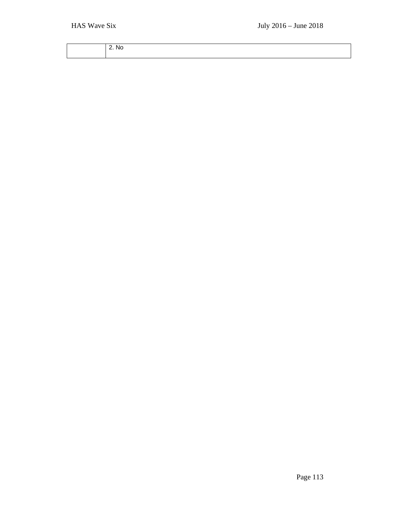| .NC |
|-----|
|     |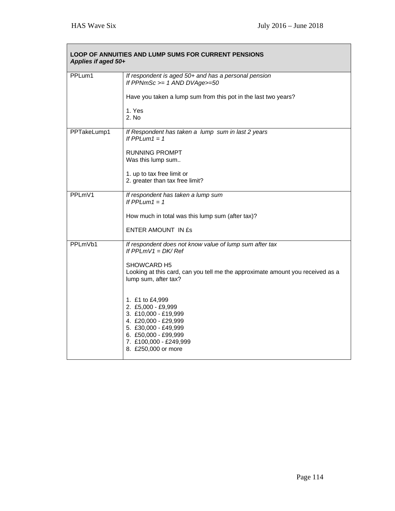| LOOP OF ANNUITIES AND LUMP SUMS FOR CURRENT PENSIONS<br>Applies if aged 50+ |                                                                                                                                                                                        |
|-----------------------------------------------------------------------------|----------------------------------------------------------------------------------------------------------------------------------------------------------------------------------------|
| PPLum1                                                                      | If respondent is aged 50+ and has a personal pension<br>If PPNmSc $>= 1$ AND DVAge $>= 50$                                                                                             |
|                                                                             | Have you taken a lump sum from this pot in the last two years?                                                                                                                         |
|                                                                             | 1. Yes<br>2. No                                                                                                                                                                        |
| PPTakeLump1                                                                 | If Respondent has taken a lump sum in last 2 years<br>If PPLum1 = 1                                                                                                                    |
|                                                                             | <b>RUNNING PROMPT</b><br>Was this lump sum                                                                                                                                             |
|                                                                             | 1. up to tax free limit or<br>2. greater than tax free limit?                                                                                                                          |
| PPLmV1                                                                      | If respondent has taken a lump sum<br>If PPLum1 = $1$                                                                                                                                  |
|                                                                             | How much in total was this lump sum (after tax)?                                                                                                                                       |
|                                                                             | <b>ENTER AMOUNT IN £s</b>                                                                                                                                                              |
| PPLmVb1                                                                     | If respondent does not know value of lump sum after tax<br>If $PPLmV1 = DK/Ref$                                                                                                        |
|                                                                             | <b>SHOWCARD H5</b><br>Looking at this card, can you tell me the approximate amount you received as a<br>lump sum, after tax?                                                           |
|                                                                             | 1. £1 to £4,999<br>2. £5,000 - £9,999<br>3. £10,000 - £19,999<br>4. £20,000 - £29,999<br>5. £30,000 - £49,999<br>6. £50,000 - £99,999<br>7. £100,000 - £249,999<br>8. £250,000 or more |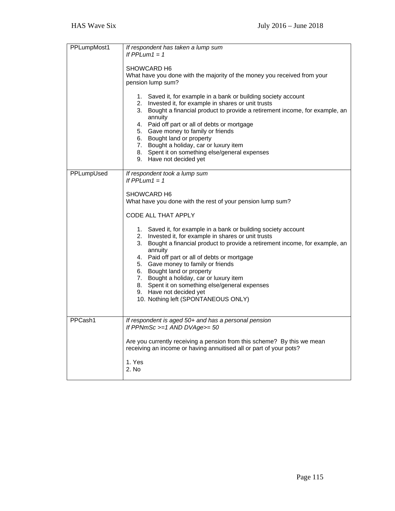| PPLumpMost1 | If respondent has taken a lump sum<br>If $PPLum1 = 1$<br>SHOWCARD H6                                                                                                                                                                                                                                                                                                                                                                                                                                  |
|-------------|-------------------------------------------------------------------------------------------------------------------------------------------------------------------------------------------------------------------------------------------------------------------------------------------------------------------------------------------------------------------------------------------------------------------------------------------------------------------------------------------------------|
|             | What have you done with the majority of the money you received from your<br>pension lump sum?                                                                                                                                                                                                                                                                                                                                                                                                         |
|             | 1. Saved it, for example in a bank or building society account<br>2. Invested it, for example in shares or unit trusts<br>3. Bought a financial product to provide a retirement income, for example, an<br>annuity<br>4. Paid off part or all of debts or mortgage<br>5. Gave money to family or friends<br>6. Bought land or property<br>7. Bought a holiday, car or luxury item<br>8. Spent it on something else/general expenses<br>9. Have not decided yet                                        |
| PPLumpUsed  | If respondent took a lump sum<br>If $PPLum1 = 1$                                                                                                                                                                                                                                                                                                                                                                                                                                                      |
|             | SHOWCARD H6<br>What have you done with the rest of your pension lump sum?                                                                                                                                                                                                                                                                                                                                                                                                                             |
|             | CODE ALL THAT APPLY                                                                                                                                                                                                                                                                                                                                                                                                                                                                                   |
|             | 1. Saved it, for example in a bank or building society account<br>2. Invested it, for example in shares or unit trusts<br>3. Bought a financial product to provide a retirement income, for example, an<br>annuity<br>4. Paid off part or all of debts or mortgage<br>5. Gave money to family or friends<br>6. Bought land or property<br>7. Bought a holiday, car or luxury item<br>8. Spent it on something else/general expenses<br>9. Have not decided yet<br>10. Nothing left (SPONTANEOUS ONLY) |
| PPCash1     | If respondent is aged 50+ and has a personal pension<br>If PPNmSc $>=1$ AND DVAge $>=50$                                                                                                                                                                                                                                                                                                                                                                                                              |
|             | Are you currently receiving a pension from this scheme? By this we mean<br>receiving an income or having annuitised all or part of your pots?                                                                                                                                                                                                                                                                                                                                                         |
|             | 1. Yes<br>2. No                                                                                                                                                                                                                                                                                                                                                                                                                                                                                       |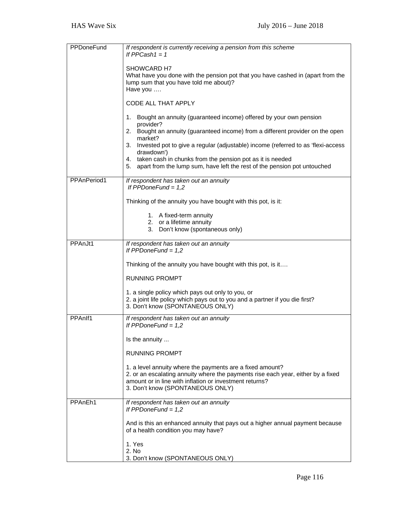| <b>PPDoneFund</b> | If respondent is currently receiving a pension from this scheme<br>If PPCash $1 = 1$                                                                                                                                                         |
|-------------------|----------------------------------------------------------------------------------------------------------------------------------------------------------------------------------------------------------------------------------------------|
|                   |                                                                                                                                                                                                                                              |
|                   | SHOWCARD H7<br>What have you done with the pension pot that you have cashed in (apart from the                                                                                                                                               |
|                   | lump sum that you have told me about)?<br>Have you                                                                                                                                                                                           |
|                   | CODE ALL THAT APPLY                                                                                                                                                                                                                          |
|                   | 1.<br>Bought an annuity (guaranteed income) offered by your own pension<br>provider?                                                                                                                                                         |
|                   | 2. Bought an annuity (guaranteed income) from a different provider on the open<br>market?                                                                                                                                                    |
|                   | Invested pot to give a regular (adjustable) income (referred to as 'flexi-access<br>3.<br>drawdown')                                                                                                                                         |
|                   | 4. taken cash in chunks from the pension pot as it is needed                                                                                                                                                                                 |
|                   | apart from the lump sum, have left the rest of the pension pot untouched<br>5.                                                                                                                                                               |
| PPAnPeriod1       | If respondent has taken out an annuity<br>If $PPDoneFund = 1,2$                                                                                                                                                                              |
|                   | Thinking of the annuity you have bought with this pot, is it:                                                                                                                                                                                |
|                   | 1. A fixed-term annuity<br>2. or a lifetime annuity                                                                                                                                                                                          |
|                   | 3. Don't know (spontaneous only)                                                                                                                                                                                                             |
| PPAnJt1           | If respondent has taken out an annuity<br>If PPDoneFund = $1,2$                                                                                                                                                                              |
|                   | Thinking of the annuity you have bought with this pot, is it                                                                                                                                                                                 |
|                   | <b>RUNNING PROMPT</b>                                                                                                                                                                                                                        |
|                   | 1. a single policy which pays out only to you, or<br>2. a joint life policy which pays out to you and a partner if you die first?                                                                                                            |
|                   | 3. Don't know (SPONTANEOUS ONLY)                                                                                                                                                                                                             |
| PPAnlf1           | If respondent has taken out an annuity<br>If $PPDoneFund = 1,2$                                                                                                                                                                              |
|                   | Is the annuity                                                                                                                                                                                                                               |
|                   | <b>RUNNING PROMPT</b>                                                                                                                                                                                                                        |
|                   | 1. a level annuity where the payments are a fixed amount?<br>2. or an escalating annuity where the payments rise each year, either by a fixed<br>amount or in line with inflation or investment returns?<br>3. Don't know (SPONTANEOUS ONLY) |
| PPAnEh1           | If respondent has taken out an annuity<br>If PPDoneFund = $1,2$                                                                                                                                                                              |
|                   | And is this an enhanced annuity that pays out a higher annual payment because<br>of a health condition you may have?                                                                                                                         |
|                   | 1. Yes                                                                                                                                                                                                                                       |
|                   | 2. No<br>3. Don't know (SPONTANEOUS ONLY)                                                                                                                                                                                                    |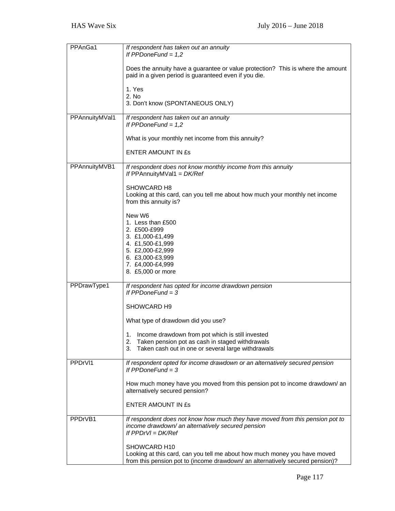| PPAnGa1        | If respondent has taken out an annuity<br>If PPDoneFund = $1,2$                                                                                                            |
|----------------|----------------------------------------------------------------------------------------------------------------------------------------------------------------------------|
|                | Does the annuity have a guarantee or value protection? This is where the amount<br>paid in a given period is guaranteed even if you die.                                   |
|                | 1. Yes<br>2. No                                                                                                                                                            |
|                | 3. Don't know (SPONTANEOUS ONLY)                                                                                                                                           |
| PPAnnuityMVal1 | If respondent has taken out an annuity<br>If PPDoneFund = $1,2$                                                                                                            |
|                | What is your monthly net income from this annuity?                                                                                                                         |
|                | <b>ENTER AMOUNT IN ES</b>                                                                                                                                                  |
| PPAnnuityMVB1  | If respondent does not know monthly income from this annuity<br>If PPAnnuityMVal1 = $DK/Ref$                                                                               |
|                | SHOWCARD H8<br>Looking at this card, can you tell me about how much your monthly net income<br>from this annuity is?                                                       |
|                | New W6<br>1. Less than £500<br>2. £500-£999<br>3. £1,000-£1,499                                                                                                            |
|                | 4. £1,500-£1,999<br>5. £2,000-£2,999                                                                                                                                       |
|                | 6. £3,000-£3,999<br>7. £4,000-£4,999                                                                                                                                       |
|                | 8. £5,000 or more                                                                                                                                                          |
| PPDrawType1    | If respondent has opted for income drawdown pension<br>If $PPDoneFund = 3$                                                                                                 |
|                | SHOWCARD H9                                                                                                                                                                |
|                | What type of drawdown did you use?                                                                                                                                         |
|                | Income drawdown from pot which is still invested<br>1.<br>Taken pension pot as cash in staged withdrawals<br>2.                                                            |
|                | 3.<br>Taken cash out in one or several large withdrawals                                                                                                                   |
| PPDrVI1        | If respondent opted for income drawdown or an alternatively secured pension<br>If $PPDoneFund = 3$                                                                         |
|                | How much money have you moved from this pension pot to income drawdown/ an<br>alternatively secured pension?                                                               |
|                | <b>ENTER AMOUNT IN £s</b>                                                                                                                                                  |
| PPDrVB1        | If respondent does not know how much they have moved from this pension pot to<br>income drawdown/ an alternatively secured pension<br>If $PPDrVI = DK/Ref$                 |
|                | SHOWCARD H10<br>Looking at this card, can you tell me about how much money you have moved<br>from this pension pot to (income drawdown/ an alternatively secured pension)? |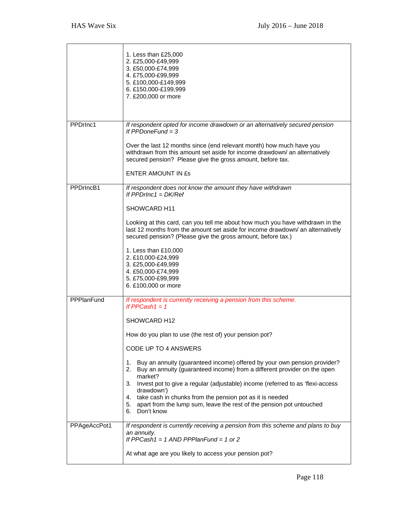|              | 1. Less than £25,000<br>2. £25,000-£49,999<br>3. £50,000-£74,999<br>4. £75,000-£99,999<br>5. £100,000-£149,999<br>6. £150,000-£199,999<br>7. £200,000 or more                                                                    |
|--------------|----------------------------------------------------------------------------------------------------------------------------------------------------------------------------------------------------------------------------------|
| PPDrlnc1     | If respondent opted for income drawdown or an alternatively secured pension<br>If $PPDoneFund = 3$<br>Over the last 12 months since (end relevant month) how much have you                                                       |
|              | withdrawn from this amount set aside for income drawdown/ an alternatively<br>secured pension? Please give the gross amount, before tax.                                                                                         |
|              | <b>ENTER AMOUNT IN ES</b>                                                                                                                                                                                                        |
| PPDrIncB1    | If respondent does not know the amount they have withdrawn<br>If $PPDrInc1 = DK/Ref$                                                                                                                                             |
|              | SHOWCARD H11                                                                                                                                                                                                                     |
|              | Looking at this card, can you tell me about how much you have withdrawn in the<br>last 12 months from the amount set aside for income drawdown/ an alternatively<br>secured pension? (Please give the gross amount, before tax.) |
|              | 1. Less than £10,000<br>2. £10,000-£24,999<br>3. £25,000-£49,999                                                                                                                                                                 |
|              | 4. £50,000-£74,999<br>5. £75,000-£99,999<br>6. £100,000 or more                                                                                                                                                                  |
| PPPlanFund   | If respondent is currently receiving a pension from this scheme.<br>If PPCash $1 = 1$                                                                                                                                            |
|              | SHOWCARD H <sub>12</sub>                                                                                                                                                                                                         |
|              | How do you plan to use (the rest of) your pension pot?                                                                                                                                                                           |
|              | CODE UP TO 4 ANSWERS                                                                                                                                                                                                             |
|              | Buy an annuity (guaranteed income) offered by your own pension provider?<br>1.<br>2. Buy an annuity (guaranteed income) from a different provider on the open<br>market?                                                         |
|              | Invest pot to give a regular (adjustable) income (referred to as 'flexi-access<br>3.<br>drawdown')                                                                                                                               |
|              | 4. take cash in chunks from the pension pot as it is needed<br>apart from the lump sum, leave the rest of the pension pot untouched<br>5.<br>6. Don't know                                                                       |
| PPAgeAccPot1 | If respondent is currently receiving a pension from this scheme and plans to buy<br>an annuity.<br>If PPCash1 = $1$ AND PPPIanFund = $1$ or $2$                                                                                  |
|              | At what age are you likely to access your pension pot?                                                                                                                                                                           |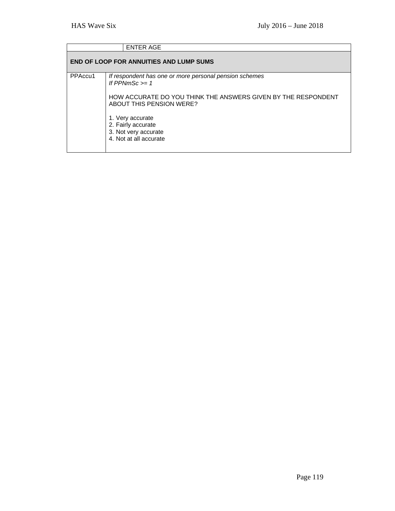|         | <b>ENTER AGE</b>                                                                                                                                                        |
|---------|-------------------------------------------------------------------------------------------------------------------------------------------------------------------------|
|         | <b>END OF LOOP FOR ANNUITIES AND LUMP SUMS</b>                                                                                                                          |
| PPAccu1 | If respondent has one or more personal pension schemes<br>If PPNmSc $>= 1$<br>HOW ACCURATE DO YOU THINK THE ANSWERS GIVEN BY THE RESPONDENT<br>ABOUT THIS PENSION WERE? |
|         | 1. Very accurate<br>2. Fairly accurate<br>3. Not very accurate<br>4. Not at all accurate                                                                                |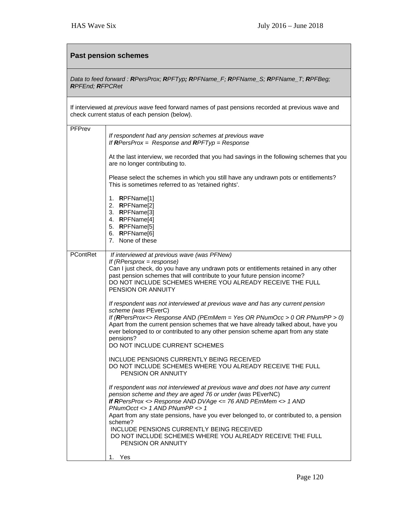## **Past pension schemes**

## *Data to feed forward : RPersProx; RPFTyp; RPFName\_F; RPFName\_S; RPFName\_T*; *RPFBeg; RPFEnd; RFPCRet*

If interviewed at *previous wave* feed forward names of past pensions recorded at previous wave and check current status of each pension (below).

| PFPrev   | If respondent had any pension schemes at previous wave<br>If RPersProx = Response and RPFTyp = Response                                                                                                                                                                                                                                                                                                    |
|----------|------------------------------------------------------------------------------------------------------------------------------------------------------------------------------------------------------------------------------------------------------------------------------------------------------------------------------------------------------------------------------------------------------------|
|          | At the last interview, we recorded that you had savings in the following schemes that you<br>are no longer contributing to.                                                                                                                                                                                                                                                                                |
|          | Please select the schemes in which you still have any undrawn pots or entitlements?<br>This is sometimes referred to as 'retained rights'.                                                                                                                                                                                                                                                                 |
|          | 1. RPFName[1]<br>2. RPFName[2]<br>3. RPFName[3]<br>4. RPFName[4]<br>5. RPFName[5]<br>6. RPFName[6]<br>7. None of these                                                                                                                                                                                                                                                                                     |
| PContRet | If interviewed at previous wave (was PFNew)<br>If $(RPersprox = response)$<br>Can I just check, do you have any undrawn pots or entitlements retained in any other<br>past pension schemes that will contribute to your future pension income?<br>DO NOT INCLUDE SCHEMES WHERE YOU ALREADY RECEIVE THE FULL<br>PENSION OR ANNUITY                                                                          |
|          | If respondent was not interviewed at previous wave and has any current pension<br>scheme (was PEverC)<br>If (RPersProx<> Response AND (PEmMem = Yes OR PNumOcc > 0 OR PNumPP > 0)<br>Apart from the current pension schemes that we have already talked about, have you<br>ever belonged to or contributed to any other pension scheme apart from any state<br>pensions?<br>DO NOT INCLUDE CURRENT SCHEMES |
|          | INCLUDE PENSIONS CURRENTLY BEING RECEIVED<br>DO NOT INCLUDE SCHEMES WHERE YOU ALREADY RECEIVE THE FULL<br>PENSION OR ANNUITY                                                                                                                                                                                                                                                                               |
|          | If respondent was not interviewed at previous wave and does not have any current<br>pension scheme and they are aged 76 or under (was PEverNC)<br>If RPersProx <> Response AND DVAge <= 76 AND PEmMem <> $1$ AND<br>$PNumOcc \iff 1 AND PNumPP \iff 1$<br>Apart from any state pensions, have you ever belonged to, or contributed to, a pension                                                           |
|          | scheme?<br>INCLUDE PENSIONS CURRENTLY BEING RECEIVED<br>DO NOT INCLUDE SCHEMES WHERE YOU ALREADY RECEIVE THE FULL<br>PENSION OR ANNUITY                                                                                                                                                                                                                                                                    |
|          | 1. Yes                                                                                                                                                                                                                                                                                                                                                                                                     |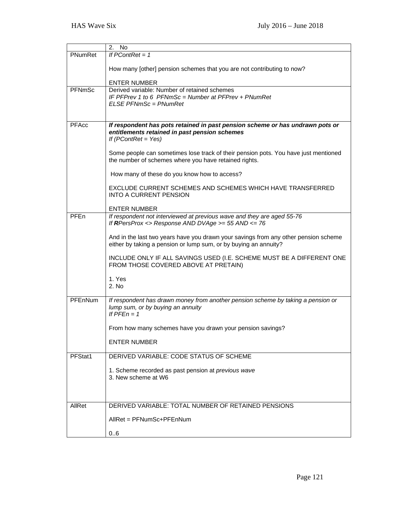|                | 2.<br><b>No</b>                                                                                                                                         |
|----------------|---------------------------------------------------------------------------------------------------------------------------------------------------------|
| PNumRet        | If $PContRet = 1$                                                                                                                                       |
|                | How many [other] pension schemes that you are not contributing to now?                                                                                  |
|                | <b>ENTER NUMBER</b>                                                                                                                                     |
| <b>PFNmSc</b>  | Derived variable: Number of retained schemes                                                                                                            |
|                | IF PFPrev 1 to 6 PFNmSc = Number at PFPrev + PNumRet                                                                                                    |
|                | ELSE PFNmSc = PNumRet                                                                                                                                   |
|                |                                                                                                                                                         |
|                |                                                                                                                                                         |
| PFAcc          | If respondent has pots retained in past pension scheme or has undrawn pots or                                                                           |
|                | entitlements retained in past pension schemes                                                                                                           |
|                | If $(PContRet = Yes)$                                                                                                                                   |
|                | Some people can sometimes lose track of their pension pots. You have just mentioned                                                                     |
|                | the number of schemes where you have retained rights.                                                                                                   |
|                |                                                                                                                                                         |
|                | How many of these do you know how to access?                                                                                                            |
|                | EXCLUDE CURRENT SCHEMES AND SCHEMES WHICH HAVE TRANSFERRED                                                                                              |
|                | <b>INTO A CURRENT PENSION</b>                                                                                                                           |
|                |                                                                                                                                                         |
|                | <b>ENTER NUMBER</b>                                                                                                                                     |
| PFEn           | If respondent not interviewed at previous wave and they are aged 55-76                                                                                  |
|                | If RPersProx <> Response AND DVAge >= 55 AND <= 76                                                                                                      |
|                |                                                                                                                                                         |
|                | And in the last two years have you drawn your savings from any other pension scheme<br>either by taking a pension or lump sum, or by buying an annuity? |
|                |                                                                                                                                                         |
|                | INCLUDE ONLY IF ALL SAVINGS USED (I.E. SCHEME MUST BE A DIFFERENT ONE                                                                                   |
|                | FROM THOSE COVERED ABOVE AT PRETAIN)                                                                                                                    |
|                |                                                                                                                                                         |
|                | 1. Yes                                                                                                                                                  |
|                | 2. No                                                                                                                                                   |
| <b>PFEnNum</b> | If respondent has drawn money from another pension scheme by taking a pension or                                                                        |
|                | lump sum, or by buying an annuity                                                                                                                       |
|                | If $PFEn = 1$                                                                                                                                           |
|                |                                                                                                                                                         |
|                | From how many schemes have you drawn your pension savings?                                                                                              |
|                | <b>ENTER NUMBER</b>                                                                                                                                     |
|                |                                                                                                                                                         |
| PFStat1        | DERIVED VARIABLE: CODE STATUS OF SCHEME                                                                                                                 |
|                |                                                                                                                                                         |
|                | 1. Scheme recorded as past pension at previous wave                                                                                                     |
|                | 3. New scheme at W6                                                                                                                                     |
|                |                                                                                                                                                         |
|                |                                                                                                                                                         |
| AllRet         | DERIVED VARIABLE: TOTAL NUMBER OF RETAINED PENSIONS                                                                                                     |
|                |                                                                                                                                                         |
|                | AllRet = PFNumSc+PFEnNum                                                                                                                                |
|                | 0.6                                                                                                                                                     |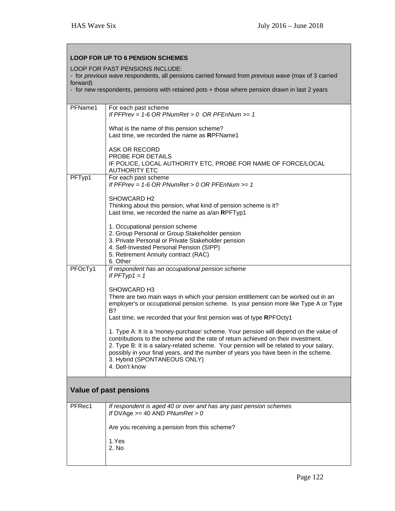| <b>LOOP FOR UP TO 6 PENSION SCHEMES</b> |                                                                                                                                                                                                                                                                                                                                                                                                           |  |  |
|-----------------------------------------|-----------------------------------------------------------------------------------------------------------------------------------------------------------------------------------------------------------------------------------------------------------------------------------------------------------------------------------------------------------------------------------------------------------|--|--|
|                                         | LOOP FOR PAST PENSIONS INCLUDE:<br>- for previous wave respondents, all pensions carried forward from previous wave (max of 3 carried                                                                                                                                                                                                                                                                     |  |  |
| forward)                                |                                                                                                                                                                                                                                                                                                                                                                                                           |  |  |
|                                         | - for new respondents, pensions with retained pots + those where pension drawn in last 2 years                                                                                                                                                                                                                                                                                                            |  |  |
| PFName1                                 | For each past scheme<br>If PFPrev = 1-6 OR PNumRet > 0 OR PFEnNum >= 1                                                                                                                                                                                                                                                                                                                                    |  |  |
|                                         | What is the name of this pension scheme?<br>Last time, we recorded the name as RPFName1                                                                                                                                                                                                                                                                                                                   |  |  |
|                                         | ASK OR RECORD<br>PROBE FOR DETAILS<br>IF POLICE, LOCAL AUTHORITY ETC, PROBE FOR NAME OF FORCE/LOCAL                                                                                                                                                                                                                                                                                                       |  |  |
| PFTyp1                                  | <b>AUTHORITY ETC</b><br>For each past scheme                                                                                                                                                                                                                                                                                                                                                              |  |  |
|                                         | If PFPrev = 1-6 OR PNumRet > 0 OR PFEnNum >= 1                                                                                                                                                                                                                                                                                                                                                            |  |  |
|                                         | SHOWCARD H2<br>Thinking about this pension, what kind of pension scheme is it?<br>Last time, we recorded the name as a/an RPFTyp1                                                                                                                                                                                                                                                                         |  |  |
|                                         | 1. Occupational pension scheme<br>2. Group Personal or Group Stakeholder pension<br>3. Private Personal or Private Stakeholder pension<br>4. Self-Invested Personal Pension (SIPP)<br>5. Retirement Annuity contract (RAC)<br>6. Other                                                                                                                                                                    |  |  |
| PFOcTy1                                 | If respondent has an occupational pension scheme<br>If $PFTyp1 = 1$                                                                                                                                                                                                                                                                                                                                       |  |  |
|                                         | SHOWCARD H3                                                                                                                                                                                                                                                                                                                                                                                               |  |  |
|                                         | There are two main ways in which your pension entitlement can be worked out in an<br>employer's or occupational pension scheme. Is your pension more like Type A or Type<br>B?                                                                                                                                                                                                                            |  |  |
|                                         | Last time, we recorded that your first pension was of type RPFOcty1                                                                                                                                                                                                                                                                                                                                       |  |  |
|                                         | 1. Type A: It is a 'money-purchase' scheme. Your pension will depend on the value of<br>contributions to the scheme and the rate of return achieved on their investment.<br>2. Type B: It is a salary-related scheme. Your pension will be related to your salary,<br>possibly in your final years, and the number of years you have been in the scheme.<br>3. Hybrid (SPONTANEOUS ONLY)<br>4. Don't know |  |  |
| Value of past pensions                  |                                                                                                                                                                                                                                                                                                                                                                                                           |  |  |
| PFRec1                                  | If respondent is aged 40 or over and has any past pension schemes<br>If DVAge $>=$ 40 AND PNumRet $> 0$                                                                                                                                                                                                                                                                                                   |  |  |
|                                         | Are you receiving a pension from this scheme?                                                                                                                                                                                                                                                                                                                                                             |  |  |
|                                         | 1.Yes<br>2. No                                                                                                                                                                                                                                                                                                                                                                                            |  |  |
|                                         |                                                                                                                                                                                                                                                                                                                                                                                                           |  |  |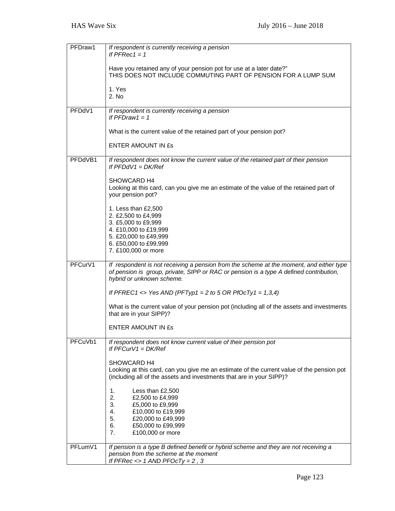| PFDraw1 | If respondent is currently receiving a pension<br>If $PFRec1 = 1$                                                                                                                                              |
|---------|----------------------------------------------------------------------------------------------------------------------------------------------------------------------------------------------------------------|
|         | Have you retained any of your pension pot for use at a later date?"<br>THIS DOES NOT INCLUDE COMMUTING PART OF PENSION FOR A LUMP SUM                                                                          |
|         | 1. Yes<br>2. No                                                                                                                                                                                                |
| PFDdV1  | If respondent is currently receiving a pension                                                                                                                                                                 |
|         | If $PFDraw1 = 1$                                                                                                                                                                                               |
|         | What is the current value of the retained part of your pension pot?                                                                                                                                            |
|         | <b>ENTER AMOUNT IN £s</b>                                                                                                                                                                                      |
| PFDdVB1 | If respondent does not know the current value of the retained part of their pension<br>If $PFDdV1 = DK/Ref$                                                                                                    |
|         | <b>SHOWCARD H4</b>                                                                                                                                                                                             |
|         | Looking at this card, can you give me an estimate of the value of the retained part of<br>your pension pot?                                                                                                    |
|         | 1. Less than £2,500                                                                                                                                                                                            |
|         | 2. £2,500 to £4,999                                                                                                                                                                                            |
|         | 3. £5,000 to £9,999                                                                                                                                                                                            |
|         | 4. £10,000 to £19,999                                                                                                                                                                                          |
|         | 5. £20,000 to £49,999                                                                                                                                                                                          |
|         | 6. £50,000 to £99,999<br>7. £100,000 or more                                                                                                                                                                   |
|         |                                                                                                                                                                                                                |
| PFCurV1 | If respondent is not receiving a pension from the scheme at the moment, and either type<br>of pension is group, private, SIPP or RAC or pension is a type A defined contribution,<br>hybrid or unknown scheme. |
|         | If PFREC1 <> Yes AND (PFTyp1 = 2 to 5 OR PfOcTy1 = 1,3,4)                                                                                                                                                      |
|         | What is the current value of your pension pot (including all of the assets and investments<br>that are in your SIPP)?                                                                                          |
|         | <b>ENTER AMOUNT IN £s</b>                                                                                                                                                                                      |
| PFCuVb1 | If respondent does not know current value of their pension pot<br>If $PFCurV1 = DK/Ref$                                                                                                                        |
|         |                                                                                                                                                                                                                |
|         | SHOWCARD H4                                                                                                                                                                                                    |
|         | Looking at this card, can you give me an estimate of the current value of the pension pot<br>(including all of the assets and investments that are in your SIPP)?                                              |
|         | Less than £2,500<br>1.                                                                                                                                                                                         |
|         | 2.<br>£2,500 to £4,999                                                                                                                                                                                         |
|         | 3.<br>£5,000 to £9,999                                                                                                                                                                                         |
|         | £10,000 to £19,999<br>4.                                                                                                                                                                                       |
|         | 5.<br>£20,000 to £49,999                                                                                                                                                                                       |
|         | 6.<br>£50,000 to £99,999                                                                                                                                                                                       |
|         | 7.<br>£100,000 or more                                                                                                                                                                                         |
|         |                                                                                                                                                                                                                |
| PFLumV1 | If pension is a type B defined benefit or hybrid scheme and they are not receiving a                                                                                                                           |
|         | pension from the scheme at the moment                                                                                                                                                                          |
|         | If PFRec $\lt$ > 1 AND PFOcTy = 2, 3                                                                                                                                                                           |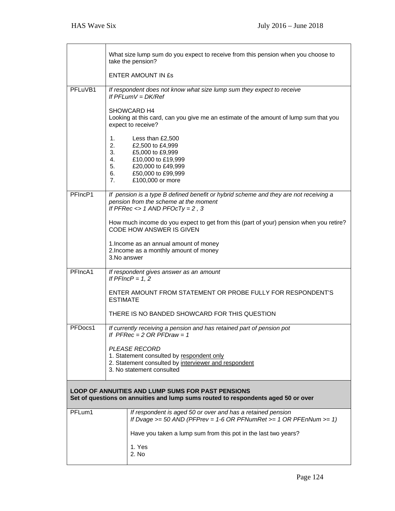|                                                                                                                                               |                                                                                                                                                        | What size lump sum do you expect to receive from this pension when you choose to<br>take the pension?<br><b>ENTER AMOUNT IN £s</b>                                                                                                                                                                                                 |
|-----------------------------------------------------------------------------------------------------------------------------------------------|--------------------------------------------------------------------------------------------------------------------------------------------------------|------------------------------------------------------------------------------------------------------------------------------------------------------------------------------------------------------------------------------------------------------------------------------------------------------------------------------------|
| PFLuVB1                                                                                                                                       | 1.<br>2.<br>3.<br>4.<br>5.                                                                                                                             | If respondent does not know what size lump sum they expect to receive<br>If $PFLumV = DK/Ref$<br>SHOWCARD H4<br>Looking at this card, can you give me an estimate of the amount of lump sum that you<br>expect to receive?<br>Less than £2,500<br>£2,500 to £4,999<br>£5,000 to £9,999<br>£10,000 to £19,999<br>£20,000 to £49,999 |
|                                                                                                                                               | 6.<br>7 <sub>1</sub>                                                                                                                                   | £50,000 to £99,999<br>£100,000 or more                                                                                                                                                                                                                                                                                             |
| PFIncP1                                                                                                                                       |                                                                                                                                                        | If pension is a type B defined benefit or hybrid scheme and they are not receiving a<br>pension from the scheme at the moment<br>If PFRec $\lt$ > 1 AND PFOcTy = 2, 3                                                                                                                                                              |
|                                                                                                                                               |                                                                                                                                                        | How much income do you expect to get from this (part of your) pension when you retire?<br><b>CODE HOW ANSWER IS GIVEN</b>                                                                                                                                                                                                          |
|                                                                                                                                               | 3. No answer                                                                                                                                           | 1. Income as an annual amount of money<br>2. Income as a monthly amount of money                                                                                                                                                                                                                                                   |
| PFIncA1                                                                                                                                       |                                                                                                                                                        | If respondent gives answer as an amount<br>If $PFIncP = 1, 2$                                                                                                                                                                                                                                                                      |
|                                                                                                                                               | <b>ESTIMATE</b>                                                                                                                                        | ENTER AMOUNT FROM STATEMENT OR PROBE FULLY FOR RESPONDENT'S                                                                                                                                                                                                                                                                        |
|                                                                                                                                               |                                                                                                                                                        | THERE IS NO BANDED SHOWCARD FOR THIS QUESTION                                                                                                                                                                                                                                                                                      |
| PFDocs1                                                                                                                                       |                                                                                                                                                        | If currently receiving a pension and has retained part of pension pot<br>If $PFRec = 2 OR PFDraw = 1$                                                                                                                                                                                                                              |
|                                                                                                                                               | <b>PLEASE RECORD</b><br>1. Statement consulted by respondent only<br>2. Statement consulted by interviewer and respondent<br>3. No statement consulted |                                                                                                                                                                                                                                                                                                                                    |
| <b>LOOP OF ANNUITIES AND LUMP SUMS FOR PAST PENSIONS</b><br>Set of questions on annuities and lump sums routed to respondents aged 50 or over |                                                                                                                                                        |                                                                                                                                                                                                                                                                                                                                    |
| PFLum1                                                                                                                                        |                                                                                                                                                        | If respondent is aged 50 or over and has a retained pension<br>If Dvage $>= 50$ AND (PFPrev = 1-6 OR PFNumRet $>= 1$ OR PFEnNum $>= 1$ )                                                                                                                                                                                           |
|                                                                                                                                               |                                                                                                                                                        | Have you taken a lump sum from this pot in the last two years?                                                                                                                                                                                                                                                                     |
|                                                                                                                                               |                                                                                                                                                        | 1. Yes<br>2. No                                                                                                                                                                                                                                                                                                                    |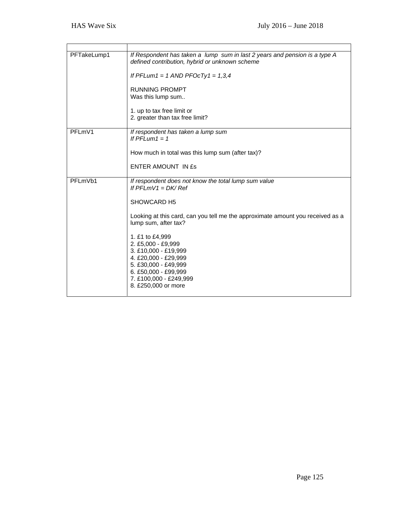| PFTakeLump1 | If Respondent has taken a lump sum in last 2 years and pension is a type A<br>defined contribution, hybrid or unknown scheme          |
|-------------|---------------------------------------------------------------------------------------------------------------------------------------|
|             | If PFLum1 = 1 AND PFOcTy1 = $1,3,4$                                                                                                   |
|             | <b>RUNNING PROMPT</b><br>Was this lump sum                                                                                            |
|             | 1. up to tax free limit or<br>2. greater than tax free limit?                                                                         |
| PFLmV1      | If respondent has taken a lump sum<br>If $PFLum1 = 1$                                                                                 |
|             | How much in total was this lump sum (after tax)?                                                                                      |
|             | ENTER AMOUNT IN ES                                                                                                                    |
| PFLmVb1     | If respondent does not know the total lump sum value<br>If $PFI$ mV1 = DK/Ref                                                         |
|             | SHOWCARD H5                                                                                                                           |
|             | Looking at this card, can you tell me the approximate amount you received as a<br>lump sum, after tax?                                |
|             | 1. £1 to £4,999<br>2. £5,000 - £9,999<br>3. £10,000 - £19,999<br>4. £20,000 - £29,999<br>5. £30,000 - £49,999<br>6. £50,000 - £99,999 |
|             | 7. £100,000 - £249,999<br>8. £250,000 or more                                                                                         |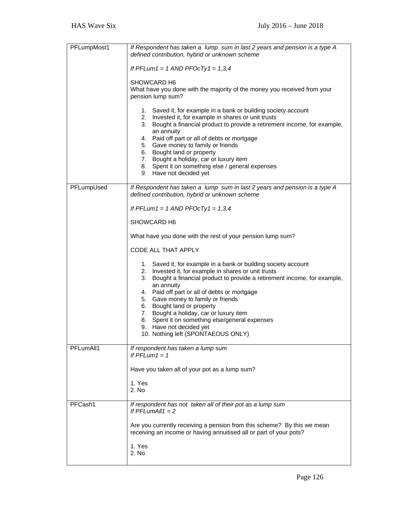| PFLumpMost1 | If Respondent has taken a lump sum in last 2 years and pension is a type A<br>defined contribution, hybrid or unknown scheme                                                                                                                                                                                                                                                                                                                                     |
|-------------|------------------------------------------------------------------------------------------------------------------------------------------------------------------------------------------------------------------------------------------------------------------------------------------------------------------------------------------------------------------------------------------------------------------------------------------------------------------|
|             | If PFLum1 = 1 AND PFOcTy1 = $1,3,4$                                                                                                                                                                                                                                                                                                                                                                                                                              |
|             | SHOWCARD H6<br>What have you done with the majority of the money you received from your<br>pension lump sum?                                                                                                                                                                                                                                                                                                                                                     |
|             | 1. Saved it, for example in a bank or building society account<br>2. Invested it, for example in shares or unit trusts<br>3. Bought a financial product to provide a retirement income, for example,<br>an annuity<br>4. Paid off part or all of debts or mortgage<br>5. Gave money to family or friends<br>6. Bought land or property<br>7. Bought a holiday, car or luxury item<br>8. Spent it on something else / general expenses<br>9. Have not decided yet |
| PFLumpUsed  | If Respondent has taken a lump sum in last 2 years and pension is a type A<br>defined contribution, hybrid or unknown scheme                                                                                                                                                                                                                                                                                                                                     |
|             | If PFLum1 = 1 AND PFOcTy1 = $1,3,4$                                                                                                                                                                                                                                                                                                                                                                                                                              |
|             | SHOWCARD H6                                                                                                                                                                                                                                                                                                                                                                                                                                                      |
|             | What have you done with the rest of your pension lump sum?                                                                                                                                                                                                                                                                                                                                                                                                       |
|             | CODE ALL THAT APPLY                                                                                                                                                                                                                                                                                                                                                                                                                                              |
|             | 1. Saved it, for example in a bank or building society account<br>2. Invested it, for example in shares or unit trusts<br>Bought a financial product to provide a retirement income, for example,<br>3.<br>an annuity                                                                                                                                                                                                                                            |
|             | 4. Paid off part or all of debts or mortgage<br>5. Gave money to family or friends                                                                                                                                                                                                                                                                                                                                                                               |
|             | 6. Bought land or property<br>7. Bought a holiday, car or luxury item                                                                                                                                                                                                                                                                                                                                                                                            |
|             | 8. Spent it on something else/general expenses<br>9. Have not decided yet                                                                                                                                                                                                                                                                                                                                                                                        |
|             | 10. Nothing left (SPONTAEOUS ONLY)                                                                                                                                                                                                                                                                                                                                                                                                                               |
| PFLumAll1   | If respondent has taken a lump sum<br>If $PFLum1 = 1$                                                                                                                                                                                                                                                                                                                                                                                                            |
|             | Have you taken all of your pot as a lump sum?                                                                                                                                                                                                                                                                                                                                                                                                                    |
|             | 1. Yes<br>2. No                                                                                                                                                                                                                                                                                                                                                                                                                                                  |
| PFCash1     | If respondent has not taken all of their pot as a lump sum<br>If $PFLumAll1 = 2$                                                                                                                                                                                                                                                                                                                                                                                 |
|             | Are you currently receiving a pension from this scheme? By this we mean<br>receiving an income or having annuitised all or part of your pots?                                                                                                                                                                                                                                                                                                                    |
|             | 1. Yes<br>2. No                                                                                                                                                                                                                                                                                                                                                                                                                                                  |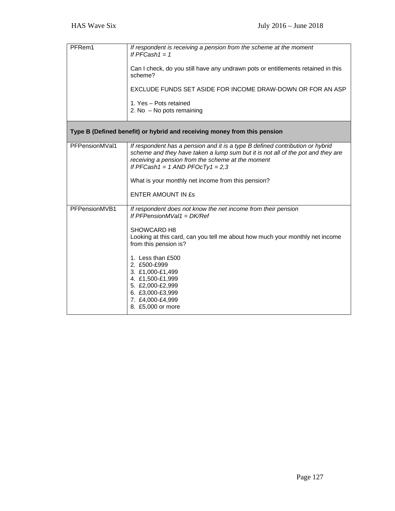| PFRem1         | If respondent is receiving a pension from the scheme at the moment<br>If $PFCash1 = 1$<br>Can I check, do you still have any undrawn pots or entitlements retained in this<br>scheme?<br>EXCLUDE FUNDS SET ASIDE FOR INCOME DRAW-DOWN OR FOR AN ASP<br>1. Yes - Pots retained<br>2. No $-$ No pots remaining                                                                        |
|----------------|-------------------------------------------------------------------------------------------------------------------------------------------------------------------------------------------------------------------------------------------------------------------------------------------------------------------------------------------------------------------------------------|
|                | Type B (Defined benefit) or hybrid and receiving money from this pension                                                                                                                                                                                                                                                                                                            |
| PFPensionMVal1 | If respondent has a pension and it is a type B defined contribution or hybrid<br>scheme and they have taken a lump sum but it is not all of the pot and they are<br>receiving a pension from the scheme at the moment<br>If PFCash1 = 1 AND PFOcTy1 = 2,3<br>What is your monthly net income from this pension?<br><b>ENTER AMOUNT IN £s</b>                                        |
| PFPensionMVB1  | If respondent does not know the net income from their pension<br>If PFPensionMVal1 = $DK/Ref$<br>SHOWCARD H8<br>Looking at this card, can you tell me about how much your monthly net income<br>from this pension is?<br>1. Less than £500<br>2. £500-£999<br>3. £1,000-£1,499<br>4. £1,500-£1,999<br>5. £2,000-£2,999<br>6. £3,000-£3,999<br>7. £4,000-£4,999<br>8. £5,000 or more |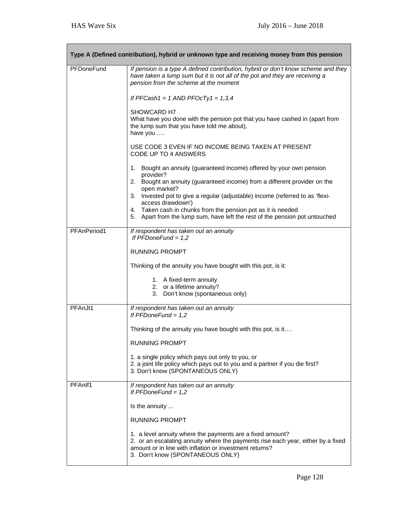٦

|             | Type A (Defined contribution), hybrid or unknown type and receiving money from this pension                                                                                                                                                  |
|-------------|----------------------------------------------------------------------------------------------------------------------------------------------------------------------------------------------------------------------------------------------|
| PFDoneFund  | If pension is a type A defined contribution, hybrid or don't know scheme and they<br>have taken a lump sum but it is not all of the pot and they are receiving a<br>pension from the scheme at the moment                                    |
|             | If PFCash1 = 1 AND PFOcTy1 = $1,3,4$                                                                                                                                                                                                         |
|             | SHOWCARD H7<br>What have you done with the pension pot that you have cashed in (apart from<br>the lump sum that you have told me about),<br>have you                                                                                         |
|             | USE CODE 3 EVEN IF NO INCOME BEING TAKEN AT PRESENT<br>CODE UP TO 4 ANSWERS                                                                                                                                                                  |
|             | 1. Bought an annuity (guaranteed income) offered by your own pension<br>provider?                                                                                                                                                            |
|             | 2. Bought an annuity (guaranteed income) from a different provider on the<br>open market?                                                                                                                                                    |
|             | 3. Invested pot to give a regular (adjustable) income (referred to as 'flexi-<br>access drawdown')                                                                                                                                           |
|             | 4. Taken cash in chunks from the pension pot as it is needed<br>5. Apart from the lump sum, have left the rest of the pension pot untouched                                                                                                  |
| PFAnPeriod1 | If respondent has taken out an annuity<br>If $PFDoneFund = 1,2$                                                                                                                                                                              |
|             | <b>RUNNING PROMPT</b>                                                                                                                                                                                                                        |
|             | Thinking of the annuity you have bought with this pot, is it:                                                                                                                                                                                |
|             | 1. A fixed-term annuity<br>2. or a lifetime annuity?<br>3. Don't know (spontaneous only)                                                                                                                                                     |
| PFAnJt1     | If respondent has taken out an annuity<br>If $PFDoneFund = 1,2$                                                                                                                                                                              |
|             | Thinking of the annuity you have bought with this pot, is it                                                                                                                                                                                 |
|             | <b>RUNNING PROMPT</b>                                                                                                                                                                                                                        |
|             | 1. a single policy which pays out only to you, or<br>2. a joint life policy which pays out to you and a partner if you die first?<br>3. Don't know (SPONTANEOUS ONLY)                                                                        |
| PFAnlf1     | If respondent has taken out an annuity<br>If $PFDoneFund = 1,2$                                                                                                                                                                              |
|             | Is the annuity                                                                                                                                                                                                                               |
|             | <b>RUNNING PROMPT</b>                                                                                                                                                                                                                        |
|             | 1. a level annuity where the payments are a fixed amount?<br>2. or an escalating annuity where the payments rise each year, either by a fixed<br>amount or in line with inflation or investment returns?<br>3. Don't know (SPONTANEOUS ONLY) |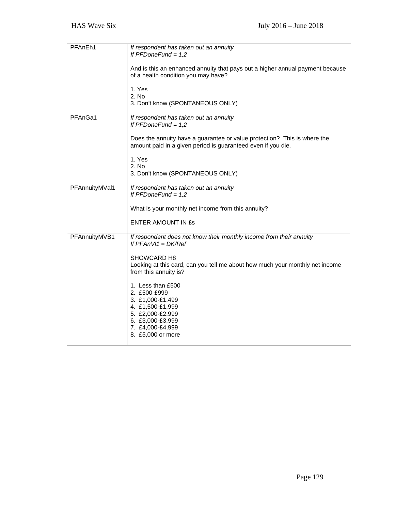| PFAnEh1        | If respondent has taken out an annuity<br>If $PFDoneFund = 1,2$<br>And is this an enhanced annuity that pays out a higher annual payment because<br>of a health condition you may have?<br>1. Yes<br>2. No<br>3. Don't know (SPONTANEOUS ONLY)                                                                                                                                    |
|----------------|-----------------------------------------------------------------------------------------------------------------------------------------------------------------------------------------------------------------------------------------------------------------------------------------------------------------------------------------------------------------------------------|
| PFAnGa1        | If respondent has taken out an annuity<br>If $PFDoneFund = 1,2$<br>Does the annuity have a guarantee or value protection? This is where the<br>amount paid in a given period is guaranteed even if you die.<br>1. Yes<br>2. No<br>3. Don't know (SPONTANEOUS ONLY)                                                                                                                |
| PFAnnuityMVal1 | If respondent has taken out an annuity<br>If $PFDoneFund = 1,2$<br>What is your monthly net income from this annuity?<br><b>ENTER AMOUNT IN £s</b>                                                                                                                                                                                                                                |
| PFAnnuityMVB1  | If respondent does not know their monthly income from their annuity<br>If $PFANVI = DK/Ref$<br>SHOWCARD H8<br>Looking at this card, can you tell me about how much your monthly net income<br>from this annuity is?<br>1. Less than £500<br>2. £500-£999<br>3. £1,000-£1,499<br>4. £1,500-£1,999<br>5. £2,000-£2,999<br>6. £3,000-£3,999<br>7. £4,000-£4,999<br>8. £5,000 or more |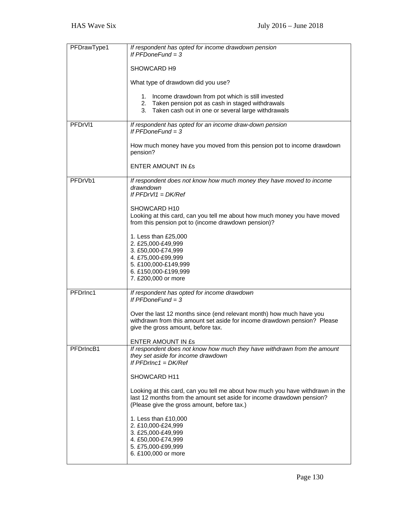| PFDrawType1 | If respondent has opted for income drawdown pension<br>If $PFDoneFund = 3$                                                                                                                             |
|-------------|--------------------------------------------------------------------------------------------------------------------------------------------------------------------------------------------------------|
|             | SHOWCARD H9                                                                                                                                                                                            |
|             | What type of drawdown did you use?                                                                                                                                                                     |
|             | Income drawdown from pot which is still invested<br>1.<br>2. Taken pension pot as cash in staged withdrawals                                                                                           |
|             | 3. Taken cash out in one or several large withdrawals                                                                                                                                                  |
| PFDrVI1     | If respondent has opted for an income draw-down pension<br>If $PFDoneFund = 3$                                                                                                                         |
|             | How much money have you moved from this pension pot to income drawdown<br>pension?                                                                                                                     |
|             | <b>ENTER AMOUNT IN ES</b>                                                                                                                                                                              |
| PFDrVb1     | If respondent does not know how much money they have moved to income<br>drawndown<br>If $PFDrV1 = DK/Ref$                                                                                              |
|             | SHOWCARD H10<br>Looking at this card, can you tell me about how much money you have moved<br>from this pension pot to (income drawdown pension)?                                                       |
|             | 1. Less than £25,000<br>2. £25,000-£49,999                                                                                                                                                             |
|             | 3. £50,000-£74,999<br>4. £75,000-£99,999<br>5. £100,000-£149,999                                                                                                                                       |
|             | 6. £150,000-£199,999<br>7. £200,000 or more                                                                                                                                                            |
| PFDrInc1    | If respondent has opted for income drawdown<br>If $PFDoneFund = 3$                                                                                                                                     |
|             | Over the last 12 months since (end relevant month) how much have you<br>withdrawn from this amount set aside for income drawdown pension? Please<br>give the gross amount, before tax.                 |
|             | ENTER AMOUNT IN Es                                                                                                                                                                                     |
| PFDrIncB1   | If respondent does not know how much they have withdrawn from the amount<br>they set aside for income drawdown<br>If $PFDrInc1 = DK/Ref$                                                               |
|             | SHOWCARD H11                                                                                                                                                                                           |
|             | Looking at this card, can you tell me about how much you have withdrawn in the<br>last 12 months from the amount set aside for income drawdown pension?<br>(Please give the gross amount, before tax.) |
|             | 1. Less than £10,000<br>2. £10,000-£24,999<br>3. £25,000-£49,999<br>4. £50,000-£74,999<br>5. £75,000-£99,999<br>6. £100,000 or more                                                                    |
|             |                                                                                                                                                                                                        |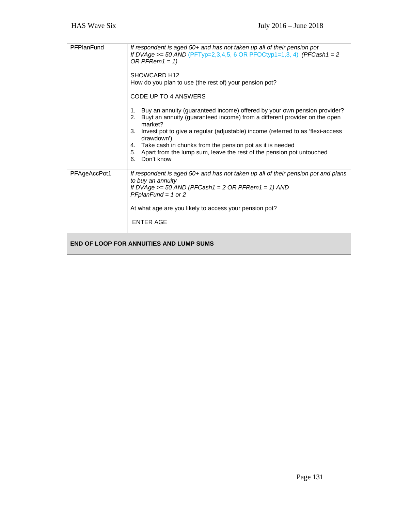| PFPlanFund   | If respondent is aged 50+ and has not taken up all of their pension pot<br>If DVAge >= 50 AND (PFTyp=2,3,4,5, 6 OR PFOCtyp1=1,3, 4) (PFCash1 = 2<br>OR PFRem1 = 1)<br>SHOWCARD H <sub>12</sub><br>How do you plan to use (the rest of) your pension pot?<br>CODE UP TO 4 ANSWERS<br>Buy an annuity (guaranteed income) offered by your own pension provider?<br>1.<br>Buyt an annuity (guaranteed income) from a different provider on the open<br>2.<br>market?<br>Invest pot to give a regular (adjustable) income (referred to as 'flexi-access<br>3.<br>drawdown')<br>4. Take cash in chunks from the pension pot as it is needed<br>5. Apart from the lump sum, leave the rest of the pension pot untouched<br>6. Don't know |
|--------------|-----------------------------------------------------------------------------------------------------------------------------------------------------------------------------------------------------------------------------------------------------------------------------------------------------------------------------------------------------------------------------------------------------------------------------------------------------------------------------------------------------------------------------------------------------------------------------------------------------------------------------------------------------------------------------------------------------------------------------------|
| PFAgeAccPot1 | If respondent is aged 50+ and has not taken up all of their pension pot and plans<br>to buy an annuity<br>If DVAge $>=$ 50 AND (PFCash1 = 2 OR PFRem1 = 1) AND<br>$PFplanFund = 1$ or 2<br>At what age are you likely to access your pension pot?<br><b>ENTER AGE</b>                                                                                                                                                                                                                                                                                                                                                                                                                                                             |
|              | <b>END OF LOOP FOR ANNUITIES AND LUMP SUMS</b>                                                                                                                                                                                                                                                                                                                                                                                                                                                                                                                                                                                                                                                                                    |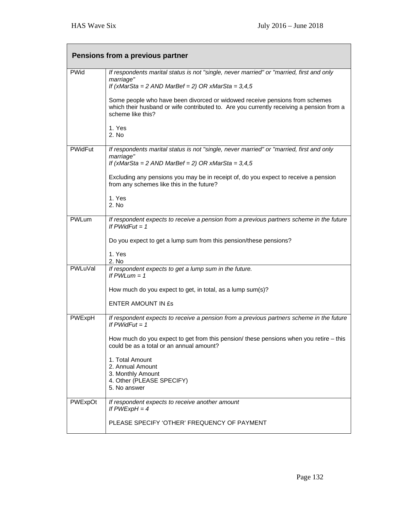|                | Pensions from a previous partner                                                                                                                                                             |
|----------------|----------------------------------------------------------------------------------------------------------------------------------------------------------------------------------------------|
| <b>PWid</b>    | If respondents marital status is not "single, never married" or "married, first and only<br>marriage"<br>If $(xMark = 2 AND MarBef = 2) OR xMark = 3,4,5$                                    |
|                | Some people who have been divorced or widowed receive pensions from schemes<br>which their husband or wife contributed to. Are you currently receiving a pension from a<br>scheme like this? |
|                | 1. Yes<br>2. No                                                                                                                                                                              |
| <b>PWidFut</b> | If respondents marital status is not "single, never married" or "married, first and only<br>marriage"<br>If $(xMark = 2 AND MarBef = 2) OR xMark = 3,4,5$                                    |
|                | Excluding any pensions you may be in receipt of, do you expect to receive a pension<br>from any schemes like this in the future?                                                             |
|                | 1. Yes<br>2. No                                                                                                                                                                              |
| PWLum          | If respondent expects to receive a pension from a previous partners scheme in the future<br>If $PWidFut = 1$                                                                                 |
|                | Do you expect to get a lump sum from this pension/these pensions?                                                                                                                            |
|                | 1. Yes<br>2. No                                                                                                                                                                              |
| PWLuVal        | If respondent expects to get a lump sum in the future.<br>If $PWLum = 1$                                                                                                                     |
|                | How much do you expect to get, in total, as a lump sum(s)?                                                                                                                                   |
|                | <b>ENTER AMOUNT IN ES</b>                                                                                                                                                                    |
| PWExpH         | If respondent expects to receive a pension from a previous partners scheme in the future<br>If $PWidFut = 1$                                                                                 |
|                | How much do you expect to get from this pension/ these pensions when you retire - this<br>could be as a total or an annual amount?                                                           |
|                | 1. Total Amount<br>2. Annual Amount<br>3. Monthly Amount                                                                                                                                     |
|                | 4. Other (PLEASE SPECIFY)<br>5. No answer                                                                                                                                                    |
| PWExpOt        | If respondent expects to receive another amount<br>If $PWExpH = 4$                                                                                                                           |
|                | PLEASE SPECIFY 'OTHER' FREQUENCY OF PAYMENT                                                                                                                                                  |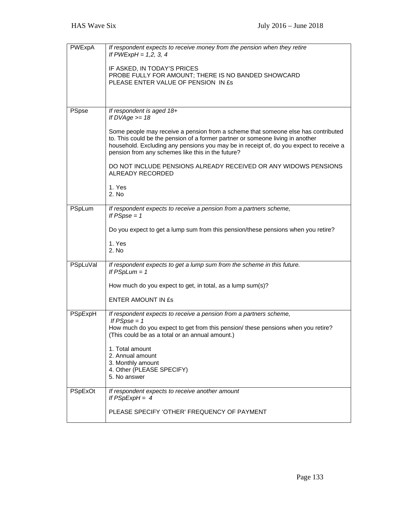| PWExpA   | If respondent expects to receive money from the pension when they retire<br>If $PWExpH = 1, 2, 3, 4$<br>IF ASKED, IN TODAY'S PRICES<br>PROBE FULLY FOR AMOUNT; THERE IS NO BANDED SHOWCARD<br>PLEASE ENTER VALUE OF PENSION IN £s                                                                                                                                                                                                                                |
|----------|------------------------------------------------------------------------------------------------------------------------------------------------------------------------------------------------------------------------------------------------------------------------------------------------------------------------------------------------------------------------------------------------------------------------------------------------------------------|
| PSpse    | If respondent is aged 18+<br>If $DVAge = 18$<br>Some people may receive a pension from a scheme that someone else has contributed<br>to. This could be the pension of a former partner or someone living in another<br>household. Excluding any pensions you may be in receipt of, do you expect to receive a<br>pension from any schemes like this in the future?<br>DO NOT INCLUDE PENSIONS ALREADY RECEIVED OR ANY WIDOWS PENSIONS<br><b>ALREADY RECORDED</b> |
|          | 1. Yes<br>2. No                                                                                                                                                                                                                                                                                                                                                                                                                                                  |
| PSpLum   | If respondent expects to receive a pension from a partners scheme,<br>If $PSpse = 1$<br>Do you expect to get a lump sum from this pension/these pensions when you retire?<br>1. Yes<br>2. No                                                                                                                                                                                                                                                                     |
| PSpLuVal | If respondent expects to get a lump sum from the scheme in this future.<br>If $PSplum = 1$<br>How much do you expect to get, in total, as a lump sum(s)?<br>ENTER AMOUNT IN £s                                                                                                                                                                                                                                                                                   |
| PSpExpH  | If respondent expects to receive a pension from a partners scheme,<br>If $PSpse = 1$<br>How much do you expect to get from this pension/ these pensions when you retire?<br>(This could be as a total or an annual amount.)<br>1. Total amount<br>2. Annual amount<br>3. Monthly amount<br>4. Other (PLEASE SPECIFY)<br>5. No answer                                                                                                                             |
| PSpExOt  | If respondent expects to receive another amount<br>If $PSpExpH = 4$<br>PLEASE SPECIFY 'OTHER' FREQUENCY OF PAYMENT                                                                                                                                                                                                                                                                                                                                               |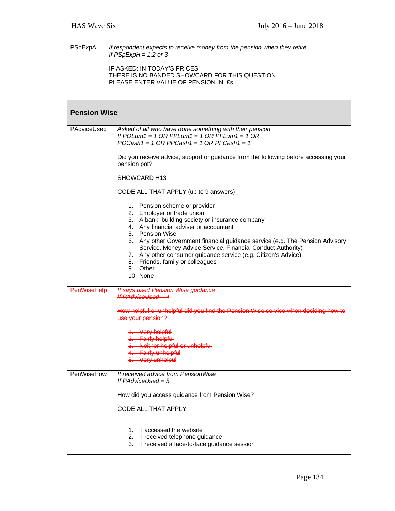| PSpExpA             | If respondent expects to receive money from the pension when they retire<br>If $PSpExpH = 1,2$ or 3                                                                                                                                                                                                                          |
|---------------------|------------------------------------------------------------------------------------------------------------------------------------------------------------------------------------------------------------------------------------------------------------------------------------------------------------------------------|
|                     | IF ASKED: IN TODAY'S PRICES<br>THERE IS NO BANDED SHOWCARD FOR THIS QUESTION<br>PLEASE ENTER VALUE OF PENSION IN £s                                                                                                                                                                                                          |
| <b>Pension Wise</b> |                                                                                                                                                                                                                                                                                                                              |
| PAdviceUsed         | Asked of all who have done something with their pension<br>If POLum1 = 1 OR PPLum1 = 1 OR PFLum1 = 1 OR<br>$POCash1 = 1 OR PPCash1 = 1 OR PFCash1 = 1$                                                                                                                                                                       |
|                     | Did you receive advice, support or guidance from the following before accessing your<br>pension pot?                                                                                                                                                                                                                         |
|                     | SHOWCARD H13                                                                                                                                                                                                                                                                                                                 |
|                     | CODE ALL THAT APPLY (up to 9 answers)                                                                                                                                                                                                                                                                                        |
|                     | 1. Pension scheme or provider<br>2. Employer or trade union<br>3. A bank, building society or insurance company<br>4. Any financial adviser or accountant<br>5. Pension Wise<br>6. Any other Government financial guidance service (e.g. The Pension Advisory<br>Service, Money Advice Service, Financial Conduct Authority) |
|                     | 7. Any other consumer guidance service (e.g. Citizen's Advice)<br>8. Friends, family or colleagues<br>9. Other<br>10. None                                                                                                                                                                                                   |
| <b>PenWiseHelp</b>  | <b>If says used Pension Wise guidance</b><br><b>If PAdviceUsed = 4</b>                                                                                                                                                                                                                                                       |
|                     | How helpful or unhelpful did you find the Pension Wise service when deciding how to<br>use your pension?                                                                                                                                                                                                                     |
|                     | 1. Very helpful<br>2. Fairly helpful<br>Neither helpful or unhelpful<br><b>Fairly unhelpful</b><br>Very unhelpul                                                                                                                                                                                                             |
| PenWiseHow          | If received advice from PensionWise<br>If $PAdviceUsed = 5$                                                                                                                                                                                                                                                                  |
|                     | How did you access guidance from Pension Wise?                                                                                                                                                                                                                                                                               |
|                     | <b>CODE ALL THAT APPLY</b>                                                                                                                                                                                                                                                                                                   |
|                     | I accessed the website<br>1.<br>2.<br>I received telephone guidance<br>3.<br>I received a face-to-face guidance session                                                                                                                                                                                                      |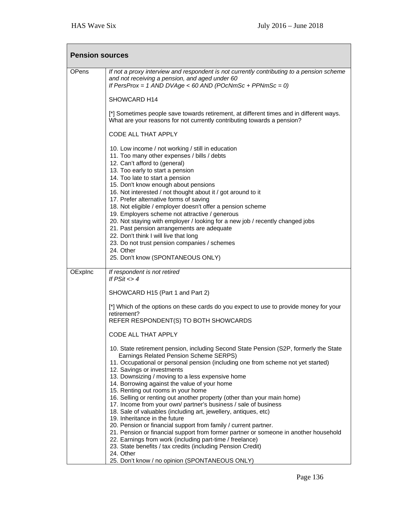| <b>Pension sources</b> |                                                                                                                                                                                                                                                                                                                                                                                                                                                                                                                                                                                                                                                                                                                                                                                                                                                                                                                                                  |
|------------------------|--------------------------------------------------------------------------------------------------------------------------------------------------------------------------------------------------------------------------------------------------------------------------------------------------------------------------------------------------------------------------------------------------------------------------------------------------------------------------------------------------------------------------------------------------------------------------------------------------------------------------------------------------------------------------------------------------------------------------------------------------------------------------------------------------------------------------------------------------------------------------------------------------------------------------------------------------|
| <b>OPens</b>           | If not a proxy interview and respondent is not currently contributing to a pension scheme<br>and not receiving a pension, and aged under 60<br>If PersProx = 1 AND DVAge < 60 AND (POcNmSc + PPNmSc = 0)                                                                                                                                                                                                                                                                                                                                                                                                                                                                                                                                                                                                                                                                                                                                         |
|                        | SHOWCARD H14                                                                                                                                                                                                                                                                                                                                                                                                                                                                                                                                                                                                                                                                                                                                                                                                                                                                                                                                     |
|                        | [*] Sometimes people save towards retirement, at different times and in different ways.<br>What are your reasons for not currently contributing towards a pension?                                                                                                                                                                                                                                                                                                                                                                                                                                                                                                                                                                                                                                                                                                                                                                               |
|                        | CODE ALL THAT APPLY                                                                                                                                                                                                                                                                                                                                                                                                                                                                                                                                                                                                                                                                                                                                                                                                                                                                                                                              |
|                        | 10. Low income / not working / still in education<br>11. Too many other expenses / bills / debts<br>12. Can't afford to (general)<br>13. Too early to start a pension<br>14. Too late to start a pension<br>15. Don't know enough about pensions<br>16. Not interested / not thought about it / got around to it<br>17. Prefer alternative forms of saving<br>18. Not eligible / employer doesn't offer a pension scheme<br>19. Employers scheme not attractive / generous<br>20. Not staying with employer / looking for a new job / recently changed jobs<br>21. Past pension arrangements are adequate<br>22. Don't think I will live that long<br>23. Do not trust pension companies / schemes<br>24. Other<br>25. Don't know (SPONTANEOUS ONLY)                                                                                                                                                                                             |
| OExplnc                | If respondent is not retired                                                                                                                                                                                                                                                                                                                                                                                                                                                                                                                                                                                                                                                                                                                                                                                                                                                                                                                     |
|                        | If $PSit < 4$                                                                                                                                                                                                                                                                                                                                                                                                                                                                                                                                                                                                                                                                                                                                                                                                                                                                                                                                    |
|                        | SHOWCARD H15 (Part 1 and Part 2)                                                                                                                                                                                                                                                                                                                                                                                                                                                                                                                                                                                                                                                                                                                                                                                                                                                                                                                 |
|                        | [*] Which of the options on these cards do you expect to use to provide money for your<br>retirement?<br>REFER RESPONDENT(S) TO BOTH SHOWCARDS                                                                                                                                                                                                                                                                                                                                                                                                                                                                                                                                                                                                                                                                                                                                                                                                   |
|                        | CODE ALL THAT APPLY                                                                                                                                                                                                                                                                                                                                                                                                                                                                                                                                                                                                                                                                                                                                                                                                                                                                                                                              |
|                        | 10. State retirement pension, including Second State Pension (S2P, formerly the State<br>Earnings Related Pension Scheme SERPS)<br>11. Occupational or personal pension (including one from scheme not yet started)<br>12. Savings or investments<br>13. Downsizing / moving to a less expensive home<br>14. Borrowing against the value of your home<br>15. Renting out rooms in your home<br>16. Selling or renting out another property (other than your main home)<br>17. Income from your own/ partner's business / sale of business<br>18. Sale of valuables (including art, jewellery, antiques, etc)<br>19. Inheritance in the future<br>20. Pension or financial support from family / current partner.<br>21. Pension or financial support from former partner or someone in another household<br>22. Earnings from work (including part-time / freelance)<br>23. State benefits / tax credits (including Pension Credit)<br>24. Other |
|                        | 25. Don't know / no opinion (SPONTANEOUS ONLY)                                                                                                                                                                                                                                                                                                                                                                                                                                                                                                                                                                                                                                                                                                                                                                                                                                                                                                   |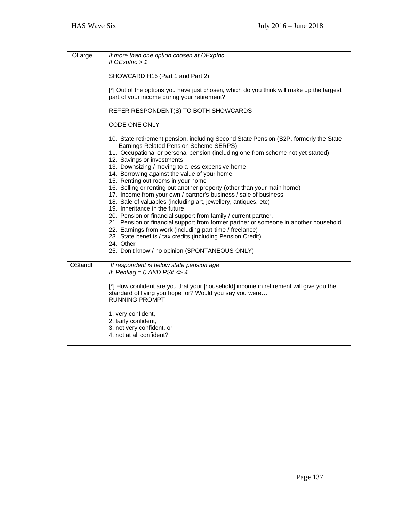| OLarge  | If more than one option chosen at OExplnc.<br>If $OExpInc > 1$<br>SHOWCARD H15 (Part 1 and Part 2)<br>[*] Out of the options you have just chosen, which do you think will make up the largest<br>part of your income during your retirement?<br>REFER RESPONDENT(S) TO BOTH SHOWCARDS<br>CODE ONE ONLY<br>10. State retirement pension, including Second State Pension (S2P, formerly the State<br>Earnings Related Pension Scheme SERPS)<br>11. Occupational or personal pension (including one from scheme not yet started)<br>12. Savings or investments<br>13. Downsizing / moving to a less expensive home<br>14. Borrowing against the value of your home<br>15. Renting out rooms in your home<br>16. Selling or renting out another property (other than your main home)<br>17. Income from your own / partner's business / sale of business<br>18. Sale of valuables (including art, jewellery, antiques, etc)<br>19. Inheritance in the future<br>20. Pension or financial support from family / current partner.<br>21. Pension or financial support from former partner or someone in another household<br>22. Earnings from work (including part-time / freelance)<br>23. State benefits / tax credits (including Pension Credit)<br>24. Other<br>25. Don't know / no opinion (SPONTANEOUS ONLY) |
|---------|----------------------------------------------------------------------------------------------------------------------------------------------------------------------------------------------------------------------------------------------------------------------------------------------------------------------------------------------------------------------------------------------------------------------------------------------------------------------------------------------------------------------------------------------------------------------------------------------------------------------------------------------------------------------------------------------------------------------------------------------------------------------------------------------------------------------------------------------------------------------------------------------------------------------------------------------------------------------------------------------------------------------------------------------------------------------------------------------------------------------------------------------------------------------------------------------------------------------------------------------------------------------------------------------------------------|
| OStandl | If respondent is below state pension age<br>If Penflag = $0$ AND PSit <> 4<br>[*] How confident are you that your [household] income in retirement will give you the<br>standard of living you hope for? Would you say you were<br><b>RUNNING PROMPT</b><br>1. very confident,<br>2. fairly confident,<br>3. not very confident, or<br>4. not at all confident?                                                                                                                                                                                                                                                                                                                                                                                                                                                                                                                                                                                                                                                                                                                                                                                                                                                                                                                                                |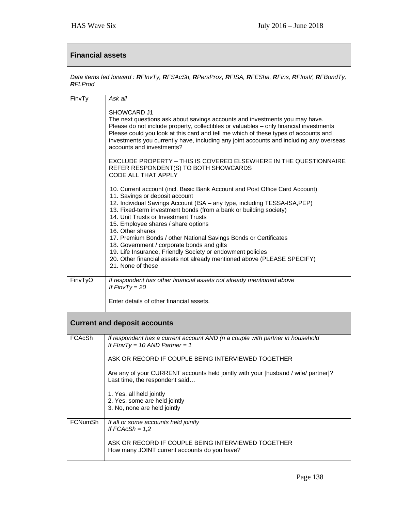| <b>Financial assets</b>                                                                                          |                                                                                                                                                                                                                                                                                                                                                                                                                                                                                                                                                                                                                                                    |
|------------------------------------------------------------------------------------------------------------------|----------------------------------------------------------------------------------------------------------------------------------------------------------------------------------------------------------------------------------------------------------------------------------------------------------------------------------------------------------------------------------------------------------------------------------------------------------------------------------------------------------------------------------------------------------------------------------------------------------------------------------------------------|
| Data items fed forward : RFInvTy, RFSAcSh, RPersProx, RFISA, RFESha, RFins, RFInsV, RFBondTy,<br><b>RFI</b> Prod |                                                                                                                                                                                                                                                                                                                                                                                                                                                                                                                                                                                                                                                    |
| FinvTy                                                                                                           | Ask all                                                                                                                                                                                                                                                                                                                                                                                                                                                                                                                                                                                                                                            |
|                                                                                                                  | SHOWCARD J1<br>The next questions ask about savings accounts and investments you may have.<br>Please do not include property, collectibles or valuables - only financial investments<br>Please could you look at this card and tell me which of these types of accounts and<br>investments you currently have, including any joint accounts and including any overseas<br>accounts and investments?                                                                                                                                                                                                                                                |
|                                                                                                                  | EXCLUDE PROPERTY - THIS IS COVERED ELSEWHERE IN THE QUESTIONNAIRE<br>REFER RESPONDENT(S) TO BOTH SHOWCARDS<br>CODE ALL THAT APPLY                                                                                                                                                                                                                                                                                                                                                                                                                                                                                                                  |
|                                                                                                                  | 10. Current account (incl. Basic Bank Account and Post Office Card Account)<br>11. Savings or deposit account<br>12. Individual Savings Account (ISA - any type, including TESSA-ISA, PEP)<br>13. Fixed-term investment bonds (from a bank or building society)<br>14. Unit Trusts or Investment Trusts<br>15. Employee shares / share options<br>16. Other shares<br>17. Premium Bonds / other National Savings Bonds or Certificates<br>18. Government / corporate bonds and gilts<br>19. Life Insurance, Friendly Society or endowment policies<br>20. Other financial assets not already mentioned above (PLEASE SPECIFY)<br>21. None of these |
| FinvTyO                                                                                                          | If respondent has other financial assets not already mentioned above<br>If $FinvTy = 20$<br>Enter details of other financial assets.                                                                                                                                                                                                                                                                                                                                                                                                                                                                                                               |
|                                                                                                                  |                                                                                                                                                                                                                                                                                                                                                                                                                                                                                                                                                                                                                                                    |
|                                                                                                                  | <b>Current and deposit accounts</b>                                                                                                                                                                                                                                                                                                                                                                                                                                                                                                                                                                                                                |
| FCAcSh                                                                                                           | If respondent has a current account AND (n a couple with partner in household<br>If $FInvTy = 10$ AND Partner = 1                                                                                                                                                                                                                                                                                                                                                                                                                                                                                                                                  |
|                                                                                                                  | ASK OR RECORD IF COUPLE BEING INTERVIEWED TOGETHER<br>Are any of your CURRENT accounts held jointly with your [husband / wife/ partner]?<br>Last time, the respondent said<br>1. Yes, all held jointly<br>2. Yes, some are held jointly<br>3. No, none are held jointly                                                                                                                                                                                                                                                                                                                                                                            |
| <b>FCNumSh</b>                                                                                                   | If all or some accounts held jointly<br>If $FCACSh = 1,2$<br>ASK OR RECORD IF COUPLE BEING INTERVIEWED TOGETHER<br>How many JOINT current accounts do you have?                                                                                                                                                                                                                                                                                                                                                                                                                                                                                    |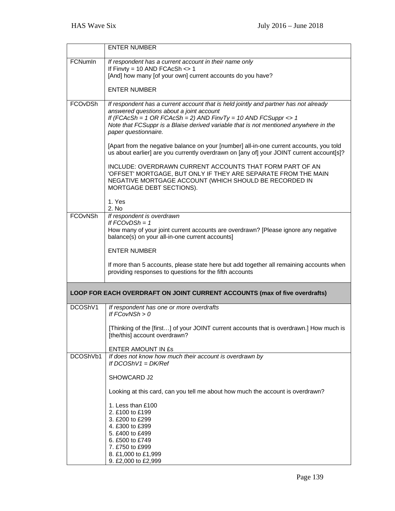|                | <b>ENTER NUMBER</b>                                                                                                                                                                                                                                                                                                |
|----------------|--------------------------------------------------------------------------------------------------------------------------------------------------------------------------------------------------------------------------------------------------------------------------------------------------------------------|
| FCNumIn        | If respondent has a current account in their name only<br>If Finvty = 10 AND FCAcSh $\lt$ 1                                                                                                                                                                                                                        |
|                | [And] how many [of your own] current accounts do you have?                                                                                                                                                                                                                                                         |
|                | <b>ENTER NUMBER</b>                                                                                                                                                                                                                                                                                                |
| FCOvDSh        | If respondent has a current account that is held jointly and partner has not already<br>answered questions about a joint account<br>If (FCAcSh = 1 OR FCAcSh = 2) AND FinvTy = 10 AND FCSuppr <> 1<br>Note that FCSuppr is a Blaise derived variable that is not mentioned anywhere in the<br>paper questionnaire. |
|                | [Apart from the negative balance on your [number] all-in-one current accounts, you told<br>us about earlier] are you currently overdrawn on [any of] your JOINT current account[s]?                                                                                                                                |
|                | INCLUDE: OVERDRAWN CURRENT ACCOUNTS THAT FORM PART OF AN<br>'OFFSET' MORTGAGE, BUT ONLY IF THEY ARE SEPARATE FROM THE MAIN<br>NEGATIVE MORTGAGE ACCOUNT (WHICH SHOULD BE RECORDED IN<br>MORTGAGE DEBT SECTIONS).                                                                                                   |
|                | 1. Yes<br>2. No                                                                                                                                                                                                                                                                                                    |
| <b>FCOvNSh</b> | If respondent is overdrawn<br>If $FCOvDSh = 1$<br>How many of your joint current accounts are overdrawn? [Please ignore any negative<br>balance(s) on your all-in-one current accounts]                                                                                                                            |
|                | <b>ENTER NUMBER</b>                                                                                                                                                                                                                                                                                                |
|                | If more than 5 accounts, please state here but add together all remaining accounts when<br>providing responses to questions for the fifth accounts                                                                                                                                                                 |
|                | LOOP FOR EACH OVERDRAFT ON JOINT CURRENT ACCOUNTS (max of five overdrafts)                                                                                                                                                                                                                                         |
| DCOShV1        | If respondent has one or more overdrafts<br>If $FCovNSh > 0$                                                                                                                                                                                                                                                       |
|                | [Thinking of the [first] of your JOINT current accounts that is overdrawn.] How much is<br>[the/this] account overdrawn?                                                                                                                                                                                           |
|                | ENTER AMOUNT IN ES                                                                                                                                                                                                                                                                                                 |
| DCOShVb1       | If does not know how much their account is overdrawn by<br>If $DCOShV1 = DK/Ref$                                                                                                                                                                                                                                   |
|                | SHOWCARD J2                                                                                                                                                                                                                                                                                                        |
|                | Looking at this card, can you tell me about how much the account is overdrawn?                                                                                                                                                                                                                                     |
|                | 1. Less than £100<br>2. £100 to £199<br>3. £200 to £299<br>4. £300 to £399<br>5. £400 to £499<br>6. £500 to £749<br>7. £750 to £999<br>8. £1,000 to £1,999<br>9. £2,000 to £2,999                                                                                                                                  |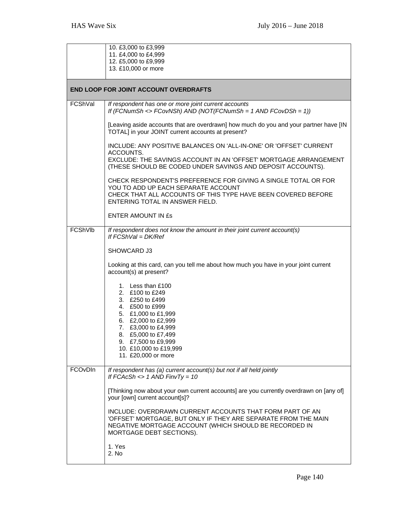|         | 10. £3,000 to £3,999<br>11. £4,000 to £4,999                                                                                                                                                                       |
|---------|--------------------------------------------------------------------------------------------------------------------------------------------------------------------------------------------------------------------|
|         | 12. £5,000 to £9,999<br>13. £10,000 or more                                                                                                                                                                        |
|         | <b>END LOOP FOR JOINT ACCOUNT OVERDRAFTS</b>                                                                                                                                                                       |
| FCShVal | If respondent has one or more joint current accounts<br>If (FCNumSh <> FCovNSh) AND (NOT(FCNumSh = 1 AND FCovDSh = 1))                                                                                             |
|         | [Leaving aside accounts that are overdrawn] how much do you and your partner have [IN<br>TOTAL] in your JOINT current accounts at present?                                                                         |
|         | INCLUDE: ANY POSITIVE BALANCES ON 'ALL-IN-ONE' OR 'OFFSET' CURRENT<br>ACCOUNTS.<br>EXCLUDE: THE SAVINGS ACCOUNT IN AN 'OFFSET' MORTGAGE ARRANGEMENT<br>(THESE SHOULD BE CODED UNDER SAVINGS AND DEPOSIT ACCOUNTS). |
|         | CHECK RESPONDENT'S PREFERENCE FOR GIVING A SINGLE TOTAL OR FOR<br>YOU TO ADD UP EACH SEPARATE ACCOUNT<br>CHECK THAT ALL ACCOUNTS OF THIS TYPE HAVE BEEN COVERED BEFORE<br>ENTERING TOTAL IN ANSWER FIELD.          |
|         | ENTER AMOUNT IN ES                                                                                                                                                                                                 |
| FCShVlb | If respondent does not know the amount in their joint current account(s)<br>If $FCShVal = DK/Ref$                                                                                                                  |
|         | SHOWCARD J3                                                                                                                                                                                                        |
|         | Looking at this card, can you tell me about how much you have in your joint current<br>account(s) at present?                                                                                                      |
|         | 1. Less than £100<br>2. £100 to £249<br>3. £250 to £499<br>4. £500 to £999<br>5. £1,000 to £1,999<br>6. £2,000 to £2,999<br>7. £3,000 to £4,999<br>8. £5,000 to £7,499                                             |
|         | 9. £7,500 to £9,999<br>10. £10,000 to £19,999<br>11. £20,000 or more                                                                                                                                               |
| FCOvDIn | If respondent has (a) current account(s) but not if all held jointly<br>If FCAcSh $\lt$ 1 AND FinvTy = 10                                                                                                          |
|         | [Thinking now about your own current accounts] are you currently overdrawn on [any of]<br>your [own] current account[s]?                                                                                           |
|         | INCLUDE: OVERDRAWN CURRENT ACCOUNTS THAT FORM PART OF AN<br>'OFFSET' MORTGAGE, BUT ONLY IF THEY ARE SEPARATE FROM THE MAIN<br>NEGATIVE MORTGAGE ACCOUNT (WHICH SHOULD BE RECORDED IN<br>MORTGAGE DEBT SECTIONS).   |
|         | 1. Yes<br>2. No                                                                                                                                                                                                    |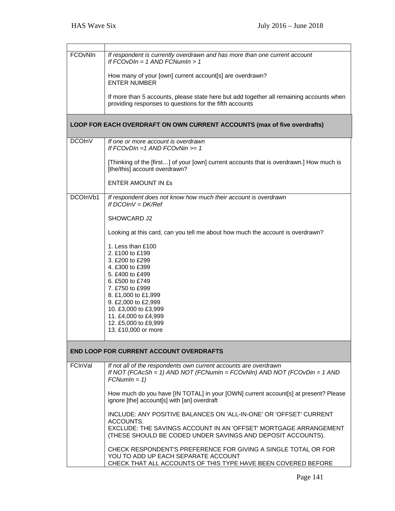| FCOvNIn       | If respondent is currently overdrawn and has more than one current account<br>If $FCOvDIn = 1$ AND $FCNumIn > 1$                                              |
|---------------|---------------------------------------------------------------------------------------------------------------------------------------------------------------|
|               | How many of your [own] current account[s] are overdrawn?<br><b>ENTER NUMBER</b>                                                                               |
|               | If more than 5 accounts, please state here but add together all remaining accounts when<br>providing responses to questions for the fifth accounts            |
|               | <b>LOOP FOR EACH OVERDRAFT ON OWN CURRENT ACCOUNTS (max of five overdrafts)</b>                                                                               |
| <b>DCOInV</b> | If one or more account is overdrawn<br>If $FCOvDIn = 1$ AND $FCOvNIn >= 1$                                                                                    |
|               | [Thinking of the [first] of your [own] current accounts that is overdrawn.] How much is<br>[the/this] account overdrawn?                                      |
|               | <b>ENTER AMOUNT IN £s</b>                                                                                                                                     |
| DCOInVb1      | If respondent does not know how much their account is overdrawn<br>If $DCOINV = DK/Ref$                                                                       |
|               | SHOWCARD J2                                                                                                                                                   |
|               | Looking at this card, can you tell me about how much the account is overdrawn?                                                                                |
|               | 1. Less than £100                                                                                                                                             |
|               | 2. £100 to £199                                                                                                                                               |
|               | 3. £200 to £299<br>4. £300 to £399                                                                                                                            |
|               | 5. £400 to £499                                                                                                                                               |
|               | 6. £500 to £749                                                                                                                                               |
|               | 7. £750 to £999<br>8. £1,000 to £1,999                                                                                                                        |
|               | 9. £2,000 to £2,999                                                                                                                                           |
|               | 10. £3,000 to £3,999                                                                                                                                          |
|               | 11. £4,000 to £4,999<br>12. £5,000 to £9,999                                                                                                                  |
|               | 13. £10,000 or more                                                                                                                                           |
|               |                                                                                                                                                               |
|               | <b>END LOOP FOR CURRENT ACCOUNT OVERDRAFTS</b>                                                                                                                |
| FCInVal       | If not all of the respondents own current accounts are overdrawn<br>If NOT (FCAcSh = 1) AND NOT (FCNumIn = FCOvNIn) AND NOT (FCOvDin = 1 AND<br>$FCNumIn = 1$ |
|               | How much do you have [IN TOTAL] in your [OWN] current account[s] at present? Please<br>ignore [the] account[s] with [an] overdraft                            |
|               | INCLUDE: ANY POSITIVE BALANCES ON 'ALL-IN-ONE' OR 'OFFSET' CURRENT<br>ACCOUNTS.                                                                               |
|               | EXCLUDE: THE SAVINGS ACCOUNT IN AN 'OFFSET' MORTGAGE ARRANGEMENT<br>(THESE SHOULD BE CODED UNDER SAVINGS AND DEPOSIT ACCOUNTS).                               |
|               | CHECK RESPONDENT'S PREFERENCE FOR GIVING A SINGLE TOTAL OR FOR<br>YOU TO ADD UP EACH SEPARATE ACCOUNT                                                         |
|               | CHECK THAT ALL ACCOUNTS OF THIS TYPE HAVE BEEN COVERED BEFORE                                                                                                 |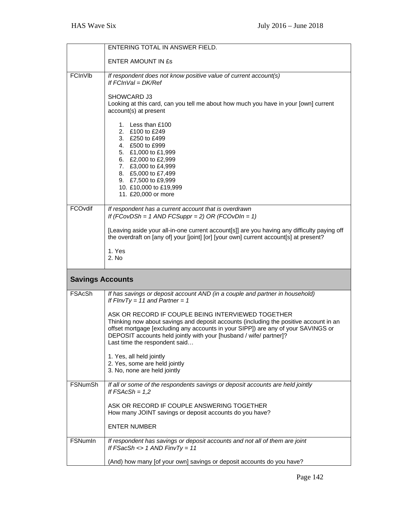|                         | ENTERING TOTAL IN ANSWER FIELD.                                                                                                                                                                                                                                                                                                         |
|-------------------------|-----------------------------------------------------------------------------------------------------------------------------------------------------------------------------------------------------------------------------------------------------------------------------------------------------------------------------------------|
|                         | ENTER AMOUNT IN ES                                                                                                                                                                                                                                                                                                                      |
| FCInVIb                 | If respondent does not know positive value of current account(s)<br>If $FCINVal = DK/Ref$                                                                                                                                                                                                                                               |
|                         | SHOWCARD J3<br>Looking at this card, can you tell me about how much you have in your [own] current<br>account(s) at present                                                                                                                                                                                                             |
|                         | 1. Less than £100<br>2. £100 to £249<br>3. £250 to £499<br>4. £500 to £999<br>5. £1,000 to £1,999<br>6. £2,000 to £2,999<br>7. £3,000 to £4,999<br>8. £5,000 to £7,499<br>9. £7,500 to £9,999<br>10. £10,000 to £19,999<br>11. £20,000 or more                                                                                          |
| FCOvdif                 | If respondent has a current account that is overdrawn<br>If (FCovDSh = 1 AND FCSuppr = 2) OR (FCOvDIn = 1)                                                                                                                                                                                                                              |
|                         | [Leaving aside your all-in-one current account[s]] are you having any difficulty paying off<br>the overdraft on [any of] your [joint] [or] [your own] current account[s] at present?                                                                                                                                                    |
|                         | 1. Yes<br>2. No                                                                                                                                                                                                                                                                                                                         |
| <b>Savings Accounts</b> |                                                                                                                                                                                                                                                                                                                                         |
| FSAcSh                  | If has savings or deposit account AND (in a couple and partner in household)<br>If FInvTy = 11 and Partner = 1                                                                                                                                                                                                                          |
|                         | ASK OR RECORD IF COUPLE BEING INTERVIEWED TOGETHER<br>Thinking now about savings and deposit accounts (including the positive account in an<br>offset mortgage [excluding any accounts in your SIPP]) are any of your SAVINGS or<br>DEPOSIT accounts held jointly with your [husband / wife/ partner]?<br>Last time the respondent said |
|                         | 1. Yes, all held jointly<br>2. Yes, some are held jointly<br>3. No, none are held jointly                                                                                                                                                                                                                                               |
| <b>FSNumSh</b>          | If all or some of the respondents savings or deposit accounts are held jointly<br>If $FSACSh = 1,2$                                                                                                                                                                                                                                     |
|                         | ASK OR RECORD IF COUPLE ANSWERING TOGETHER<br>How many JOINT savings or deposit accounts do you have?                                                                                                                                                                                                                                   |
|                         | <b>ENTER NUMBER</b>                                                                                                                                                                                                                                                                                                                     |
| <b>FSNumIn</b>          | If respondent has savings or deposit accounts and not all of them are joint<br>If $FSacSh \leq 1$ AND $FinvTy = 11$                                                                                                                                                                                                                     |
|                         |                                                                                                                                                                                                                                                                                                                                         |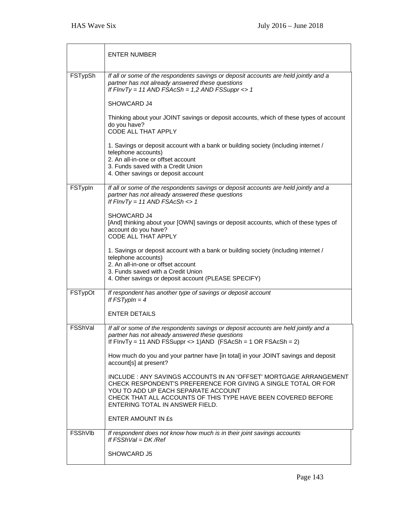|         | <b>ENTER NUMBER</b>                                                                                                                                                                                                                                                             |
|---------|---------------------------------------------------------------------------------------------------------------------------------------------------------------------------------------------------------------------------------------------------------------------------------|
| FSTypSh | If all or some of the respondents savings or deposit accounts are held jointly and a<br>partner has not already answered these questions<br>If $FInvTy = 11$ AND $FSACSh = 1,2$ AND $FSSuppr \leq 1$                                                                            |
|         | SHOWCARD J4                                                                                                                                                                                                                                                                     |
|         | Thinking about your JOINT savings or deposit accounts, which of these types of account<br>do you have?<br>CODE ALL THAT APPLY                                                                                                                                                   |
|         | 1. Savings or deposit account with a bank or building society (including internet /<br>telephone accounts)<br>2. An all-in-one or offset account<br>3. Funds saved with a Credit Union<br>4. Other savings or deposit account                                                   |
| FSTypIn | If all or some of the respondents savings or deposit accounts are held jointly and a<br>partner has not already answered these questions<br>If $FInvTy = 11$ AND $FSAcSh \leq 1$                                                                                                |
|         | SHOWCARD J4<br>[And] thinking about your [OWN] savings or deposit accounts, which of these types of<br>account do you have?<br><b>CODE ALL THAT APPLY</b>                                                                                                                       |
|         | 1. Savings or deposit account with a bank or building society (including internet /<br>telephone accounts)<br>2. An all-in-one or offset account<br>3. Funds saved with a Credit Union<br>4. Other savings or deposit account (PLEASE SPECIFY)                                  |
| FSTypOt | If respondent has another type of savings or deposit account<br>If $FSTypln = 4$                                                                                                                                                                                                |
|         | <b>ENTER DETAILS</b>                                                                                                                                                                                                                                                            |
| FSShVal | If all or some of the respondents savings or deposit accounts are held jointly and a<br>partner has not already answered these questions<br>If $FInvTy = 11$ AND $FSSupp \leq 1)$ AND $(FSAcSh = 1 \text{ OR } FSAcSh = 2)$                                                     |
|         | How much do you and your partner have [in total] in your JOINT savings and deposit<br>account[s] at present?                                                                                                                                                                    |
|         | INCLUDE : ANY SAVINGS ACCOUNTS IN AN 'OFFSET' MORTGAGE ARRANGEMENT<br>CHECK RESPONDENT'S PREFERENCE FOR GIVING A SINGLE TOTAL OR FOR<br>YOU TO ADD UP EACH SEPARATE ACCOUNT<br>CHECK THAT ALL ACCOUNTS OF THIS TYPE HAVE BEEN COVERED BEFORE<br>ENTERING TOTAL IN ANSWER FIELD. |
|         | <b>ENTER AMOUNT IN £s</b>                                                                                                                                                                                                                                                       |
| FSShVlb | If respondent does not know how much is in their joint savings accounts<br>If $FSShVal = DK/Ref$                                                                                                                                                                                |
|         | SHOWCARD J5                                                                                                                                                                                                                                                                     |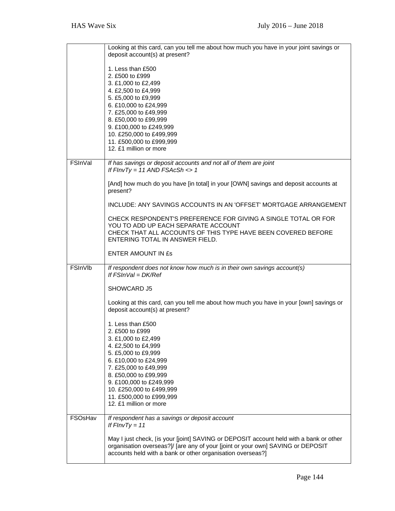|         | Looking at this card, can you tell me about how much you have in your joint savings or<br>deposit account(s) at present?                                                                                                                                                                          |
|---------|---------------------------------------------------------------------------------------------------------------------------------------------------------------------------------------------------------------------------------------------------------------------------------------------------|
|         | 1. Less than £500<br>2. £500 to £999<br>3. £1,000 to £2,499<br>4. £2,500 to £4,999<br>5. £5,000 to £9,999<br>6. £10,000 to £24,999<br>7. £25,000 to £49,999<br>8. £50,000 to £99,999<br>9. £100,000 to £249,999<br>10. £250,000 to £499,999<br>11. £500,000 to £999,999<br>12. £1 million or more |
| FSInVal | If has savings or deposit accounts and not all of them are joint<br>If $FInvTy = 11$ AND $FSAcSh \leq 1$                                                                                                                                                                                          |
|         | [And] how much do you have [in total] in your [OWN] savings and deposit accounts at<br>present?                                                                                                                                                                                                   |
|         | INCLUDE: ANY SAVINGS ACCOUNTS IN AN 'OFFSET' MORTGAGE ARRANGEMENT                                                                                                                                                                                                                                 |
|         | CHECK RESPONDENT'S PREFERENCE FOR GIVING A SINGLE TOTAL OR FOR<br>YOU TO ADD UP EACH SEPARATE ACCOUNT<br>CHECK THAT ALL ACCOUNTS OF THIS TYPE HAVE BEEN COVERED BEFORE<br>ENTERING TOTAL IN ANSWER FIELD.                                                                                         |
|         | <b>ENTER AMOUNT IN £s</b>                                                                                                                                                                                                                                                                         |
| FSInVIb | If respondent does not know how much is in their own savings account(s)<br>If $FShVal = DK/Ref$                                                                                                                                                                                                   |
|         | SHOWCARD J5                                                                                                                                                                                                                                                                                       |
|         | Looking at this card, can you tell me about how much you have in your [own] savings or<br>deposit account(s) at present?                                                                                                                                                                          |
|         | 1. Less than £500<br>2. £500 to £999<br>3. £1,000 to £2,499<br>4. £2,500 to £4,999<br>5. £5,000 to £9,999<br>6. £10,000 to £24,999<br>7. £25,000 to £49,999<br>8. £50,000 to £99,999<br>9. £100,000 to £249,999<br>10. £250,000 to £499,999<br>11. £500,000 to £999,999<br>12. £1 million or more |
| FSOsHav | If respondent has a savings or deposit account<br>If $FInvTy = 11$                                                                                                                                                                                                                                |
|         | May I just check, [is your [joint] SAVING or DEPOSIT account held with a bank or other<br>organisation overseas?]/ [are any of your [joint or your own] SAVING or DEPOSIT<br>accounts held with a bank or other organisation overseas?]                                                           |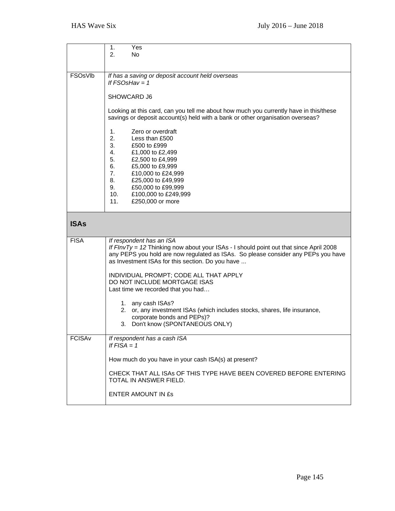|                     | 1.<br>Yes<br>2.<br>No.                                                                                                                                                                                                                                                                            |
|---------------------|---------------------------------------------------------------------------------------------------------------------------------------------------------------------------------------------------------------------------------------------------------------------------------------------------|
| FSO <sub>sVIb</sub> | If has a saving or deposit account held overseas<br>If $FSOsHav = 1$                                                                                                                                                                                                                              |
|                     | SHOWCARD J6                                                                                                                                                                                                                                                                                       |
|                     | Looking at this card, can you tell me about how much you currently have in this/these<br>savings or deposit account(s) held with a bank or other organisation overseas?                                                                                                                           |
|                     | Zero or overdraft<br>1.<br>2.<br>Less than £500<br>3.<br>£500 to £999<br>4.<br>£1,000 to £2,499<br>5.<br>£2,500 to £4,999<br>6.<br>£5,000 to £9,999<br>7.<br>£10,000 to £24,999<br>8.<br>£25,000 to £49,999<br>9.<br>£50,000 to £99,999<br>10.<br>£100,000 to £249,999<br>11.<br>£250,000 or more |
| <b>ISAs</b>         |                                                                                                                                                                                                                                                                                                   |
| <b>FISA</b>         | If respondent has an ISA<br>If FInvTy = 12 Thinking now about your ISAs - I should point out that since April 2008<br>any PEPS you hold are now regulated as ISAs. So please consider any PEPs you have<br>as Investment ISAs for this section. Do you have                                       |
|                     | INDIVIDUAL PROMPT; CODE ALL THAT APPLY<br>DO NOT INCLUDE MORTGAGE ISAS<br>Last time we recorded that you had                                                                                                                                                                                      |
|                     | 1. any cash ISAs?<br>2. or, any investment ISAs (which includes stocks, shares, life insurance,<br>corporate bonds and PEPs)?<br>3. Don't know (SPONTANEOUS ONLY)                                                                                                                                 |
| <b>FCISAv</b>       | If respondent has a cash ISA<br>If $FISA = 1$                                                                                                                                                                                                                                                     |
|                     | How much do you have in your cash ISA(s) at present?                                                                                                                                                                                                                                              |
|                     | CHECK THAT ALL ISAs OF THIS TYPE HAVE BEEN COVERED BEFORE ENTERING<br>TOTAL IN ANSWER FIELD.                                                                                                                                                                                                      |
|                     | <b>ENTER AMOUNT IN £s</b>                                                                                                                                                                                                                                                                         |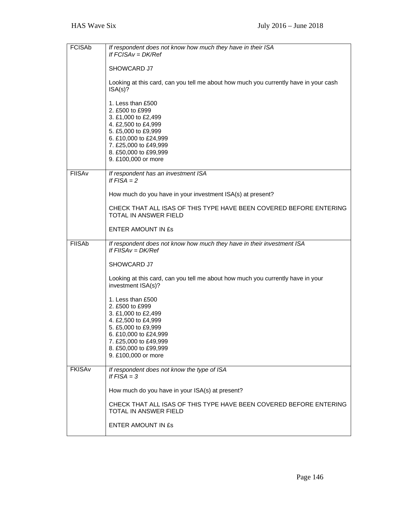| <b>FCISAb</b> | If respondent does not know how much they have in their ISA<br>If $FCISAv = DK/Ref$                                                                                                                         |
|---------------|-------------------------------------------------------------------------------------------------------------------------------------------------------------------------------------------------------------|
|               | SHOWCARD J7                                                                                                                                                                                                 |
|               | Looking at this card, can you tell me about how much you currently have in your cash<br>ISA(s)?                                                                                                             |
|               | 1. Less than £500<br>2. £500 to £999<br>3. £1,000 to £2,499<br>4. £2,500 to £4,999<br>5. £5,000 to £9,999<br>6. £10,000 to £24,999<br>7. £25,000 to £49,999<br>8. £50,000 to £99,999<br>9. £100,000 or more |
| <b>FIISAv</b> | If respondent has an investment ISA<br>If $FISA = 2$                                                                                                                                                        |
|               | How much do you have in your investment ISA(s) at present?                                                                                                                                                  |
|               | CHECK THAT ALL ISAS OF THIS TYPE HAVE BEEN COVERED BEFORE ENTERING<br><b>TOTAL IN ANSWER FIELD</b>                                                                                                          |
|               | ENTER AMOUNT IN ES                                                                                                                                                                                          |
| <b>FIISAb</b> | If respondent does not know how much they have in their investment ISA<br>If $FISAv = DK/Ref$                                                                                                               |
|               | SHOWCARD J7                                                                                                                                                                                                 |
|               | Looking at this card, can you tell me about how much you currently have in your<br>investment ISA(s)?                                                                                                       |
|               | 1. Less than £500<br>2. £500 to £999                                                                                                                                                                        |
|               | 3. £1,000 to £2,499<br>4. £2,500 to £4,999                                                                                                                                                                  |
|               | 5. £5,000 to £9,999<br>6. £10,000 to £24,999                                                                                                                                                                |
|               | 7. £25,000 to £49,999<br>8. £50,000 to £99,999                                                                                                                                                              |
|               | 9. £100,000 or more                                                                                                                                                                                         |
| <b>FKISAv</b> | If respondent does not know the type of ISA<br>If $FISA = 3$                                                                                                                                                |
|               | How much do you have in your ISA(s) at present?                                                                                                                                                             |
|               | CHECK THAT ALL ISAS OF THIS TYPE HAVE BEEN COVERED BEFORE ENTERING<br>TOTAL IN ANSWER FIELD                                                                                                                 |
|               | <b>ENTER AMOUNT IN ES</b>                                                                                                                                                                                   |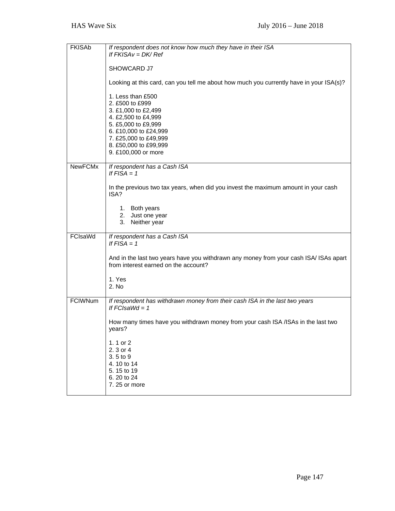| <b>FKISAb</b>  | If respondent does not know how much they have in their ISA                                                                   |
|----------------|-------------------------------------------------------------------------------------------------------------------------------|
|                | If $FKISAv = DK/Ref$                                                                                                          |
|                | SHOWCARD J7                                                                                                                   |
|                | Looking at this card, can you tell me about how much you currently have in your ISA(s)?                                       |
|                | 1. Less than £500                                                                                                             |
|                | 2. £500 to £999<br>3. £1,000 to £2,499                                                                                        |
|                | 4. £2,500 to £4,999                                                                                                           |
|                | 5. £5,000 to £9,999<br>6. £10,000 to £24,999                                                                                  |
|                | 7. £25,000 to £49,999                                                                                                         |
|                | 8. £50,000 to £99,999<br>9. £100,000 or more                                                                                  |
|                |                                                                                                                               |
| <b>NewFCMx</b> | If respondent has a Cash ISA<br>If $FISA = 1$                                                                                 |
|                | In the previous two tax years, when did you invest the maximum amount in your cash<br>ISA?                                    |
|                | 1. Both years                                                                                                                 |
|                | 2. Just one year                                                                                                              |
|                | 3. Neither year                                                                                                               |
| FCIsaWd        | If respondent has a Cash ISA<br>If $FISA = 1$                                                                                 |
|                | And in the last two years have you withdrawn any money from your cash ISA/ ISAs apart<br>from interest earned on the account? |
|                | 1. Yes                                                                                                                        |
|                | 2. No                                                                                                                         |
| <b>FCIWNum</b> | If respondent has withdrawn money from their cash ISA in the last two years<br>If $FCIsaWd = 1$                               |
|                | How many times have you withdrawn money from your cash ISA /ISAs in the last two<br>years?                                    |
|                | 1.1 or $2$                                                                                                                    |
|                | 2.3 or 4                                                                                                                      |
|                | 3.5 to 9<br>4.10 to 14                                                                                                        |
|                | 5.15 to 19                                                                                                                    |
|                | 6.20 to 24<br>7.25 or more                                                                                                    |
|                |                                                                                                                               |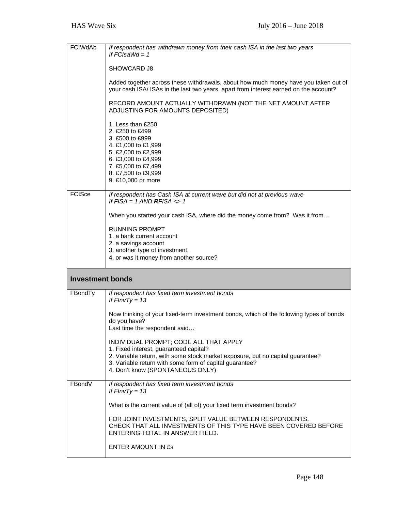| <b>FCIWdAb</b>          | If respondent has withdrawn money from their cash ISA in the last two years<br>If $FCIsaWd = 1$                                                                                                                                                                   |
|-------------------------|-------------------------------------------------------------------------------------------------------------------------------------------------------------------------------------------------------------------------------------------------------------------|
|                         | SHOWCARD J8                                                                                                                                                                                                                                                       |
|                         | Added together across these withdrawals, about how much money have you taken out of<br>your cash ISA/ ISAs in the last two years, apart from interest earned on the account?                                                                                      |
|                         | RECORD AMOUNT ACTUALLY WITHDRAWN (NOT THE NET AMOUNT AFTER<br>ADJUSTING FOR AMOUNTS DEPOSITED)                                                                                                                                                                    |
|                         | 1. Less than £250<br>2. £250 to £499<br>3 £500 to £999<br>4. £1,000 to £1,999<br>5. £2,000 to £2,999<br>6. £3,000 to £4,999<br>7. £5,000 to £7,499<br>8. £7,500 to £9,999<br>9. £10,000 or more                                                                   |
| <b>FCISce</b>           | If respondent has Cash ISA at current wave but did not at previous wave                                                                                                                                                                                           |
|                         | If $FISA = 1$ AND <b>RFISA</b> $\lt$ > 1<br>When you started your cash ISA, where did the money come from? Was it from                                                                                                                                            |
|                         | <b>RUNNING PROMPT</b><br>1. a bank current account                                                                                                                                                                                                                |
|                         | 2. a savings account<br>3. another type of investment,                                                                                                                                                                                                            |
|                         | 4. or was it money from another source?                                                                                                                                                                                                                           |
| <b>Investment bonds</b> |                                                                                                                                                                                                                                                                   |
| FBondTy                 | If respondent has fixed term investment bonds<br>If $FInvTy = 13$                                                                                                                                                                                                 |
|                         | Now thinking of your fixed-term investment bonds, which of the following types of bonds<br>do you have?<br>Last time the respondent said                                                                                                                          |
|                         | INDIVIDUAL PROMPT; CODE ALL THAT APPLY<br>1. Fixed interest, guaranteed capital?<br>2. Variable return, with some stock market exposure, but no capital guarantee?<br>3. Variable return with some form of capital guarantee?<br>4. Don't know (SPONTANEOUS ONLY) |
| FBondV                  | If respondent has fixed term investment bonds<br>If $FInvTy = 13$                                                                                                                                                                                                 |
|                         | What is the current value of (all of) your fixed term investment bonds?                                                                                                                                                                                           |
|                         |                                                                                                                                                                                                                                                                   |
|                         | FOR JOINT INVESTMENTS, SPLIT VALUE BETWEEN RESPONDENTS.<br>CHECK THAT ALL INVESTMENTS OF THIS TYPE HAVE BEEN COVERED BEFORE<br>ENTERING TOTAL IN ANSWER FIELD.                                                                                                    |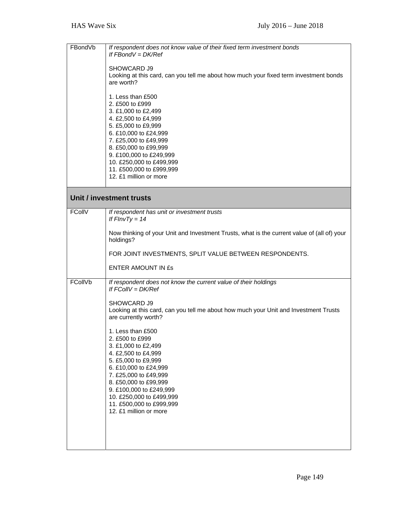| FBondVb       | If respondent does not know value of their fixed term investment bonds<br>If $FBondV = DK/Ref$                                                                                                                                                                                                    |  |  |
|---------------|---------------------------------------------------------------------------------------------------------------------------------------------------------------------------------------------------------------------------------------------------------------------------------------------------|--|--|
|               | SHOWCARD J9<br>Looking at this card, can you tell me about how much your fixed term investment bonds<br>are worth?                                                                                                                                                                                |  |  |
|               | 1. Less than £500<br>2. £500 to £999<br>3. £1,000 to £2,499<br>4. £2,500 to £4,999<br>5. £5,000 to £9,999<br>6. £10,000 to £24,999<br>7. £25,000 to £49,999<br>8. £50,000 to £99,999<br>9. £100,000 to £249,999<br>10. £250,000 to £499,999<br>11. £500,000 to £999,999<br>12. £1 million or more |  |  |
|               | Unit / investment trusts                                                                                                                                                                                                                                                                          |  |  |
| <b>FCollV</b> | If respondent has unit or investment trusts<br>If $FInvTy = 14$                                                                                                                                                                                                                                   |  |  |
|               | Now thinking of your Unit and Investment Trusts, what is the current value of (all of) your<br>holdings?                                                                                                                                                                                          |  |  |
|               | FOR JOINT INVESTMENTS, SPLIT VALUE BETWEEN RESPONDENTS.                                                                                                                                                                                                                                           |  |  |
|               | <b>ENTER AMOUNT IN £s</b>                                                                                                                                                                                                                                                                         |  |  |
| FCollVb       | If respondent does not know the current value of their holdings<br>If $FColIV = DK/Ref$                                                                                                                                                                                                           |  |  |
|               | SHOWCARD J9<br>Looking at this card, can you tell me about how much your Unit and Investment Trusts<br>are currently worth?                                                                                                                                                                       |  |  |
|               | 1. Less than £500<br>2. £500 to £999<br>3. £1,000 to £2,499<br>4. £2,500 to £4,999<br>5. £5,000 to £9,999                                                                                                                                                                                         |  |  |
|               | 6. £10,000 to £24,999<br>7. £25,000 to £49,999<br>8. £50,000 to £99,999<br>9. £100,000 to £249,999<br>10. £250,000 to £499,999<br>11. £500,000 to £999,999                                                                                                                                        |  |  |
|               | 12. £1 million or more                                                                                                                                                                                                                                                                            |  |  |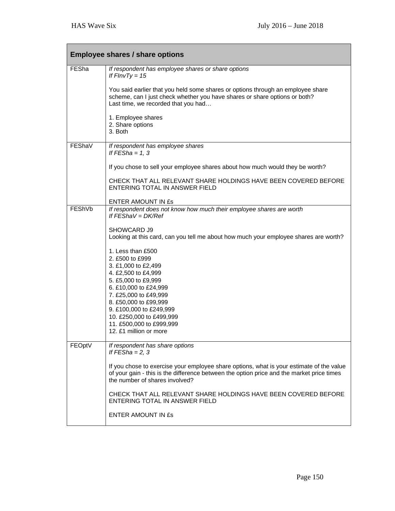|        | <b>Employee shares / share options</b>                                                                                                                                                                                  |  |
|--------|-------------------------------------------------------------------------------------------------------------------------------------------------------------------------------------------------------------------------|--|
| FESha  | If respondent has employee shares or share options<br>If $FInvTy = 15$                                                                                                                                                  |  |
|        | You said earlier that you held some shares or options through an employee share<br>scheme, can I just check whether you have shares or share options or both?<br>Last time, we recorded that you had                    |  |
|        | 1. Employee shares<br>2. Share options<br>3. Both                                                                                                                                                                       |  |
| FEShaV | If respondent has employee shares<br>If $FESha = 1, 3$                                                                                                                                                                  |  |
|        | If you chose to sell your employee shares about how much would they be worth?                                                                                                                                           |  |
|        | CHECK THAT ALL RELEVANT SHARE HOLDINGS HAVE BEEN COVERED BEFORE<br>ENTERING TOTAL IN ANSWER FIELD                                                                                                                       |  |
|        | ENTER AMOUNT IN ES                                                                                                                                                                                                      |  |
| FEShVb | If respondent does not know how much their employee shares are worth<br>If $FEShav = DK/Ref$                                                                                                                            |  |
|        | SHOWCARD J9<br>Looking at this card, can you tell me about how much your employee shares are worth?                                                                                                                     |  |
|        | 1. Less than £500<br>2. £500 to £999<br>3. £1,000 to £2,499<br>4. £2,500 to £4,999<br>5. £5,000 to £9,999                                                                                                               |  |
|        | 6. £10,000 to £24,999<br>7. £25,000 to £49,999                                                                                                                                                                          |  |
|        | 8. £50,000 to £99,999<br>9. £100,000 to £249,999                                                                                                                                                                        |  |
|        | 10. £250,000 to £499,999<br>11. £500,000 to £999,999                                                                                                                                                                    |  |
|        | 12. £1 million or more                                                                                                                                                                                                  |  |
| FEOptV | If respondent has share options<br>If $FESha = 2, 3$                                                                                                                                                                    |  |
|        | If you chose to exercise your employee share options, what is your estimate of the value<br>of your gain - this is the difference between the option price and the market price times<br>the number of shares involved? |  |
|        | CHECK THAT ALL RELEVANT SHARE HOLDINGS HAVE BEEN COVERED BEFORE<br>ENTERING TOTAL IN ANSWER FIELD                                                                                                                       |  |
|        | <b>ENTER AMOUNT IN £s</b>                                                                                                                                                                                               |  |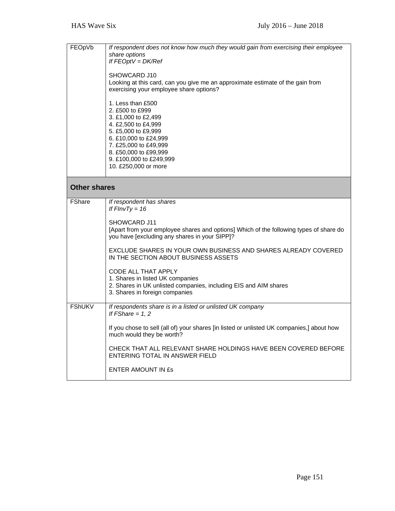| FEOpVb              | If respondent does not know how much they would gain from exercising their employee<br>share options<br>If $FEOptV = DK/Ref$<br>SHOWCARD J10<br>Looking at this card, can you give me an approximate estimate of the gain from<br>exercising your employee share options?<br>1. Less than £500<br>2. £500 to £999<br>3. £1,000 to £2,499<br>4. £2,500 to £4,999<br>5. £5,000 to £9,999<br>6. £10,000 to £24,999<br>7. £25,000 to £49,999<br>8. £50,000 to £99,999<br>9. £100,000 to £249,999<br>10. £250,000 or more |  |
|---------------------|----------------------------------------------------------------------------------------------------------------------------------------------------------------------------------------------------------------------------------------------------------------------------------------------------------------------------------------------------------------------------------------------------------------------------------------------------------------------------------------------------------------------|--|
| <b>Other shares</b> |                                                                                                                                                                                                                                                                                                                                                                                                                                                                                                                      |  |
| <b>FShare</b>       | If respondent has shares<br>If $FInvTy = 16$<br>SHOWCARD J11<br>[Apart from your employee shares and options] Which of the following types of share do<br>you have [excluding any shares in your SIPP]?<br>EXCLUDE SHARES IN YOUR OWN BUSINESS AND SHARES ALREADY COVERED<br>IN THE SECTION ABOUT BUSINESS ASSETS<br>CODE ALL THAT APPLY<br>1. Shares in listed UK companies<br>2. Shares in UK unlisted companies, including EIS and AIM shares<br>3. Shares in foreign companies                                   |  |
| <b>FShUKV</b>       | If respondents share is in a listed or unlisted UK company<br>If $FShare = 1, 2$<br>If you chose to sell (all of) your shares [in listed or unlisted UK companies,] about how<br>much would they be worth?<br>CHECK THAT ALL RELEVANT SHARE HOLDINGS HAVE BEEN COVERED BEFORE<br>ENTERING TOTAL IN ANSWER FIELD<br><b>ENTER AMOUNT IN ES</b>                                                                                                                                                                         |  |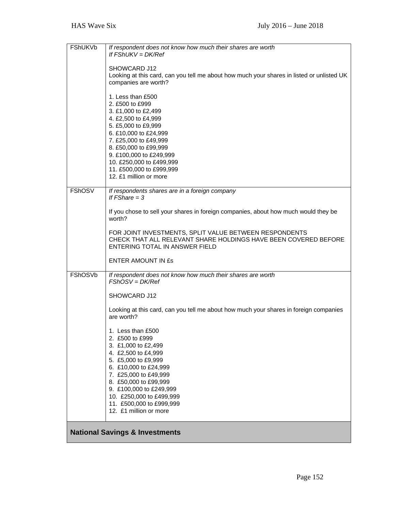| FShUKVb        | If respondent does not know how much their shares are worth<br>If $FShUKV = DK/Ref$                                                                                                                                                                                                               |
|----------------|---------------------------------------------------------------------------------------------------------------------------------------------------------------------------------------------------------------------------------------------------------------------------------------------------|
|                | SHOWCARD J12<br>Looking at this card, can you tell me about how much your shares in listed or unlisted UK<br>companies are worth?                                                                                                                                                                 |
|                | 1. Less than £500<br>2. £500 to £999<br>3. £1,000 to £2,499<br>4. £2,500 to £4,999<br>5. £5,000 to £9,999<br>6. £10,000 to £24,999<br>7. £25,000 to £49,999<br>8. £50,000 to £99,999<br>9. £100,000 to £249,999<br>10. £250,000 to £499,999<br>11. £500,000 to £999,999<br>12. £1 million or more |
| <b>FShOSV</b>  | If respondents shares are in a foreign company<br>If $FShare = 3$                                                                                                                                                                                                                                 |
|                | If you chose to sell your shares in foreign companies, about how much would they be<br>worth?                                                                                                                                                                                                     |
|                | FOR JOINT INVESTMENTS, SPLIT VALUE BETWEEN RESPONDENTS<br>CHECK THAT ALL RELEVANT SHARE HOLDINGS HAVE BEEN COVERED BEFORE<br>ENTERING TOTAL IN ANSWER FIELD                                                                                                                                       |
|                | <b>ENTER AMOUNT IN £s</b>                                                                                                                                                                                                                                                                         |
| <b>FShOSVb</b> | If respondent does not know how much their shares are worth<br>$FShOSV = DK/Ref$                                                                                                                                                                                                                  |
|                | SHOWCARD J12                                                                                                                                                                                                                                                                                      |
|                | Looking at this card, can you tell me about how much your shares in foreign companies<br>are worth?                                                                                                                                                                                               |
|                | 1. Less than £500<br>2. £500 to £999<br>3. £1,000 to £2,499<br>4. £2,500 to £4,999<br>5. £5,000 to £9,999<br>6. £10,000 to £24,999<br>7. £25,000 to £49,999<br>8. £50,000 to £99,999<br>9. £100,000 to £249,999<br>10. £250,000 to £499,999<br>11. £500,000 to £999,999<br>12. £1 million or more |
|                | <b>National Savings &amp; Investments</b>                                                                                                                                                                                                                                                         |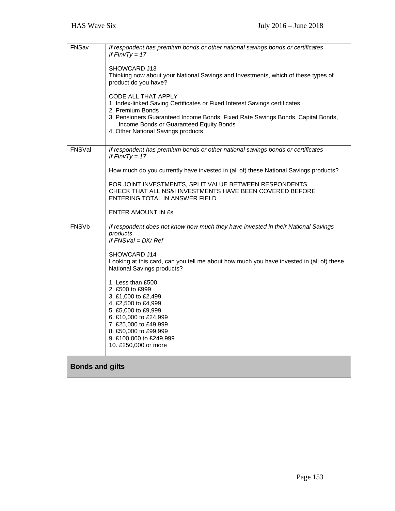| FNSav                  | If respondent has premium bonds or other national savings bonds or certificates<br>If $FInvTy = 17$<br>SHOWCARD J13<br>Thinking now about your National Savings and Investments, which of these types of<br>product do you have?<br>CODE ALL THAT APPLY<br>1. Index-linked Saving Certificates or Fixed Interest Savings certificates<br>2. Premium Bonds<br>3. Pensioners Guaranteed Income Bonds, Fixed Rate Savings Bonds, Capital Bonds,<br>Income Bonds or Guaranteed Equity Bonds<br>4. Other National Savings products |
|------------------------|-------------------------------------------------------------------------------------------------------------------------------------------------------------------------------------------------------------------------------------------------------------------------------------------------------------------------------------------------------------------------------------------------------------------------------------------------------------------------------------------------------------------------------|
| FNSVal                 | If respondent has premium bonds or other national savings bonds or certificates<br>If $FInvTy = 17$<br>How much do you currently have invested in (all of) these National Savings products?<br>FOR JOINT INVESTMENTS, SPLIT VALUE BETWEEN RESPONDENTS.<br>CHECK THAT ALL NS&I INVESTMENTS HAVE BEEN COVERED BEFORE<br>ENTERING TOTAL IN ANSWER FIELD<br><b>ENTER AMOUNT IN £s</b>                                                                                                                                             |
| <b>FNSVb</b>           | If respondent does not know how much they have invested in their National Savings<br>products<br>If $FNSVal = DK/Ref$<br>SHOWCARD J14<br>Looking at this card, can you tell me about how much you have invested in (all of) these<br>National Savings products?<br>1. Less than £500<br>2. £500 to £999<br>3. £1,000 to £2,499<br>4. £2,500 to £4,999<br>5. £5,000 to £9,999<br>6. £10,000 to £24,999<br>7. £25,000 to £49,999<br>8. £50,000 to £99,999<br>9. £100,000 to £249,999<br>10. £250,000 or more                    |
| <b>Bonds and gilts</b> |                                                                                                                                                                                                                                                                                                                                                                                                                                                                                                                               |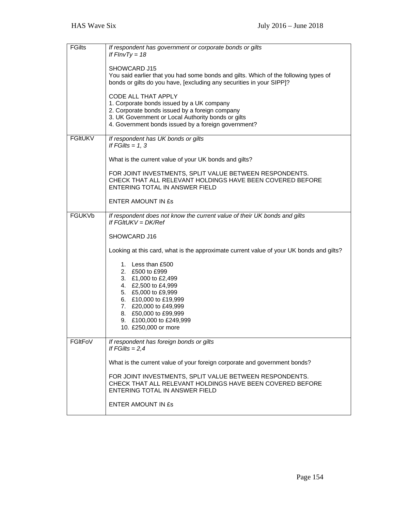| <b>FGilts</b>  | If respondent has government or corporate bonds or gilts<br>If $FInvTy = 18$<br>SHOWCARD J15<br>You said earlier that you had some bonds and gilts. Which of the following types of<br>bonds or gilts do you have, [excluding any securities in your SIPP]?<br>CODE ALL THAT APPLY<br>1. Corporate bonds issued by a UK company<br>2. Corporate bonds issued by a foreign company<br>3. UK Government or Local Authority bonds or gilts<br>4. Government bonds issued by a foreign government? |
|----------------|------------------------------------------------------------------------------------------------------------------------------------------------------------------------------------------------------------------------------------------------------------------------------------------------------------------------------------------------------------------------------------------------------------------------------------------------------------------------------------------------|
| <b>FGItUKV</b> | If respondent has UK bonds or gilts<br>If $FGlits = 1, 3$<br>What is the current value of your UK bonds and gilts?<br>FOR JOINT INVESTMENTS, SPLIT VALUE BETWEEN RESPONDENTS.<br>CHECK THAT ALL RELEVANT HOLDINGS HAVE BEEN COVERED BEFORE<br>ENTERING TOTAL IN ANSWER FIELD<br>ENTER AMOUNT IN ES                                                                                                                                                                                             |
| <b>FGUKVb</b>  | If respondent does not know the current value of their UK bonds and gilts<br>If FGItUKV = DK/Ref<br>SHOWCARD J16<br>Looking at this card, what is the approximate current value of your UK bonds and gilts?<br>1. Less than £500<br>2. £500 to £999<br>3. £1,000 to £2,499<br>4. £2,500 to £4,999<br>5. £5,000 to £9,999<br>6. £10,000 to £19,999<br>7. £20,000 to £49,999<br>8. £50,000 to £99,999<br>9. £100,000 to £249,999<br>10. £250,000 or more                                         |
| FGItFoV        | If respondent has foreign bonds or gilts<br>If $FGlits = 2,4$<br>What is the current value of your foreign corporate and government bonds?<br>FOR JOINT INVESTMENTS, SPLIT VALUE BETWEEN RESPONDENTS.<br>CHECK THAT ALL RELEVANT HOLDINGS HAVE BEEN COVERED BEFORE<br>ENTERING TOTAL IN ANSWER FIELD<br><b>ENTER AMOUNT IN £s</b>                                                                                                                                                              |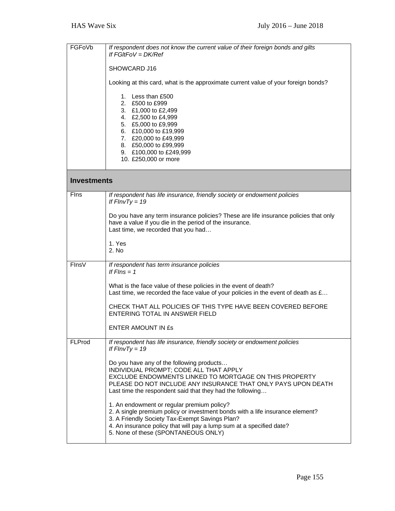| FGFoVb             | If respondent does not know the current value of their foreign bonds and gilts<br>If $FGItFoV = DK/Ref$                                                                                                                                                                                      |  |
|--------------------|----------------------------------------------------------------------------------------------------------------------------------------------------------------------------------------------------------------------------------------------------------------------------------------------|--|
|                    | SHOWCARD J16                                                                                                                                                                                                                                                                                 |  |
|                    | Looking at this card, what is the approximate current value of your foreign bonds?                                                                                                                                                                                                           |  |
|                    | 1. Less than £500<br>2. £500 to £999<br>3. £1,000 to £2,499<br>4. £2,500 to £4,999<br>5. £5,000 to £9,999<br>6. £10,000 to £19,999<br>7. £20,000 to £49,999<br>8. £50,000 to £99,999<br>9. £100,000 to £249,999<br>10. £250,000 or more                                                      |  |
| <b>Investments</b> |                                                                                                                                                                                                                                                                                              |  |
| <b>F</b> Ins       | If respondent has life insurance, friendly society or endowment policies<br>If $FInvTy = 19$                                                                                                                                                                                                 |  |
|                    | Do you have any term insurance policies? These are life insurance policies that only<br>have a value if you die in the period of the insurance.<br>Last time, we recorded that you had                                                                                                       |  |
|                    | 1. Yes<br>2. No                                                                                                                                                                                                                                                                              |  |
| FinsV              | If respondent has term insurance policies<br>If $Flns = 1$                                                                                                                                                                                                                                   |  |
|                    | What is the face value of these policies in the event of death?<br>Last time, we recorded the face value of your policies in the event of death as $E$                                                                                                                                       |  |
|                    | CHECK THAT ALL POLICIES OF THIS TYPE HAVE BEEN COVERED BEFORE<br>ENTERING TOTAL IN ANSWER FIELD                                                                                                                                                                                              |  |
|                    | ENTER AMOUNT IN ES                                                                                                                                                                                                                                                                           |  |
| <b>FLProd</b>      | If respondent has life insurance, friendly society or endowment policies<br>If $FInvTy = 19$                                                                                                                                                                                                 |  |
|                    | Do you have any of the following products<br>INDIVIDUAL PROMPT; CODE ALL THAT APPLY<br>EXCLUDE ENDOWMENTS LINKED TO MORTGAGE ON THIS PROPERTY<br>PLEASE DO NOT INCLUDE ANY INSURANCE THAT ONLY PAYS UPON DEATH<br>Last time the respondent said that they had the following                  |  |
|                    | 1. An endowment or regular premium policy?<br>2. A single premium policy or investment bonds with a life insurance element?<br>3. A Friendly Society Tax-Exempt Savings Plan?<br>4. An insurance policy that will pay a lump sum at a specified date?<br>5. None of these (SPONTANEOUS ONLY) |  |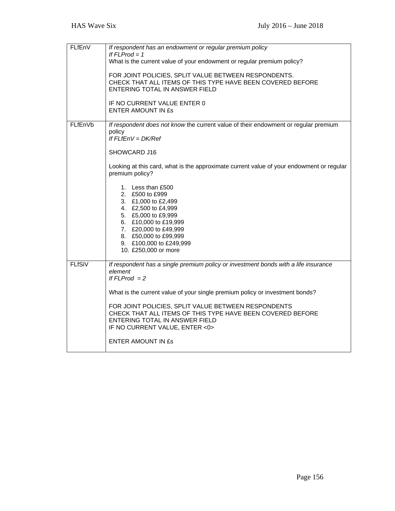| FLfEnV        | If respondent has an endowment or regular premium policy<br>If $FLProd = 1$                                                                                                                                                             |
|---------------|-----------------------------------------------------------------------------------------------------------------------------------------------------------------------------------------------------------------------------------------|
|               | What is the current value of your endowment or regular premium policy?                                                                                                                                                                  |
|               | FOR JOINT POLICIES, SPLIT VALUE BETWEEN RESPONDENTS.<br>CHECK THAT ALL ITEMS OF THIS TYPE HAVE BEEN COVERED BEFORE<br>ENTERING TOTAL IN ANSWER FIELD                                                                                    |
|               | IF NO CURRENT VALUE ENTER 0<br><b>ENTER AMOUNT IN £s</b>                                                                                                                                                                                |
| FLfEnVb       | If respondent does not know the current value of their endowment or regular premium<br>policy<br>If $FLfENV = DK/Ref$                                                                                                                   |
|               | SHOWCARD J16                                                                                                                                                                                                                            |
|               | Looking at this card, what is the approximate current value of your endowment or regular<br>premium policy?                                                                                                                             |
|               | 1. Less than £500<br>2. £500 to £999<br>3. £1,000 to £2,499<br>4. £2,500 to £4,999<br>5. £5,000 to £9,999<br>6. £10,000 to £19,999<br>7. £20,000 to £49,999<br>8. £50,000 to £99,999<br>9. £100,000 to £249,999<br>10. £250,000 or more |
| <b>FLfSiV</b> | If respondent has a single premium policy or investment bonds with a life insurance<br>element<br>If $FLProd = 2$                                                                                                                       |
|               | What is the current value of your single premium policy or investment bonds?                                                                                                                                                            |
|               | FOR JOINT POLICIES, SPLIT VALUE BETWEEN RESPONDENTS<br>CHECK THAT ALL ITEMS OF THIS TYPE HAVE BEEN COVERED BEFORE<br>ENTERING TOTAL IN ANSWER FIELD<br>IF NO CURRENT VALUE, ENTER <0>                                                   |
|               | <b>ENTER AMOUNT IN £s</b>                                                                                                                                                                                                               |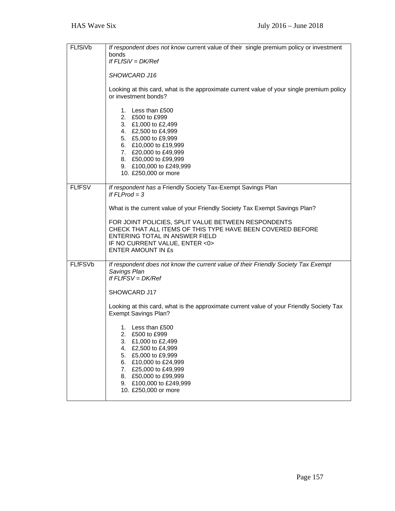| FLfSiVb        | If respondent does not know current value of their single premium policy or investment<br>bonds<br>If $FLfSiV = DK/Ref$<br>SHOWCARD J16<br>Looking at this card, what is the approximate current value of your single premium policy<br>or investment bonds?<br>1. Less than £500<br>2. £500 to £999<br>3. £1,000 to £2,499<br>4. £2,500 to £4,999<br>5. £5,000 to £9,999<br>6. £10,000 to £19,999<br>7. £20,000 to £49,999<br>8. £50,000 to £99,999<br>9. £100,000 to £249,999<br>10. £250,000 or more                                  |
|----------------|------------------------------------------------------------------------------------------------------------------------------------------------------------------------------------------------------------------------------------------------------------------------------------------------------------------------------------------------------------------------------------------------------------------------------------------------------------------------------------------------------------------------------------------|
| <b>FLfFSV</b>  | If respondent has a Friendly Society Tax-Exempt Savings Plan<br>If $FLProd = 3$<br>What is the current value of your Friendly Society Tax Exempt Savings Plan?<br>FOR JOINT POLICIES, SPLIT VALUE BETWEEN RESPONDENTS<br>CHECK THAT ALL ITEMS OF THIS TYPE HAVE BEEN COVERED BEFORE<br>ENTERING TOTAL IN ANSWER FIELD<br>IF NO CURRENT VALUE, ENTER <0><br><b>ENTER AMOUNT IN £s</b>                                                                                                                                                     |
| <b>FLfFSVb</b> | If respondent does not know the current value of their Friendly Society Tax Exempt<br>Savings Plan<br>If $FLfFSV = DK/Ref$<br>SHOWCARD J17<br>Looking at this card, what is the approximate current value of your Friendly Society Tax<br><b>Exempt Savings Plan?</b><br>1. Less than £500<br>2.<br>£500 to £999<br>3.<br>£1,000 to £2,499<br>4.<br>£2,500 to £4,999<br>5.<br>£5,000 to £9,999<br>£10,000 to £24,999<br>6.<br>7.<br>£25,000 to £49,999<br>8.<br>£50,000 to £99,999<br>£100,000 to £249,999<br>9.<br>10. £250,000 or more |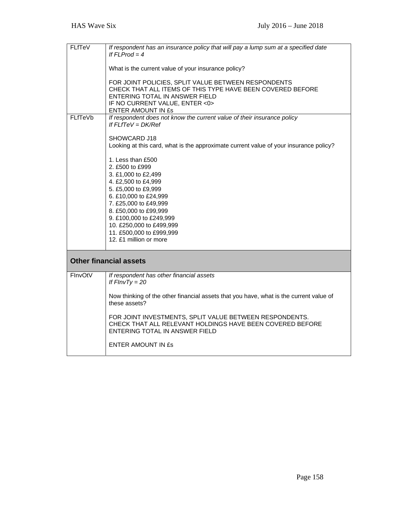| <b>FLfTeV</b> | If respondent has an insurance policy that will pay a lump sum at a specified date<br>If $Fl$ Prod = 4<br>What is the current value of your insurance policy?<br>FOR JOINT POLICIES, SPLIT VALUE BETWEEN RESPONDENTS<br>CHECK THAT ALL ITEMS OF THIS TYPE HAVE BEEN COVERED BEFORE<br>ENTERING TOTAL IN ANSWER FIELD<br>IF NO CURRENT VALUE, ENTER <0><br>ENTER AMOUNT IN £s                                                                                                                                  |
|---------------|---------------------------------------------------------------------------------------------------------------------------------------------------------------------------------------------------------------------------------------------------------------------------------------------------------------------------------------------------------------------------------------------------------------------------------------------------------------------------------------------------------------|
| FLfTeVb       | If respondent does not know the current value of their insurance policy<br>If $FLfTeV = DK/Ref$<br>SHOWCARD J18<br>Looking at this card, what is the approximate current value of your insurance policy?<br>1. Less than £500<br>2. £500 to £999<br>3. £1,000 to £2,499<br>4. £2,500 to £4,999<br>5. £5,000 to £9,999<br>6. £10,000 to £24,999<br>7. £25,000 to £49,999<br>8. £50,000 to £99,999<br>9. £100,000 to £249,999<br>10. £250,000 to £499,999<br>11. £500,000 to £999,999<br>12. £1 million or more |
|               | <b>Other financial assets</b>                                                                                                                                                                                                                                                                                                                                                                                                                                                                                 |
| FInvOtV       | If respondent has other financial assets<br>If $FInvTy = 20$<br>Now thinking of the other financial assets that you have, what is the current value of<br>these assets?<br>FOR JOINT INVESTMENTS, SPLIT VALUE BETWEEN RESPONDENTS.<br>CHECK THAT ALL RELEVANT HOLDINGS HAVE BEEN COVERED BEFORE<br>ENTERING TOTAL IN ANSWER FIELD<br><b>ENTER AMOUNT IN ES</b>                                                                                                                                                |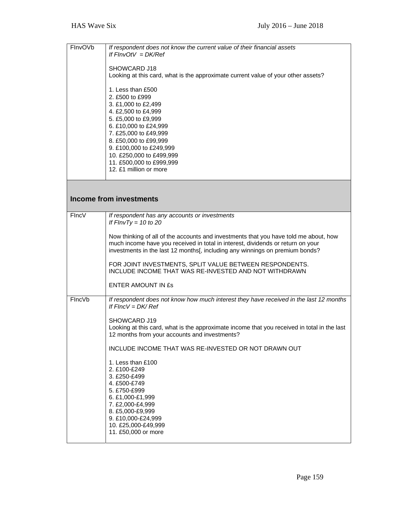| FlnvOVb | If respondent does not know the current value of their financial assets<br>If $FInvOfV = DK/Ref$                                                                                                                                                                                                  |
|---------|---------------------------------------------------------------------------------------------------------------------------------------------------------------------------------------------------------------------------------------------------------------------------------------------------|
|         | SHOWCARD J18<br>Looking at this card, what is the approximate current value of your other assets?                                                                                                                                                                                                 |
|         | 1. Less than £500<br>2. £500 to £999<br>3. £1,000 to £2,499<br>4. £2,500 to £4,999<br>5. £5,000 to £9,999<br>6. £10,000 to £24,999<br>7. £25,000 to £49,999<br>8. £50,000 to £99,999<br>9. £100,000 to £249,999<br>10. £250,000 to £499,999<br>11. £500,000 to £999,999<br>12. £1 million or more |
|         | <b>Income from investments</b>                                                                                                                                                                                                                                                                    |
|         |                                                                                                                                                                                                                                                                                                   |
| FIncV   | If respondent has any accounts or investments<br>If $FInvTy = 10$ to 20                                                                                                                                                                                                                           |
|         | Now thinking of all of the accounts and investments that you have told me about, how<br>much income have you received in total in interest, dividends or return on your<br>investments in the last 12 months[, including any winnings on premium bonds?                                           |
|         | FOR JOINT INVESTMENTS, SPLIT VALUE BETWEEN RESPONDENTS.<br>INCLUDE INCOME THAT WAS RE-INVESTED AND NOT WITHDRAWN                                                                                                                                                                                  |
|         | ENTER AMOUNT IN ES                                                                                                                                                                                                                                                                                |
| FincVb  | If respondent does not know how much interest they have received in the last 12 months<br>If $FIncV = DK/Ref$                                                                                                                                                                                     |
|         | SHOWCARD J19<br>Looking at this card, what is the approximate income that you received in total in the last<br>12 months from your accounts and investments?                                                                                                                                      |
|         | INCLUDE INCOME THAT WAS RE-INVESTED OR NOT DRAWN OUT                                                                                                                                                                                                                                              |
|         | 1. Less than £100<br>2. £100-£249<br>3. £250-£499<br>4. £500-£749<br>5. £750-£999<br>6. £1,000-£1,999<br>7. £2,000-£4,999<br>8. £5,000-£9,999<br>9. £10,000-£24,999<br>10. £25,000-£49,999<br>11. £50,000 or more                                                                                 |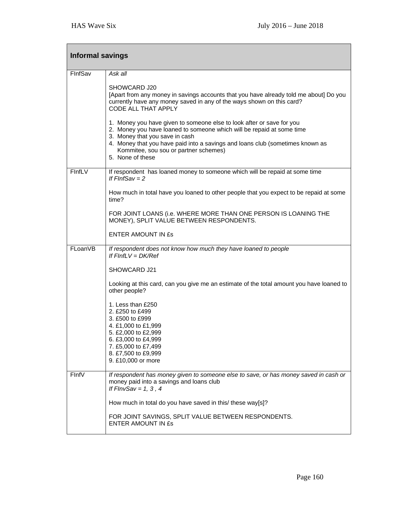| <b>Informal savings</b> |                                                                                                                                                                                                                                                                                                                                |  |
|-------------------------|--------------------------------------------------------------------------------------------------------------------------------------------------------------------------------------------------------------------------------------------------------------------------------------------------------------------------------|--|
| FinfSav                 | Ask all                                                                                                                                                                                                                                                                                                                        |  |
|                         | SHOWCARD J20<br>[Apart from any money in savings accounts that you have already told me about] Do you<br>currently have any money saved in any of the ways shown on this card?<br>CODE ALL THAT APPLY                                                                                                                          |  |
|                         | 1. Money you have given to someone else to look after or save for you<br>2. Money you have loaned to someone which will be repaid at some time<br>3. Money that you save in cash<br>4. Money that you have paid into a savings and loans club (sometimes known as<br>Kommitee, sou sou or partner schemes)<br>5. None of these |  |
| FInfLV                  | If respondent has loaned money to someone which will be repaid at some time<br>If $FInfSav = 2$                                                                                                                                                                                                                                |  |
|                         | How much in total have you loaned to other people that you expect to be repaid at some<br>time?                                                                                                                                                                                                                                |  |
|                         | FOR JOINT LOANS (i.e. WHERE MORE THAN ONE PERSON IS LOANING THE<br>MONEY), SPLIT VALUE BETWEEN RESPONDENTS.                                                                                                                                                                                                                    |  |
|                         | <b>ENTER AMOUNT IN ES</b>                                                                                                                                                                                                                                                                                                      |  |
| FLoanVB                 | If respondent does not know how much they have loaned to people<br>If $FInfLV = DK/Ref$                                                                                                                                                                                                                                        |  |
|                         | SHOWCARD J21                                                                                                                                                                                                                                                                                                                   |  |
|                         | Looking at this card, can you give me an estimate of the total amount you have loaned to<br>other people?                                                                                                                                                                                                                      |  |
|                         | 1. Less than £250<br>2. £250 to £499<br>3. £500 to £999<br>4. £1,000 to £1,999<br>5. £2,000 to £2,999<br>6. £3,000 to £4,999<br>7. £5,000 to £7,499<br>8. £7,500 to £9,999<br>9. £10,000 or more                                                                                                                               |  |
| FinfV                   | If respondent has money given to someone else to save, or has money saved in cash or<br>money paid into a savings and loans club<br>If $FlnvSav = 1, 3, 4$                                                                                                                                                                     |  |
|                         | How much in total do you have saved in this/ these way[s]?                                                                                                                                                                                                                                                                     |  |
|                         | FOR JOINT SAVINGS, SPLIT VALUE BETWEEN RESPONDENTS.<br>ENTER AMOUNT IN ES                                                                                                                                                                                                                                                      |  |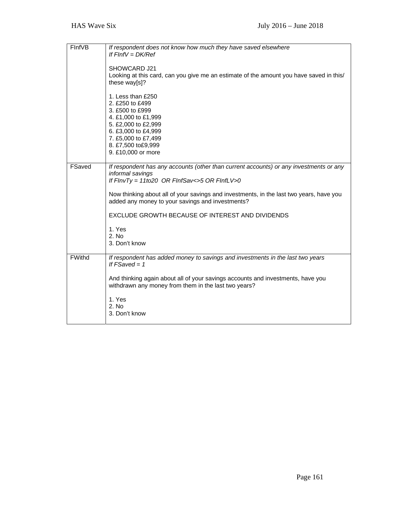| FInfVB        | If respondent does not know how much they have saved elsewhere<br>If $FInfV = DK/Ref$<br>SHOWCARD J21<br>Looking at this card, can you give me an estimate of the amount you have saved in this/<br>these way[s]?                                                                                                                                                                                              |
|---------------|----------------------------------------------------------------------------------------------------------------------------------------------------------------------------------------------------------------------------------------------------------------------------------------------------------------------------------------------------------------------------------------------------------------|
|               | 1. Less than £250<br>2. £250 to £499<br>3. £500 to £999<br>4. £1,000 to £1,999<br>5. £2,000 to £2,999<br>6. £3,000 to £4,999<br>7. £5,000 to £7,499<br>8. £7,500 to£9,999<br>9. £10,000 or more                                                                                                                                                                                                                |
| FSaved        | If respondent has any accounts (other than current accounts) or any investments or any<br>informal savings<br>If $FInvTy = 11to20$ OR $FInfSav \lt 5$ OR $FInfLV \gt 0$<br>Now thinking about all of your savings and investments, in the last two years, have you<br>added any money to your savings and investments?<br>EXCLUDE GROWTH BECAUSE OF INTEREST AND DIVIDENDS<br>1. Yes<br>2. No<br>3. Don't know |
| <b>FWithd</b> | If respondent has added money to savings and investments in the last two years<br>If $FSaved = 1$<br>And thinking again about all of your savings accounts and investments, have you<br>withdrawn any money from them in the last two years?<br>1. Yes<br>2. No<br>3. Don't know                                                                                                                               |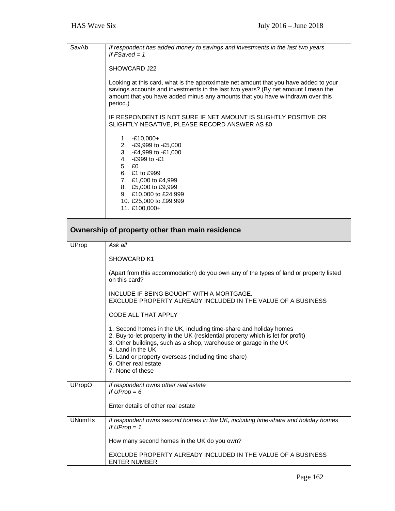| SavAb         | If respondent has added money to savings and investments in the last two years<br>If $FSaved = 1$                                                                                                                                                                                                                                                 |  |
|---------------|---------------------------------------------------------------------------------------------------------------------------------------------------------------------------------------------------------------------------------------------------------------------------------------------------------------------------------------------------|--|
|               | SHOWCARD J22                                                                                                                                                                                                                                                                                                                                      |  |
|               | Looking at this card, what is the approximate net amount that you have added to your<br>savings accounts and investments in the last two years? (By net amount I mean the<br>amount that you have added minus any amounts that you have withdrawn over this<br>period.)                                                                           |  |
|               | IF RESPONDENT IS NOT SURE IF NET AMOUNT IS SLIGHTLY POSITIVE OR<br>SLIGHTLY NEGATIVE, PLEASE RECORD ANSWER AS £0                                                                                                                                                                                                                                  |  |
|               | $1. -£10,000+$<br>2. - £9,999 to - £5,000<br>3. - £4,999 to -£1,000<br>4. - £999 to -£1<br>5. EO<br>6. £1 to £999<br>7. £1,000 to £4,999<br>8. £5,000 to £9,999<br>9. £10,000 to £24,999<br>10. £25,000 to £99,999<br>11. £100,000+                                                                                                               |  |
|               | Ownership of property other than main residence                                                                                                                                                                                                                                                                                                   |  |
| <b>UProp</b>  | Ask all                                                                                                                                                                                                                                                                                                                                           |  |
|               | SHOWCARD K1                                                                                                                                                                                                                                                                                                                                       |  |
|               | (Apart from this accommodation) do you own any of the types of land or property listed<br>on this card?                                                                                                                                                                                                                                           |  |
|               | INCLUDE IF BEING BOUGHT WITH A MORTGAGE.<br>EXCLUDE PROPERTY ALREADY INCLUDED IN THE VALUE OF A BUSINESS                                                                                                                                                                                                                                          |  |
|               | CODE ALL THAT APPLY                                                                                                                                                                                                                                                                                                                               |  |
|               | 1. Second homes in the UK, including time-share and holiday homes<br>2. Buy-to-let property in the UK (residential property which is let for profit)<br>3. Other buildings, such as a shop, warehouse or garage in the UK<br>4. Land in the UK<br>5. Land or property overseas (including time-share)<br>6. Other real estate<br>7. None of these |  |
| <b>UPropO</b> | If respondent owns other real estate<br>If $UProp = 6$                                                                                                                                                                                                                                                                                            |  |
|               | Enter details of other real estate                                                                                                                                                                                                                                                                                                                |  |
| <b>UNumHs</b> | If respondent owns second homes in the UK, including time-share and holiday homes<br>If $UProp = 1$                                                                                                                                                                                                                                               |  |
|               | How many second homes in the UK do you own?                                                                                                                                                                                                                                                                                                       |  |
|               | EXCLUDE PROPERTY ALREADY INCLUDED IN THE VALUE OF A BUSINESS<br><b>ENTER NUMBER</b>                                                                                                                                                                                                                                                               |  |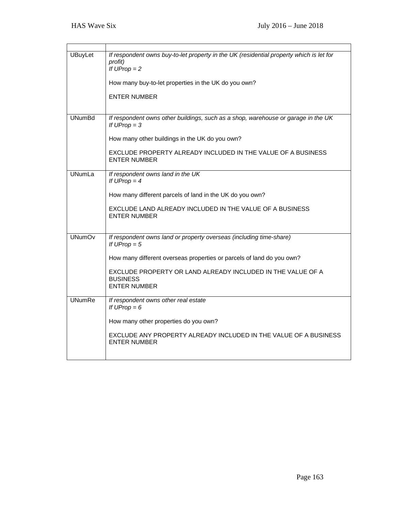| <b>UBuyLet</b> | If respondent owns buy-to-let property in the UK (residential property which is let for<br>profit)<br>If $UProp = 2$ |
|----------------|----------------------------------------------------------------------------------------------------------------------|
|                | How many buy-to-let properties in the UK do you own?                                                                 |
|                | <b>ENTER NUMBER</b>                                                                                                  |
| <b>UNumBd</b>  | If respondent owns other buildings, such as a shop, warehouse or garage in the UK<br>If $UProp = 3$                  |
|                | How many other buildings in the UK do you own?                                                                       |
|                | EXCLUDE PROPERTY ALREADY INCLUDED IN THE VALUE OF A BUSINESS<br><b>ENTER NUMBER</b>                                  |
| <b>UNumLa</b>  | If respondent owns land in the UK<br>If $UProp = 4$                                                                  |
|                | How many different parcels of land in the UK do you own?                                                             |
|                | EXCLUDE LAND ALREADY INCLUDED IN THE VALUE OF A BUSINESS<br><b>ENTER NUMBER</b>                                      |
| <b>UNumOv</b>  | If respondent owns land or property overseas (including time-share)<br>If $UProp = 5$                                |
|                | How many different overseas properties or parcels of land do you own?                                                |
|                | EXCLUDE PROPERTY OR LAND ALREADY INCLUDED IN THE VALUE OF A<br><b>BUSINESS</b><br><b>ENTER NUMBER</b>                |
| <b>UNumRe</b>  | If respondent owns other real estate<br>If $UProp = 6$                                                               |
|                | How many other properties do you own?                                                                                |
|                | EXCLUDE ANY PROPERTY ALREADY INCLUDED IN THE VALUE OF A BUSINESS<br><b>ENTER NUMBER</b>                              |
|                |                                                                                                                      |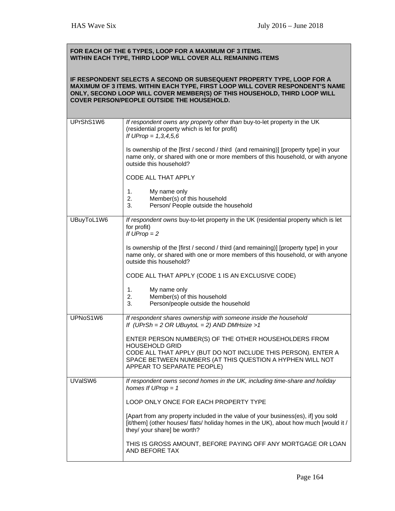| FOR EACH OF THE 6 TYPES, LOOP FOR A MAXIMUM OF 3 ITEMS.<br>WITHIN EACH TYPE, THIRD LOOP WILL COVER ALL REMAINING ITEMS                                                                                                                                                             |                                                                                                                                                                                                              |  |
|------------------------------------------------------------------------------------------------------------------------------------------------------------------------------------------------------------------------------------------------------------------------------------|--------------------------------------------------------------------------------------------------------------------------------------------------------------------------------------------------------------|--|
| IF RESPONDENT SELECTS A SECOND OR SUBSEQUENT PROPERTY TYPE, LOOP FOR A<br>MAXIMUM OF 3 ITEMS. WITHIN EACH TYPE, FIRST LOOP WILL COVER RESPONDENT'S NAME<br>ONLY, SECOND LOOP WILL COVER MEMBER(S) OF THIS HOUSEHOLD, THIRD LOOP WILL<br>COVER PERSON/PEOPLE OUTSIDE THE HOUSEHOLD. |                                                                                                                                                                                                              |  |
| UPrShS1W6                                                                                                                                                                                                                                                                          | If respondent owns any property other than buy-to-let property in the UK<br>(residential property which is let for profit)<br>If UProp = $1,3,4,5,6$                                                         |  |
|                                                                                                                                                                                                                                                                                    | Is ownership of the [first / second / third (and remaining)] [property type] in your<br>name only, or shared with one or more members of this household, or with anyone<br>outside this household?           |  |
|                                                                                                                                                                                                                                                                                    | CODE ALL THAT APPLY                                                                                                                                                                                          |  |
|                                                                                                                                                                                                                                                                                    | 1.<br>My name only<br>2.<br>Member(s) of this household<br>3.<br>Person/ People outside the household                                                                                                        |  |
| UBuyToL1W6                                                                                                                                                                                                                                                                         | If respondent owns buy-to-let property in the UK (residential property which is let<br>for profit)<br>If $UProp = 2$                                                                                         |  |
|                                                                                                                                                                                                                                                                                    | Is ownership of the [first / second / third (and remaining)] [property type] in your<br>name only, or shared with one or more members of this household, or with anyone<br>outside this household?           |  |
|                                                                                                                                                                                                                                                                                    | CODE ALL THAT APPLY (CODE 1 IS AN EXCLUSIVE CODE)                                                                                                                                                            |  |
|                                                                                                                                                                                                                                                                                    | 1 <sub>1</sub><br>My name only<br>Member(s) of this household<br>2.<br>3.<br>Person/people outside the household                                                                                             |  |
| UPNoS1W6                                                                                                                                                                                                                                                                           | If respondent shares ownership with someone inside the household<br>If (UPrSh = $2$ OR UBuytoL = $2$ ) AND DMHsize > 1                                                                                       |  |
|                                                                                                                                                                                                                                                                                    | ENTER PERSON NUMBER(S) OF THE OTHER HOUSEHOLDERS FROM<br><b>HOUSEHOLD GRID</b><br>CODE ALL THAT APPLY (BUT DO NOT INCLUDE THIS PERSON). ENTER A<br>SPACE BETWEEN NUMBERS (AT THIS QUESTION A HYPHEN WILL NOT |  |
|                                                                                                                                                                                                                                                                                    | APPEAR TO SEPARATE PEOPLE)                                                                                                                                                                                   |  |
| UVaISW6                                                                                                                                                                                                                                                                            | If respondent owns second homes in the UK, including time-share and holiday<br>homes If $UProp = 1$                                                                                                          |  |
|                                                                                                                                                                                                                                                                                    | LOOP ONLY ONCE FOR EACH PROPERTY TYPE                                                                                                                                                                        |  |
|                                                                                                                                                                                                                                                                                    | [Apart from any property included in the value of your business(es), if] you sold<br>[it/them] (other houses/ flats/ holiday homes in the UK), about how much [would it /<br>they/ your share] be worth?     |  |
|                                                                                                                                                                                                                                                                                    | THIS IS GROSS AMOUNT, BEFORE PAYING OFF ANY MORTGAGE OR LOAN<br>AND BEFORE TAX                                                                                                                               |  |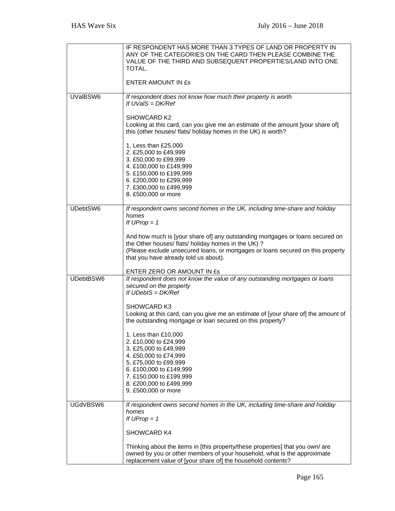|           | IF RESPONDENT HAS MORE THAN 3 TYPES OF LAND OR PROPERTY IN<br>ANY OF THE CATEGORIES ON THE CARD THEN PLEASE COMBINE THE<br>VALUE OF THE THIRD AND SUBSEQUENT PROPERTIES/LAND INTO ONE<br>TOTAL.                                                                  |
|-----------|------------------------------------------------------------------------------------------------------------------------------------------------------------------------------------------------------------------------------------------------------------------|
|           | <b>ENTER AMOUNT IN ES</b>                                                                                                                                                                                                                                        |
| UValBSW6  | If respondent does not know how much their property is worth<br>If $UVaIS = DK/Ref$                                                                                                                                                                              |
|           | <b>SHOWCARD K2</b><br>Looking at this card, can you give me an estimate of the amount [your share of]<br>this (other houses/ flats/ holiday homes in the UK) is worth?                                                                                           |
|           | 1. Less than £25,000<br>2. £25,000 to £49,999<br>3. £50,000 to £99,999<br>4. £100,000 to £149,999<br>5. £150,000 to £199,999<br>6. £200,000 to £299,999<br>7. £300,000 to £499,999<br>8. £500,000 or more                                                        |
| UDebtSW6  | If respondent owns second homes in the UK, including time-share and holiday                                                                                                                                                                                      |
|           | homes<br>If $UProp = 1$                                                                                                                                                                                                                                          |
|           | And how much is [your share of] any outstanding mortgages or loans secured on<br>the Other houses/ flats/ holiday homes in the UK) ?<br>(Please exclude unsecured loans, or mortgages or loans secured on this property<br>that you have already told us about). |
|           | ENTER ZERO OR AMOUNT IN £s                                                                                                                                                                                                                                       |
| UDebtBSW6 | If respondent does not know the value of any outstanding mortgages or loans<br>secured on the property<br>If $UDebtS = DK/Ref$                                                                                                                                   |
|           | <b>SHOWCARD K3</b><br>Looking at this card, can you give me an estimate of [your share of] the amount of<br>the outstanding mortgage or loan secured on this property?                                                                                           |
|           | 1. Less than £10,000<br>2. £10,000 to £24,999<br>3. £25,000 to £49,999<br>4. £50,000 to £74,999<br>5. £75,000 to £99,999<br>6. £100,000 to £149,999<br>7. £150,000 to £199,999<br>8. £200,000 to £499,999                                                        |
|           | 9. £500,000 or more                                                                                                                                                                                                                                              |
| UGdVBSW6  | If respondent owns second homes in the UK, including time-share and holiday<br>homes<br>If $UProp = 1$                                                                                                                                                           |
|           | SHOWCARD K4                                                                                                                                                                                                                                                      |
|           | Thinking about the items in [this property/these properties] that you own/ are<br>owned by you or other members of your household, what is the approximate<br>replacement value of [your share of] the household contents?                                       |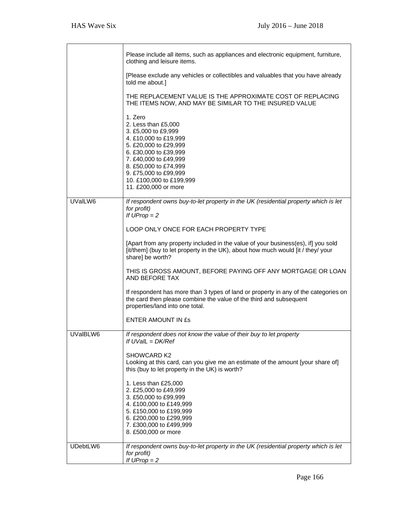T

٦

|          | Please include all items, such as appliances and electronic equipment, furniture,<br>clothing and leisure items.                                                                                                                                                |
|----------|-----------------------------------------------------------------------------------------------------------------------------------------------------------------------------------------------------------------------------------------------------------------|
|          | [Please exclude any vehicles or collectibles and valuables that you have already<br>told me about.]                                                                                                                                                             |
|          | THE REPLACEMENT VALUE IS THE APPROXIMATE COST OF REPLACING<br>THE ITEMS NOW, AND MAY BE SIMILAR TO THE INSURED VALUE                                                                                                                                            |
|          | 1. Zero<br>2. Less than £5,000<br>3. £5,000 to £9,999<br>4. £10,000 to £19,999<br>5. £20,000 to £29,999<br>6. £30,000 to £39,999<br>7. £40,000 to £49,999<br>8. £50,000 to £74,999<br>9. £75,000 to £99,999<br>10. £100,000 to £199,999<br>11. £200,000 or more |
| UValLW6  | If respondent owns buy-to-let property in the UK (residential property which is let<br>for profit)<br>If $UProp = 2$                                                                                                                                            |
|          | LOOP ONLY ONCE FOR EACH PROPERTY TYPE                                                                                                                                                                                                                           |
|          | [Apart from any property included in the value of your business(es), if] you sold<br>[it/them] (buy to let property in the UK), about how much would [it / they/ your<br>share] be worth?                                                                       |
|          | THIS IS GROSS AMOUNT, BEFORE PAYING OFF ANY MORTGAGE OR LOAN<br>AND BEFORE TAX                                                                                                                                                                                  |
|          | If respondent has more than 3 types of land or property in any of the categories on<br>the card then please combine the value of the third and subsequent<br>properties/land into one total.                                                                    |
|          | <b>ENTER AMOUNT IN £s</b>                                                                                                                                                                                                                                       |
| UVaIBLW6 | If respondent does not know the value of their buy to let property<br>If UVaIL = DK/Ref                                                                                                                                                                         |
|          | SHOWCARD K2<br>Looking at this card, can you give me an estimate of the amount [your share of]<br>this (buy to let property in the UK) is worth?                                                                                                                |
|          | 1. Less than £25,000<br>2. £25,000 to £49,999<br>3. £50,000 to £99,999<br>4. £100,000 to £149,999<br>5. £150,000 to £199,999<br>6. £200,000 to £299,999<br>7. £300,000 to £499,999<br>8. £500,000 or more                                                       |
| UDebtLW6 | If respondent owns buy-to-let property in the UK (residential property which is let<br>for profit)<br>If $UProp = 2$                                                                                                                                            |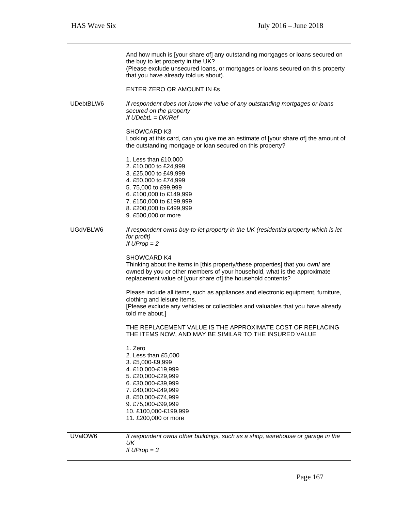┱

٦

|           | And how much is [your share of] any outstanding mortgages or loans secured on<br>the buy to let property in the UK?<br>(Please exclude unsecured loans, or mortgages or loans secured on this property<br>that you have already told us about).<br>ENTER ZERO OR AMOUNT IN £s                                                                                                           |
|-----------|-----------------------------------------------------------------------------------------------------------------------------------------------------------------------------------------------------------------------------------------------------------------------------------------------------------------------------------------------------------------------------------------|
|           |                                                                                                                                                                                                                                                                                                                                                                                         |
| UDebtBLW6 | If respondent does not know the value of any outstanding mortgages or loans<br>secured on the property<br>If $U$ Debt $L = DK$ /Ref<br><b>SHOWCARD K3</b><br>Looking at this card, can you give me an estimate of [your share of] the amount of<br>the outstanding mortgage or loan secured on this property?<br>1. Less than £10,000<br>2. £10,000 to £24,999<br>3. £25,000 to £49,999 |
|           | 4. £50,000 to £74,999<br>5.75,000 to £99,999<br>6. £100,000 to £149,999<br>7. £150,000 to £199,999                                                                                                                                                                                                                                                                                      |
|           | 8. £200,000 to £499,999<br>9. £500,000 or more                                                                                                                                                                                                                                                                                                                                          |
| UGdVBLW6  | If respondent owns buy-to-let property in the UK (residential property which is let<br>for profit)<br>If $UProp = 2$<br>SHOWCARD K4                                                                                                                                                                                                                                                     |
|           | Thinking about the items in [this property/these properties] that you own/ are<br>owned by you or other members of your household, what is the approximate<br>replacement value of [your share of] the household contents?                                                                                                                                                              |
|           | Please include all items, such as appliances and electronic equipment, furniture,<br>clothing and leisure items.<br>[Please exclude any vehicles or collectibles and valuables that you have already<br>told me about.]                                                                                                                                                                 |
|           | THE REPLACEMENT VALUE IS THE APPROXIMATE COST OF REPLACING<br>THE ITEMS NOW, AND MAY BE SIMILAR TO THE INSURED VALUE                                                                                                                                                                                                                                                                    |
|           | 1. Zero<br>2. Less than £5,000<br>3. £5,000-£9,999<br>4. £10,000-£19,999<br>5. £20,000-£29,999<br>6. £30,000-£39,999<br>7. £40,000-£49,999<br>8. £50,000-£74,999<br>9. £75,000-£99,999<br>10. £100,000-£199,999<br>11. £200,000 or more                                                                                                                                                 |
| UValOW6   | If respondent owns other buildings, such as a shop, warehouse or garage in the<br>UK.<br>If $UProp = 3$                                                                                                                                                                                                                                                                                 |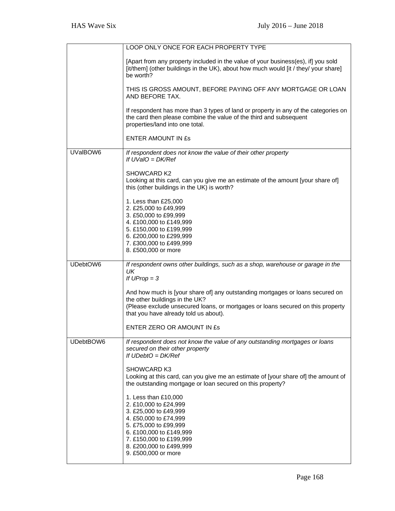|           | LOOP ONLY ONCE FOR EACH PROPERTY TYPE                                                                                                                                                                                                       |
|-----------|---------------------------------------------------------------------------------------------------------------------------------------------------------------------------------------------------------------------------------------------|
|           | [Apart from any property included in the value of your business(es), if] you sold<br>[it/them] (other buildings in the UK), about how much would [it / they/ your share]<br>be worth?                                                       |
|           | THIS IS GROSS AMOUNT, BEFORE PAYING OFF ANY MORTGAGE OR LOAN<br>AND BEFORE TAX.                                                                                                                                                             |
|           | If respondent has more than 3 types of land or property in any of the categories on<br>the card then please combine the value of the third and subsequent<br>properties/land into one total.                                                |
|           | <b>ENTER AMOUNT IN £s</b>                                                                                                                                                                                                                   |
| UValBOW6  | If respondent does not know the value of their other property<br>If $UVaIO = DK/Ref$                                                                                                                                                        |
|           | SHOWCARD K2<br>Looking at this card, can you give me an estimate of the amount [your share of]<br>this (other buildings in the UK) is worth?                                                                                                |
|           | 1. Less than £25,000<br>2. £25,000 to £49,999<br>3. £50,000 to £99,999<br>4. £100,000 to £149,999<br>5. £150,000 to £199,999<br>6. £200,000 to £299,999<br>7. £300,000 to £499,999<br>8. £500,000 or more                                   |
| UDebtOW6  | If respondent owns other buildings, such as a shop, warehouse or garage in the<br>UK<br>If $UProp = 3$                                                                                                                                      |
|           | And how much is [your share of] any outstanding mortgages or loans secured on<br>the other buildings in the UK?<br>(Please exclude unsecured loans, or mortgages or loans secured on this property<br>that you have already told us about). |
|           | ENTER ZERO OR AMOUNT IN £s                                                                                                                                                                                                                  |
| UDebtBOW6 | If respondent does not know the value of any outstanding mortgages or loans<br>secured on their other property<br>If $UDebtO = DK/Ref$                                                                                                      |
|           | <b>SHOWCARD K3</b><br>Looking at this card, can you give me an estimate of [your share of] the amount of<br>the outstanding mortgage or loan secured on this property?                                                                      |
|           | 1. Less than £10,000<br>2. £10,000 to £24,999<br>3. £25,000 to £49,999<br>4. £50,000 to £74,999<br>5. £75,000 to £99,999<br>6. £100,000 to £149,999<br>7. £150,000 to £199,999<br>8. £200,000 to £499,999<br>9. £500,000 or more            |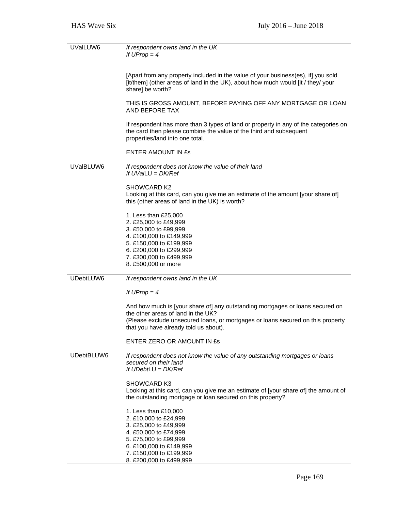| UValLUW6   | If respondent owns land in the UK                                                                                                                                                                         |
|------------|-----------------------------------------------------------------------------------------------------------------------------------------------------------------------------------------------------------|
|            | If $UProp = 4$                                                                                                                                                                                            |
|            | [Apart from any property included in the value of your business(es), if] you sold<br>[it/them] (other areas of land in the UK), about how much would [it / they/ your<br>share] be worth?                 |
|            | THIS IS GROSS AMOUNT, BEFORE PAYING OFF ANY MORTGAGE OR LOAN<br>AND BEFORE TAX                                                                                                                            |
|            | If respondent has more than 3 types of land or property in any of the categories on<br>the card then please combine the value of the third and subsequent<br>properties/land into one total.              |
|            | <b>ENTER AMOUNT IN ES</b>                                                                                                                                                                                 |
| UValBLUW6  | If respondent does not know the value of their land<br>If $UVaLU = DK/Ref$                                                                                                                                |
|            | SHOWCARD K2<br>Looking at this card, can you give me an estimate of the amount [your share of]<br>this (other areas of land in the UK) is worth?                                                          |
|            | 1. Less than £25,000<br>2. £25,000 to £49,999<br>3. £50,000 to £99,999<br>4. £100,000 to £149,999<br>5. £150,000 to £199,999                                                                              |
|            | 6. £200,000 to £299,999<br>7. £300,000 to £499,999<br>8. £500,000 or more                                                                                                                                 |
| UDebtLUW6  | If respondent owns land in the UK                                                                                                                                                                         |
|            | If $UProp = 4$                                                                                                                                                                                            |
|            | And how much is [your share of] any outstanding mortgages or loans secured on<br>the other areas of land in the UK?<br>(Please exclude unsecured loans, or mortgages or loans secured on this property    |
|            | that you have already told us about).                                                                                                                                                                     |
|            | ENTER ZERO OR AMOUNT IN ES                                                                                                                                                                                |
| UDebtBLUW6 | If respondent does not know the value of any outstanding mortgages or loans<br>secured on their land<br>If UDebtLU = DK/Ref                                                                               |
|            | SHOWCARD K3<br>Looking at this card, can you give me an estimate of [your share of] the amount of<br>the outstanding mortgage or loan secured on this property?                                           |
|            | 1. Less than £10,000<br>2. £10,000 to £24,999<br>3. £25,000 to £49,999<br>4. £50,000 to £74,999<br>5. £75,000 to £99,999<br>6. £100,000 to £149,999<br>7. £150,000 to £199,999<br>8. £200,000 to £499,999 |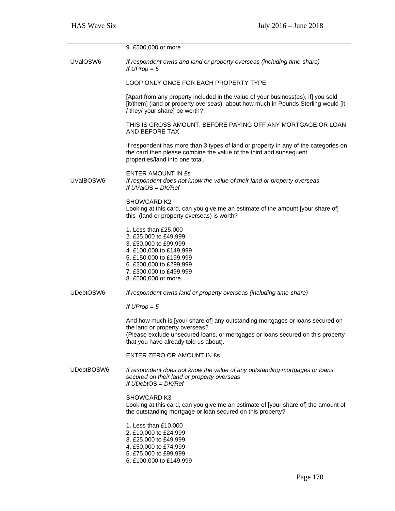|            | 9. £500,000 or more                                                                                                                                                                                      |
|------------|----------------------------------------------------------------------------------------------------------------------------------------------------------------------------------------------------------|
| UValOSW6   | If respondent owns and land or property overseas (including time-share)<br>If $UProp = 5$                                                                                                                |
|            | LOOP ONLY ONCE FOR EACH PROPERTY TYPE                                                                                                                                                                    |
|            | [Apart from any property included in the value of your business(es), if] you sold<br>[it/them] (land or property overseas), about how much in Pounds Sterling would [it<br>/ they/ your share] be worth? |
|            | THIS IS GROSS AMOUNT, BEFORE PAYING OFF ANY MORTGAGE OR LOAN<br>AND BEFORE TAX                                                                                                                           |
|            | If respondent has more than 3 types of land or property in any of the categories on<br>the card then please combine the value of the third and subsequent<br>properties/land into one total.             |
|            | ENTER AMOUNT IN ES                                                                                                                                                                                       |
| UValBOSW6  | If respondent does not know the value of their land or property overseas<br>If $UVaIOS = DK/Ref$                                                                                                         |
|            | <b>SHOWCARD K2</b><br>Looking at this card, can you give me an estimate of the amount [your share of]<br>this (land or property overseas) is worth?                                                      |
|            | 1. Less than £25,000<br>2. £25,000 to £49,999<br>3. £50,000 to £99,999<br>4. £100,000 to £149,999<br>5. £150,000 to £199,999                                                                             |
|            | 6. £200,000 to £299,999                                                                                                                                                                                  |
|            | 7. £300,000 to £499,999<br>8. £500,000 or more                                                                                                                                                           |
| UDebtOSW6  | If respondent owns land or property overseas (including time-share)                                                                                                                                      |
|            | If $UProp = 5$                                                                                                                                                                                           |
|            | And how much is [your share of] any outstanding mortgages or loans secured on<br>the land or property overseas?                                                                                          |
|            | (Please exclude unsecured loans, or mortgages or loans secured on this property<br>that you have already told us about).                                                                                 |
|            | ENTER ZERO OR AMOUNT IN £s                                                                                                                                                                               |
| UDebtBOSW6 | If respondent does not know the value of any outstanding mortgages or loans<br>secured on their land or property overseas<br>If $UDebtOS = DK/Ref$                                                       |
|            | SHOWCARD K3<br>Looking at this card, can you give me an estimate of [your share of] the amount of<br>the outstanding mortgage or loan secured on this property?                                          |
|            | 1. Less than £10,000<br>2. £10,000 to £24,999<br>3. £25,000 to £49,999                                                                                                                                   |
|            | 4. £50,000 to £74,999                                                                                                                                                                                    |
|            | 5. £75,000 to £99,999<br>6. £100,000 to £149,999                                                                                                                                                         |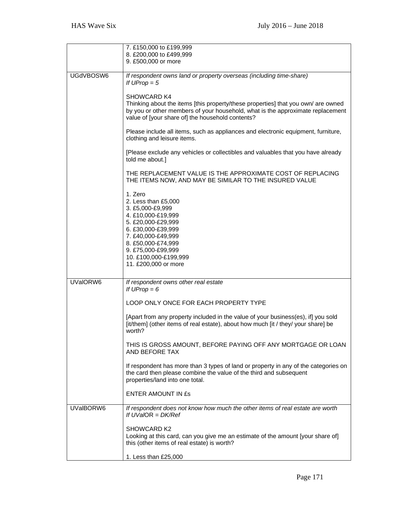|           | 7. £150,000 to £199,999<br>8. £200,000 to £499,999                                                                                                                                                                                            |
|-----------|-----------------------------------------------------------------------------------------------------------------------------------------------------------------------------------------------------------------------------------------------|
|           | 9. £500,000 or more                                                                                                                                                                                                                           |
| UGdVBOSW6 | If respondent owns land or property overseas (including time-share)<br>If $UProp = 5$                                                                                                                                                         |
|           | <b>SHOWCARD K4</b><br>Thinking about the items [this property/these properties] that you own/ are owned<br>by you or other members of your household, what is the approximate replacement<br>value of [your share of] the household contents? |
|           | Please include all items, such as appliances and electronic equipment, furniture,<br>clothing and leisure items.                                                                                                                              |
|           | [Please exclude any vehicles or collectibles and valuables that you have already<br>told me about.]                                                                                                                                           |
|           | THE REPLACEMENT VALUE IS THE APPROXIMATE COST OF REPLACING<br>THE ITEMS NOW, AND MAY BE SIMILAR TO THE INSURED VALUE                                                                                                                          |
|           | 1. Zero<br>2. Less than £5,000<br>3. £5,000-£9,999<br>4. £10,000-£19,999<br>5. £20,000-£29,999<br>6. £30,000-£39,999<br>7. £40,000-£49,999<br>8. £50,000-£74,999<br>9. £75,000-£99,999<br>10. £100,000-£199,999<br>11. £200,000 or more       |
| UVaIORW6  | If respondent owns other real estate<br>If $UProp = 6$                                                                                                                                                                                        |
|           | LOOP ONLY ONCE FOR EACH PROPERTY TYPE                                                                                                                                                                                                         |
|           | [Apart from any property included in the value of your business(es), if] you sold<br>[it/them] (other items of real estate), about how much [it / they/ your share] be<br>worth?                                                              |
|           | THIS IS GROSS AMOUNT, BEFORE PAYING OFF ANY MORTGAGE OR LOAN<br>AND BEFORE TAX                                                                                                                                                                |
|           | If respondent has more than 3 types of land or property in any of the categories on<br>the card then please combine the value of the third and subsequent<br>properties/land into one total.                                                  |
|           | ENTER AMOUNT IN ES                                                                                                                                                                                                                            |
| UValBORW6 | If respondent does not know how much the other items of real estate are worth<br>If $UVa/OR = DK/Ref$                                                                                                                                         |
|           | <b>SHOWCARD K2</b><br>Looking at this card, can you give me an estimate of the amount [your share of]<br>this (other items of real estate) is worth?                                                                                          |
|           | 1. Less than £25,000                                                                                                                                                                                                                          |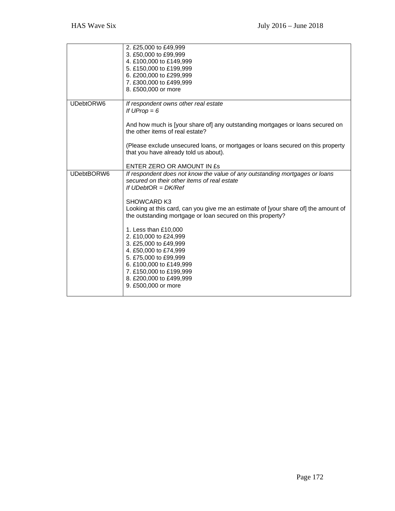|            | 2. £25,000 to £49,999<br>3. £50,000 to £99,999<br>4. £100,000 to £149,999<br>5. £150,000 to £199,999<br>6. £200,000 to £299,999<br>7. £300,000 to £499,999<br>8. £500,000 or more                                                                                                                                                                                                                                                                                                                                                                                 |
|------------|-------------------------------------------------------------------------------------------------------------------------------------------------------------------------------------------------------------------------------------------------------------------------------------------------------------------------------------------------------------------------------------------------------------------------------------------------------------------------------------------------------------------------------------------------------------------|
| UDebtORW6  | If respondent owns other real estate<br>If $UProp = 6$<br>And how much is [your share of] any outstanding mortgages or loans secured on<br>the other items of real estate?<br>(Please exclude unsecured loans, or mortgages or loans secured on this property<br>that you have already told us about).<br>ENTER ZERO OR AMOUNT IN £s                                                                                                                                                                                                                              |
| UDebtBORW6 | If respondent does not know the value of any outstanding mortgages or loans<br>secured on their other items of real estate<br>If $UDebtOR = DK/Ref$<br><b>SHOWCARD K3</b><br>Looking at this card, can you give me an estimate of [your share of] the amount of<br>the outstanding mortgage or loan secured on this property?<br>1. Less than £10,000<br>2. £10,000 to £24,999<br>3. £25,000 to £49,999<br>4. £50,000 to £74,999<br>5. £75,000 to £99,999<br>6. £100,000 to £149,999<br>7. £150,000 to £199,999<br>8. £200,000 to £499,999<br>9. £500,000 or more |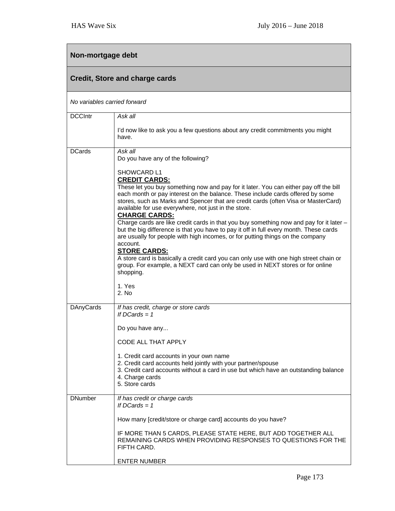## **Non-mortgage debt**

| <b>Credit, Store and charge cards</b> |                                                                                                                                                                                                                                                                                                                                                                                                                                                                                                                                                                                                                                                                                                                                                                                                                                                                                                           |  |
|---------------------------------------|-----------------------------------------------------------------------------------------------------------------------------------------------------------------------------------------------------------------------------------------------------------------------------------------------------------------------------------------------------------------------------------------------------------------------------------------------------------------------------------------------------------------------------------------------------------------------------------------------------------------------------------------------------------------------------------------------------------------------------------------------------------------------------------------------------------------------------------------------------------------------------------------------------------|--|
| No variables carried forward          |                                                                                                                                                                                                                                                                                                                                                                                                                                                                                                                                                                                                                                                                                                                                                                                                                                                                                                           |  |
| <b>DCCIntr</b>                        | Ask all                                                                                                                                                                                                                                                                                                                                                                                                                                                                                                                                                                                                                                                                                                                                                                                                                                                                                                   |  |
|                                       | I'd now like to ask you a few questions about any credit commitments you might<br>have.                                                                                                                                                                                                                                                                                                                                                                                                                                                                                                                                                                                                                                                                                                                                                                                                                   |  |
| <b>DCards</b>                         | Ask all<br>Do you have any of the following?                                                                                                                                                                                                                                                                                                                                                                                                                                                                                                                                                                                                                                                                                                                                                                                                                                                              |  |
|                                       | SHOWCARD L1<br><b>CREDIT CARDS:</b><br>These let you buy something now and pay for it later. You can either pay off the bill<br>each month or pay interest on the balance. These include cards offered by some<br>stores, such as Marks and Spencer that are credit cards (often Visa or MasterCard)<br>available for use everywhere, not just in the store.<br><b>CHARGE CARDS:</b><br>Charge cards are like credit cards in that you buy something now and pay for it later -<br>but the big difference is that you have to pay it off in full every month. These cards<br>are usually for people with high incomes, or for putting things on the company<br>account.<br><b>STORE CARDS:</b><br>A store card is basically a credit card you can only use with one high street chain or<br>group. For example, a NEXT card can only be used in NEXT stores or for online<br>shopping.<br>1. Yes<br>2. No |  |
| <b>DAnyCards</b>                      | If has credit, charge or store cards<br>If $DCards = 1$                                                                                                                                                                                                                                                                                                                                                                                                                                                                                                                                                                                                                                                                                                                                                                                                                                                   |  |
|                                       | Do you have any                                                                                                                                                                                                                                                                                                                                                                                                                                                                                                                                                                                                                                                                                                                                                                                                                                                                                           |  |
|                                       | CODE ALL THAT APPLY                                                                                                                                                                                                                                                                                                                                                                                                                                                                                                                                                                                                                                                                                                                                                                                                                                                                                       |  |
|                                       | 1. Credit card accounts in your own name<br>2. Credit card accounts held jointly with your partner/spouse<br>3. Credit card accounts without a card in use but which have an outstanding balance<br>4. Charge cards<br>5. Store cards                                                                                                                                                                                                                                                                                                                                                                                                                                                                                                                                                                                                                                                                     |  |
| <b>DNumber</b>                        | If has credit or charge cards<br>If DCards $= 1$                                                                                                                                                                                                                                                                                                                                                                                                                                                                                                                                                                                                                                                                                                                                                                                                                                                          |  |
|                                       | How many [credit/store or charge card] accounts do you have?                                                                                                                                                                                                                                                                                                                                                                                                                                                                                                                                                                                                                                                                                                                                                                                                                                              |  |
|                                       | IF MORE THAN 5 CARDS, PLEASE STATE HERE, BUT ADD TOGETHER ALL<br>REMAINING CARDS WHEN PROVIDING RESPONSES TO QUESTIONS FOR THE<br>FIFTH CARD.                                                                                                                                                                                                                                                                                                                                                                                                                                                                                                                                                                                                                                                                                                                                                             |  |
|                                       | <b>ENTER NUMBER</b>                                                                                                                                                                                                                                                                                                                                                                                                                                                                                                                                                                                                                                                                                                                                                                                                                                                                                       |  |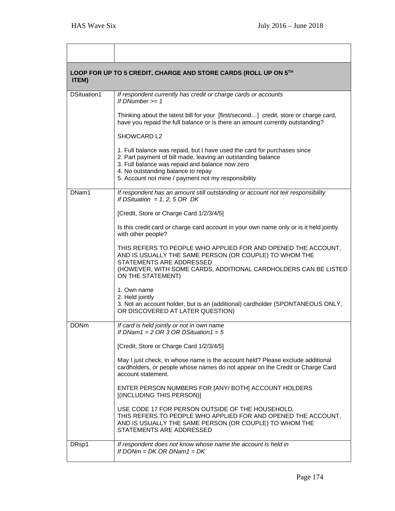| ITEM)       | LOOP FOR UP TO 5 CREDIT, CHARGE AND STORE CARDS (ROLL UP ON 5TH                                                                                                                                                                                                                          |  |  |
|-------------|------------------------------------------------------------------------------------------------------------------------------------------------------------------------------------------------------------------------------------------------------------------------------------------|--|--|
| DSituation1 | If respondent currently has credit or charge cards or accounts<br>If DNumber $>= 1$                                                                                                                                                                                                      |  |  |
|             | Thinking about the latest bill for your [first/second] credit, store or charge card,<br>have you repaid the full balance or is there an amount currently outstanding?                                                                                                                    |  |  |
|             | SHOWCARD L2                                                                                                                                                                                                                                                                              |  |  |
|             | 1. Full balance was repaid, but I have used the card for purchases since<br>2. Part payment of bill made, leaving an outstanding balance<br>3. Full balance was repaid and balance now zero<br>4. No outstanding balance to repay<br>5. Account not mine / payment not my responsibility |  |  |
| DNam1       | If respondent has an amount still outstanding or account not teir responsibility<br>If DSituation = 1, 2, 5 OR DK                                                                                                                                                                        |  |  |
|             | [Credit, Store or Charge Card 1/2/3/4/5]                                                                                                                                                                                                                                                 |  |  |
|             | Is this credit card or charge card account in your own name only or is it held jointly<br>with other people?                                                                                                                                                                             |  |  |
|             | THIS REFERS TO PEOPLE WHO APPLIED FOR AND OPENED THE ACCOUNT,<br>AND IS USUALLY THE SAME PERSON (OR COUPLE) TO WHOM THE<br>STATEMENTS ARE ADDRESSED<br>(HOWEVER, WITH SOME CARDS, ADDITIONAL CARDHOLDERS CAN BE LISTED<br>ON THE STATEMENT)                                              |  |  |
|             | 1. Own name<br>2. Held jointly<br>3. Not an account holder, but is an (additional) cardholder (SPONTANEOUS ONLY,<br>OR DISCOVERED AT LATER QUESTION)                                                                                                                                     |  |  |
| <b>DONm</b> | If card is held jointly or not in own name<br>If DNam1 = $2$ OR 3 OR DSituation1 = $5$                                                                                                                                                                                                   |  |  |
|             | [Credit, Store or Charge Card 1/2/3/4/5]                                                                                                                                                                                                                                                 |  |  |
|             | May I just check, in whose name is the account held? Please exclude additional<br>cardholders, or people whose names do not appear on the Credit or Charge Card<br>account statement.                                                                                                    |  |  |
|             | ENTER PERSON NUMBERS FOR [ANY/BOTH] ACCOUNT HOLDERS<br>[(INCLUDING THIS PERSON)]                                                                                                                                                                                                         |  |  |
|             | USE CODE 17 FOR PERSON OUTSIDE OF THE HOUSEHOLD.<br>THIS REFERS TO PEOPLE WHO APPLIED FOR AND OPENED THE ACCOUNT,<br>AND IS USUALLY THE SAME PERSON (OR COUPLE) TO WHOM THE<br>STATEMENTS ARE ADDRESSED                                                                                  |  |  |
| DRsp1       | If respondent does not know whose name the account is held in<br>If DONm = DK OR DNam1 = DK                                                                                                                                                                                              |  |  |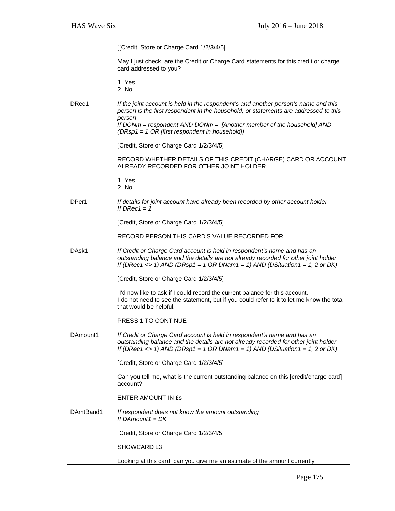|           | [[Credit, Store or Charge Card 1/2/3/4/5]                                                                                                                                                                                                                                                                          |
|-----------|--------------------------------------------------------------------------------------------------------------------------------------------------------------------------------------------------------------------------------------------------------------------------------------------------------------------|
|           | May I just check, are the Credit or Charge Card statements for this credit or charge<br>card addressed to you?                                                                                                                                                                                                     |
|           | 1. Yes<br>2. No                                                                                                                                                                                                                                                                                                    |
| DRec1     | If the joint account is held in the respondent's and another person's name and this<br>person is the first respondent in the household, or statements are addressed to this<br>person<br>If DONm = respondent AND DONm = $[Another member of the household]$ AND<br>(DRsp1 = 1 OR [first respondent in household]) |
|           | [Credit, Store or Charge Card 1/2/3/4/5]                                                                                                                                                                                                                                                                           |
|           | RECORD WHETHER DETAILS OF THIS CREDIT (CHARGE) CARD OR ACCOUNT<br>ALREADY RECORDED FOR OTHER JOINT HOLDER                                                                                                                                                                                                          |
|           | 1. Yes<br>2. No                                                                                                                                                                                                                                                                                                    |
| DPer1     | If details for joint account have already been recorded by other account holder<br>If $DRec1 = 1$                                                                                                                                                                                                                  |
|           | [Credit, Store or Charge Card 1/2/3/4/5]                                                                                                                                                                                                                                                                           |
|           | RECORD PERSON THIS CARD'S VALUE RECORDED FOR                                                                                                                                                                                                                                                                       |
| DAsk1     | If Credit or Charge Card account is held in respondent's name and has an<br>outstanding balance and the details are not already recorded for other joint holder<br>If (DRec1 <> 1) AND (DRsp1 = 1 OR DNam1 = 1) AND (DSituation1 = 1, 2 or DK)                                                                     |
|           | [Credit, Store or Charge Card 1/2/3/4/5]                                                                                                                                                                                                                                                                           |
|           | I'd now like to ask if I could record the current balance for this account.<br>I do not need to see the statement, but if you could refer to it to let me know the total<br>that would be helpful.                                                                                                                 |
|           | PRESS 1 TO CONTINUE                                                                                                                                                                                                                                                                                                |
| DAmount1  | If Credit or Charge Card account is held in respondent's name and has an<br>outstanding balance and the details are not already recorded for other joint holder<br>If (DRec1 <> 1) AND (DRsp1 = 1 OR DNam1 = 1) AND (DSituation1 = 1, 2 or DK)                                                                     |
|           | [Credit, Store or Charge Card 1/2/3/4/5]                                                                                                                                                                                                                                                                           |
|           | Can you tell me, what is the current outstanding balance on this [credit/charge card]<br>account?                                                                                                                                                                                                                  |
|           | <b>ENTER AMOUNT IN £s</b>                                                                                                                                                                                                                                                                                          |
| DAmtBand1 | If respondent does not know the amount outstanding<br>If DAmount1 = $DK$                                                                                                                                                                                                                                           |
|           | [Credit, Store or Charge Card 1/2/3/4/5]                                                                                                                                                                                                                                                                           |
|           | SHOWCARD L3                                                                                                                                                                                                                                                                                                        |
|           | Looking at this card, can you give me an estimate of the amount currently                                                                                                                                                                                                                                          |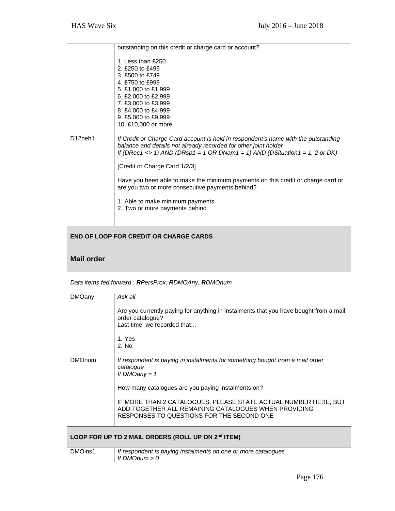|                                                    | outstanding on this credit or charge card or account?                                                                                                                                                                                |  |
|----------------------------------------------------|--------------------------------------------------------------------------------------------------------------------------------------------------------------------------------------------------------------------------------------|--|
|                                                    | 1. Less than £250                                                                                                                                                                                                                    |  |
|                                                    | 2. £250 to £499<br>3. £500 to £749                                                                                                                                                                                                   |  |
|                                                    | 4. £750 to £999                                                                                                                                                                                                                      |  |
|                                                    | 5. £1,000 to £1,999                                                                                                                                                                                                                  |  |
|                                                    | 6. £2,000 to £2,999<br>7. £3,000 to £3,999                                                                                                                                                                                           |  |
|                                                    | 8. £4,000 to £4,999                                                                                                                                                                                                                  |  |
|                                                    | 9. £5,000 to £9,999                                                                                                                                                                                                                  |  |
|                                                    | 10. £10,000 or more                                                                                                                                                                                                                  |  |
| D12beh1                                            | If Credit or Charge Card account is held in respondent's name with the outstanding<br>balance and details not already recorded for other joint holder<br>If (DRec1 <> 1) AND (DRsp1 = 1 OR DNam1 = 1) AND (DSituation1 = 1, 2 or DK) |  |
|                                                    | [Credit or Charge Card 1/2/3]                                                                                                                                                                                                        |  |
|                                                    | Have you been able to make the minimum payments on this credit or charge card or<br>are you two or more consecutive payments behind?                                                                                                 |  |
|                                                    | 1. Able to make minimum payments                                                                                                                                                                                                     |  |
|                                                    | 2. Two or more payments behind                                                                                                                                                                                                       |  |
|                                                    |                                                                                                                                                                                                                                      |  |
| <b>END OF LOOP FOR CREDIT OR CHARGE CARDS</b>      |                                                                                                                                                                                                                                      |  |
| <b>Mail order</b>                                  |                                                                                                                                                                                                                                      |  |
|                                                    | Data items fed forward: RPersProx, RDMOAny, RDMOnum                                                                                                                                                                                  |  |
| <b>DMOany</b>                                      | Ask all                                                                                                                                                                                                                              |  |
|                                                    | Are you currently paying for anything in instalments that you have bought from a mail<br>order catalogue?<br>Last time, we recorded that                                                                                             |  |
|                                                    | 1. Yes                                                                                                                                                                                                                               |  |
|                                                    | 2. No                                                                                                                                                                                                                                |  |
| <b>DMOnum</b>                                      | If respondent is paying in instalments for something bought from a mail order<br>catalogue<br>If $DMOany = 1$                                                                                                                        |  |
|                                                    | How many catalogues are you paying instalments on?                                                                                                                                                                                   |  |
|                                                    | IF MORE THAN 2 CATALOGUES, PLEASE STATE ACTUAL NUMBER HERE, BUT<br>ADD TOGETHER ALL REMAINING CATALOGUES WHEN PROVIDING<br>RESPONSES TO QUESTIONS FOR THE SECOND ONE                                                                 |  |
| LOOP FOR UP TO 2 MAIL ORDERS (ROLL UP ON 2nd ITEM) |                                                                                                                                                                                                                                      |  |
| DMOins1                                            | If respondent is paying instalments on one or more catalogues<br>If $DMOnum > 0$                                                                                                                                                     |  |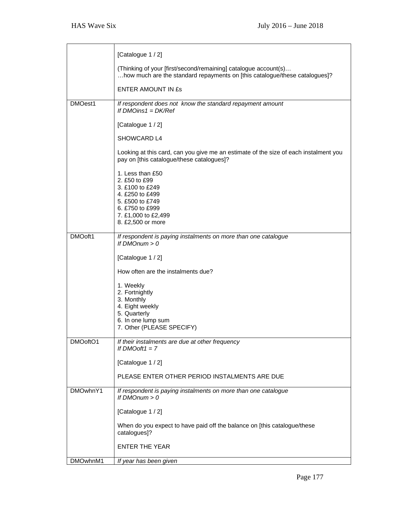|          | [Catalogue 1 / 2]                                                                                                                                         |
|----------|-----------------------------------------------------------------------------------------------------------------------------------------------------------|
|          | (Thinking of your [first/second/remaining] catalogue account(s)<br>how much are the standard repayments on [this catalogue/these catalogues]?             |
|          | <b>ENTER AMOUNT IN £s</b>                                                                                                                                 |
| DMOest1  | If respondent does not know the standard repayment amount<br>If $DMOins1 = DK/Ref$                                                                        |
|          | [Catalogue 1 / 2]                                                                                                                                         |
|          | SHOWCARD L4                                                                                                                                               |
|          | Looking at this card, can you give me an estimate of the size of each instalment you<br>pay on [this catalogue/these catalogues]?                         |
|          | 1. Less than £50<br>2. £50 to £99<br>3. £100 to £249<br>4. £250 to £499<br>5. £500 to £749<br>6. £750 to £999<br>7. £1,000 to £2,499<br>8. £2,500 or more |
| DMOoft1  | If respondent is paying instalments on more than one catalogue                                                                                            |
|          | If $DMOnum > 0$                                                                                                                                           |
|          | [Catalogue 1 / 2]<br>How often are the instalments due?                                                                                                   |
|          | 1. Weekly                                                                                                                                                 |
|          | 2. Fortnightly<br>3. Monthly                                                                                                                              |
|          | 4. Eight weekly<br>5. Quarterly                                                                                                                           |
|          | 6. In one lump sum<br>7. Other (PLEASE SPECIFY)                                                                                                           |
| DMOoftO1 | If their instalments are due at other frequency<br>If $DMO$ oft $1 = 7$                                                                                   |
|          | [Catalogue 1 / 2]                                                                                                                                         |
|          | PLEASE ENTER OTHER PERIOD INSTALMENTS ARE DUE                                                                                                             |
| DMOwhnY1 | If respondent is paying instalments on more than one catalogue<br>If $DMOnum > 0$                                                                         |
|          | [Catalogue 1 / 2]                                                                                                                                         |
|          | When do you expect to have paid off the balance on [this catalogue/these<br>catalogues]?                                                                  |
|          | <b>ENTER THE YEAR</b>                                                                                                                                     |
| DMOwhnM1 | If year has been given                                                                                                                                    |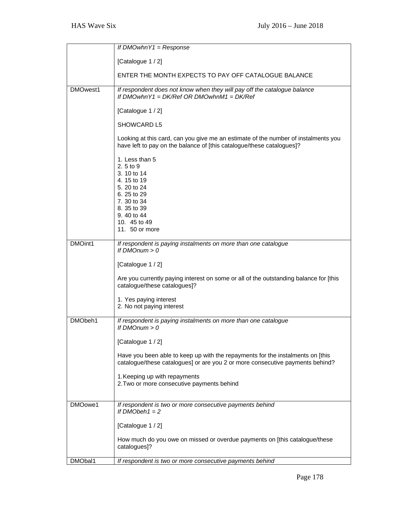|          | If $DMOwhnY1 = Response$                                                                                                                                         |
|----------|------------------------------------------------------------------------------------------------------------------------------------------------------------------|
|          |                                                                                                                                                                  |
|          | [Catalogue 1 / 2]                                                                                                                                                |
|          | ENTER THE MONTH EXPECTS TO PAY OFF CATALOGUE BALANCE                                                                                                             |
| DMOwest1 | If respondent does not know when they will pay off the catalogue balance<br>If DMOwhn $Y1 = DK/Ref$ OR DMOwhnM1 = DK/Ref                                         |
|          | [Catalogue 1 / 2]                                                                                                                                                |
|          | <b>SHOWCARD L5</b>                                                                                                                                               |
|          | Looking at this card, can you give me an estimate of the number of instalments you<br>have left to pay on the balance of [this catalogue/these catalogues]?      |
|          | 1. Less than 5<br>2.5 to 9<br>3. 10 to 14<br>4.15 to 19<br>5. 20 to 24<br>6.25 to 29<br>7.30 to 34<br>8.35 to 39<br>9.40 to 44<br>10. 45 to 49<br>11. 50 or more |
| DMOint1  | If respondent is paying instalments on more than one catalogue<br>If $DMOnum > 0$                                                                                |
|          | [Catalogue 1 / 2]                                                                                                                                                |
|          | Are you currently paying interest on some or all of the outstanding balance for [this<br>catalogue/these catalogues]?                                            |
|          | 1. Yes paying interest<br>2. No not paying interest                                                                                                              |
| DMObeh1  | If respondent is paying instalments on more than one catalogue<br>If $DMOnum > 0$                                                                                |
|          | [Catalogue 1 / 2]                                                                                                                                                |
|          | Have you been able to keep up with the repayments for the instalments on [this<br>catalogue/these catalogues] or are you 2 or more consecutive payments behind?  |
|          | 1. Keeping up with repayments<br>2. Two or more consecutive payments behind                                                                                      |
| DMOowe1  | If respondent is two or more consecutive payments behind<br>If $DMObeh1 = 2$                                                                                     |
|          | [Catalogue 1 / 2]                                                                                                                                                |
|          | How much do you owe on missed or overdue payments on [this catalogue/these<br>catalogues]?                                                                       |
| DMObal1  | If respondent is two or more consecutive payments behind                                                                                                         |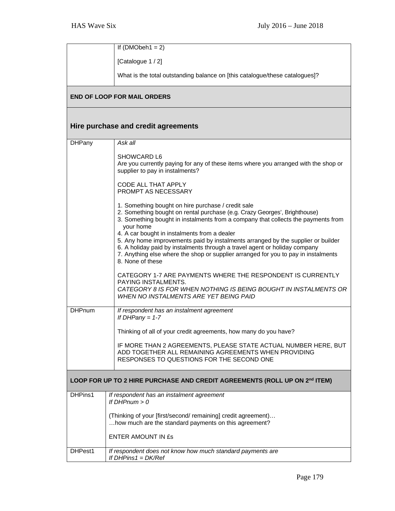|                                                                            | If $(DMObeh1 = 2)$                                                                                                                                                                                                                                                                |  |
|----------------------------------------------------------------------------|-----------------------------------------------------------------------------------------------------------------------------------------------------------------------------------------------------------------------------------------------------------------------------------|--|
|                                                                            | [Catalogue 1 / 2]                                                                                                                                                                                                                                                                 |  |
|                                                                            | What is the total outstanding balance on [this catalogue/these catalogues]?                                                                                                                                                                                                       |  |
|                                                                            | <b>END OF LOOP FOR MAIL ORDERS</b>                                                                                                                                                                                                                                                |  |
|                                                                            | Hire purchase and credit agreements                                                                                                                                                                                                                                               |  |
| <b>DHPany</b>                                                              | Ask all                                                                                                                                                                                                                                                                           |  |
|                                                                            | SHOWCARD L6<br>Are you currently paying for any of these items where you arranged with the shop or<br>supplier to pay in instalments?                                                                                                                                             |  |
|                                                                            | CODE ALL THAT APPLY<br><b>PROMPT AS NECESSARY</b>                                                                                                                                                                                                                                 |  |
|                                                                            | 1. Something bought on hire purchase / credit sale<br>2. Something bought on rental purchase (e.g. Crazy Georges', Brighthouse)<br>3. Something bought in instalments from a company that collects the payments from<br>your home<br>4. A car bought in instalments from a dealer |  |
|                                                                            | 5. Any home improvements paid by instalments arranged by the supplier or builder<br>6. A holiday paid by instalments through a travel agent or holiday company<br>7. Anything else where the shop or supplier arranged for you to pay in instalments<br>8. None of these          |  |
|                                                                            | CATEGORY 1-7 ARE PAYMENTS WHERE THE RESPONDENT IS CURRENTLY<br>PAYING INSTALMENTS.<br>CATEGORY 8 IS FOR WHEN NOTHING IS BEING BOUGHT IN INSTALMENTS OR<br><b>WHEN NO INSTALMENTS ARE YET BEING PAID</b>                                                                           |  |
| <b>DHPnum</b>                                                              | If respondent has an instalment agreement<br>If DHPany = $1-7$                                                                                                                                                                                                                    |  |
|                                                                            | Thinking of all of your credit agreements, how many do you have?                                                                                                                                                                                                                  |  |
|                                                                            | IF MORE THAN 2 AGREEMENTS, PLEASE STATE ACTUAL NUMBER HERE, BUT<br>ADD TOGETHER ALL REMAINING AGREEMENTS WHEN PROVIDING<br>RESPONSES TO QUESTIONS FOR THE SECOND ONE                                                                                                              |  |
| LOOP FOR UP TO 2 HIRE PURCHASE AND CREDIT AGREEMENTS (ROLL UP ON 2nd ITEM) |                                                                                                                                                                                                                                                                                   |  |
| DHPins1                                                                    | If respondent has an instalment agreement<br>If $DHPnum > 0$                                                                                                                                                                                                                      |  |
|                                                                            | (Thinking of your [first/second/remaining] credit agreement)<br>how much are the standard payments on this agreement?                                                                                                                                                             |  |
|                                                                            | <b>ENTER AMOUNT IN ES</b>                                                                                                                                                                                                                                                         |  |
| DHPest1                                                                    | If respondent does not know how much standard payments are<br>If $DHP$ ins1 = $DK/Ref$                                                                                                                                                                                            |  |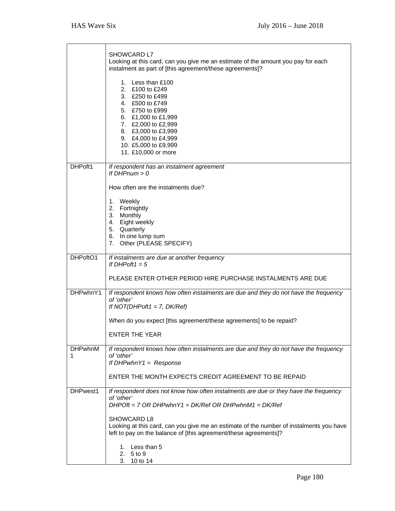|                     | <b>SHOWCARD L7</b><br>Looking at this card, can you give me an estimate of the amount you pay for each<br>instalment as part of [this agreement/these agreements]?                                                                       |
|---------------------|------------------------------------------------------------------------------------------------------------------------------------------------------------------------------------------------------------------------------------------|
|                     | 1. Less than £100<br>2. £100 to £249<br>3. £250 to £499<br>4. £500 to £749<br>5. £750 to £999<br>6. £1,000 to £1,999<br>7. £2,000 to £2,999<br>8. £3,000 to £3,999<br>9. £4,000 to £4,999<br>10. £5,000 to £9,999<br>11. £10,000 or more |
| DHPoft1             | If respondent has an instalment agreement<br>If $DHPnum > 0$                                                                                                                                                                             |
|                     | How often are the instalments due?                                                                                                                                                                                                       |
|                     | 1. Weekly<br>2. Fortnightly<br>3. Monthly<br>4. Eight weekly<br>5. Quarterly<br>6. In one lump sum<br>7. Other (PLEASE SPECIFY)                                                                                                          |
| DHPoftO1            | If instalments are due at another frequency<br>If DHPoft1 = $5$                                                                                                                                                                          |
|                     | PLEASE ENTER OTHER PERIOD HIRE PURCHASE INSTALMENTS ARE DUE                                                                                                                                                                              |
| DHPwhnY1            | If respondent knows how often instalments are due and they do not have the frequency<br>of 'other'<br>If $NOT(DHPoft1 = 7, DK/Ref)$<br>When do you expect [this agreement/these agreements] to be repaid?                                |
|                     | <b>ENTER THE YEAR</b>                                                                                                                                                                                                                    |
| <b>DHPwhnM</b><br>1 | If respondent knows how often instalments are due and they do not have the frequency<br>of 'other'<br>If $DHPwhnY1 = Response$                                                                                                           |
|                     | ENTER THE MONTH EXPECTS CREDIT AGREEMENT TO BE REPAID                                                                                                                                                                                    |
| DHPwest1            | If respondent does not know how often instalments are due or they have the frequency<br>of 'other'<br>$DHPOft = 7 OR DHPwhnY1 = DK/Ref OR DHPwhnM1 = DK/Ref$                                                                             |
|                     | <b>SHOWCARD L8</b><br>Looking at this card, can you give me an estimate of the number of instalments you have<br>left to pay on the balance of [this agreement/these agreements]?                                                        |
|                     | 1. Less than 5<br>2. 5 to 9<br>3.<br>10 to 14                                                                                                                                                                                            |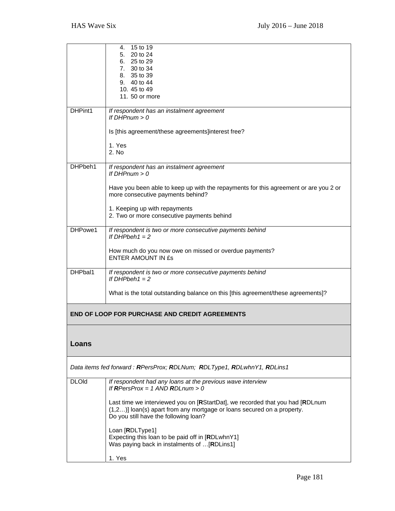|              | 4. 15 to 19                                                                                   |
|--------------|-----------------------------------------------------------------------------------------------|
|              | 5. 20 to 24                                                                                   |
|              | 6. 25 to 29                                                                                   |
|              | 7. 30 to 34                                                                                   |
|              | 8. 35 to 39<br>9. 40 to 44                                                                    |
|              | 10.45 to 49                                                                                   |
|              | 11. 50 or more                                                                                |
|              |                                                                                               |
| DHPint1      | If respondent has an instalment agreement                                                     |
|              | If $DHPnum > 0$                                                                               |
|              | Is [this agreement/these agreements]interest free?                                            |
|              |                                                                                               |
|              | 1. Yes                                                                                        |
|              | 2. No                                                                                         |
|              |                                                                                               |
| DHPbeh1      | If respondent has an instalment agreement                                                     |
|              | If $DHPnum > 0$                                                                               |
|              | Have you been able to keep up with the repayments for this agreement or are you 2 or          |
|              | more consecutive payments behind?                                                             |
|              |                                                                                               |
|              | 1. Keeping up with repayments                                                                 |
|              | 2. Two or more consecutive payments behind                                                    |
| DHPowe1      | If respondent is two or more consecutive payments behind                                      |
|              | If DHPbeh1 = $2$                                                                              |
|              |                                                                                               |
|              | How much do you now owe on missed or overdue payments?                                        |
|              | <b>ENTER AMOUNT IN £s</b>                                                                     |
| DHPbal1      |                                                                                               |
|              | If respondent is two or more consecutive payments behind<br>If DHPbeh1 = $2$                  |
|              |                                                                                               |
|              | What is the total outstanding balance on this [this agreement/these agreements]?              |
|              |                                                                                               |
|              |                                                                                               |
|              | <b>END OF LOOP FOR PURCHASE AND CREDIT AGREEMENTS</b>                                         |
|              |                                                                                               |
|              |                                                                                               |
| Loans        |                                                                                               |
|              |                                                                                               |
|              |                                                                                               |
|              | Data items fed forward: RPersProx; RDLNum; RDLType1, RDLwhnY1, RDLins1                        |
|              |                                                                                               |
| <b>DLOId</b> | If respondent had any loans at the previous wave interview<br>If RPersProx = 1 AND RDLnum > 0 |
|              |                                                                                               |
|              | Last time we interviewed you on [RStartDat], we recorded that you had [RDLnum                 |
|              | (1,2)] loan(s) apart from any mortgage or loans secured on a property.                        |
|              | Do you still have the following loan?                                                         |
|              |                                                                                               |
|              | Loan [RDLType1]<br>Expecting this loan to be paid off in [RDLwhnY1]                           |
|              | Was paying back in instalments of [RDLins1]                                                   |
|              |                                                                                               |
|              | 1. Yes                                                                                        |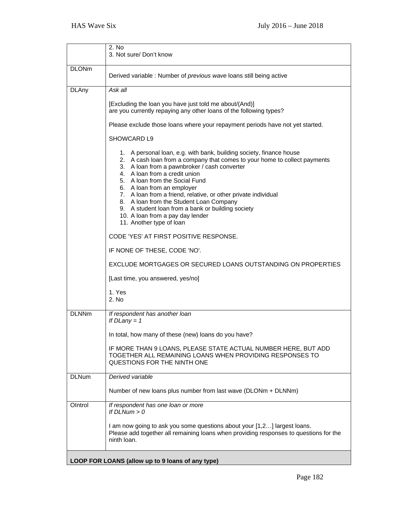|              | 2. No<br>3. Not sure/ Don't know                                                                                                                                                                                                                                                                                                                                                                                                                                                                                                    |
|--------------|-------------------------------------------------------------------------------------------------------------------------------------------------------------------------------------------------------------------------------------------------------------------------------------------------------------------------------------------------------------------------------------------------------------------------------------------------------------------------------------------------------------------------------------|
| <b>DLONm</b> | Derived variable : Number of previous wave loans still being active                                                                                                                                                                                                                                                                                                                                                                                                                                                                 |
| <b>DLAny</b> | Ask all                                                                                                                                                                                                                                                                                                                                                                                                                                                                                                                             |
|              | [Excluding the loan you have just told me about/(And)]<br>are you currently repaying any other loans of the following types?                                                                                                                                                                                                                                                                                                                                                                                                        |
|              | Please exclude those loans where your repayment periods have not yet started.                                                                                                                                                                                                                                                                                                                                                                                                                                                       |
|              | SHOWCARD L9                                                                                                                                                                                                                                                                                                                                                                                                                                                                                                                         |
|              | 1. A personal loan, e.g. with bank, building society, finance house<br>2. A cash loan from a company that comes to your home to collect payments<br>3. A loan from a pawnbroker / cash converter<br>4. A loan from a credit union<br>5. A loan from the Social Fund<br>6. A loan from an employer<br>7. A loan from a friend, relative, or other private individual<br>8. A loan from the Student Loan Company<br>9. A student loan from a bank or building society<br>10. A loan from a pay day lender<br>11. Another type of loan |
|              | CODE 'YES' AT FIRST POSITIVE RESPONSE.                                                                                                                                                                                                                                                                                                                                                                                                                                                                                              |
|              | IF NONE OF THESE, CODE 'NO'.                                                                                                                                                                                                                                                                                                                                                                                                                                                                                                        |
|              | EXCLUDE MORTGAGES OR SECURED LOANS OUTSTANDING ON PROPERTIES                                                                                                                                                                                                                                                                                                                                                                                                                                                                        |
|              | [Last time, you answered, yes/no]                                                                                                                                                                                                                                                                                                                                                                                                                                                                                                   |
|              | 1. Yes<br>2. No                                                                                                                                                                                                                                                                                                                                                                                                                                                                                                                     |
| <b>DLNNm</b> | If respondent has another loan<br>If $D$ Lany = 1                                                                                                                                                                                                                                                                                                                                                                                                                                                                                   |
|              | In total, how many of these (new) loans do you have?                                                                                                                                                                                                                                                                                                                                                                                                                                                                                |
|              | IF MORE THAN 9 LOANS, PLEASE STATE ACTUAL NUMBER HERE, BUT ADD<br>TOGETHER ALL REMAINING LOANS WHEN PROVIDING RESPONSES TO<br>QUESTIONS FOR THE NINTH ONE                                                                                                                                                                                                                                                                                                                                                                           |
| <b>DLNum</b> | Derived variable                                                                                                                                                                                                                                                                                                                                                                                                                                                                                                                    |
|              | Number of new loans plus number from last wave (DLONm + DLNNm)                                                                                                                                                                                                                                                                                                                                                                                                                                                                      |
| OIntrol      | If respondent has one loan or more<br>If $DLNum > 0$                                                                                                                                                                                                                                                                                                                                                                                                                                                                                |
|              | I am now going to ask you some questions about your [1,2] largest loans.<br>Please add together all remaining loans when providing responses to questions for the<br>ninth loan.                                                                                                                                                                                                                                                                                                                                                    |
|              | LOOP FOR LOANS (allow up to 9 loans of any type)                                                                                                                                                                                                                                                                                                                                                                                                                                                                                    |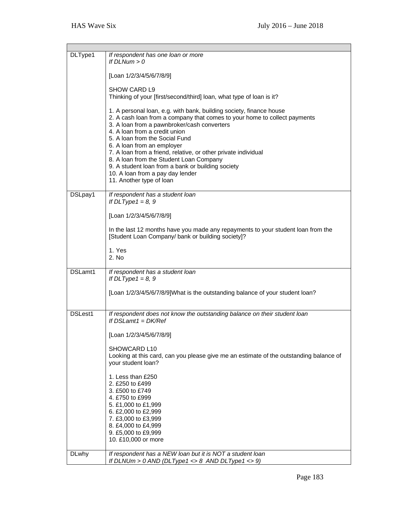| DLType1      | If respondent has one loan or more<br>If $DLNum > 0$                                                                                                                                                                                                                                                                                                                                                                                                                                                                               |
|--------------|------------------------------------------------------------------------------------------------------------------------------------------------------------------------------------------------------------------------------------------------------------------------------------------------------------------------------------------------------------------------------------------------------------------------------------------------------------------------------------------------------------------------------------|
|              | [Loan 1/2/3/4/5/6/7/8/9]                                                                                                                                                                                                                                                                                                                                                                                                                                                                                                           |
|              | <b>SHOW CARD L9</b><br>Thinking of your [first/second/third] loan, what type of loan is it?                                                                                                                                                                                                                                                                                                                                                                                                                                        |
|              | 1. A personal loan, e.g. with bank, building society, finance house<br>2. A cash loan from a company that comes to your home to collect payments<br>3. A loan from a pawnbroker/cash converters<br>4. A loan from a credit union<br>5. A loan from the Social Fund<br>6. A loan from an employer<br>7. A loan from a friend, relative, or other private individual<br>8. A loan from the Student Loan Company<br>9. A student loan from a bank or building society<br>10. A loan from a pay day lender<br>11. Another type of loan |
| DSLpay1      | If respondent has a student loan<br>If $DLType1 = 8, 9$                                                                                                                                                                                                                                                                                                                                                                                                                                                                            |
|              | [Loan 1/2/3/4/5/6/7/8/9]                                                                                                                                                                                                                                                                                                                                                                                                                                                                                                           |
|              | In the last 12 months have you made any repayments to your student loan from the<br>[Student Loan Company/ bank or building society]?                                                                                                                                                                                                                                                                                                                                                                                              |
|              | 1. Yes<br>2. No                                                                                                                                                                                                                                                                                                                                                                                                                                                                                                                    |
| DSLamt1      | If respondent has a student loan<br>If $DLType1 = 8, 9$                                                                                                                                                                                                                                                                                                                                                                                                                                                                            |
|              | [Loan 1/2/3/4/5/6/7/8/9]What is the outstanding balance of your student loan?                                                                                                                                                                                                                                                                                                                                                                                                                                                      |
| DSLest1      | If respondent does not know the outstanding balance on their student loan<br>If $DSLamt1 = DK/Ref$                                                                                                                                                                                                                                                                                                                                                                                                                                 |
|              | [Loan 1/2/3/4/5/6/7/8/9]                                                                                                                                                                                                                                                                                                                                                                                                                                                                                                           |
|              | SHOWCARD L10<br>Looking at this card, can you please give me an estimate of the outstanding balance of<br>your student loan?                                                                                                                                                                                                                                                                                                                                                                                                       |
|              | 1. Less than £250<br>2. £250 to £499<br>3. £500 to £749<br>4. £750 to £999<br>5. £1,000 to £1,999<br>6. £2,000 to £2,999<br>7. £3,000 to £3,999<br>8. £4,000 to £4,999<br>9. £5,000 to £9,999<br>10. £10,000 or more                                                                                                                                                                                                                                                                                                               |
| <b>DLwhy</b> | If respondent has a NEW loan but it is NOT a student loan<br>If DLNUm > $0$ AND (DLType1 <> $8$ AND DLType1 <> $9)$                                                                                                                                                                                                                                                                                                                                                                                                                |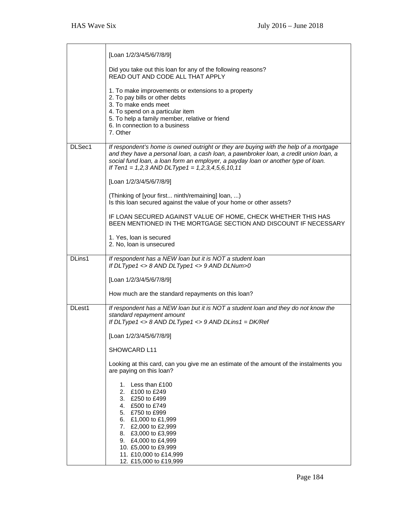|        | [Loan 1/2/3/4/5/6/7/8/9]                                                                                                                                                                                                                                                                                                   |
|--------|----------------------------------------------------------------------------------------------------------------------------------------------------------------------------------------------------------------------------------------------------------------------------------------------------------------------------|
|        | Did you take out this loan for any of the following reasons?<br>READ OUT AND CODE ALL THAT APPLY                                                                                                                                                                                                                           |
|        | 1. To make improvements or extensions to a property<br>2. To pay bills or other debts<br>3. To make ends meet<br>4. To spend on a particular item<br>5. To help a family member, relative or friend<br>6. In connection to a business<br>7. Other                                                                          |
| DLSec1 | If respondent's home is owned outright or they are buying with the help of a mortgage<br>and they have a personal loan, a cash loan, a pawnbroker loan, a credit union loan, a<br>social fund loan, a loan form an employer, a payday loan or another type of loan.<br>If Ten1 = $1,2,3$ AND DLType1 = $1,2,3,4,5,6,10,11$ |
|        | [Loan 1/2/3/4/5/6/7/8/9]                                                                                                                                                                                                                                                                                                   |
|        | (Thinking of [your first ninth/remaining] loan, )<br>Is this loan secured against the value of your home or other assets?                                                                                                                                                                                                  |
|        | IF LOAN SECURED AGAINST VALUE OF HOME, CHECK WHETHER THIS HAS<br>BEEN MENTIONED IN THE MORTGAGE SECTION AND DISCOUNT IF NECESSARY                                                                                                                                                                                          |
|        | 1. Yes, loan is secured<br>2. No, loan is unsecured                                                                                                                                                                                                                                                                        |
| DLins1 | If respondent has a NEW loan but it is NOT a student loan<br>If DLType1 <> 8 AND DLType1 <> 9 AND DLNum>0                                                                                                                                                                                                                  |
|        | [Loan 1/2/3/4/5/6/7/8/9]                                                                                                                                                                                                                                                                                                   |
|        | How much are the standard repayments on this loan?                                                                                                                                                                                                                                                                         |
| DLest1 | If respondent has a NEW loan but it is NOT a student loan and they do not know the<br>standard repayment amount<br>If DLType1 <> $8$ AND DLType1 <> $9$ AND DLins1 = DK/Ref                                                                                                                                                |
|        | [Loan 1/2/3/4/5/6/7/8/9]                                                                                                                                                                                                                                                                                                   |
|        | SHOWCARD L11                                                                                                                                                                                                                                                                                                               |
|        | Looking at this card, can you give me an estimate of the amount of the instalments you<br>are paying on this loan?                                                                                                                                                                                                         |
|        | 1. Less than £100<br>2. £100 to £249<br>3. £250 to £499<br>4. £500 to £749<br>5. £750 to £999<br>6. £1,000 to £1,999<br>7. £2,000 to £2,999<br>8. £3,000 to £3,999<br>9. £4,000 to £4,999<br>10. £5,000 to £9,999<br>11. £10,000 to £14,999<br>12. £15,000 to £19,999                                                      |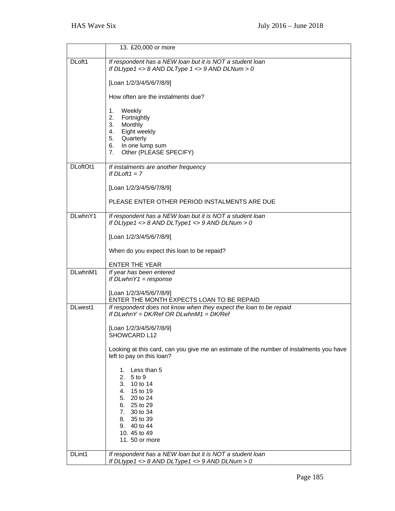|          | 13. £20,000 or more                                                                                                                                                       |
|----------|---------------------------------------------------------------------------------------------------------------------------------------------------------------------------|
| DLoft1   | If respondent has a NEW loan but it is NOT a student loan<br>If DLtype1 <> 8 AND DLType $1$ <> 9 AND DLNum > 0                                                            |
|          | [Loan 1/2/3/4/5/6/7/8/9]                                                                                                                                                  |
|          | How often are the instalments due?                                                                                                                                        |
|          | Weekly<br>1.<br>2.<br>Fortnightly<br>3.<br>Monthly<br>4.<br>Eight weekly<br>5.<br>Quarterly<br>6.<br>In one lump sum<br>7 <sup>1</sup><br>Other (PLEASE SPECIFY)          |
| DLoftOt1 | If instalments are another frequency<br>If $DLoft1 = 7$                                                                                                                   |
|          | [Loan 1/2/3/4/5/6/7/8/9]                                                                                                                                                  |
|          | PLEASE ENTER OTHER PERIOD INSTALMENTS ARE DUE                                                                                                                             |
| DLwhnY1  | If respondent has a NEW loan but it is NOT a student loan<br>If DLtype1 <> 8 AND DLType1 <> 9 AND DLNum > 0                                                               |
|          | [Loan 1/2/3/4/5/6/7/8/9]                                                                                                                                                  |
|          | When do you expect this loan to be repaid?                                                                                                                                |
|          | <b>ENTER THE YEAR</b>                                                                                                                                                     |
| DLwhnM1  | If year has been entered<br>If $DLwhnY1 = response$                                                                                                                       |
|          | [Loan 1/2/3/4/5/6/7/8/9]<br>ENTER THE MONTH EXPECTS LOAN TO BE REPAID                                                                                                     |
| DLwest1  | If respondent does not know when they expect the loan to be repaid<br>If $DLwhnY = DK/Ref OR DLwhnM1 = DK/Ref$                                                            |
|          | [Loan 1/2/3/4/5/6/7/8/9]<br>SHOWCARD L12                                                                                                                                  |
|          | Looking at this card, can you give me an estimate of the number of instalments you have<br>left to pay on this loan?                                                      |
|          | 1. Less than 5<br>2.<br>5 to 9<br>3. 10 to 14<br>4. 15 to 19<br>5. 20 to 24<br>6. 25 to 29<br>7. 30 to 34<br>8. 35 to 39<br>9. 40 to 44<br>10. 45 to 49<br>11. 50 or more |
| DLint1   | If respondent has a NEW loan but it is NOT a student loan<br>If DLtype1 <> $8$ AND DLType1 <> $9$ AND DLNum > 0                                                           |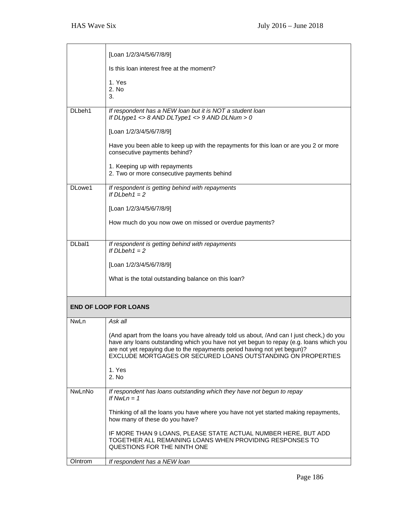|         | [Loan 1/2/3/4/5/6/7/8/9]                                                                                                                                                                                                                                                                                                       |
|---------|--------------------------------------------------------------------------------------------------------------------------------------------------------------------------------------------------------------------------------------------------------------------------------------------------------------------------------|
|         | Is this loan interest free at the moment?                                                                                                                                                                                                                                                                                      |
|         | 1. Yes<br>2. No<br>3.                                                                                                                                                                                                                                                                                                          |
| DL beh1 | If respondent has a NEW loan but it is NOT a student loan<br>If DLtype1 <> 8 AND DLType1 <> 9 AND DLNum > 0                                                                                                                                                                                                                    |
|         | [Loan 1/2/3/4/5/6/7/8/9]                                                                                                                                                                                                                                                                                                       |
|         | Have you been able to keep up with the repayments for this loan or are you 2 or more<br>consecutive payments behind?                                                                                                                                                                                                           |
|         | 1. Keeping up with repayments<br>2. Two or more consecutive payments behind                                                                                                                                                                                                                                                    |
| DLowe1  | If respondent is getting behind with repayments<br>If $D\mathsf{L}$ beh $1 = 2$                                                                                                                                                                                                                                                |
|         | [Loan 1/2/3/4/5/6/7/8/9]                                                                                                                                                                                                                                                                                                       |
|         | How much do you now owe on missed or overdue payments?                                                                                                                                                                                                                                                                         |
| DLbal1  | If respondent is getting behind with repayments                                                                                                                                                                                                                                                                                |
|         | If $D\mathsf{L}$ beh $1 = 2$                                                                                                                                                                                                                                                                                                   |
|         | [Loan 1/2/3/4/5/6/7/8/9]                                                                                                                                                                                                                                                                                                       |
|         | What is the total outstanding balance on this loan?                                                                                                                                                                                                                                                                            |
|         |                                                                                                                                                                                                                                                                                                                                |
|         | <b>END OF LOOP FOR LOANS</b>                                                                                                                                                                                                                                                                                                   |
| NwLn    | Ask all                                                                                                                                                                                                                                                                                                                        |
|         | (And apart from the loans you have already told us about, /And can I just check,) do you<br>have any loans outstanding which you have not yet begun to repay (e.g. loans which you<br>are not yet repaying due to the repayments period having not yet begun)?<br>EXCLUDE MORTGAGES OR SECURED LOANS OUTSTANDING ON PROPERTIES |
|         | 1. Yes<br>2. No                                                                                                                                                                                                                                                                                                                |
| NwLnNo  | If respondent has loans outstanding which they have not begun to repay<br>If $NwLn = 1$                                                                                                                                                                                                                                        |
|         | Thinking of all the loans you have where you have not yet started making repayments,<br>how many of these do you have?                                                                                                                                                                                                         |
|         | IF MORE THAN 9 LOANS, PLEASE STATE ACTUAL NUMBER HERE, BUT ADD<br>TOGETHER ALL REMAINING LOANS WHEN PROVIDING RESPONSES TO<br>QUESTIONS FOR THE NINTH ONE                                                                                                                                                                      |
| OIntrom | If respondent has a NEW loan                                                                                                                                                                                                                                                                                                   |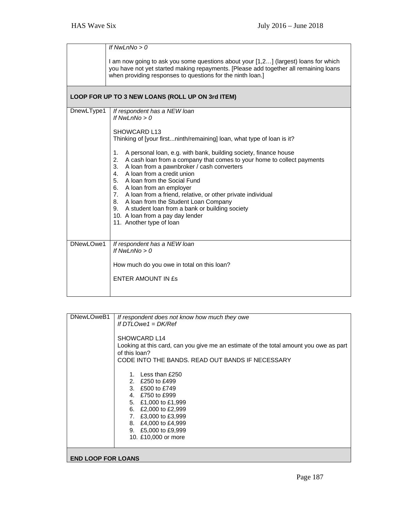|            | If $NwLnNo > 0$                                                                                                                                                                                                                                                                                                                                                                                                                                                                                                                         |
|------------|-----------------------------------------------------------------------------------------------------------------------------------------------------------------------------------------------------------------------------------------------------------------------------------------------------------------------------------------------------------------------------------------------------------------------------------------------------------------------------------------------------------------------------------------|
|            | I am now going to ask you some questions about your [1,2] (largest) loans for which<br>you have not yet started making repayments. [Please add together all remaining loans<br>when providing responses to questions for the ninth loan.]                                                                                                                                                                                                                                                                                               |
|            | LOOP FOR UP TO 3 NEW LOANS (ROLL UP ON 3rd ITEM)                                                                                                                                                                                                                                                                                                                                                                                                                                                                                        |
| DnewLType1 | If respondent has a NEW loan<br>If Nwl $nNo > 0$<br>SHOWCARD L13                                                                                                                                                                                                                                                                                                                                                                                                                                                                        |
|            | Thinking of [your firstninth/remaining] loan, what type of loan is it?                                                                                                                                                                                                                                                                                                                                                                                                                                                                  |
|            | A personal loan, e.g. with bank, building society, finance house<br>1.<br>2. A cash loan from a company that comes to your home to collect payments<br>3. A loan from a pawnbroker / cash converters<br>4. A loan from a credit union<br>5. A loan from the Social Fund<br>6. A loan from an employer<br>7. A loan from a friend, relative, or other private individual<br>8. A loan from the Student Loan Company<br>9. A student loan from a bank or building society<br>10. A loan from a pay day lender<br>11. Another type of loan |
| DNewLOwe1  | If respondent has a NEW loan<br>If Nwl $nNo > 0$                                                                                                                                                                                                                                                                                                                                                                                                                                                                                        |
|            | How much do you owe in total on this loan?<br><b>ENTER AMOUNT IN £s</b>                                                                                                                                                                                                                                                                                                                                                                                                                                                                 |

| DNewLOweB1                | If respondent does not know how much they owe                                         |
|---------------------------|---------------------------------------------------------------------------------------|
|                           | If $DTLOwe1 = DK/Ref$                                                                 |
|                           |                                                                                       |
|                           | SHOWCARD L14                                                                          |
|                           | Looking at this card, can you give me an estimate of the total amount you owe as part |
|                           | of this loan?                                                                         |
|                           | CODE INTO THE BANDS. READ OUT BANDS IF NECESSARY                                      |
|                           |                                                                                       |
|                           | 1. Less than £250                                                                     |
|                           | 2. £250 to £499                                                                       |
|                           | 3. £500 to £749                                                                       |
|                           | 4. £750 to £999                                                                       |
|                           | 5. £1,000 to £1,999                                                                   |
|                           |                                                                                       |
|                           | 6. £2,000 to £2,999                                                                   |
|                           | 7. £3,000 to £3,999                                                                   |
|                           | 8. £4,000 to £4,999                                                                   |
|                           | 9. £5,000 to £9,999                                                                   |
|                           | 10. £10,000 or more                                                                   |
|                           |                                                                                       |
|                           |                                                                                       |
| <b>END LOOP FOR LOANS</b> |                                                                                       |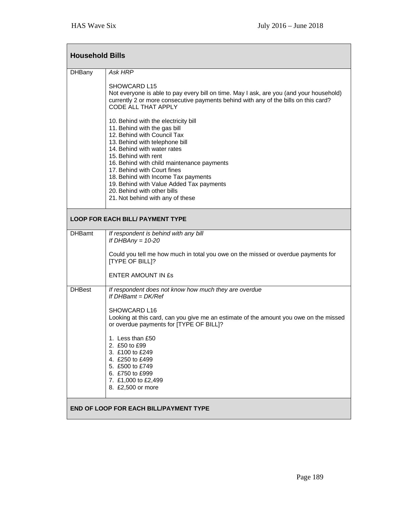| <b>Household Bills</b>                  |                                                                                                                                                                                                                                                                                                                                                                                                                                                                                                                                                                                                                                                                            |  |
|-----------------------------------------|----------------------------------------------------------------------------------------------------------------------------------------------------------------------------------------------------------------------------------------------------------------------------------------------------------------------------------------------------------------------------------------------------------------------------------------------------------------------------------------------------------------------------------------------------------------------------------------------------------------------------------------------------------------------------|--|
| <b>DHBany</b>                           | Ask HRP<br><b>SHOWCARD L15</b><br>Not everyone is able to pay every bill on time. May I ask, are you (and your household)<br>currently 2 or more consecutive payments behind with any of the bills on this card?<br>CODE ALL THAT APPLY<br>10. Behind with the electricity bill<br>11. Behind with the gas bill<br>12. Behind with Council Tax<br>13. Behind with telephone bill<br>14. Behind with water rates<br>15. Behind with rent<br>16. Behind with child maintenance payments<br>17. Behind with Court fines<br>18. Behind with Income Tax payments<br>19. Behind with Value Added Tax payments<br>20. Behind with other bills<br>21. Not behind with any of these |  |
| <b>LOOP FOR EACH BILL/ PAYMENT TYPE</b> |                                                                                                                                                                                                                                                                                                                                                                                                                                                                                                                                                                                                                                                                            |  |
| <b>DHBamt</b>                           | If respondent is behind with any bill<br>If DHBAny = $10-20$<br>Could you tell me how much in total you owe on the missed or overdue payments for<br><b>[TYPE OF BILL]?</b><br><b>ENTER AMOUNT IN ES</b>                                                                                                                                                                                                                                                                                                                                                                                                                                                                   |  |
| <b>DHBest</b>                           | If respondent does not know how much they are overdue<br>If $DHBamt = DK/Ref$<br>SHOWCARD L16<br>Looking at this card, can you give me an estimate of the amount you owe on the missed<br>or overdue payments for [TYPE OF BILL]?<br>1. Less than £50<br>2. £50 to £99<br>3. £100 to £249<br>4. £250 to £499<br>5. £500 to £749<br>6. £750 to £999<br>7. £1,000 to £2,499<br>8. £2,500 or more                                                                                                                                                                                                                                                                             |  |
| END OF LOOP FOR EACH BILL/PAYMENT TYPE  |                                                                                                                                                                                                                                                                                                                                                                                                                                                                                                                                                                                                                                                                            |  |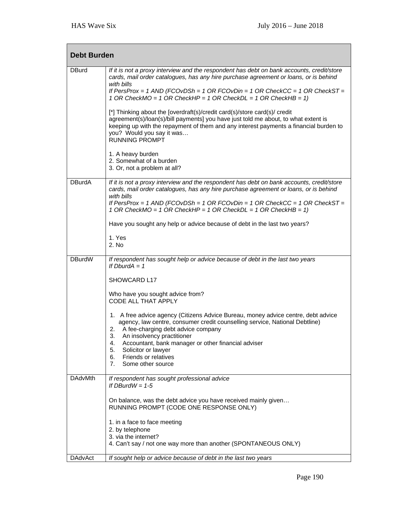| <b>Debt Burden</b> |                                                                                                                                                                                                                                                                                                                                                  |  |
|--------------------|--------------------------------------------------------------------------------------------------------------------------------------------------------------------------------------------------------------------------------------------------------------------------------------------------------------------------------------------------|--|
| <b>DBurd</b>       | If it is not a proxy interview and the respondent has debt on bank accounts, credit/store<br>cards, mail order catalogues, has any hire purchase agreement or loans, or is behind<br>with bills<br>If PersProx = 1 AND (FCOvDSh = 1 OR FCOvDin = 1 OR CheckCC = 1 OR CheckST =<br>1 OR CheckMO = 1 OR CheckHP = 1 OR CheckDL = 1 OR CheckHB = 1) |  |
|                    | [*] Thinking about the [overdraft(s)/credit card(s)/store card(s)/ credit<br>agreement(s)/loan(s)/bill payments] you have just told me about, to what extent is<br>keeping up with the repayment of them and any interest payments a financial burden to<br>you? Would you say it was<br><b>RUNNING PROMPT</b>                                   |  |
|                    | 1. A heavy burden<br>2. Somewhat of a burden<br>3. Or, not a problem at all?                                                                                                                                                                                                                                                                     |  |
| <b>DBurdA</b>      | If it is not a proxy interview and the respondent has debt on bank accounts, credit/store<br>cards, mail order catalogues, has any hire purchase agreement or loans, or is behind<br>with bills<br>If PersProx = 1 AND (FCOvDSh = 1 OR FCOvDin = 1 OR CheckCC = 1 OR CheckST =<br>1 OR CheckMO = 1 OR CheckHP = 1 OR CheckDL = 1 OR CheckHB = 1) |  |
|                    | Have you sought any help or advice because of debt in the last two years?                                                                                                                                                                                                                                                                        |  |
|                    | 1. Yes<br>2. No                                                                                                                                                                                                                                                                                                                                  |  |
| <b>DBurdW</b>      | If respondent has sought help or advice because of debt in the last two years<br>If $DburdA = 1$                                                                                                                                                                                                                                                 |  |
|                    | SHOWCARD L17                                                                                                                                                                                                                                                                                                                                     |  |
|                    | Who have you sought advice from?<br>CODE ALL THAT APPLY                                                                                                                                                                                                                                                                                          |  |
|                    | 1. A free advice agency (Citizens Advice Bureau, money advice centre, debt advice<br>agency, law centre, consumer credit counselling service, National Debtline)<br>A fee-charging debt advice company<br>2.<br>3.<br>An insolvency practitioner<br>Accountant, bank manager or other financial adviser<br>4.<br>5.<br>Solicitor or lawyer       |  |
|                    | Friends or relatives<br>6.<br>Some other source<br>7.                                                                                                                                                                                                                                                                                            |  |
| <b>DAdvMth</b>     | If respondent has sought professional advice<br>If $DBurdW = 1-5$                                                                                                                                                                                                                                                                                |  |
|                    | On balance, was the debt advice you have received mainly given<br>RUNNING PROMPT (CODE ONE RESPONSE ONLY)                                                                                                                                                                                                                                        |  |
|                    | 1. in a face to face meeting<br>2. by telephone                                                                                                                                                                                                                                                                                                  |  |
|                    | 3. via the internet?<br>4. Can't say / not one way more than another (SPONTANEOUS ONLY)                                                                                                                                                                                                                                                          |  |
| <b>DAdvAct</b>     | If sought help or advice because of debt in the last two years                                                                                                                                                                                                                                                                                   |  |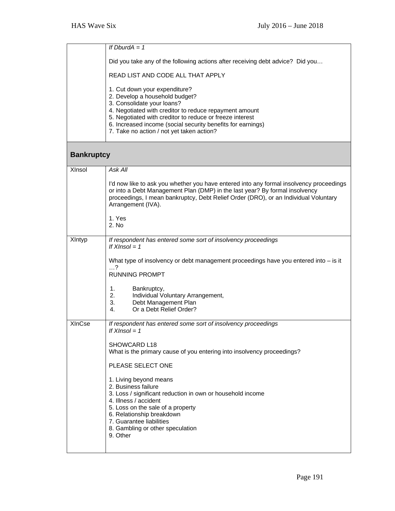|                   | If $DburdA = 1$                                                                                                                                                                                                                                                                                                                 |
|-------------------|---------------------------------------------------------------------------------------------------------------------------------------------------------------------------------------------------------------------------------------------------------------------------------------------------------------------------------|
|                   |                                                                                                                                                                                                                                                                                                                                 |
|                   | Did you take any of the following actions after receiving debt advice? Did you                                                                                                                                                                                                                                                  |
|                   | READ LIST AND CODE ALL THAT APPLY                                                                                                                                                                                                                                                                                               |
|                   | 1. Cut down your expenditure?<br>2. Develop a household budget?<br>3. Consolidate your loans?<br>4. Negotiated with creditor to reduce repayment amount<br>5. Negotiated with creditor to reduce or freeze interest<br>6. Increased income (social security benefits for earnings)<br>7. Take no action / not yet taken action? |
| <b>Bankruptcy</b> |                                                                                                                                                                                                                                                                                                                                 |
| XInsol            | Ask All                                                                                                                                                                                                                                                                                                                         |
|                   | I'd now like to ask you whether you have entered into any formal insolvency proceedings<br>or into a Debt Management Plan (DMP) in the last year? By formal insolvency<br>proceedings, I mean bankruptcy, Debt Relief Order (DRO), or an Individual Voluntary<br>Arrangement (IVA).                                             |
|                   | 1. Yes<br>2. No                                                                                                                                                                                                                                                                                                                 |
| XIntyp            | If respondent has entered some sort of insolvency proceedings<br>If $X$ Insol = 1                                                                                                                                                                                                                                               |
|                   | What type of insolvency or debt management proceedings have you entered into - is it<br>$\ldots$ ?<br><b>RUNNING PROMPT</b>                                                                                                                                                                                                     |
|                   | 1.<br>Bankruptcy,<br>2.<br>Individual Voluntary Arrangement,<br>3.<br>Debt Management Plan<br>Or a Debt Relief Order?<br>4.                                                                                                                                                                                                     |
| <b>XInCse</b>     | If respondent has entered some sort of insolvency proceedings<br>If $X$ Insol = 1                                                                                                                                                                                                                                               |
|                   | SHOWCARD L18<br>What is the primary cause of you entering into insolvency proceedings?                                                                                                                                                                                                                                          |
|                   | PLEASE SELECT ONE                                                                                                                                                                                                                                                                                                               |
|                   | 1. Living beyond means<br>2. Business failure<br>3. Loss / significant reduction in own or household income<br>4. Illness / accident<br>5. Loss on the sale of a property<br>6. Relationship breakdown<br>7. Guarantee liabilities<br>8. Gambling or other speculation<br>9. Other                                              |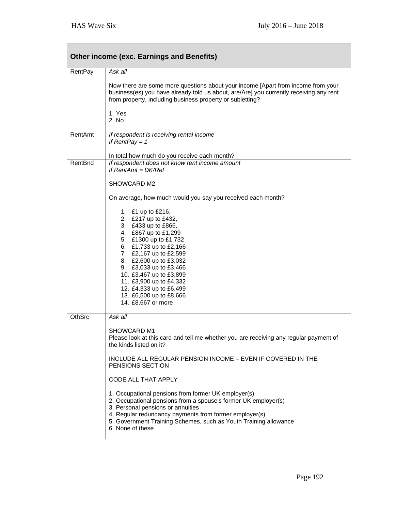| <b>Other income (exc. Earnings and Benefits)</b> |                                                                                                                                                                                                                                                                                                                                                            |  |
|--------------------------------------------------|------------------------------------------------------------------------------------------------------------------------------------------------------------------------------------------------------------------------------------------------------------------------------------------------------------------------------------------------------------|--|
| <b>RentPay</b>                                   | Ask all                                                                                                                                                                                                                                                                                                                                                    |  |
|                                                  | Now there are some more questions about your income [Apart from income from your<br>business(es) you have already told us about, are/Are] you currently receiving any rent<br>from property, including business property or subletting?                                                                                                                    |  |
|                                                  | 1. Yes<br>2. No                                                                                                                                                                                                                                                                                                                                            |  |
| RentAmt                                          | If respondent is receiving rental income<br>If RentPay = $1$                                                                                                                                                                                                                                                                                               |  |
| RentBnd                                          | In total how much do you receive each month?<br>If respondent does not know rent income amount                                                                                                                                                                                                                                                             |  |
|                                                  | If $RentAmt = DK/Ref$                                                                                                                                                                                                                                                                                                                                      |  |
|                                                  | SHOWCARD M2                                                                                                                                                                                                                                                                                                                                                |  |
|                                                  | On average, how much would you say you received each month?                                                                                                                                                                                                                                                                                                |  |
|                                                  | 1. £1 up to £216,<br>2. £217 up to £432,<br>3. £433 up to £866,<br>4. £867 up to £1,299<br>5. £1300 up to £1,732<br>6. £1,733 up to £2,166<br>7. £2,167 up to £2,599<br>8. £2,600 up to £3,032<br>9. £3,033 up to £3,466<br>10. £3,467 up to £3,899<br>11. £3,900 up to £4,332<br>12. £4,333 up to £6,499<br>13. £6,500 up to £8,666<br>14. £8,667 or more |  |
| <b>OthSrc</b>                                    | Ask all                                                                                                                                                                                                                                                                                                                                                    |  |
|                                                  | SHOWCARD M1<br>Please look at this card and tell me whether you are receiving any regular payment of<br>the kinds listed on it?                                                                                                                                                                                                                            |  |
|                                                  | INCLUDE ALL REGULAR PENSION INCOME - EVEN IF COVERED IN THE<br>PENSIONS SECTION                                                                                                                                                                                                                                                                            |  |
|                                                  | CODE ALL THAT APPLY                                                                                                                                                                                                                                                                                                                                        |  |
|                                                  | 1. Occupational pensions from former UK employer(s)<br>2. Occupational pensions from a spouse's former UK employer(s)<br>3. Personal pensions or annuities<br>4. Regular redundancy payments from former employer(s)<br>5. Government Training Schemes, such as Youth Training allowance<br>6. None of these                                               |  |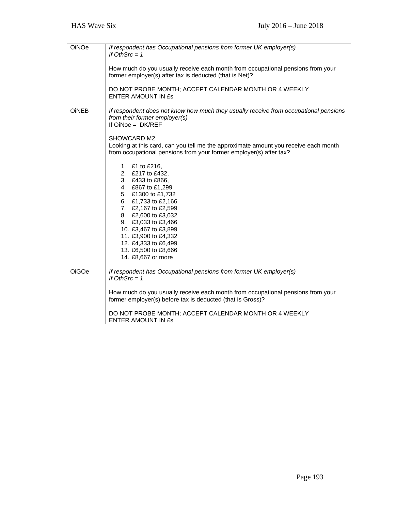| OiNOe        | If respondent has Occupational pensions from former UK employer(s)<br>If OthSrc = $1$                                                                                                         |
|--------------|-----------------------------------------------------------------------------------------------------------------------------------------------------------------------------------------------|
|              | How much do you usually receive each month from occupational pensions from your<br>former employer(s) after tax is deducted (that is Net)?                                                    |
|              | DO NOT PROBE MONTH; ACCEPT CALENDAR MONTH OR 4 WEEKLY<br><b>ENTER AMOUNT IN £s</b>                                                                                                            |
| <b>OiNEB</b> | If respondent does not know how much they usually receive from occupational pensions<br>from their former employer(s)<br>If $OiNoe = DK/REF$                                                  |
|              | SHOWCARD M2<br>Looking at this card, can you tell me the approximate amount you receive each month<br>from occupational pensions from your former employer(s) after tax?                      |
|              | 1. £1 to £216,<br>2. £217 to £432,<br>3. £433 to £866,<br>4. £867 to £1,299<br>5. £1300 to £1,732<br>6. £1,733 to £2,166<br>7. £2,167 to £2,599<br>8. £2,600 to £3,032<br>9. £3,033 to £3,466 |
|              | 10. £3,467 to £3,899<br>11. £3,900 to £4,332<br>12. £4,333 to £6,499<br>13. £6,500 to £8,666<br>14. £8,667 or more                                                                            |
| <b>OiGOe</b> | If respondent has Occupational pensions from former UK employer(s)<br>If OthSrc = $1$                                                                                                         |
|              | How much do you usually receive each month from occupational pensions from your<br>former employer(s) before tax is deducted (that is Gross)?                                                 |
|              | DO NOT PROBE MONTH; ACCEPT CALENDAR MONTH OR 4 WEEKLY<br><b>ENTER AMOUNT IN £s</b>                                                                                                            |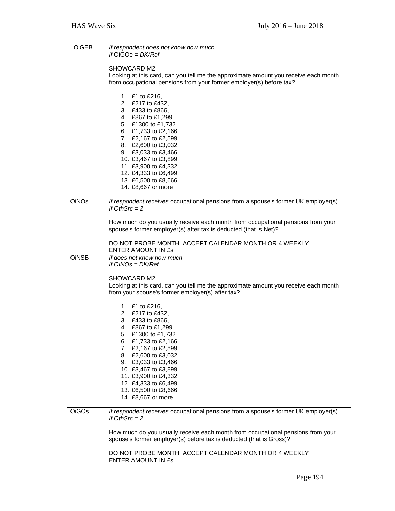| OiGEB        | If respondent does not know how much<br>If $OiGOe = DK/Ref$                                                                                                                                                                                                                                                         |
|--------------|---------------------------------------------------------------------------------------------------------------------------------------------------------------------------------------------------------------------------------------------------------------------------------------------------------------------|
|              | SHOWCARD M2<br>Looking at this card, can you tell me the approximate amount you receive each month<br>from occupational pensions from your former employer(s) before tax?                                                                                                                                           |
|              | 1. £1 to £216,<br>2. £217 to £432,<br>3. £433 to £866,<br>4. £867 to £1,299<br>5. £1300 to £1,732<br>6. £1,733 to £2,166<br>7. £2,167 to £2,599<br>8. £2,600 to £3,032<br>9. £3,033 to £3,466<br>10. £3,467 to £3,899<br>11. £3,900 to £4,332                                                                       |
|              | 12. £4,333 to £6,499<br>13. £6,500 to £8,666<br>14. £8,667 or more                                                                                                                                                                                                                                                  |
| <b>OiNOs</b> | If respondent receives occupational pensions from a spouse's former UK employer(s)<br>If OthSrc $= 2$                                                                                                                                                                                                               |
|              | How much do you usually receive each month from occupational pensions from your<br>spouse's former employer(s) after tax is deducted (that is Net)?                                                                                                                                                                 |
|              | DO NOT PROBE MONTH; ACCEPT CALENDAR MONTH OR 4 WEEKLY<br>ENTER AMOUNT IN £s                                                                                                                                                                                                                                         |
| <b>OINSB</b> | If does not know how much<br>If $OINOS = DK/Ref$                                                                                                                                                                                                                                                                    |
|              | SHOWCARD M2<br>Looking at this card, can you tell me the approximate amount you receive each month<br>from your spouse's former employer(s) after tax?                                                                                                                                                              |
|              | 1. £1 to £216,<br>2. £217 to £432,<br>3. £433 to £866,<br>4. £867 to £1,299<br>5. £1300 to £1,732<br>6. £1,733 to £2,166<br>7. £2,167 to £2,599<br>8. £2,600 to £3,032<br>9. £3,033 to £3,466<br>10. £3,467 to £3,899<br>11. £3,900 to £4,332<br>12. £4,333 to £6,499<br>13. £6,500 to £8,666<br>14. £8,667 or more |
| <b>OiGOs</b> | If respondent receives occupational pensions from a spouse's former UK employer(s)<br>If OthSrc $= 2$                                                                                                                                                                                                               |
|              | How much do you usually receive each month from occupational pensions from your<br>spouse's former employer(s) before tax is deducted (that is Gross)?                                                                                                                                                              |
|              | DO NOT PROBE MONTH; ACCEPT CALENDAR MONTH OR 4 WEEKLY<br>ENTER AMOUNT IN £s                                                                                                                                                                                                                                         |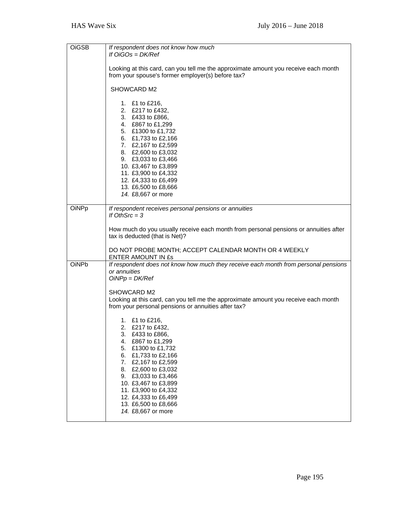| <b>OiGSB</b> | If respondent does not know how much<br>If $OiGOs = DK/Ref$                                                                                                                                                                                                                                                                           |
|--------------|---------------------------------------------------------------------------------------------------------------------------------------------------------------------------------------------------------------------------------------------------------------------------------------------------------------------------------------|
|              | Looking at this card, can you tell me the approximate amount you receive each month<br>from your spouse's former employer(s) before tax?                                                                                                                                                                                              |
|              | SHOWCARD M2                                                                                                                                                                                                                                                                                                                           |
|              | 1. £1 to £216,<br>2. £217 to £432,<br>3. £433 to £866,<br>4. £867 to £1,299<br>5. £1300 to £1,732<br>6. £1,733 to £2,166<br>7. £2,167 to £2,599<br>8. £2,600 to £3,032<br>9. £3,033 to £3,466<br>10. £3,467 to £3,899<br>11. £3,900 to £4,332<br>12. £4,333 to £6,499<br>13. £6,500 to £8,666<br>14. £8,667 or more                   |
| OiNPp        | If respondent receives personal pensions or annuities<br>If OthSrc $=$ 3                                                                                                                                                                                                                                                              |
|              | How much do you usually receive each month from personal pensions or annuities after<br>tax is deducted (that is Net)?                                                                                                                                                                                                                |
|              | DO NOT PROBE MONTH; ACCEPT CALENDAR MONTH OR 4 WEEKLY<br>ENTER AMOUNT IN ES                                                                                                                                                                                                                                                           |
| OiNPb        | If respondent does not know how much they receive each month from personal pensions<br>or annuities<br>$OiNPp = DK/Ref$                                                                                                                                                                                                               |
|              | SHOWCARD M2<br>Looking at this card, can you tell me the approximate amount you receive each month<br>from your personal pensions or annuities after tax?                                                                                                                                                                             |
|              | 1. £1 to £216,<br>2. £217 to £432,<br>3.<br>£433 to £866,<br>£867 to £1,299<br>4.<br>5.<br>£1300 to £1,732<br>£1,733 to £2,166<br>6.<br>7. £2,167 to £2,599<br>£2,600 to £3,032<br>8.<br>£3,033 to £3,466<br>9.<br>10. £3,467 to £3,899<br>11. £3,900 to £4,332<br>12. £4,333 to £6,499<br>13. £6,500 to £8,666<br>14. £8,667 or more |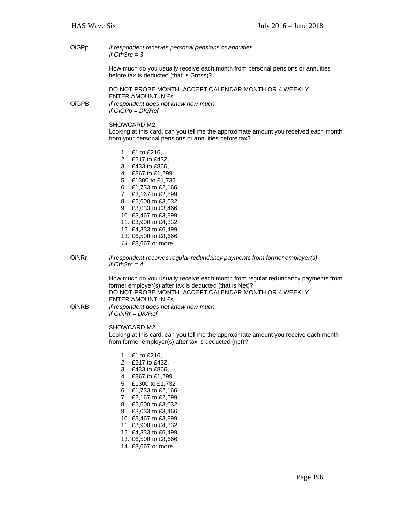| OiGPp        | If respondent receives personal pensions or annuities<br>If OthSrc = $3$                                                                                                                                                                                                                                               |
|--------------|------------------------------------------------------------------------------------------------------------------------------------------------------------------------------------------------------------------------------------------------------------------------------------------------------------------------|
|              | How much do you usually receive each month from personal pensions or annuities<br>before tax is deducted (that is Gross)?                                                                                                                                                                                              |
|              | DO NOT PROBE MONTH; ACCEPT CALENDAR MONTH OR 4 WEEKLY<br>ENTER AMOUNT IN ES                                                                                                                                                                                                                                            |
| <b>OiGPB</b> | If respondent does not know how much<br>If $OiGPp = DK/Ref$                                                                                                                                                                                                                                                            |
|              | SHOWCARD M2<br>Looking at this card, can you tell me the approximate amount you received each month<br>from your personal pensions or annuities before tax?                                                                                                                                                            |
|              | 1. £1 to £216,<br>2. £217 to £432,<br>3. £433 to £866,<br>4. £867 to £1,299<br>5. £1300 to £1,732<br>6. £1,733 to £2,166<br>7. £2,167 to £2,599<br>8. £2,600 to £3,032<br>9. £3,033 to £3,466<br>10. £3,467 to £3,899<br>11. £3,900 to £4,332<br>12. £4,333 to £6,499<br>13. £6,500 to £8,666<br>14. £8,667 or more    |
| <b>OiNRr</b> | If respondent receives regular redundancy payments from former employer(s)<br>If OthSrc $=$ 4                                                                                                                                                                                                                          |
|              | How much do you usually receive each month from regular redundancy payments from<br>former employer(s) after tax is deducted (that is Net)?<br>DO NOT PROBE MONTH; ACCEPT CALENDAR MONTH OR 4 WEEKLY<br>ENTER AMOUNT IN £s                                                                                             |
| <b>OINRB</b> | If respondent does not know how much<br>If $OINRr = DK/Ref$                                                                                                                                                                                                                                                            |
|              | SHOWCARD M2<br>Looking at this card, can you tell me the approximate amount you receive each month<br>from former employer(s) after tax is deducted (net)?                                                                                                                                                             |
|              | 1. £1 to £216,<br>2.<br>£217 to £432,<br>3. £433 to £866,<br>4. £867 to £1,299<br>5. £1300 to £1,732<br>6. £1,733 to £2,166<br>7. £2,167 to £2,599<br>8. £2,600 to £3,032<br>9. £3,033 to £3,466<br>10. £3,467 to £3,899<br>11. £3,900 to £4,332<br>12. £4,333 to £6,499<br>13. £6,500 to £8,666<br>14. £8,667 or more |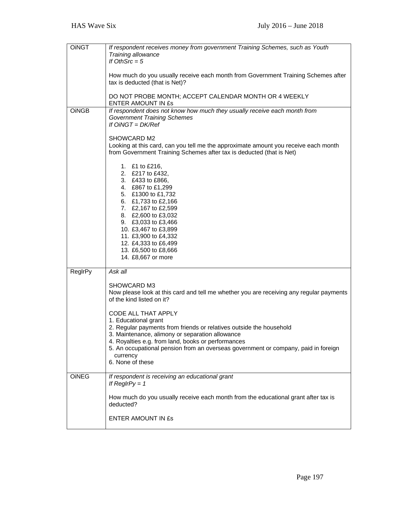| <b>OINGT</b> | If respondent receives money from government Training Schemes, such as Youth<br>Training allowance                                                                         |
|--------------|----------------------------------------------------------------------------------------------------------------------------------------------------------------------------|
|              | If OthSrc $= 5$                                                                                                                                                            |
|              | How much do you usually receive each month from Government Training Schemes after<br>tax is deducted (that is Net)?                                                        |
|              | DO NOT PROBE MONTH; ACCEPT CALENDAR MONTH OR 4 WEEKLY<br>ENTER AMOUNT IN ES                                                                                                |
| <b>OINGB</b> | If respondent does not know how much they usually receive each month from<br><b>Government Training Schemes</b><br>If $OiNGT = DK/Ref$                                     |
|              | SHOWCARD M2<br>Looking at this card, can you tell me the approximate amount you receive each month<br>from Government Training Schemes after tax is deducted (that is Net) |
|              | 1. £1 to £216,<br>2. £217 to £432,<br>3. £433 to £866,<br>4. £867 to £1,299                                                                                                |
|              | 5. £1300 to £1,732<br>6. £1,733 to £2,166                                                                                                                                  |
|              | 7. £2,167 to £2,599                                                                                                                                                        |
|              | 8. £2,600 to £3,032<br>9. £3,033 to £3,466                                                                                                                                 |
|              | 10. £3,467 to £3,899<br>11. £3,900 to £4,332                                                                                                                               |
|              | 12. £4,333 to £6,499                                                                                                                                                       |
|              | 13. £6,500 to £8,666<br>14. £8,667 or more                                                                                                                                 |
| ReglrPy      | Ask all                                                                                                                                                                    |
|              | SHOWCARD M3<br>Now please look at this card and tell me whether you are receiving any regular payments<br>of the kind listed on it?                                        |
|              |                                                                                                                                                                            |
|              | CODE ALL THAT APPLY<br>1. Educational grant                                                                                                                                |
|              | 2. Regular payments from friends or relatives outside the household<br>3. Maintenance, alimony or separation allowance                                                     |
|              | 4. Royalties e.g. from land, books or performances<br>5. An occupational pension from an overseas government or company, paid in foreign                                   |
|              | currency<br>6. None of these                                                                                                                                               |
| <b>OINEG</b> | If respondent is receiving an educational grant<br>If ReglrPy = $1$                                                                                                        |
|              | How much do you usually receive each month from the educational grant after tax is<br>deducted?                                                                            |
|              | ENTER AMOUNT IN ES                                                                                                                                                         |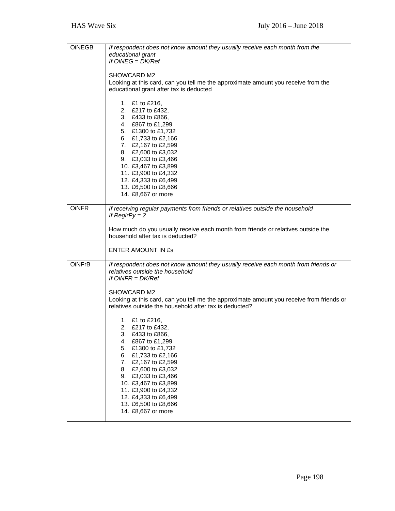| <b>OINEGB</b> | If respondent does not know amount they usually receive each month from the                                    |
|---------------|----------------------------------------------------------------------------------------------------------------|
|               | educational grant                                                                                              |
|               | If $OiNEG = DK/Ref$                                                                                            |
|               | SHOWCARD M2                                                                                                    |
|               | Looking at this card, can you tell me the approximate amount you receive from the                              |
|               | educational grant after tax is deducted                                                                        |
|               |                                                                                                                |
|               | 1. £1 to £216,                                                                                                 |
|               | 2. £217 to £432,<br>3. £433 to £866,                                                                           |
|               | 4. £867 to £1,299                                                                                              |
|               | 5. £1300 to £1,732                                                                                             |
|               | 6. £1,733 to £2,166                                                                                            |
|               | 7. £2,167 to £2,599                                                                                            |
|               | 8. £2,600 to £3,032                                                                                            |
|               | 9. £3,033 to £3,466                                                                                            |
|               | 10. £3,467 to £3,899<br>11. £3,900 to £4,332                                                                   |
|               | 12. £4,333 to £6,499                                                                                           |
|               | 13. £6,500 to £8,666                                                                                           |
|               | 14. £8,667 or more                                                                                             |
|               |                                                                                                                |
| <b>OINFR</b>  | If receiving regular payments from friends or relatives outside the household                                  |
|               | If $RegIrPy = 2$                                                                                               |
|               | How much do you usually receive each month from friends or relatives outside the                               |
|               | household after tax is deducted?                                                                               |
|               |                                                                                                                |
|               | ENTER AMOUNT IN £s                                                                                             |
| <b>OINFrB</b> | If respondent does not know amount they usually receive each month from friends or                             |
|               | relatives outside the household                                                                                |
|               | If $OINFR = DK/Ref$                                                                                            |
|               |                                                                                                                |
|               | <b>SHOWCARD M2</b><br>Looking at this card, can you tell me the approximate amount you receive from friends or |
|               | relatives outside the household after tax is deducted?                                                         |
|               |                                                                                                                |
|               | 1. £1 to £216,                                                                                                 |
|               | 2. £217 to £432,                                                                                               |
|               | 3.<br>£433 to £866,                                                                                            |
|               | £867 to £1,299<br>4.<br>5.<br>£1300 to £1,732                                                                  |
|               | 6.<br>£1,733 to £2,166                                                                                         |
|               | £2,167 to £2,599<br>7.                                                                                         |
|               | 8.<br>£2,600 to £3,032                                                                                         |
|               | 9.<br>£3,033 to £3,466                                                                                         |
|               | 10. £3,467 to £3,899                                                                                           |
|               | 11. £3,900 to £4,332<br>12. £4,333 to £6,499                                                                   |
|               | 13. £6,500 to £8,666                                                                                           |
|               | 14. £8,667 or more                                                                                             |
|               |                                                                                                                |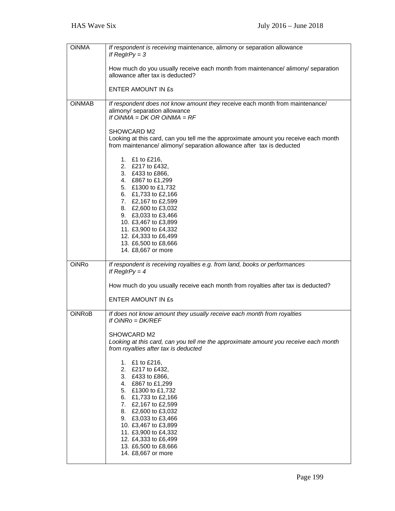| <b>OINMA</b>  | If respondent is receiving maintenance, alimony or separation allowance<br>If $RegIrPy = 3$                                                                                                                                                                                                                         |
|---------------|---------------------------------------------------------------------------------------------------------------------------------------------------------------------------------------------------------------------------------------------------------------------------------------------------------------------|
|               | How much do you usually receive each month from maintenance/ alimony/ separation<br>allowance after tax is deducted?                                                                                                                                                                                                |
|               | <b>ENTER AMOUNT IN £s</b>                                                                                                                                                                                                                                                                                           |
| <b>OINMAB</b> | If respondent does not know amount they receive each month from maintenance/<br>alimony/ separation allowance<br>If $OINMA = DK OR OINMA = RF$                                                                                                                                                                      |
|               | SHOWCARD M2<br>Looking at this card, can you tell me the approximate amount you receive each month<br>from maintenance/ alimony/ separation allowance after tax is deducted                                                                                                                                         |
|               | 1. £1 to £216,<br>2. £217 to £432,<br>3. £433 to £866,<br>4. £867 to £1,299<br>5. £1300 to £1,732<br>6. £1,733 to £2,166                                                                                                                                                                                            |
|               | 7. £2,167 to £2,599<br>8. £2,600 to £3,032<br>9. £3,033 to £3,466<br>10. £3,467 to £3,899<br>11. £3,900 to £4,332<br>12. £4,333 to £6,499<br>13. £6,500 to £8,666<br>14. £8,667 or more                                                                                                                             |
| <b>OiNRo</b>  | If respondent is receiving royalties e.g. from land, books or performances<br>If ReglrPy = $4$                                                                                                                                                                                                                      |
|               | How much do you usually receive each month from royalties after tax is deducted?                                                                                                                                                                                                                                    |
|               | <b>ENTER AMOUNT IN £s</b>                                                                                                                                                                                                                                                                                           |
| <b>OiNRoB</b> | If does not know amount they usually receive each month from royalties<br>If $OiNRo = DK/REF$                                                                                                                                                                                                                       |
|               | SHOWCARD M2<br>Looking at this card, can you tell me the approximate amount you receive each month<br>from royalties after tax is deducted                                                                                                                                                                          |
|               | 1. £1 to £216,<br>2. £217 to £432,<br>3. £433 to £866,<br>4. £867 to £1,299<br>5. £1300 to £1,732<br>6. £1,733 to £2,166<br>7. £2,167 to £2,599<br>8. £2,600 to £3,032<br>9. £3,033 to £3,466<br>10. £3,467 to £3,899<br>11. £3,900 to £4,332<br>12. £4,333 to £6,499<br>13. £6,500 to £8,666<br>14. £8,667 or more |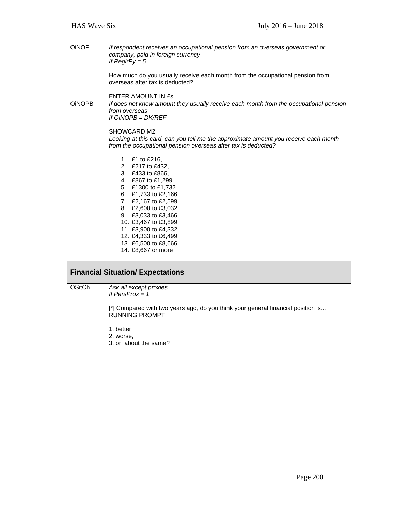| <b>OiNOP</b>  | If respondent receives an occupational pension from an overseas government or<br>company, paid in foreign currency<br>If $RegIrPy = 5$<br>How much do you usually receive each month from the occupational pension from<br>overseas after tax is deducted?<br>ENTER AMOUNT IN £s                                    |
|---------------|---------------------------------------------------------------------------------------------------------------------------------------------------------------------------------------------------------------------------------------------------------------------------------------------------------------------|
| <b>OINOPB</b> | If does not know amount they usually receive each month from the occupational pension<br>from overseas<br>If $OINOPB = DK/REF$<br>SHOWCARD M2<br>Looking at this card, can you tell me the approximate amount you receive each month<br>from the occupational pension overseas after tax is deducted?               |
|               | 1. £1 to £216,<br>2. £217 to £432,<br>3. £433 to £866,<br>4. £867 to £1,299<br>5. £1300 to £1,732<br>6. £1,733 to £2,166<br>7. £2,167 to £2,599<br>8. £2,600 to £3,032<br>9. £3,033 to £3,466<br>10. £3,467 to £3,899<br>11. £3,900 to £4,332<br>12. £4,333 to £6,499<br>13. £6,500 to £8,666<br>14. £8,667 or more |
|               | <b>Financial Situation/ Expectations</b>                                                                                                                                                                                                                                                                            |
| <b>OSitCh</b> | Ask all except proxies<br>If $PersProx = 1$<br>[*] Compared with two years ago, do you think your general financial position is<br><b>RUNNING PROMPT</b><br>1. better<br>2. worse,<br>3. or, about the same?                                                                                                        |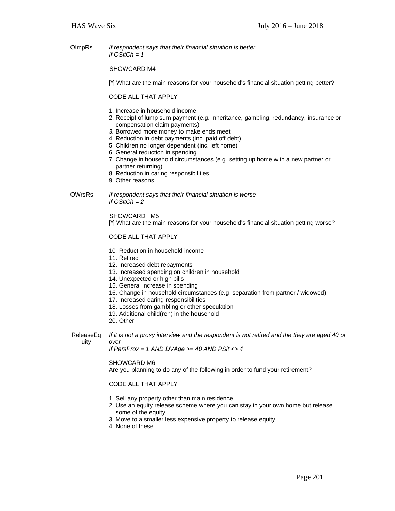| OlmpRs            | If respondent says that their financial situation is better<br>If $OStCh = 1$                                                                                                                                                                                                                                                                                                                                                                                                                                             |
|-------------------|---------------------------------------------------------------------------------------------------------------------------------------------------------------------------------------------------------------------------------------------------------------------------------------------------------------------------------------------------------------------------------------------------------------------------------------------------------------------------------------------------------------------------|
|                   | SHOWCARD M4                                                                                                                                                                                                                                                                                                                                                                                                                                                                                                               |
|                   | [*] What are the main reasons for your household's financial situation getting better?                                                                                                                                                                                                                                                                                                                                                                                                                                    |
|                   | <b>CODE ALL THAT APPLY</b>                                                                                                                                                                                                                                                                                                                                                                                                                                                                                                |
|                   | 1. Increase in household income<br>2. Receipt of lump sum payment (e.g. inheritance, gambling, redundancy, insurance or<br>compensation claim payments)<br>3. Borrowed more money to make ends meet<br>4. Reduction in debt payments (inc. paid off debt)<br>5 Children no longer dependent (inc. left home)<br>6. General reduction in spending<br>7. Change in household circumstances (e.g. setting up home with a new partner or<br>partner returning)<br>8. Reduction in caring responsibilities<br>9. Other reasons |
| <b>OWrsRs</b>     | If respondent says that their financial situation is worse<br>If $OStCh = 2$                                                                                                                                                                                                                                                                                                                                                                                                                                              |
|                   | SHOWCARD M5<br>[*] What are the main reasons for your household's financial situation getting worse?<br>CODE ALL THAT APPLY<br>10. Reduction in household income<br>11. Retired<br>12. Increased debt repayments<br>13. Increased spending on children in household                                                                                                                                                                                                                                                       |
|                   | 14. Unexpected or high bills<br>15. General increase in spending<br>16. Change in household circumstances (e.g. separation from partner / widowed)<br>17. Increased caring responsibilities<br>18. Losses from gambling or other speculation<br>19. Additional child(ren) in the household<br>20. Other                                                                                                                                                                                                                   |
| ReleaseEq<br>uity | If it is not a proxy interview and the respondent is not retired and the they are aged 40 or<br>over<br>If PersProx = 1 AND DVAge >= 40 AND PSit <> 4                                                                                                                                                                                                                                                                                                                                                                     |
|                   | SHOWCARD M6<br>Are you planning to do any of the following in order to fund your retirement?                                                                                                                                                                                                                                                                                                                                                                                                                              |
|                   | CODE ALL THAT APPLY                                                                                                                                                                                                                                                                                                                                                                                                                                                                                                       |
|                   | 1. Sell any property other than main residence<br>2. Use an equity release scheme where you can stay in your own home but release<br>some of the equity<br>3. Move to a smaller less expensive property to release equity<br>4. None of these                                                                                                                                                                                                                                                                             |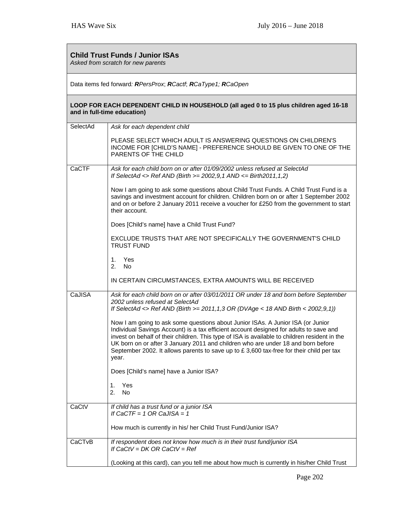| <b>Child Trust Funds / Junior ISAs</b><br>Asked from scratch for new parents |                                                                                                                                                                                                                                                                                                                                                                                                                                                                       |
|------------------------------------------------------------------------------|-----------------------------------------------------------------------------------------------------------------------------------------------------------------------------------------------------------------------------------------------------------------------------------------------------------------------------------------------------------------------------------------------------------------------------------------------------------------------|
| Data items fed forward: RPersProx; RCactf; RCaType1; RCaOpen                 |                                                                                                                                                                                                                                                                                                                                                                                                                                                                       |
|                                                                              | LOOP FOR EACH DEPENDENT CHILD IN HOUSEHOLD (all aged 0 to 15 plus children aged 16-18<br>and in full-time education)                                                                                                                                                                                                                                                                                                                                                  |
| SelectAd                                                                     | Ask for each dependent child                                                                                                                                                                                                                                                                                                                                                                                                                                          |
|                                                                              | PLEASE SELECT WHICH ADULT IS ANSWERING QUESTIONS ON CHILDREN'S<br>INCOME FOR [CHILD'S NAME] - PREFERENCE SHOULD BE GIVEN TO ONE OF THE<br>PARENTS OF THE CHILD                                                                                                                                                                                                                                                                                                        |
| CaCTF                                                                        | Ask for each child born on or after 01/09/2002 unless refused at SelectAd<br>If SelectAd <> Ref AND (Birth >= $2002,9,1$ AND <= Birth2011,1,2)                                                                                                                                                                                                                                                                                                                        |
|                                                                              | Now I am going to ask some questions about Child Trust Funds. A Child Trust Fund is a<br>savings and investment account for children. Children born on or after 1 September 2002<br>and on or before 2 January 2011 receive a voucher for £250 from the government to start<br>their account.                                                                                                                                                                         |
|                                                                              | Does [Child's name] have a Child Trust Fund?                                                                                                                                                                                                                                                                                                                                                                                                                          |
|                                                                              | EXCLUDE TRUSTS THAT ARE NOT SPECIFICALLY THE GOVERNMENT'S CHILD<br><b>TRUST FUND</b>                                                                                                                                                                                                                                                                                                                                                                                  |
|                                                                              | Yes<br>1.<br>No<br>2.                                                                                                                                                                                                                                                                                                                                                                                                                                                 |
|                                                                              | IN CERTAIN CIRCUMSTANCES, EXTRA AMOUNTS WILL BE RECEIVED                                                                                                                                                                                                                                                                                                                                                                                                              |
| CaJISA                                                                       | Ask for each child born on or after 03/01/2011 OR under 18 and born before September<br>2002 unless refused at SelectAd<br>If SelectAd <> Ref AND (Birth >= 2011, 1, 3 OR (DVAge < 18 AND Birth < $2002, 9, 1$ ))                                                                                                                                                                                                                                                     |
|                                                                              | Now I am going to ask some questions about Junior ISAs. A Junior ISA (or Junior<br>Individual Savings Account) is a tax efficient account designed for adults to save and<br>invest on behalf of their children. This type of ISA is available to children resident in the<br>UK born on or after 3 January 2011 and children who are under 18 and born before<br>September 2002. It allows parents to save up to $£$ 3,600 tax-free for their child per tax<br>year. |
|                                                                              | Does [Child's name] have a Junior ISA?                                                                                                                                                                                                                                                                                                                                                                                                                                |
|                                                                              | Yes<br>1.<br>2.<br>No.                                                                                                                                                                                                                                                                                                                                                                                                                                                |
| CaCtV                                                                        | If child has a trust fund or a junior ISA<br>If CaCTF = 1 OR CaJISA = 1                                                                                                                                                                                                                                                                                                                                                                                               |
|                                                                              | How much is currently in his/ her Child Trust Fund/Junior ISA?                                                                                                                                                                                                                                                                                                                                                                                                        |
| CaCTvB                                                                       | If respondent does not know how much is in their trust fund/junior ISA<br>If $CaCtV = DK OR CaCtV = Ref$                                                                                                                                                                                                                                                                                                                                                              |
|                                                                              | (Looking at this card), can you tell me about how much is currently in his/her Child Trust                                                                                                                                                                                                                                                                                                                                                                            |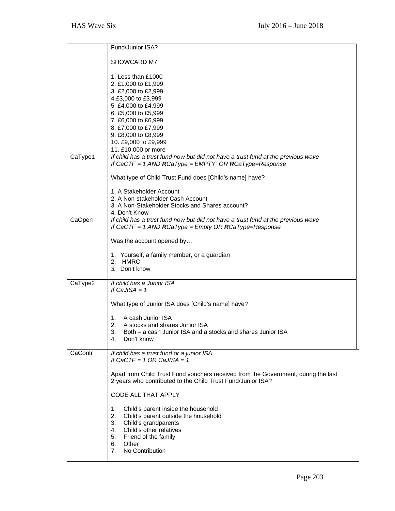|         | Fund/Junior ISA?                                                                                                                                  |
|---------|---------------------------------------------------------------------------------------------------------------------------------------------------|
|         |                                                                                                                                                   |
|         | SHOWCARD M7                                                                                                                                       |
|         | 1. Less than £1000                                                                                                                                |
|         | 2. £1,000 to £1,999                                                                                                                               |
|         | 3. £2,000 to £2,999                                                                                                                               |
|         | 4.£3,000 to £3,999                                                                                                                                |
|         | 5 £4,000 to £4,999                                                                                                                                |
|         | 6. £5,000 to £5,999                                                                                                                               |
|         | 7. £6,000 to £6,999<br>8. £7,000 to £7,999                                                                                                        |
|         | 9. £8,000 to £8,999                                                                                                                               |
|         | 10. £9,000 to £9,999                                                                                                                              |
|         | 11. £10,000 or more                                                                                                                               |
| CaType1 | If child has a trust fund now but did not have a trust fund at the previous wave<br>If CaCTF = 1 AND RCaType = EMPTY OR RCaType=Response          |
|         | What type of Child Trust Fund does [Child's name] have?                                                                                           |
|         | 1. A Stakeholder Account                                                                                                                          |
|         | 2. A Non-stakeholder Cash Account                                                                                                                 |
|         | 3. A Non-Stakeholder Stocks and Shares account?                                                                                                   |
| CaOpen  | 4. Don't Know<br>If child has a trust fund now but did not have a trust fund at the previous wave                                                 |
|         | If CaCTF = 1 AND RCaType = Empty OR RCaType=Response                                                                                              |
|         | Was the account opened by                                                                                                                         |
|         | 1. Yourself, a family member, or a guardian                                                                                                       |
|         | 2. HMRC                                                                                                                                           |
|         | 3. Don't know                                                                                                                                     |
| CaType2 | If child has a Junior ISA                                                                                                                         |
|         | If CaJISA $= 1$                                                                                                                                   |
|         | What type of Junior ISA does [Child's name] have?                                                                                                 |
|         | A cash Junior ISA<br>1.                                                                                                                           |
|         | A stocks and shares Junior ISA<br>2.                                                                                                              |
|         | З.<br>Both – a cash Junior ISA and a stocks and shares Junior ISA                                                                                 |
|         | Don't know<br>4.                                                                                                                                  |
| CaContr | If child has a trust fund or a junior ISA                                                                                                         |
|         | If CaCTF = $1$ OR CaJISA = $1$                                                                                                                    |
|         |                                                                                                                                                   |
|         | Apart from Child Trust Fund vouchers received from the Government, during the last<br>2 years who contributed to the Child Trust Fund/Junior ISA? |
|         | CODE ALL THAT APPLY                                                                                                                               |
|         | Child's parent inside the household<br>1.                                                                                                         |
|         | 2.<br>Child's parent outside the household                                                                                                        |
|         | 3.<br>Child's grandparents                                                                                                                        |
|         | Child's other relatives<br>4.                                                                                                                     |
|         | Friend of the family<br>5.<br>6.<br>Other                                                                                                         |
|         | No Contribution<br>7.                                                                                                                             |
|         |                                                                                                                                                   |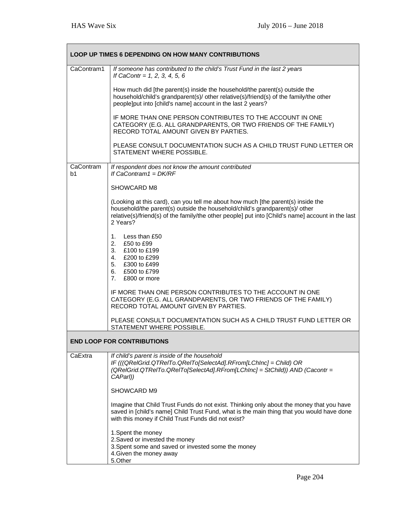| <b>LOOP UP TIMES 6 DEPENDING ON HOW MANY CONTRIBUTIONS</b> |                                                                                                                                                                                                                                                                                  |
|------------------------------------------------------------|----------------------------------------------------------------------------------------------------------------------------------------------------------------------------------------------------------------------------------------------------------------------------------|
| CaContram1                                                 | If someone has contributed to the child's Trust Fund in the last 2 years<br>If CaContr = $1, 2, 3, 4, 5, 6$                                                                                                                                                                      |
|                                                            | How much did [the parent(s) inside the household/the parent(s) outside the<br>household/child's grandparent(s)/ other relative(s)/friend(s) of the family/the other<br>people]put into [child's name] account in the last 2 years?                                               |
|                                                            | IF MORE THAN ONE PERSON CONTRIBUTES TO THE ACCOUNT IN ONE<br>CATEGORY (E.G. ALL GRANDPARENTS, OR TWO FRIENDS OF THE FAMILY)<br>RECORD TOTAL AMOUNT GIVEN BY PARTIES.                                                                                                             |
|                                                            | PLEASE CONSULT DOCUMENTATION SUCH AS A CHILD TRUST FUND LETTER OR<br>STATEMENT WHERE POSSIBLE.                                                                                                                                                                                   |
| CaContram<br>b1                                            | If respondent does not know the amount contributed<br>If CaContram1 = $DK/RF$                                                                                                                                                                                                    |
|                                                            | SHOWCARD M8                                                                                                                                                                                                                                                                      |
|                                                            | (Looking at this card), can you tell me about how much [the parent(s) inside the<br>household/the parent(s) outside the household/child's grandparent(s)/ other<br>relative(s)/friend(s) of the family/the other people] put into [Child's name] account in the last<br>2 Years? |
|                                                            | 1. Less than £50<br>2.<br>£50 to £99<br>3. £100 to £199<br>4. £200 to £299<br>5. £300 to £499<br>6. £500 to £799<br>7. £800 or more                                                                                                                                              |
|                                                            | IF MORE THAN ONE PERSON CONTRIBUTES TO THE ACCOUNT IN ONE<br>CATEGORY (E.G. ALL GRANDPARENTS, OR TWO FRIENDS OF THE FAMILY)<br>RECORD TOTAL AMOUNT GIVEN BY PARTIES.                                                                                                             |
|                                                            | PLEASE CONSULT DOCUMENTATION SUCH AS A CHILD TRUST FUND LETTER OR<br>STATEMENT WHERE POSSIBLE.                                                                                                                                                                                   |
|                                                            | <b>END LOOP FOR CONTRIBUTIONS</b>                                                                                                                                                                                                                                                |
| CaExtra                                                    | If child's parent is inside of the household<br>IF (((QRelGrid.QTReITo.QReITo[SelectAd].RFrom[LChInc] = Child) OR<br>(QRelGrid.QTReITo.QReITo[SelectAd].RFrom[LChInc] = StChild)) AND (Cacontr =<br>CAParl))                                                                     |
|                                                            | SHOWCARD M9                                                                                                                                                                                                                                                                      |
|                                                            | Imagine that Child Trust Funds do not exist. Thinking only about the money that you have<br>saved in [child's name] Child Trust Fund, what is the main thing that you would have done<br>with this money if Child Trust Funds did not exist?                                     |
|                                                            | 1. Spent the money<br>2. Saved or invested the money<br>3. Spent some and saved or invested some the money<br>4. Given the money away<br>5.Other                                                                                                                                 |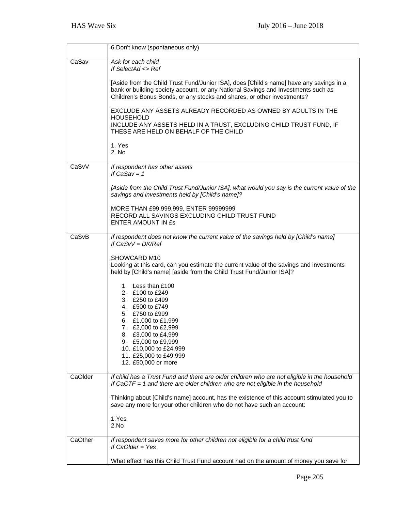|         | 6. Don't know (spontaneous only)                                                                                                                                                                                                                        |
|---------|---------------------------------------------------------------------------------------------------------------------------------------------------------------------------------------------------------------------------------------------------------|
| CaSav   | Ask for each child<br>If SelectAd <> Ref                                                                                                                                                                                                                |
|         | [Aside from the Child Trust Fund/Junior ISA], does [Child's name] have any savings in a<br>bank or building society account, or any National Savings and Investments such as<br>Children's Bonus Bonds, or any stocks and shares, or other investments? |
|         | EXCLUDE ANY ASSETS ALREADY RECORDED AS OWNED BY ADULTS IN THE<br><b>HOUSEHOLD</b><br>INCLUDE ANY ASSETS HELD IN A TRUST, EXCLUDING CHILD TRUST FUND, IF                                                                                                 |
|         | THESE ARE HELD ON BEHALF OF THE CHILD<br>1. Yes<br>2. No                                                                                                                                                                                                |
| CaSvV   | If respondent has other assets<br>If $CaSav = 1$                                                                                                                                                                                                        |
|         | [Aside from the Child Trust Fund/Junior ISA], what would you say is the current value of the<br>savings and investments held by [Child's name]?                                                                                                         |
|         | MORE THAN £99,999,999, ENTER 99999999<br>RECORD ALL SAVINGS EXCLUDING CHILD TRUST FUND<br><b>ENTER AMOUNT IN £s</b>                                                                                                                                     |
| CaSvB   | If respondent does not know the current value of the savings held by [Child's name]<br>If $CaSvV = DK/Ref$                                                                                                                                              |
|         | SHOWCARD M10<br>Looking at this card, can you estimate the current value of the savings and investments<br>held by [Child's name] [aside from the Child Trust Fund/Junior ISA]?                                                                         |
|         | 1. Less than £100<br>2. £100 to £249<br>3. £250 to £499<br>4. £500 to £749<br>5. £750 to £999                                                                                                                                                           |
|         | 6. £1,000 to £1,999<br>7. £2,000 to £2,999<br>8. £3,000 to £4,999<br>£5,000 to £9,999<br>9.<br>10. £10,000 to £24,999<br>11. £25,000 to £49,999                                                                                                         |
| CaOlder | 12. £50,000 or more<br>If child has a Trust Fund and there are older children who are not eligible in the household                                                                                                                                     |
|         | If CaCTF = 1 and there are older children who are not eligible in the household                                                                                                                                                                         |
|         | Thinking about [Child's name] account, has the existence of this account stimulated you to<br>save any more for your other children who do not have such an account:                                                                                    |
|         | 1.Yes<br>2.No                                                                                                                                                                                                                                           |
| CaOther | If respondent saves more for other children not eligible for a child trust fund<br>If $CaOlder = Yes$                                                                                                                                                   |
|         | What effect has this Child Trust Fund account had on the amount of money you save for                                                                                                                                                                   |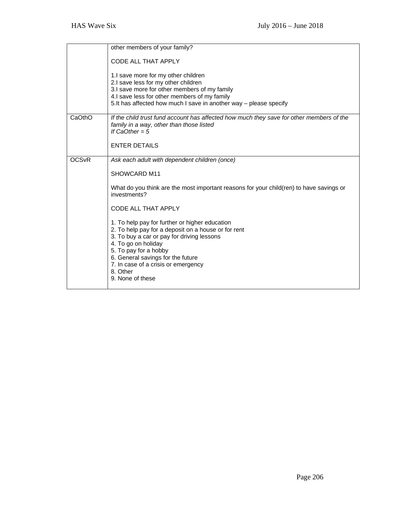|                         | other members of your family?                                                                                                                                                                                                                                                                                   |
|-------------------------|-----------------------------------------------------------------------------------------------------------------------------------------------------------------------------------------------------------------------------------------------------------------------------------------------------------------|
|                         | <b>CODE ALL THAT APPLY</b>                                                                                                                                                                                                                                                                                      |
|                         | 1.I save more for my other children<br>2.I save less for my other children<br>3.I save more for other members of my family<br>4.I save less for other members of my family<br>5. It has affected how much I save in another way - please specify                                                                |
| CaOthO                  | If the child trust fund account has affected how much they save for other members of the<br>family in a way, other than those listed<br>If $CaOther = 5$                                                                                                                                                        |
|                         | <b>ENTER DETAILS</b>                                                                                                                                                                                                                                                                                            |
| <b>OCS<sub>VR</sub></b> | Ask each adult with dependent children (once)                                                                                                                                                                                                                                                                   |
|                         | SHOWCARD M11                                                                                                                                                                                                                                                                                                    |
|                         | What do you think are the most important reasons for your child(ren) to have savings or<br>investments?                                                                                                                                                                                                         |
|                         | CODE ALL THAT APPLY                                                                                                                                                                                                                                                                                             |
|                         | 1. To help pay for further or higher education<br>2. To help pay for a deposit on a house or for rent<br>3. To buy a car or pay for driving lessons<br>4. To go on holiday<br>5. To pay for a hobby<br>6. General savings for the future<br>7. In case of a crisis or emergency<br>8. Other<br>9. None of these |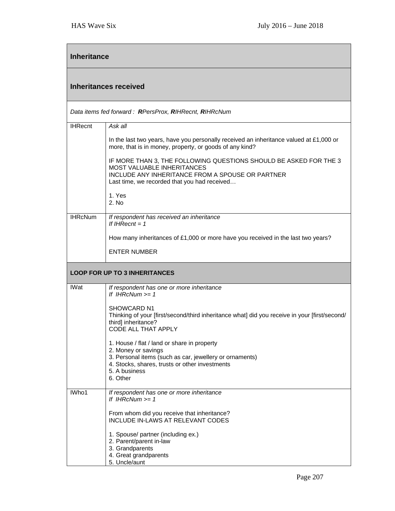| <b>Inheritance</b>           |                                                                                                                                                                   |
|------------------------------|-------------------------------------------------------------------------------------------------------------------------------------------------------------------|
| <b>Inheritances received</b> |                                                                                                                                                                   |
|                              | Data items fed forward: RPersProx, RIHRecnt, RIHRcNum                                                                                                             |
| <b>IHRecnt</b>               | Ask all                                                                                                                                                           |
|                              | In the last two years, have you personally received an inheritance valued at £1,000 or<br>more, that is in money, property, or goods of any kind?                 |
|                              | IF MORE THAN 3, THE FOLLOWING QUESTIONS SHOULD BE ASKED FOR THE 3<br>MOST VALUABLE INHERITANCES                                                                   |
|                              | INCLUDE ANY INHERITANCE FROM A SPOUSE OR PARTNER<br>Last time, we recorded that you had received                                                                  |
|                              | 1. Yes<br>2. No                                                                                                                                                   |
| <b>IHRcNum</b>               | If respondent has received an inheritance<br>If IHRecnt = $1$                                                                                                     |
|                              | How many inheritances of £1,000 or more have you received in the last two years?                                                                                  |
|                              | <b>ENTER NUMBER</b>                                                                                                                                               |
|                              | <b>LOOP FOR UP TO 3 INHERITANCES</b>                                                                                                                              |
| <b>IWat</b>                  | If respondent has one or more inheritance<br>If IHRcNum $\geq 1$                                                                                                  |
|                              | <b>SHOWCARD N1</b><br>Thinking of your [first/second/third inheritance what] did you receive in your [first/second/<br>third] inheritance?<br>CODE ALL THAT APPLY |
|                              | 1. House / flat / land or share in property                                                                                                                       |
|                              | 2. Money or savings<br>3. Personal items (such as car, jewellery or ornaments)<br>4. Stocks, shares, trusts or other investments<br>5. A business<br>6. Other     |
| IWho1                        | If respondent has one or more inheritance<br>If IHRcNum $>= 1$                                                                                                    |
|                              | From whom did you receive that inheritance?<br>INCLUDE IN-LAWS AT RELEVANT CODES                                                                                  |
|                              | 1. Spouse/ partner (including ex.)<br>2. Parent/parent in-law<br>3. Grandparents<br>4. Great grandparents<br>5. Uncle/aunt                                        |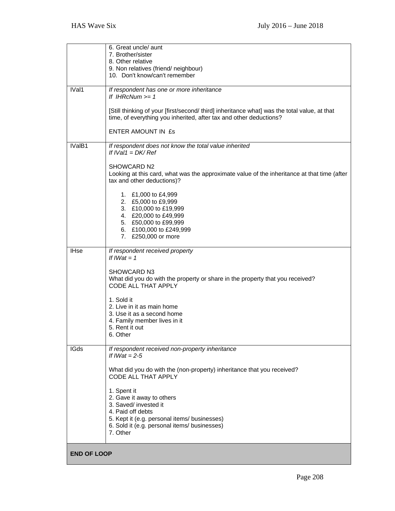|                    | 6. Great uncle/ aunt<br>7. Brother/sister                                                                                                                          |
|--------------------|--------------------------------------------------------------------------------------------------------------------------------------------------------------------|
|                    | 8. Other relative<br>9. Non relatives (friend/neighbour)                                                                                                           |
|                    | 10. Don't know/can't remember                                                                                                                                      |
| IVal1              | If respondent has one or more inheritance<br>If IHRcNum $>= 1$                                                                                                     |
|                    | [Still thinking of your [first/second/ third] inheritance what] was the total value, at that<br>time, of everything you inherited, after tax and other deductions? |
|                    | ENTER AMOUNT IN £s                                                                                                                                                 |
| IValB1             | If respondent does not know the total value inherited<br>If $IVal1 = DK/Ref$                                                                                       |
|                    | SHOWCARD N2<br>Looking at this card, what was the approximate value of the inheritance at that time (after<br>tax and other deductions)?                           |
|                    | 1. £1,000 to £4,999<br>2. £5,000 to £9,999                                                                                                                         |
|                    | 3. £10,000 to £19,999<br>4. £20,000 to £49,999                                                                                                                     |
|                    | 5. £50,000 to £99,999<br>6. £100,000 to £249,999                                                                                                                   |
|                    | 7. £250,000 or more                                                                                                                                                |
| <b>IHse</b>        | If respondent received property<br>If $IWat = 1$                                                                                                                   |
|                    | <b>SHOWCARD N3</b><br>What did you do with the property or share in the property that you received?<br>CODE ALL THAT APPLY                                         |
|                    | 1. Sold it<br>2. Live in it as main home                                                                                                                           |
|                    | 3. Use it as a second home                                                                                                                                         |
|                    | 4. Family member lives in it<br>5. Rent it out                                                                                                                     |
|                    | 6. Other                                                                                                                                                           |
| <b>IGds</b>        | If respondent received non-property inheritance<br>If $IWat = 2-5$                                                                                                 |
|                    | What did you do with the (non-property) inheritance that you received?<br>CODE ALL THAT APPLY                                                                      |
|                    | 1. Spent it<br>2. Gave it away to others                                                                                                                           |
|                    | 3. Saved/ invested it<br>4. Paid off debts                                                                                                                         |
|                    | 5. Kept it (e.g. personal items/ businesses)                                                                                                                       |
|                    | 6. Sold it (e.g. personal items/ businesses)<br>7. Other                                                                                                           |
| <b>END OF LOOP</b> |                                                                                                                                                                    |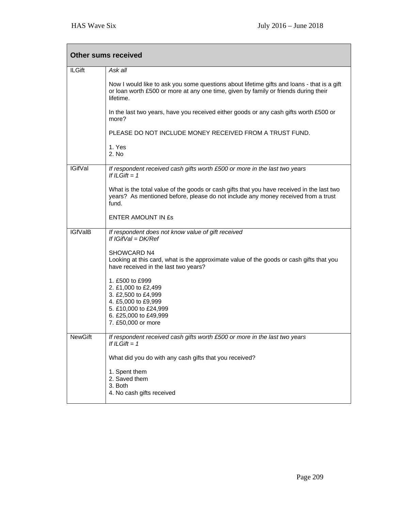|                | <b>Other sums received</b>                                                                                                                                                                     |
|----------------|------------------------------------------------------------------------------------------------------------------------------------------------------------------------------------------------|
| <b>ILGift</b>  | Ask all                                                                                                                                                                                        |
|                | Now I would like to ask you some questions about lifetime gifts and loans - that is a gift<br>or loan worth £500 or more at any one time, given by family or friends during their<br>lifetime. |
|                | In the last two years, have you received either goods or any cash gifts worth £500 or<br>more?                                                                                                 |
|                | PLEASE DO NOT INCLUDE MONEY RECEIVED FROM A TRUST FUND.                                                                                                                                        |
|                | 1. Yes<br>2. No                                                                                                                                                                                |
| <b>IGifVal</b> | If respondent received cash gifts worth £500 or more in the last two years<br>If ILGift $= 1$                                                                                                  |
|                | What is the total value of the goods or cash gifts that you have received in the last two<br>years? As mentioned before, please do not include any money received from a trust<br>fund.        |
|                | <b>ENTER AMOUNT IN £s</b>                                                                                                                                                                      |
| <b>IGfValB</b> | If respondent does not know value of gift received<br>If $IGIfVal = DK/Ref$                                                                                                                    |
|                | SHOWCARD N4<br>Looking at this card, what is the approximate value of the goods or cash gifts that you<br>have received in the last two years?                                                 |
|                | 1. £500 to £999                                                                                                                                                                                |
|                | 2. £1,000 to £2,499<br>3. £2,500 to £4,999                                                                                                                                                     |
|                | 4. £5,000 to £9,999                                                                                                                                                                            |
|                | 5. £10,000 to £24,999<br>6. £25,000 to £49,999                                                                                                                                                 |
|                | 7. £50,000 or more                                                                                                                                                                             |
| <b>NewGift</b> | If respondent received cash gifts worth £500 or more in the last two years<br>If ILGift $= 1$                                                                                                  |
|                | What did you do with any cash gifts that you received?                                                                                                                                         |
|                | 1. Spent them<br>2. Saved them<br>3. Both<br>4. No cash gifts received                                                                                                                         |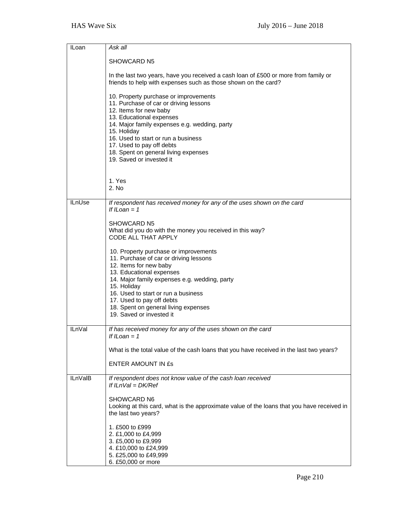| <b>ILoan</b>   | Ask all                                                                                                                                                                                |
|----------------|----------------------------------------------------------------------------------------------------------------------------------------------------------------------------------------|
|                |                                                                                                                                                                                        |
|                | SHOWCARD N5                                                                                                                                                                            |
|                | In the last two years, have you received a cash loan of £500 or more from family or<br>friends to help with expenses such as those shown on the card?                                  |
|                | 10. Property purchase or improvements<br>11. Purchase of car or driving lessons<br>12. Items for new baby<br>13. Educational expenses<br>14. Major family expenses e.g. wedding, party |
|                | 15. Holiday<br>16. Used to start or run a business                                                                                                                                     |
|                | 17. Used to pay off debts                                                                                                                                                              |
|                | 18. Spent on general living expenses                                                                                                                                                   |
|                | 19. Saved or invested it                                                                                                                                                               |
|                |                                                                                                                                                                                        |
|                | 1. Yes                                                                                                                                                                                 |
|                | 2. No                                                                                                                                                                                  |
| <b>ILnUse</b>  | If respondent has received money for any of the uses shown on the card<br>If ILoan $= 1$                                                                                               |
|                | <b>SHOWCARD N5</b>                                                                                                                                                                     |
|                | What did you do with the money you received in this way?<br><b>CODE ALL THAT APPLY</b>                                                                                                 |
|                | 10. Property purchase or improvements<br>11. Purchase of car or driving lessons<br>12. Items for new baby                                                                              |
|                | 13. Educational expenses<br>14. Major family expenses e.g. wedding, party                                                                                                              |
|                | 15. Holiday<br>16. Used to start or run a business                                                                                                                                     |
|                | 17. Used to pay off debts                                                                                                                                                              |
|                | 18. Spent on general living expenses                                                                                                                                                   |
|                | 19. Saved or invested it                                                                                                                                                               |
| <b>ILnVal</b>  | If has received money for any of the uses shown on the card<br>If ILoan = $1$                                                                                                          |
|                | What is the total value of the cash loans that you have received in the last two years?                                                                                                |
|                | <b>ENTER AMOUNT IN £s</b>                                                                                                                                                              |
| <b>ILnVaIB</b> | If respondent does not know value of the cash loan received<br>If $ILnVal = DK/Ref$                                                                                                    |
|                | <b>SHOWCARD N6</b><br>Looking at this card, what is the approximate value of the loans that you have received in<br>the last two years?                                                |
|                | 1. £500 to £999<br>2. £1,000 to £4,999                                                                                                                                                 |
|                | 3. £5,000 to £9,999                                                                                                                                                                    |
|                | 4. £10,000 to £24,999<br>5. £25,000 to £49,999                                                                                                                                         |
|                | 6. £50,000 or more                                                                                                                                                                     |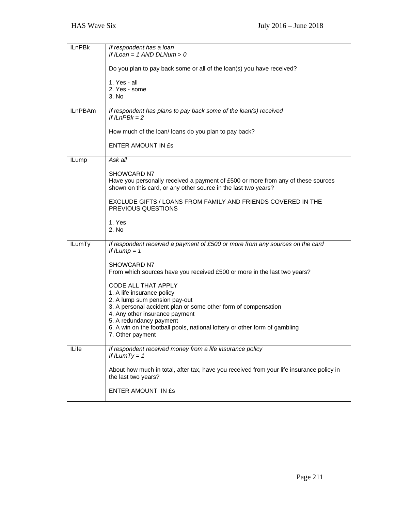| <b>ILnPBk</b>  | If respondent has a loan<br>If ILoan = $1$ AND DLNum > 0                                                                                                                 |
|----------------|--------------------------------------------------------------------------------------------------------------------------------------------------------------------------|
|                | Do you plan to pay back some or all of the loan(s) you have received?                                                                                                    |
|                | 1. Yes - all<br>2. Yes - some<br>3. No                                                                                                                                   |
| <b>ILnPBAm</b> | If respondent has plans to pay back some of the loan(s) received<br>If $ILnPBk = 2$                                                                                      |
|                | How much of the loan/ loans do you plan to pay back?                                                                                                                     |
|                | <b>ENTER AMOUNT IN £s</b>                                                                                                                                                |
| <b>ILump</b>   | Ask all                                                                                                                                                                  |
|                | <b>SHOWCARD N7</b><br>Have you personally received a payment of £500 or more from any of these sources<br>shown on this card, or any other source in the last two years? |
|                | EXCLUDE GIFTS / LOANS FROM FAMILY AND FRIENDS COVERED IN THE<br>PREVIOUS QUESTIONS                                                                                       |
|                | 1. Yes<br>2. N <sub>0</sub>                                                                                                                                              |
| <b>ILumTy</b>  | If respondent received a payment of £500 or more from any sources on the card<br>If $I Lump = 1$                                                                         |
|                | <b>SHOWCARD N7</b><br>From which sources have you received £500 or more in the last two years?                                                                           |
|                | CODE ALL THAT APPLY<br>1. A life insurance policy                                                                                                                        |
|                | 2. A lump sum pension pay-out<br>3. A personal accident plan or some other form of compensation<br>4. Any other insurance payment                                        |
|                | 5. A redundancy payment<br>6. A win on the football pools, national lottery or other form of gambling<br>7. Other payment                                                |
| <b>ILife</b>   | If respondent received money from a life insurance policy<br>If ILum $Ty = 1$                                                                                            |
|                | About how much in total, after tax, have you received from your life insurance policy in<br>the last two years?                                                          |
|                | ENTER AMOUNT IN £s                                                                                                                                                       |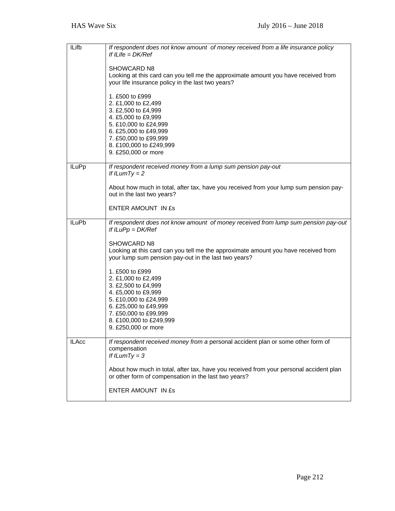| <b>ILifb</b> | If respondent does not know amount of money received from a life insurance policy<br>If ILife = $DK/Ref$<br><b>SHOWCARD N8</b><br>Looking at this card can you tell me the approximate amount you have received from<br>your life insurance policy in the last two years?<br>1. £500 to £999<br>2. £1,000 to £2,499<br>3. £2,500 to £4,999<br>4. £5,000 to £9,999<br>5. £10,000 to £24,999<br>6. £25,000 to £49,999<br>7. £50,000 to £99,999<br>8. £100,000 to £249,999<br>9. £250,000 or more     |
|--------------|----------------------------------------------------------------------------------------------------------------------------------------------------------------------------------------------------------------------------------------------------------------------------------------------------------------------------------------------------------------------------------------------------------------------------------------------------------------------------------------------------|
| <b>ILuPp</b> | If respondent received money from a lump sum pension pay-out<br>If $I LumTy = 2$<br>About how much in total, after tax, have you received from your lump sum pension pay-<br>out in the last two years?<br>ENTER AMOUNT IN £s                                                                                                                                                                                                                                                                      |
| <b>ILuPb</b> | If respondent does not know amount of money received from lump sum pension pay-out<br>If $ILuPp = DK/Ref$<br><b>SHOWCARD N8</b><br>Looking at this card can you tell me the approximate amount you have received from<br>your lump sum pension pay-out in the last two years?<br>1. £500 to £999<br>2. £1,000 to £2,499<br>3. £2,500 to £4,999<br>4. £5,000 to £9,999<br>5. £10,000 to £24,999<br>6. £25,000 to £49,999<br>7. £50,000 to £99,999<br>8. £100,000 to £249,999<br>9. £250,000 or more |
| <b>ILAcc</b> | If respondent received money from a personal accident plan or some other form of<br>compensation<br>If $I LumTy = 3$<br>About how much in total, after tax, have you received from your personal accident plan<br>or other form of compensation in the last two years?<br>ENTER AMOUNT IN £s                                                                                                                                                                                                       |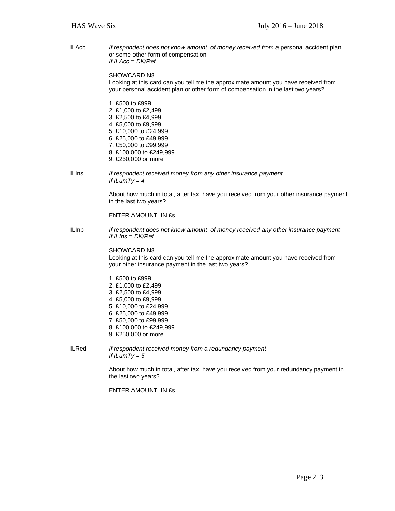| <b>ILAcb</b> | If respondent does not know amount of money received from a personal accident plan<br>or some other form of compensation<br>If $ILAcc = DK/Ref$<br>SHOWCARD N8<br>Looking at this card can you tell me the approximate amount you have received from<br>your personal accident plan or other form of compensation in the last two years?<br>1. £500 to £999<br>2. £1,000 to £2,499<br>3. £2,500 to £4,999<br>4. £5,000 to £9,999<br>5. £10,000 to £24,999<br>6. £25,000 to £49,999<br>7. £50,000 to £99,999<br>8. £100,000 to £249,999<br>9. £250,000 or more |
|--------------|---------------------------------------------------------------------------------------------------------------------------------------------------------------------------------------------------------------------------------------------------------------------------------------------------------------------------------------------------------------------------------------------------------------------------------------------------------------------------------------------------------------------------------------------------------------|
| <b>ILIns</b> | If respondent received money from any other insurance payment<br>If ILumTy = $4$<br>About how much in total, after tax, have you received from your other insurance payment<br>in the last two years?<br>ENTER AMOUNT IN £s                                                                                                                                                                                                                                                                                                                                   |
|              |                                                                                                                                                                                                                                                                                                                                                                                                                                                                                                                                                               |
| <b>ILInb</b> | If respondent does not know amount of money received any other insurance payment<br>If ILIns = $DK/Ref$<br><b>SHOWCARD N8</b><br>Looking at this card can you tell me the approximate amount you have received from<br>your other insurance payment in the last two years?<br>1. £500 to £999<br>2. £1,000 to £2,499<br>3. £2,500 to £4,999<br>4. £5,000 to £9,999<br>5. £10,000 to £24,999                                                                                                                                                                   |
|              | 6. £25,000 to £49,999<br>7. £50,000 to £99,999<br>8. £100,000 to £249,999<br>9. £250,000 or more                                                                                                                                                                                                                                                                                                                                                                                                                                                              |
| <b>ILRed</b> | If respondent received money from a redundancy payment<br>If ILum $Ty = 5$<br>About how much in total, after tax, have you received from your redundancy payment in<br>the last two years?                                                                                                                                                                                                                                                                                                                                                                    |
|              | ENTER AMOUNT IN £s                                                                                                                                                                                                                                                                                                                                                                                                                                                                                                                                            |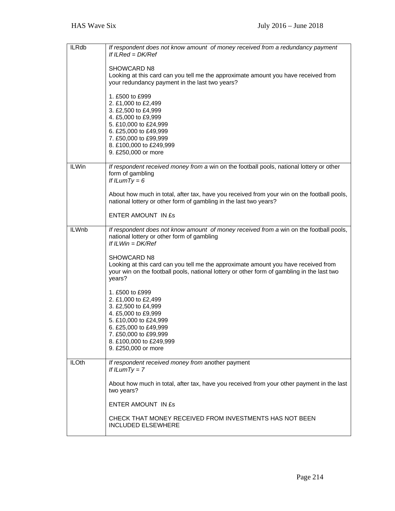| <b>ILRdb</b> | If respondent does not know amount of money received from a redundancy payment<br>If $ILRed = DK/Ref$                                                                                                             |
|--------------|-------------------------------------------------------------------------------------------------------------------------------------------------------------------------------------------------------------------|
|              | SHOWCARD N8<br>Looking at this card can you tell me the approximate amount you have received from<br>your redundancy payment in the last two years?                                                               |
|              | 1. £500 to £999<br>2. £1,000 to £2,499<br>3. £2,500 to £4,999<br>4. £5,000 to £9,999<br>5. £10,000 to £24,999<br>6. £25,000 to £49,999<br>7. £50,000 to £99,999<br>8. £100,000 to £249,999<br>9. £250,000 or more |
| <b>ILWin</b> | If respondent received money from a win on the football pools, national lottery or other<br>form of gambling<br>If ILumTy = $6$                                                                                   |
|              | About how much in total, after tax, have you received from your win on the football pools,<br>national lottery or other form of gambling in the last two years?                                                   |
|              | <b>ENTER AMOUNT IN £s</b>                                                                                                                                                                                         |
| <b>ILWnb</b> | If respondent does not know amount of money received from a win on the football pools,<br>national lottery or other form of gambling<br>If ILWin = $DK/Ref$                                                       |
|              | <b>SHOWCARD N8</b><br>Looking at this card can you tell me the approximate amount you have received from<br>your win on the football pools, national lottery or other form of gambling in the last two<br>years?  |
|              | 1. £500 to £999<br>2. £1,000 to £2,499<br>3. £2,500 to £4,999<br>4. £5,000 to £9,999<br>5. £10,000 to £24,999<br>6. £25,000 to £49,999<br>7. £50,000 to £99,999<br>8. £100,000 to £249,999<br>9. £250,000 or more |
| <b>ILOth</b> | If respondent received money from another payment<br>If $I LumTy = 7$                                                                                                                                             |
|              | About how much in total, after tax, have you received from your other payment in the last<br>two years?                                                                                                           |
|              | <b>ENTER AMOUNT IN £s</b>                                                                                                                                                                                         |
|              | CHECK THAT MONEY RECEIVED FROM INVESTMENTS HAS NOT BEEN<br><b>INCLUDED ELSEWHERE</b>                                                                                                                              |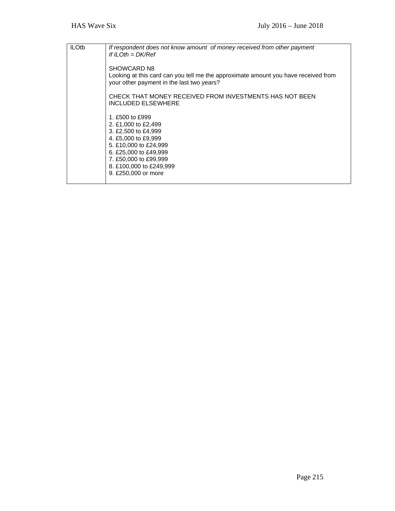| <b>ILOtb</b> | If respondent does not know amount of money received from other payment<br>If ILOth = $DK/Ref$                                                                                                                    |
|--------------|-------------------------------------------------------------------------------------------------------------------------------------------------------------------------------------------------------------------|
|              | <b>SHOWCARD N8</b><br>Looking at this card can you tell me the approximate amount you have received from<br>your other payment in the last two years?                                                             |
|              | CHECK THAT MONEY RECEIVED FROM INVESTMENTS HAS NOT BEEN<br><b>INCLUDED ELSEWHERE</b>                                                                                                                              |
|              | 1. £500 to £999<br>2. £1,000 to £2,499<br>3. £2,500 to £4,999<br>4. £5,000 to £9,999<br>5. £10,000 to £24,999<br>6. £25,000 to £49,999<br>7. £50,000 to £99,999<br>8. £100,000 to £249,999<br>9. £250,000 or more |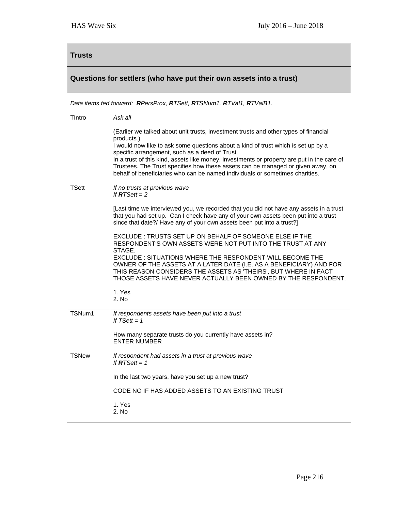## **Trusts**

## **Questions for settlers (who have put their own assets into a trust)**

*Data items fed forward: RPersProx, RTSett, RTSNum1, RTVal1, RTValB1.* 

| Tintro       | Ask all                                                                                                                                                                                                                                                               |
|--------------|-----------------------------------------------------------------------------------------------------------------------------------------------------------------------------------------------------------------------------------------------------------------------|
|              | (Earlier we talked about unit trusts, investment trusts and other types of financial<br>products.)                                                                                                                                                                    |
|              | I would now like to ask some questions about a kind of trust which is set up by a<br>specific arrangement, such as a deed of Trust.                                                                                                                                   |
|              | In a trust of this kind, assets like money, investments or property are put in the care of<br>Trustees. The Trust specifies how these assets can be managed or given away, on<br>behalf of beneficiaries who can be named individuals or sometimes charities.         |
| <b>TSett</b> | If no trusts at previous wave<br>If $RTSett = 2$                                                                                                                                                                                                                      |
|              | [Last time we interviewed you, we recorded that you did not have any assets in a trust<br>that you had set up. Can I check have any of your own assets been put into a trust<br>since that date?/ Have any of your own assets been put into a trust?]                 |
|              | EXCLUDE: TRUSTS SET UP ON BEHALF OF SOMEONE ELSE IF THE<br>RESPONDENT'S OWN ASSETS WERE NOT PUT INTO THE TRUST AT ANY<br>STAGE.                                                                                                                                       |
|              | EXCLUDE : SITUATIONS WHERE THE RESPONDENT WILL BECOME THE<br>OWNER OF THE ASSETS AT A LATER DATE (I.E. AS A BENEFICIARY) AND FOR<br>THIS REASON CONSIDERS THE ASSETS AS 'THEIRS', BUT WHERE IN FACT<br>THOSE ASSETS HAVE NEVER ACTUALLY BEEN OWNED BY THE RESPONDENT. |
|              | 1. Yes<br>2. N <sub>0</sub>                                                                                                                                                                                                                                           |
| TSNum1       | If respondents assets have been put into a trust<br>If $TSett = 1$                                                                                                                                                                                                    |
|              | How many separate trusts do you currently have assets in?<br><b>ENTER NUMBER</b>                                                                                                                                                                                      |
| <b>TSNew</b> | If respondent had assets in a trust at previous wave<br>If $RTSett = 1$                                                                                                                                                                                               |
|              | In the last two years, have you set up a new trust?                                                                                                                                                                                                                   |
|              | CODE NO IF HAS ADDED ASSETS TO AN EXISTING TRUST                                                                                                                                                                                                                      |
|              | 1. Yes<br>2. No                                                                                                                                                                                                                                                       |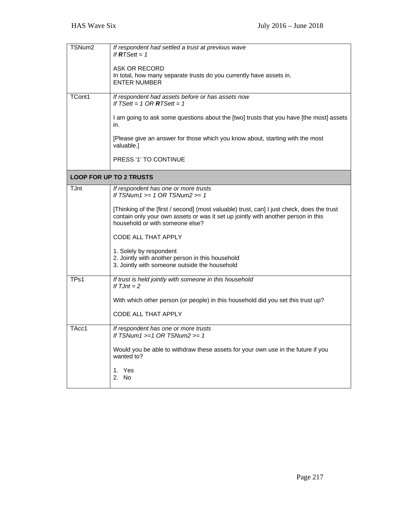| TSNum <sub>2</sub> | If respondent had settled a trust at previous wave<br>If $RTSet = 1$<br><b>ASK OR RECORD</b><br>In total, how many separate trusts do you currently have assets in.<br><b>ENTER NUMBER</b>                         |
|--------------------|--------------------------------------------------------------------------------------------------------------------------------------------------------------------------------------------------------------------|
| TCont1             | If respondent had assets before or has assets now<br>If TSett = 1 OR $RTSett = 1$                                                                                                                                  |
|                    | I am going to ask some questions about the [two] trusts that you have [the most] assets<br>in.                                                                                                                     |
|                    | [Please give an answer for those which you know about, starting with the most<br>valuable.]                                                                                                                        |
|                    | PRESS '1' TO CONTINUE                                                                                                                                                                                              |
|                    | <b>LOOP FOR UP TO 2 TRUSTS</b>                                                                                                                                                                                     |
| <b>TJnt</b>        | If respondent has one or more trusts<br>If TSNum1 $>= 1$ OR TSNum2 $>= 1$                                                                                                                                          |
|                    | [Thinking of the [first / second] (most valuable) trust, can] I just check, does the trust<br>contain only your own assets or was it set up jointly with another person in this<br>household or with someone else? |
|                    | CODE ALL THAT APPLY                                                                                                                                                                                                |
|                    | 1. Solely by respondent<br>2. Jointly with another person in this household<br>3. Jointly with someone outside the household                                                                                       |
| TP <sub>s1</sub>   | If trust is held jointly with someone in this household<br>If $TJnt = 2$                                                                                                                                           |
|                    | With which other person (or people) in this household did you set this trust up?                                                                                                                                   |
|                    | CODE ALL THAT APPLY                                                                                                                                                                                                |
| TAcc1              | If respondent has one or more trusts<br>If $TSNum1 >= 1 OR TSNum2 >= 1$                                                                                                                                            |
|                    | Would you be able to withdraw these assets for your own use in the future if you<br>wanted to?                                                                                                                     |
|                    | 1. Yes<br>2. No                                                                                                                                                                                                    |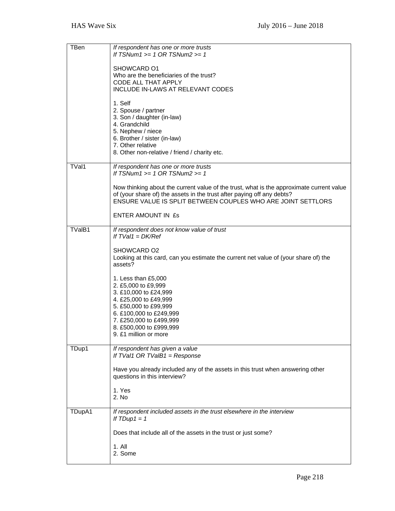| TBen   | If respondent has one or more trusts                                                                                                                               |
|--------|--------------------------------------------------------------------------------------------------------------------------------------------------------------------|
|        | If TSNum1 $>= 1$ OR TSNum2 $>= 1$                                                                                                                                  |
|        | SHOWCARD 01                                                                                                                                                        |
|        | Who are the beneficiaries of the trust?                                                                                                                            |
|        | CODE ALL THAT APPLY<br>INCLUDE IN-LAWS AT RELEVANT CODES                                                                                                           |
|        |                                                                                                                                                                    |
|        | 1. Self<br>2. Spouse / partner                                                                                                                                     |
|        | 3. Son / daughter (in-law)                                                                                                                                         |
|        | 4. Grandchild<br>5. Nephew / niece                                                                                                                                 |
|        | 6. Brother / sister (in-law)                                                                                                                                       |
|        | 7. Other relative<br>8. Other non-relative / friend / charity etc.                                                                                                 |
|        |                                                                                                                                                                    |
| TVal1  | If respondent has one or more trusts<br>If TSNum1 $>= 1$ OR TSNum2 $>= 1$                                                                                          |
|        |                                                                                                                                                                    |
|        | Now thinking about the current value of the trust, what is the approximate current value<br>of (your share of) the assets in the trust after paying off any debts? |
|        | ENSURE VALUE IS SPLIT BETWEEN COUPLES WHO ARE JOINT SETTLORS                                                                                                       |
|        | ENTER AMOUNT IN £s                                                                                                                                                 |
|        |                                                                                                                                                                    |
| TValB1 | If respondent does not know value of trust<br>If $TVal1 = DK/Ref$                                                                                                  |
|        |                                                                                                                                                                    |
|        | SHOWCARD O2<br>Looking at this card, can you estimate the current net value of (your share of) the                                                                 |
|        | assets?                                                                                                                                                            |
|        | 1. Less than £5,000                                                                                                                                                |
|        | 2. £5,000 to £9,999                                                                                                                                                |
|        | 3. £10,000 to £24,999<br>4. £25,000 to £49,999                                                                                                                     |
|        | 5. £50,000 to £99,999                                                                                                                                              |
|        | 6. £100,000 to £249,999<br>7. £250,000 to £499,999                                                                                                                 |
|        | 8. £500,000 to £999,999                                                                                                                                            |
|        | 9. £1 million or more                                                                                                                                              |
| TDup1  | If respondent has given a value                                                                                                                                    |
|        | If TVal1 OR TValB1 = Response                                                                                                                                      |
|        | Have you already included any of the assets in this trust when answering other                                                                                     |
|        | questions in this interview?                                                                                                                                       |
|        | 1. Yes                                                                                                                                                             |
|        | 2. No                                                                                                                                                              |
| TDupA1 | If respondent included assets in the trust elsewhere in the interview                                                                                              |
|        | If $T Dup1 = 1$                                                                                                                                                    |
|        | Does that include all of the assets in the trust or just some?                                                                                                     |
|        | 1. All                                                                                                                                                             |
|        | 2. Some                                                                                                                                                            |
|        |                                                                                                                                                                    |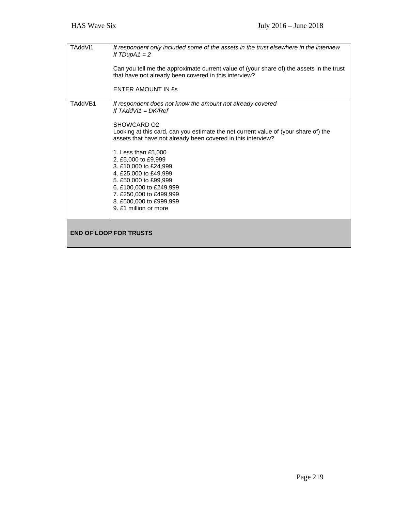| TAddVI1                       | If respondent only included some of the assets in the trust elsewhere in the interview<br>If $TDupA1 = 2$<br>Can you tell me the approximate current value of (your share of) the assets in the trust<br>that have not already been covered in this interview?<br>ENTER AMOUNT IN ES                                                                                                                                                                                                                     |
|-------------------------------|----------------------------------------------------------------------------------------------------------------------------------------------------------------------------------------------------------------------------------------------------------------------------------------------------------------------------------------------------------------------------------------------------------------------------------------------------------------------------------------------------------|
| TAddVB1                       | If respondent does not know the amount not already covered<br>If TAddVI1 = $DK/Ref$<br>SHOWCARD O <sub>2</sub><br>Looking at this card, can you estimate the net current value of (your share of) the<br>assets that have not already been covered in this interview?<br>1. Less than £5,000<br>2. £5,000 to £9,999<br>3. £10,000 to £24,999<br>4. £25,000 to £49,999<br>5. £50,000 to £99,999<br>6. £100,000 to £249,999<br>7. £250,000 to £499,999<br>8. £500,000 to £999,999<br>9. £1 million or more |
| <b>END OF LOOP FOR TRUSTS</b> |                                                                                                                                                                                                                                                                                                                                                                                                                                                                                                          |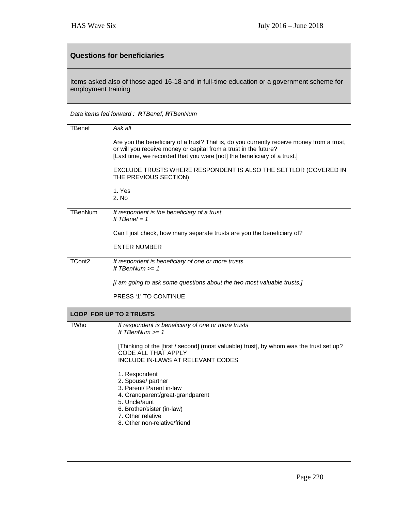| <b>Questions for beneficiaries</b>                                                                                |                                                                                                                                                                                                                                           |  |
|-------------------------------------------------------------------------------------------------------------------|-------------------------------------------------------------------------------------------------------------------------------------------------------------------------------------------------------------------------------------------|--|
| Items asked also of those aged 16-18 and in full-time education or a government scheme for<br>employment training |                                                                                                                                                                                                                                           |  |
| Data items fed forward: RTBenef, RTBenNum                                                                         |                                                                                                                                                                                                                                           |  |
| <b>TBenef</b>                                                                                                     | Ask all                                                                                                                                                                                                                                   |  |
|                                                                                                                   | Are you the beneficiary of a trust? That is, do you currently receive money from a trust,<br>or will you receive money or capital from a trust in the future?<br>[Last time, we recorded that you were [not] the beneficiary of a trust.] |  |
|                                                                                                                   | EXCLUDE TRUSTS WHERE RESPONDENT IS ALSO THE SETTLOR (COVERED IN<br>THE PREVIOUS SECTION)                                                                                                                                                  |  |
|                                                                                                                   | 1. Yes<br>2. No                                                                                                                                                                                                                           |  |
| TBenNum                                                                                                           | If respondent is the beneficiary of a trust<br>If $TBenef = 1$                                                                                                                                                                            |  |
|                                                                                                                   | Can I just check, how many separate trusts are you the beneficiary of?                                                                                                                                                                    |  |
|                                                                                                                   | <b>ENTER NUMBER</b>                                                                                                                                                                                                                       |  |
| TCont <sub>2</sub>                                                                                                | If respondent is beneficiary of one or more trusts<br>If TBenNum $>= 1$                                                                                                                                                                   |  |
|                                                                                                                   | [I am going to ask some questions about the two most valuable trusts.]                                                                                                                                                                    |  |
|                                                                                                                   | PRESS '1' TO CONTINUE                                                                                                                                                                                                                     |  |
|                                                                                                                   | <b>LOOP FOR UP TO 2 TRUSTS</b>                                                                                                                                                                                                            |  |
| <b>TWho</b>                                                                                                       | If respondent is beneficiary of one or more trusts<br>If TBenNum >= 1                                                                                                                                                                     |  |
|                                                                                                                   | [Thinking of the [first / second] (most valuable) trust], by whom was the trust set up?<br>CODE ALL THAT APPLY<br>INCLUDE IN-LAWS AT RELEVANT CODES                                                                                       |  |
|                                                                                                                   | 1. Respondent<br>2. Spouse/ partner<br>3. Parent/ Parent in-law<br>4. Grandparent/great-grandparent<br>5. Uncle/aunt<br>6. Brother/sister (in-law)<br>7. Other relative<br>8. Other non-relative/friend                                   |  |
|                                                                                                                   |                                                                                                                                                                                                                                           |  |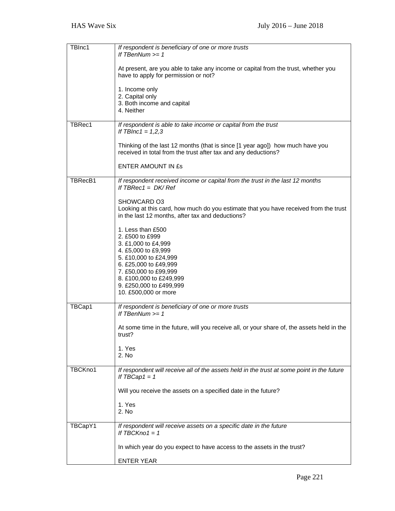| TBInc1  | If respondent is beneficiary of one or more trusts<br>If $TBenNum \geq 1$                                                                               |
|---------|---------------------------------------------------------------------------------------------------------------------------------------------------------|
|         | At present, are you able to take any income or capital from the trust, whether you<br>have to apply for permission or not?                              |
|         | 1. Income only                                                                                                                                          |
|         | 2. Capital only<br>3. Both income and capital                                                                                                           |
|         | 4. Neither                                                                                                                                              |
| TBRec1  | If respondent is able to take income or capital from the trust<br>If TBInc1 = $1,2,3$                                                                   |
|         | Thinking of the last 12 months (that is since [1 year ago]) how much have you<br>received in total from the trust after tax and any deductions?         |
|         | <b>ENTER AMOUNT IN £s</b>                                                                                                                               |
| TBRecB1 | If respondent received income or capital from the trust in the last 12 months<br>If $TBRec1 = DK/Ref$                                                   |
|         | SHOWCARD 03<br>Looking at this card, how much do you estimate that you have received from the trust<br>in the last 12 months, after tax and deductions? |
|         | 1. Less than £500<br>2. £500 to £999                                                                                                                    |
|         | 3. £1,000 to £4,999<br>4. £5,000 to £9,999                                                                                                              |
|         | 5. £10,000 to £24,999                                                                                                                                   |
|         | 6. £25,000 to £49,999<br>7. £50,000 to £99,999                                                                                                          |
|         | 8. £100,000 to £249,999<br>9. £250,000 to £499,999<br>10. £500,000 or more                                                                              |
| TBCap1  | If respondent is beneficiary of one or more trusts<br>If $TBenNum \geq 1$                                                                               |
|         | At some time in the future, will you receive all, or your share of, the assets held in the<br>trust?                                                    |
|         | 1. Yes<br>2. No                                                                                                                                         |
|         |                                                                                                                                                         |
| TBCKno1 | If respondent will receive all of the assets held in the trust at some point in the future<br>If $TBCap1 = 1$                                           |
|         | Will you receive the assets on a specified date in the future?                                                                                          |
|         | 1. Yes<br>2. No                                                                                                                                         |
| TBCapY1 | If respondent will receive assets on a specific date in the future<br>If $TBCKno1 = 1$                                                                  |
|         | In which year do you expect to have access to the assets in the trust?                                                                                  |
|         | <b>ENTER YEAR</b>                                                                                                                                       |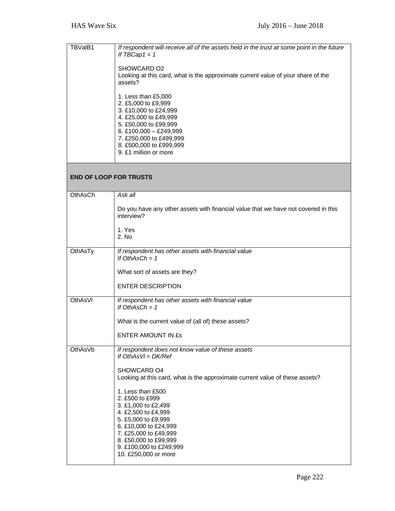| TBVaIB1                       | If respondent will receive all of the assets held in the trust at some point in the future<br>If $TBCap1 = 1$                                                                                                                           |
|-------------------------------|-----------------------------------------------------------------------------------------------------------------------------------------------------------------------------------------------------------------------------------------|
|                               | SHOWCARD O2<br>Looking at this card, what is the approximate current value of your share of the<br>assets?                                                                                                                              |
|                               | 1. Less than £5,000<br>2. £5,000 to £9,999<br>3. £10,000 to £24,999<br>4. £25,000 to £49,999<br>5. £50,000 to £99,999<br>6. £100,000 - £249,999<br>7. £250,000 to £499,999<br>8. £500,000 to £999,999<br>9. £1 million or more          |
| <b>END OF LOOP FOR TRUSTS</b> |                                                                                                                                                                                                                                         |
| OthAsCh                       | Ask all                                                                                                                                                                                                                                 |
|                               | Do you have any other assets with financial value that we have not covered in this<br>interview?                                                                                                                                        |
|                               | 1. Yes<br>2. No                                                                                                                                                                                                                         |
| OthAsTy                       | If respondent has other assets with financial value<br>If OthAsCh = $1$                                                                                                                                                                 |
|                               | What sort of assets are they?                                                                                                                                                                                                           |
|                               | <b>ENTER DESCRIPTION</b>                                                                                                                                                                                                                |
| <b>OthAsVI</b>                | If respondent has other assets with financial value<br>If OthAsCh = $1$                                                                                                                                                                 |
|                               | What is the current value of (all of) these assets?                                                                                                                                                                                     |
|                               | <b>ENTER AMOUNT IN £s</b>                                                                                                                                                                                                               |
| OthAsVb                       | If respondent does not know value of these assets<br>If $OthAsVI = DK/Ref$                                                                                                                                                              |
|                               | SHOWCARD O4<br>Looking at this card, what is the approximate current value of these assets?                                                                                                                                             |
|                               | 1. Less than £500<br>2. £500 to £999<br>3. £1,000 to £2,499<br>4. £2,500 to £4,999<br>5. £5,000 to £9,999<br>6. £10,000 to £24,999<br>7. £25,000 to £49,999<br>8. £50,000 to £99,999<br>9. £100,000 to £249,999<br>10. £250,000 or more |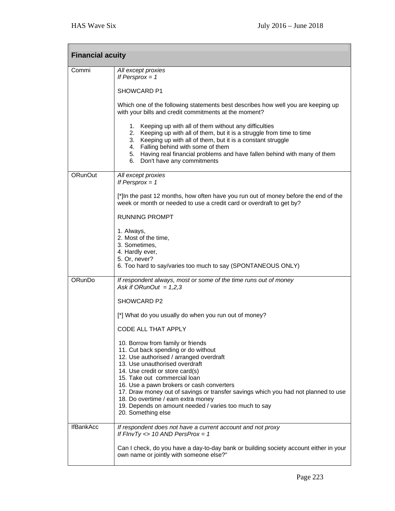| <b>Financial acuity</b> |                                                                                                                                                                                                                                                                                                                                                                                                                                                            |  |
|-------------------------|------------------------------------------------------------------------------------------------------------------------------------------------------------------------------------------------------------------------------------------------------------------------------------------------------------------------------------------------------------------------------------------------------------------------------------------------------------|--|
| Commi                   | All except proxies<br>If Persprox $= 1$                                                                                                                                                                                                                                                                                                                                                                                                                    |  |
|                         | SHOWCARD P1                                                                                                                                                                                                                                                                                                                                                                                                                                                |  |
|                         | Which one of the following statements best describes how well you are keeping up<br>with your bills and credit commitments at the moment?                                                                                                                                                                                                                                                                                                                  |  |
|                         | 1. Keeping up with all of them without any difficulties<br>2. Keeping up with all of them, but it is a struggle from time to time<br>3. Keeping up with all of them, but it is a constant struggle<br>4. Falling behind with some of them<br>5. Having real financial problems and have fallen behind with many of them<br>6. Don't have any commitments                                                                                                   |  |
| ORunOut                 | All except proxies<br>If Persprox $= 1$                                                                                                                                                                                                                                                                                                                                                                                                                    |  |
|                         | [*]In the past 12 months, how often have you run out of money before the end of the<br>week or month or needed to use a credit card or overdraft to get by?                                                                                                                                                                                                                                                                                                |  |
|                         | <b>RUNNING PROMPT</b>                                                                                                                                                                                                                                                                                                                                                                                                                                      |  |
|                         | 1. Always,<br>2. Most of the time,<br>3. Sometimes,<br>4. Hardly ever,<br>5. Or, never?                                                                                                                                                                                                                                                                                                                                                                    |  |
|                         | 6. Too hard to say/varies too much to say (SPONTANEOUS ONLY)                                                                                                                                                                                                                                                                                                                                                                                               |  |
| ORunDo                  | If respondent always, most or some of the time runs out of money<br>Ask if ORunOut = $1,2,3$                                                                                                                                                                                                                                                                                                                                                               |  |
|                         | SHOWCARD P2                                                                                                                                                                                                                                                                                                                                                                                                                                                |  |
|                         | [*] What do you usually do when you run out of money?                                                                                                                                                                                                                                                                                                                                                                                                      |  |
|                         | <b>CODE ALL THAT APPLY</b>                                                                                                                                                                                                                                                                                                                                                                                                                                 |  |
|                         | 10. Borrow from family or friends<br>11. Cut back spending or do without<br>12. Use authorised / arranged overdraft<br>13. Use unauthorised overdraft<br>14. Use credit or store card(s)<br>15. Take out commercial loan<br>16. Use a pawn brokers or cash converters<br>17. Draw money out of savings or transfer savings which you had not planned to use<br>18. Do overtime / earn extra money<br>19. Depends on amount needed / varies too much to say |  |
|                         | 20. Something else                                                                                                                                                                                                                                                                                                                                                                                                                                         |  |
| <b>IfBankAcc</b>        | If respondent does not have a current account and not proxy<br>If $FInvTy \Leftrightarrow 10 AND PersonProx = 1$                                                                                                                                                                                                                                                                                                                                           |  |
|                         | Can I check, do you have a day-to-day bank or building society account either in your<br>own name or jointly with someone else?"                                                                                                                                                                                                                                                                                                                           |  |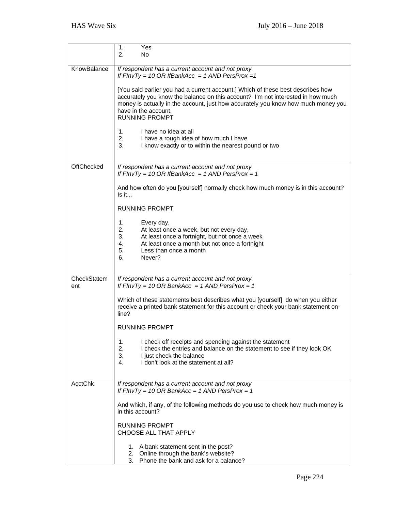|                | 1.<br>Yes<br>2.<br>No.                                                                                                                                                                                                                                                                                   |
|----------------|----------------------------------------------------------------------------------------------------------------------------------------------------------------------------------------------------------------------------------------------------------------------------------------------------------|
| KnowBalance    | If respondent has a current account and not proxy<br>If $FInvTy = 10 \text{ OR } IfBankAcc = 1 \text{ AND } PersProx = 1$                                                                                                                                                                                |
|                | [You said earlier you had a current account.] Which of these best describes how<br>accurately you know the balance on this account? I'm not interested in how much<br>money is actually in the account, just how accurately you know how much money you<br>have in the account.<br><b>RUNNING PROMPT</b> |
|                | I have no idea at all<br>1.<br>2.<br>I have a rough idea of how much I have<br>3.<br>I know exactly or to within the nearest pound or two                                                                                                                                                                |
| OftChecked     | If respondent has a current account and not proxy<br>If $FInvTy = 10 \text{ OR } IfBankAcc = 1 \text{ AND } PersProx = 1$                                                                                                                                                                                |
|                | And how often do you [yourself] normally check how much money is in this account?<br>Is it                                                                                                                                                                                                               |
|                | <b>RUNNING PROMPT</b>                                                                                                                                                                                                                                                                                    |
|                | 1.<br>Every day,<br>2.<br>At least once a week, but not every day,<br>3.<br>At least once a fortnight, but not once a week<br>4.<br>At least once a month but not once a fortnight<br>5.<br>Less than once a month<br>6.<br>Never?                                                                       |
| CheckStatem    | If respondent has a current account and not proxy                                                                                                                                                                                                                                                        |
| ent            | If $FInvTy = 10 \text{ OR } BankAcc = 1 \text{ AND } PersonProx = 1$<br>Which of these statements best describes what you [yourself] do when you either<br>receive a printed bank statement for this account or check your bank statement on-<br>line?                                                   |
|                | <b>RUNNING PROMPT</b>                                                                                                                                                                                                                                                                                    |
|                | I check off receipts and spending against the statement<br>1.<br>2.<br>I check the entries and balance on the statement to see if they look OK<br>3.<br>I just check the balance<br>I don't look at the statement at all?<br>4.                                                                          |
| <b>AcctChk</b> | If respondent has a current account and not proxy<br>If $FInvTy = 10 \text{ OR } BankAcc = 1 \text{ AND } PersonProx = 1$                                                                                                                                                                                |
|                | And which, if any, of the following methods do you use to check how much money is<br>in this account?                                                                                                                                                                                                    |
|                | <b>RUNNING PROMPT</b><br>CHOOSE ALL THAT APPLY                                                                                                                                                                                                                                                           |
|                | 1. A bank statement sent in the post?<br>2. Online through the bank's website?<br>3. Phone the bank and ask for a balance?                                                                                                                                                                               |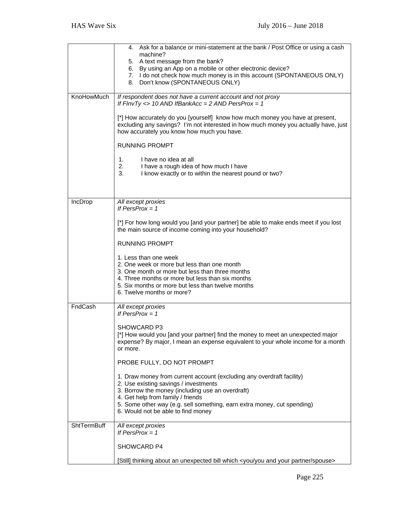|             | 4. Ask for a balance or mini-statement at the bank / Post Office or using a cash                                                                                                                                                                                                                                         |
|-------------|--------------------------------------------------------------------------------------------------------------------------------------------------------------------------------------------------------------------------------------------------------------------------------------------------------------------------|
|             | machine?<br>5. A text message from the bank?                                                                                                                                                                                                                                                                             |
|             | 6. By using an App on a mobile or other electronic device?                                                                                                                                                                                                                                                               |
|             | 7. I do not check how much money is in this account (SPONTANEOUS ONLY)                                                                                                                                                                                                                                                   |
|             | 8. Don't know (SPONTANEOUS ONLY)                                                                                                                                                                                                                                                                                         |
| KnoHowMuch  | If respondent does not have a current account and not proxy                                                                                                                                                                                                                                                              |
|             | If $FInvTy \Leftrightarrow 10 AND IfBankAcc = 2 AND PersProx = 1$                                                                                                                                                                                                                                                        |
|             | [*] How accurately do you [yourself] know how much money you have at present,<br>excluding any savings? I'm not interested in how much money you actually have, just<br>how accurately you know how much you have.                                                                                                       |
|             | <b>RUNNING PROMPT</b>                                                                                                                                                                                                                                                                                                    |
|             | I have no idea at all<br>1.                                                                                                                                                                                                                                                                                              |
|             | 2.<br>I have a rough idea of how much I have                                                                                                                                                                                                                                                                             |
|             | 3.<br>I know exactly or to within the nearest pound or two?                                                                                                                                                                                                                                                              |
|             |                                                                                                                                                                                                                                                                                                                          |
|             |                                                                                                                                                                                                                                                                                                                          |
| IncDrop     | All except proxies<br>If $PersProx = 1$                                                                                                                                                                                                                                                                                  |
|             |                                                                                                                                                                                                                                                                                                                          |
|             | [*] For how long would you [and your partner] be able to make ends meet if you lost<br>the main source of income coming into your household?                                                                                                                                                                             |
|             | <b>RUNNING PROMPT</b>                                                                                                                                                                                                                                                                                                    |
|             | 1. Less than one week<br>2. One week or more but less than one month<br>3. One month or more but less than three months<br>4. Three months or more but less than six months<br>5. Six months or more but less than twelve months<br>6. Twelve months or more?                                                            |
| FndCash     | All except proxies<br>If PersProx = $1$                                                                                                                                                                                                                                                                                  |
|             | <b>SHOWCARD P3</b><br>[*] How would you [and your partner] find the money to meet an unexpected major<br>expense? By major, I mean an expense equivalent to your whole income for a month<br>or more.                                                                                                                    |
|             | PROBE FULLY, DO NOT PROMPT                                                                                                                                                                                                                                                                                               |
|             | 1. Draw money from current account (excluding any overdraft facility)<br>2. Use existing savings / investments<br>3. Borrow the money (including use an overdraft)<br>4. Get help from family / friends<br>5. Some other way (e.g. sell something, earn extra money, cut spending)<br>6. Would not be able to find money |
| ShtTermBuff | All except proxies<br>If PersProx $= 1$                                                                                                                                                                                                                                                                                  |
|             |                                                                                                                                                                                                                                                                                                                          |
|             | SHOWCARD P4                                                                                                                                                                                                                                                                                                              |
|             | [Still] thinking about an unexpected bill which <you and="" partner="" spouse="" you="" your=""></you>                                                                                                                                                                                                                   |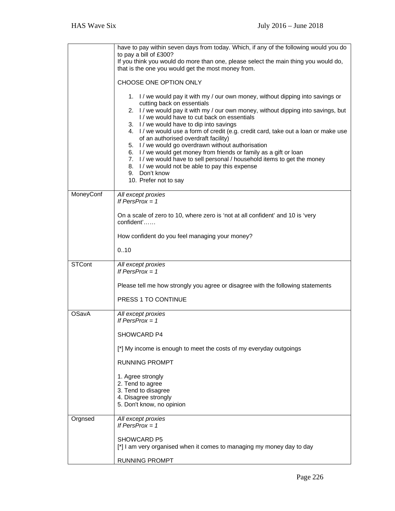|               | have to pay within seven days from today. Which, if any of the following would you do<br>to pay a bill of £300?<br>If you think you would do more than one, please select the main thing you would do,<br>that is the one you would get the most money from.<br>CHOOSE ONE OPTION ONLY<br>1. I / we would pay it with my / our own money, without dipping into savings or<br>cutting back on essentials<br>2. I / we would pay it with my / our own money, without dipping into savings, but<br>I / we would have to cut back on essentials<br>3. I / we would have to dip into savings<br>4. I / we would use a form of credit (e.g. credit card, take out a loan or make use<br>of an authorised overdraft facility)<br>5. I / we would go overdrawn without authorisation<br>6. I / we would get money from friends or family as a gift or loan<br>7. I / we would have to sell personal / household items to get the money<br>8. I / we would not be able to pay this expense<br>9. Don't know |
|---------------|----------------------------------------------------------------------------------------------------------------------------------------------------------------------------------------------------------------------------------------------------------------------------------------------------------------------------------------------------------------------------------------------------------------------------------------------------------------------------------------------------------------------------------------------------------------------------------------------------------------------------------------------------------------------------------------------------------------------------------------------------------------------------------------------------------------------------------------------------------------------------------------------------------------------------------------------------------------------------------------------------|
|               | 10. Prefer not to say                                                                                                                                                                                                                                                                                                                                                                                                                                                                                                                                                                                                                                                                                                                                                                                                                                                                                                                                                                              |
| MoneyConf     | All except proxies<br>If PersProx = $1$<br>On a scale of zero to 10, where zero is 'not at all confident' and 10 is 'very                                                                                                                                                                                                                                                                                                                                                                                                                                                                                                                                                                                                                                                                                                                                                                                                                                                                          |
|               | confident'                                                                                                                                                                                                                                                                                                                                                                                                                                                                                                                                                                                                                                                                                                                                                                                                                                                                                                                                                                                         |
|               | How confident do you feel managing your money?                                                                                                                                                                                                                                                                                                                                                                                                                                                                                                                                                                                                                                                                                                                                                                                                                                                                                                                                                     |
|               | 010                                                                                                                                                                                                                                                                                                                                                                                                                                                                                                                                                                                                                                                                                                                                                                                                                                                                                                                                                                                                |
| <b>STCont</b> | All except proxies<br>If PersProx = $1$                                                                                                                                                                                                                                                                                                                                                                                                                                                                                                                                                                                                                                                                                                                                                                                                                                                                                                                                                            |
|               | Please tell me how strongly you agree or disagree with the following statements                                                                                                                                                                                                                                                                                                                                                                                                                                                                                                                                                                                                                                                                                                                                                                                                                                                                                                                    |
|               | PRESS 1 TO CONTINUE                                                                                                                                                                                                                                                                                                                                                                                                                                                                                                                                                                                                                                                                                                                                                                                                                                                                                                                                                                                |
| <b>OSavA</b>  | All except proxies<br>If PersProx = $1$                                                                                                                                                                                                                                                                                                                                                                                                                                                                                                                                                                                                                                                                                                                                                                                                                                                                                                                                                            |
|               | SHOWCARD P4                                                                                                                                                                                                                                                                                                                                                                                                                                                                                                                                                                                                                                                                                                                                                                                                                                                                                                                                                                                        |
|               | [*] My income is enough to meet the costs of my everyday outgoings                                                                                                                                                                                                                                                                                                                                                                                                                                                                                                                                                                                                                                                                                                                                                                                                                                                                                                                                 |
|               | <b>RUNNING PROMPT</b>                                                                                                                                                                                                                                                                                                                                                                                                                                                                                                                                                                                                                                                                                                                                                                                                                                                                                                                                                                              |
|               | 1. Agree strongly<br>2. Tend to agree<br>3. Tend to disagree<br>4. Disagree strongly<br>5. Don't know, no opinion                                                                                                                                                                                                                                                                                                                                                                                                                                                                                                                                                                                                                                                                                                                                                                                                                                                                                  |
| Orgnsed       | All except proxies<br>If PersProx = $1$                                                                                                                                                                                                                                                                                                                                                                                                                                                                                                                                                                                                                                                                                                                                                                                                                                                                                                                                                            |
|               | SHOWCARD P5<br>[*] I am very organised when it comes to managing my money day to day                                                                                                                                                                                                                                                                                                                                                                                                                                                                                                                                                                                                                                                                                                                                                                                                                                                                                                               |
|               | <b>RUNNING PROMPT</b>                                                                                                                                                                                                                                                                                                                                                                                                                                                                                                                                                                                                                                                                                                                                                                                                                                                                                                                                                                              |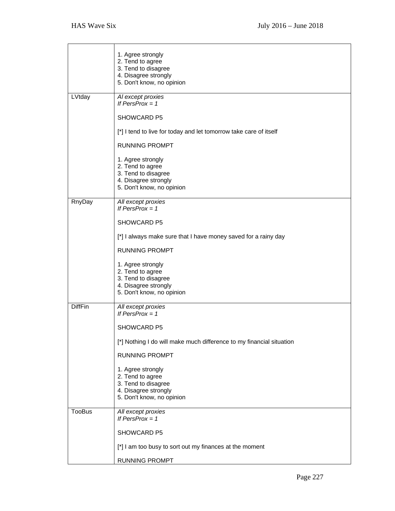|                | 1. Agree strongly<br>2. Tend to agree<br>3. Tend to disagree<br>4. Disagree strongly<br>5. Don't know, no opinion |
|----------------|-------------------------------------------------------------------------------------------------------------------|
| LVtday         | Al except proxies<br>If PersProx = $1$                                                                            |
|                | <b>SHOWCARD P5</b>                                                                                                |
|                |                                                                                                                   |
|                | [*] I tend to live for today and let tomorrow take care of itself                                                 |
|                | <b>RUNNING PROMPT</b>                                                                                             |
|                | 1. Agree strongly<br>2. Tend to agree<br>3. Tend to disagree<br>4. Disagree strongly<br>5. Don't know, no opinion |
| RnyDay         | All except proxies                                                                                                |
|                | If $PersProx = 1$                                                                                                 |
|                | SHOWCARD P5                                                                                                       |
|                | [*] I always make sure that I have money saved for a rainy day                                                    |
|                | <b>RUNNING PROMPT</b>                                                                                             |
|                | 1. Agree strongly<br>2. Tend to agree<br>3. Tend to disagree<br>4. Disagree strongly<br>5. Don't know, no opinion |
| <b>DiffFin</b> | All except proxies<br>If $PersProx = 1$                                                                           |
|                | <b>SHOWCARD P5</b>                                                                                                |
|                | [*] Nothing I do will make much difference to my financial situation                                              |
|                | <b>RUNNING PROMPT</b>                                                                                             |
|                | 1. Agree strongly<br>2. Tend to agree<br>3. Tend to disagree<br>4. Disagree strongly<br>5. Don't know, no opinion |
| <b>TooBus</b>  | All except proxies<br>If PersProx = $1$                                                                           |
|                | SHOWCARD P5                                                                                                       |
|                | [*] I am too busy to sort out my finances at the moment                                                           |
|                |                                                                                                                   |
|                | <b>RUNNING PROMPT</b>                                                                                             |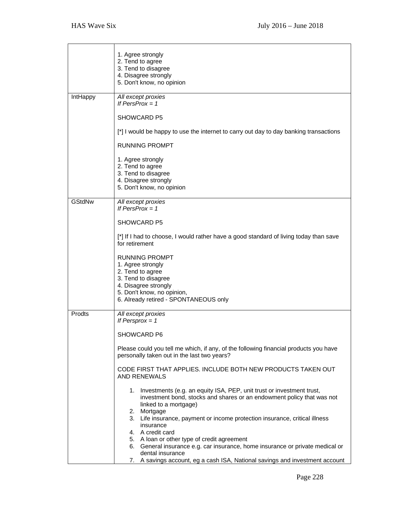|               | 1. Agree strongly<br>2. Tend to agree<br>3. Tend to disagree<br>4. Disagree strongly<br>5. Don't know, no opinion                                                                          |
|---------------|--------------------------------------------------------------------------------------------------------------------------------------------------------------------------------------------|
| IntHappy      | All except proxies<br>If PersProx = $1$                                                                                                                                                    |
|               | <b>SHOWCARD P5</b>                                                                                                                                                                         |
|               | [*] I would be happy to use the internet to carry out day to day banking transactions                                                                                                      |
|               | <b>RUNNING PROMPT</b>                                                                                                                                                                      |
|               | 1. Agree strongly<br>2. Tend to agree<br>3. Tend to disagree<br>4. Disagree strongly<br>5. Don't know, no opinion                                                                          |
| <b>GStdNw</b> | All except proxies<br>If PersProx = $1$                                                                                                                                                    |
|               | <b>SHOWCARD P5</b>                                                                                                                                                                         |
|               | [*] If I had to choose, I would rather have a good standard of living today than save<br>for retirement                                                                                    |
|               | RUNNING PROMPT<br>1. Agree strongly<br>2. Tend to agree<br>3. Tend to disagree<br>4. Disagree strongly<br>5. Don't know, no opinion,<br>6. Already retired - SPONTANEOUS only              |
| Prodts        | All except proxies<br>If Persprox $= 1$                                                                                                                                                    |
|               | SHOWCARD P6                                                                                                                                                                                |
|               | Please could you tell me which, if any, of the following financial products you have<br>personally taken out in the last two years?                                                        |
|               | CODE FIRST THAT APPLIES. INCLUDE BOTH NEW PRODUCTS TAKEN OUT<br><b>AND RENEWALS</b>                                                                                                        |
|               | 1. Investments (e.g. an equity ISA, PEP, unit trust or investment trust,<br>investment bond, stocks and shares or an endowment policy that was not<br>linked to a mortgage)<br>2. Mortgage |
|               | 3. Life insurance, payment or income protection insurance, critical illness<br>insurance                                                                                                   |
|               | 4. A credit card<br>5. A loan or other type of credit agreement                                                                                                                            |
|               | 6. General insurance e.g. car insurance, home insurance or private medical or<br>dental insurance                                                                                          |
|               | 7. A savings account, eg a cash ISA, National savings and investment account                                                                                                               |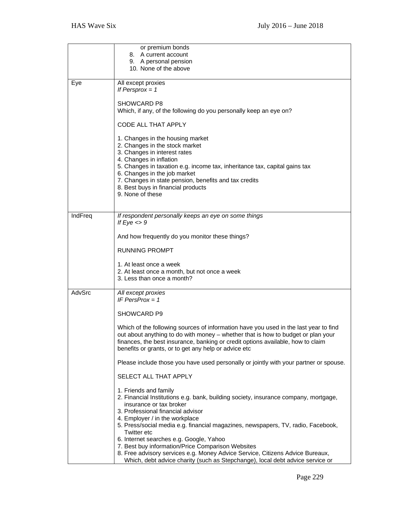|         | or premium bonds                                                                                                                        |
|---------|-----------------------------------------------------------------------------------------------------------------------------------------|
|         | 8. A current account<br>9. A personal pension                                                                                           |
|         | 10. None of the above                                                                                                                   |
|         |                                                                                                                                         |
| Eye     | All except proxies<br>If Persprox $= 1$                                                                                                 |
|         |                                                                                                                                         |
|         | SHOWCARD P8                                                                                                                             |
|         | Which, if any, of the following do you personally keep an eye on?                                                                       |
|         | CODE ALL THAT APPLY                                                                                                                     |
|         |                                                                                                                                         |
|         | 1. Changes in the housing market                                                                                                        |
|         | 2. Changes in the stock market                                                                                                          |
|         | 3. Changes in interest rates<br>4. Changes in inflation                                                                                 |
|         | 5. Changes in taxation e.g. income tax, inheritance tax, capital gains tax                                                              |
|         | 6. Changes in the job market                                                                                                            |
|         | 7. Changes in state pension, benefits and tax credits                                                                                   |
|         | 8. Best buys in financial products<br>9. None of these                                                                                  |
|         |                                                                                                                                         |
|         |                                                                                                                                         |
| IndFreq | If respondent personally keeps an eye on some things<br>If $Eye \leq 9$                                                                 |
|         |                                                                                                                                         |
|         | And how frequently do you monitor these things?                                                                                         |
|         |                                                                                                                                         |
|         | <b>RUNNING PROMPT</b>                                                                                                                   |
|         | 1. At least once a week                                                                                                                 |
|         | 2. At least once a month, but not once a week                                                                                           |
|         | 3. Less than once a month?                                                                                                              |
| AdvSrc  | All except proxies                                                                                                                      |
|         | IF PersProx = $1$                                                                                                                       |
|         | SHOWCARD P9                                                                                                                             |
|         |                                                                                                                                         |
|         | Which of the following sources of information have you used in the last year to find                                                    |
|         | out about anything to do with money – whether that is how to budget or plan your                                                        |
|         | finances, the best insurance, banking or credit options available, how to claim<br>benefits or grants, or to get any help or advice etc |
|         |                                                                                                                                         |
|         | Please include those you have used personally or jointly with your partner or spouse.                                                   |
|         | SELECT ALL THAT APPLY                                                                                                                   |
|         |                                                                                                                                         |
|         | 1. Friends and family                                                                                                                   |
|         | 2. Financial Institutions e.g. bank, building society, insurance company, mortgage,                                                     |
|         | insurance or tax broker<br>3. Professional financial advisor                                                                            |
|         | 4. Employer / in the workplace                                                                                                          |
|         | 5. Press/social media e.g. financial magazines, newspapers, TV, radio, Facebook,                                                        |
|         | <b>Twitter etc</b>                                                                                                                      |
|         | 6. Internet searches e.g. Google, Yahoo<br>7. Best buy information/Price Comparison Websites                                            |
|         | 8. Free advisory services e.g. Money Advice Service, Citizens Advice Bureaux,                                                           |
|         | Which, debt advice charity (such as Stepchange), local debt advice service or                                                           |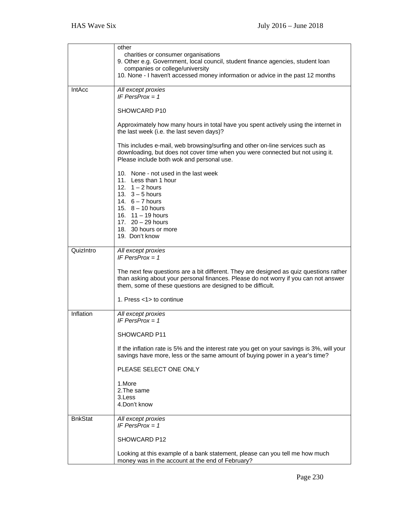|                | other<br>charities or consumer organisations<br>9. Other e.g. Government, local council, student finance agencies, student loan<br>companies or college/university<br>10. None - I haven't accessed money information or advice in the past 12 months |
|----------------|-------------------------------------------------------------------------------------------------------------------------------------------------------------------------------------------------------------------------------------------------------|
| <b>IntAcc</b>  | All except proxies<br>IF PersProx = $1$                                                                                                                                                                                                               |
|                | SHOWCARD P10                                                                                                                                                                                                                                          |
|                | Approximately how many hours in total have you spent actively using the internet in<br>the last week (i.e. the last seven days)?                                                                                                                      |
|                | This includes e-mail, web browsing/surfing and other on-line services such as<br>downloading, but does not cover time when you were connected but not using it.<br>Please include both wok and personal use.                                          |
|                | 10. None - not used in the last week<br>11. Less than 1 hour<br>12. $1 - 2$ hours<br>13. $3 - 5$ hours<br>14. $6 - 7$ hours<br>15. $8 - 10$ hours<br>16. $11 - 19$ hours<br>17. $20 - 29$ hours<br>18. 30 hours or more<br>19. Don't know             |
| QuizIntro      | All except proxies<br>IF PersProx = $1$                                                                                                                                                                                                               |
|                | The next few questions are a bit different. They are designed as quiz questions rather<br>than asking about your personal finances. Please do not worry if you can not answer<br>them, some of these questions are designed to be difficult.          |
|                | 1. Press <1> to continue                                                                                                                                                                                                                              |
| Inflation      | All except proxies<br>IF PersProx = $1$                                                                                                                                                                                                               |
|                | SHOWCARD P11                                                                                                                                                                                                                                          |
|                | If the inflation rate is 5% and the interest rate you get on your savings is 3%, will your<br>savings have more, less or the same amount of buying power in a year's time?                                                                            |
|                | PLEASE SELECT ONE ONLY                                                                                                                                                                                                                                |
|                | 1.More<br>2. The same<br>3.Less<br>4.Don't know                                                                                                                                                                                                       |
| <b>BnkStat</b> | All except proxies<br>IF PersProx = $1$                                                                                                                                                                                                               |
|                | SHOWCARD P12                                                                                                                                                                                                                                          |
|                | Looking at this example of a bank statement, please can you tell me how much<br>money was in the account at the end of February?                                                                                                                      |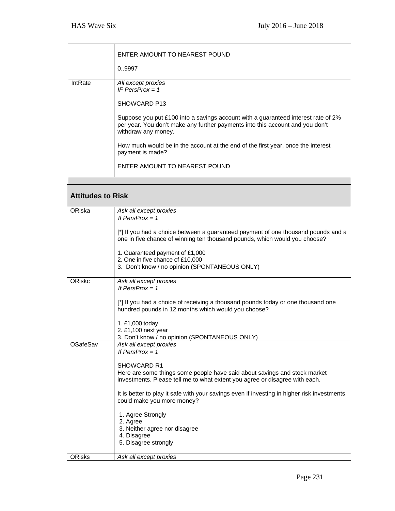|                          | ENTER AMOUNT TO NEAREST POUND                                                                                                                                                             |
|--------------------------|-------------------------------------------------------------------------------------------------------------------------------------------------------------------------------------------|
|                          | 09997                                                                                                                                                                                     |
| IntRate                  | All except proxies<br>IF PersProx = $1$                                                                                                                                                   |
|                          | SHOWCARD P13                                                                                                                                                                              |
|                          | Suppose you put £100 into a savings account with a guaranteed interest rate of 2%<br>per year. You don't make any further payments into this account and you don't<br>withdraw any money. |
|                          | How much would be in the account at the end of the first year, once the interest<br>payment is made?                                                                                      |
|                          | ENTER AMOUNT TO NEAREST POUND                                                                                                                                                             |
|                          |                                                                                                                                                                                           |
| <b>Attitudes to Risk</b> |                                                                                                                                                                                           |
| ORiska                   | Ask all except proxies<br>If PersProx = $1$                                                                                                                                               |
|                          | [*] If you had a choice between a guaranteed payment of one thousand pounds and a<br>one in five chance of winning ten thousand pounds, which would you choose?                           |
|                          | 1. Guaranteed payment of £1,000<br>2. One in five chance of £10,000<br>3. Don't know / no opinion (SPONTANEOUS ONLY)                                                                      |
| ORiskc                   | Ask all except proxies<br>If PersProx = $1$                                                                                                                                               |
|                          | [*] If you had a choice of receiving a thousand pounds today or one thousand one<br>hundred pounds in 12 months which would you choose?                                                   |
|                          | 1. £1,000 today<br>2. £1,100 next year                                                                                                                                                    |
| OSafeSav                 | 3. Don't know / no opinion (SPONTANEOUS ONLY)<br>Ask all except proxies                                                                                                                   |
|                          | If PersProx = $1$                                                                                                                                                                         |
|                          | SHOWCARD R1                                                                                                                                                                               |
|                          | Here are some things some people have said about savings and stock market<br>investments. Please tell me to what extent you agree or disagree with each.                                  |
|                          | It is better to play it safe with your savings even if investing in higher risk investments<br>could make you more money?                                                                 |
|                          | 1. Agree Strongly                                                                                                                                                                         |
|                          | 2. Agree<br>3. Neither agree nor disagree                                                                                                                                                 |
|                          | 4. Disagree<br>5. Disagree strongly                                                                                                                                                       |
| <b>ORisks</b>            | Ask all except proxies                                                                                                                                                                    |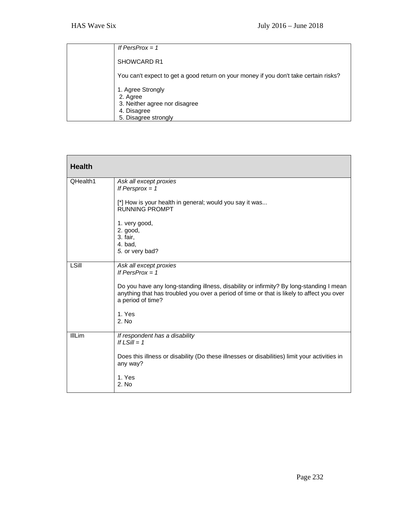| If PersProx $= 1$                                                                                     |
|-------------------------------------------------------------------------------------------------------|
| SHOWCARD R1                                                                                           |
| You can't expect to get a good return on your money if you don't take certain risks?                  |
| 1. Agree Strongly<br>2. Agree<br>3. Neither agree nor disagree<br>4. Disagree<br>5. Disagree strongly |

| <b>Health</b> |                                                                                                                                                                                                           |
|---------------|-----------------------------------------------------------------------------------------------------------------------------------------------------------------------------------------------------------|
| QHealth1      | Ask all except proxies<br>If Persprox $= 1$                                                                                                                                                               |
|               | [*] How is your health in general; would you say it was<br><b>RUNNING PROMPT</b>                                                                                                                          |
|               | 1. very good,<br>2. good,<br>3. fair,                                                                                                                                                                     |
|               | 4. bad,<br>5. or very bad?                                                                                                                                                                                |
| LSill         | Ask all except proxies<br>If PersProx = $1$                                                                                                                                                               |
|               | Do you have any long-standing illness, disability or infirmity? By long-standing I mean<br>anything that has troubled you over a period of time or that is likely to affect you over<br>a period of time? |
|               | 1. Yes<br>2. No                                                                                                                                                                                           |
| <b>IIILim</b> | If respondent has a disability<br>If $LSill = 1$                                                                                                                                                          |
|               | Does this illness or disability (Do these illnesses or disabilities) limit your activities in<br>any way?                                                                                                 |
|               | 1. Yes<br>2. No                                                                                                                                                                                           |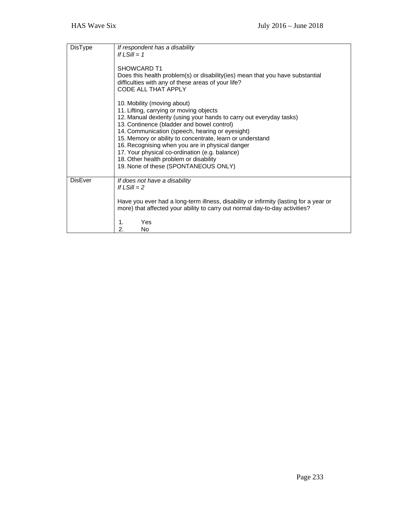| DisType        | If respondent has a disability<br>If $LSill = 1$                                                                                                                                                                                                                                                                                                                                                                                                                                                   |
|----------------|----------------------------------------------------------------------------------------------------------------------------------------------------------------------------------------------------------------------------------------------------------------------------------------------------------------------------------------------------------------------------------------------------------------------------------------------------------------------------------------------------|
|                | SHOWCARD T1<br>Does this health problem(s) or disability(ies) mean that you have substantial<br>difficulties with any of these areas of your life?<br>CODE ALL THAT APPLY                                                                                                                                                                                                                                                                                                                          |
|                | 10. Mobility (moving about)<br>11. Lifting, carrying or moving objects<br>12. Manual dexterity (using your hands to carry out everyday tasks)<br>13. Continence (bladder and bowel control)<br>14. Communication (speech, hearing or eyesight)<br>15. Memory or ability to concentrate, learn or understand<br>16. Recognising when you are in physical danger<br>17. Your physical co-ordination (e.g. balance)<br>18. Other health problem or disability<br>19. None of these (SPONTANEOUS ONLY) |
| <b>DisEver</b> | If does not have a disability<br>If $LSill = 2$                                                                                                                                                                                                                                                                                                                                                                                                                                                    |
|                | Have you ever had a long-term illness, disability or infirmity (lasting for a year or<br>more) that affected your ability to carry out normal day-to-day activities?<br>Yes<br>1.<br>2.<br>No                                                                                                                                                                                                                                                                                                      |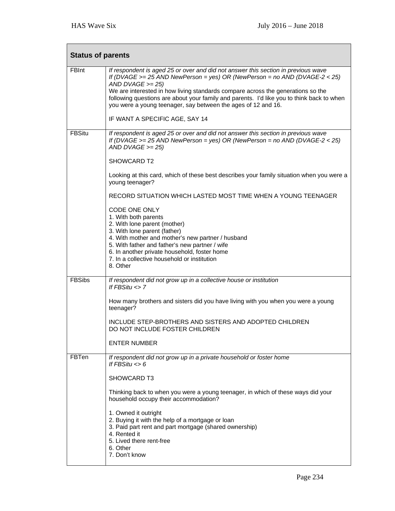| <b>Status of parents</b> |                                                                                                                                                                                                                                                                                                                                                                                                                                                                             |  |
|--------------------------|-----------------------------------------------------------------------------------------------------------------------------------------------------------------------------------------------------------------------------------------------------------------------------------------------------------------------------------------------------------------------------------------------------------------------------------------------------------------------------|--|
| <b>FBInt</b>             | If respondent is aged 25 or over and did not answer this section in previous wave<br>If (DVAGE $>= 25$ AND NewPerson = yes) OR (NewPerson = no AND (DVAGE-2 < 25)<br>AND DVAGE $>= 25$ )<br>We are interested in how living standards compare across the generations so the<br>following questions are about your family and parents. I'd like you to think back to when<br>you were a young teenager, say between the ages of 12 and 16.<br>IF WANT A SPECIFIC AGE, SAY 14 |  |
|                          |                                                                                                                                                                                                                                                                                                                                                                                                                                                                             |  |
| <b>FBSitu</b>            | If respondent is aged 25 or over and did not answer this section in previous wave<br>If (DVAGE >= 25 AND NewPerson = yes) OR (NewPerson = no AND (DVAGE-2 < 25)<br>AND DVAGE $>= 25$ )                                                                                                                                                                                                                                                                                      |  |
|                          | SHOWCARD T2                                                                                                                                                                                                                                                                                                                                                                                                                                                                 |  |
|                          | Looking at this card, which of these best describes your family situation when you were a<br>young teenager?                                                                                                                                                                                                                                                                                                                                                                |  |
|                          | RECORD SITUATION WHICH LASTED MOST TIME WHEN A YOUNG TEENAGER                                                                                                                                                                                                                                                                                                                                                                                                               |  |
|                          | <b>CODE ONE ONLY</b><br>1. With both parents<br>2. With lone parent (mother)<br>3. With lone parent (father)<br>4. With mother and mother's new partner / husband<br>5. With father and father's new partner / wife<br>6. In another private household, foster home<br>7. In a collective household or institution<br>8. Other                                                                                                                                              |  |
| <b>FBSibs</b>            | If respondent did not grow up in a collective house or institution<br>If $FBSitu \leq 7$                                                                                                                                                                                                                                                                                                                                                                                    |  |
|                          | How many brothers and sisters did you have living with you when you were a young<br>teenager?                                                                                                                                                                                                                                                                                                                                                                               |  |
|                          | INCLUDE STEP-BROTHERS AND SISTERS AND ADOPTED CHILDREN<br>DO NOT INCLUDE FOSTER CHILDREN                                                                                                                                                                                                                                                                                                                                                                                    |  |
|                          | <b>ENTER NUMBER</b>                                                                                                                                                                                                                                                                                                                                                                                                                                                         |  |
| <b>FBTen</b>             | If respondent did not grow up in a private household or foster home<br>If $FBSitu \leq 6$                                                                                                                                                                                                                                                                                                                                                                                   |  |
|                          | SHOWCARD T3                                                                                                                                                                                                                                                                                                                                                                                                                                                                 |  |
|                          | Thinking back to when you were a young teenager, in which of these ways did your<br>household occupy their accommodation?                                                                                                                                                                                                                                                                                                                                                   |  |
|                          | 1. Owned it outright<br>2. Buying it with the help of a mortgage or loan<br>3. Paid part rent and part mortgage (shared ownership)<br>4. Rented it<br>5. Lived there rent-free<br>6. Other<br>7. Don't know                                                                                                                                                                                                                                                                 |  |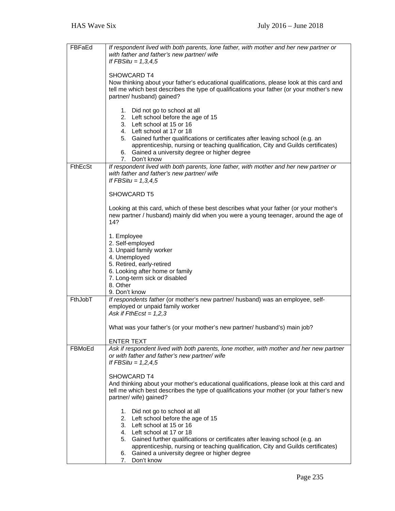| If respondent lived with both parents, lone father, with mother and her new partner or<br>with father and father's new partner/wife                                                                                                                                                                                                                                        |
|----------------------------------------------------------------------------------------------------------------------------------------------------------------------------------------------------------------------------------------------------------------------------------------------------------------------------------------------------------------------------|
| If $FBSitu = 1,3,4,5$                                                                                                                                                                                                                                                                                                                                                      |
| SHOWCARD T4                                                                                                                                                                                                                                                                                                                                                                |
| Now thinking about your father's educational qualifications, please look at this card and<br>tell me which best describes the type of qualifications your father (or your mother's new<br>partner/ husband) gained?                                                                                                                                                        |
| 1. Did not go to school at all<br>2. Left school before the age of 15<br>3. Left school at 15 or 16<br>4. Left school at 17 or 18<br>5. Gained further qualifications or certificates after leaving school (e.g. an<br>apprenticeship, nursing or teaching qualification, City and Guilds certificates)<br>6. Gained a university degree or higher degree                  |
| 7. Don't know<br>If respondent lived with both parents, lone father, with mother and her new partner or                                                                                                                                                                                                                                                                    |
| with father and father's new partner/ wife<br>If $FBSitu = 1,3,4,5$                                                                                                                                                                                                                                                                                                        |
| SHOWCARD T5                                                                                                                                                                                                                                                                                                                                                                |
| Looking at this card, which of these best describes what your father (or your mother's<br>new partner / husband) mainly did when you were a young teenager, around the age of<br>14?                                                                                                                                                                                       |
| 1. Employee                                                                                                                                                                                                                                                                                                                                                                |
| 2. Self-employed<br>3. Unpaid family worker                                                                                                                                                                                                                                                                                                                                |
| 4. Unemployed                                                                                                                                                                                                                                                                                                                                                              |
| 5. Retired, early-retired<br>6. Looking after home or family                                                                                                                                                                                                                                                                                                               |
| 7. Long-term sick or disabled                                                                                                                                                                                                                                                                                                                                              |
| 8. Other<br>9. Don't know                                                                                                                                                                                                                                                                                                                                                  |
| If respondents father (or mother's new partner/ husband) was an employee, self-                                                                                                                                                                                                                                                                                            |
| employed or unpaid family worker<br>Ask if $FthEcst = 1,2,3$                                                                                                                                                                                                                                                                                                               |
| What was your father's (or your mother's new partner/ husband's) main job?                                                                                                                                                                                                                                                                                                 |
| <b>ENTER TEXT</b>                                                                                                                                                                                                                                                                                                                                                          |
| Ask if respondent lived with both parents, lone mother, with mother and her new partner<br>or with father and father's new partner/ wife<br>If FBSitu = $1,2,4,5$                                                                                                                                                                                                          |
| SHOWCARD T4                                                                                                                                                                                                                                                                                                                                                                |
| And thinking about your mother's educational qualifications, please look at this card and<br>tell me which best describes the type of qualifications your mother (or your father's new<br>partner/ wife) gained?                                                                                                                                                           |
| 1. Did not go to school at all<br>2. Left school before the age of 15<br>3. Left school at 15 or 16<br>4. Left school at 17 or 18<br>5. Gained further qualifications or certificates after leaving school (e.g. an<br>apprenticeship, nursing or teaching qualification, City and Guilds certificates)<br>6. Gained a university degree or higher degree<br>7. Don't know |
|                                                                                                                                                                                                                                                                                                                                                                            |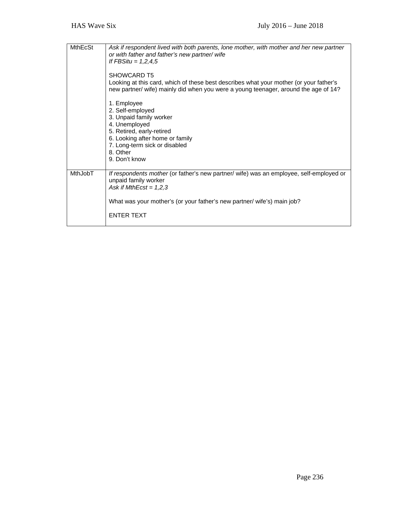| <b>MthEcSt</b> | Ask if respondent lived with both parents, lone mother, with mother and her new partner<br>or with father and father's new partner/ wife<br>If $FBSitu = 1,2,4,5$<br>SHOWCARD T5                                       |
|----------------|------------------------------------------------------------------------------------------------------------------------------------------------------------------------------------------------------------------------|
|                | Looking at this card, which of these best describes what your mother (or your father's<br>new partner/ wife) mainly did when you were a young teenager, around the age of 14?                                          |
|                | 1. Employee<br>2. Self-employed<br>3. Unpaid family worker<br>4. Unemployed<br>5. Retired, early-retired<br>6. Looking after home or family<br>7. Long-term sick or disabled<br>8. Other<br>9. Don't know              |
| <b>MthJobT</b> | If respondents mother (or father's new partner/ wife) was an employee, self-employed or<br>unpaid family worker<br>Ask if MthEcst = $1,2,3$<br>What was your mother's (or your father's new partner/ wife's) main job? |
|                | <b>ENTER TEXT</b>                                                                                                                                                                                                      |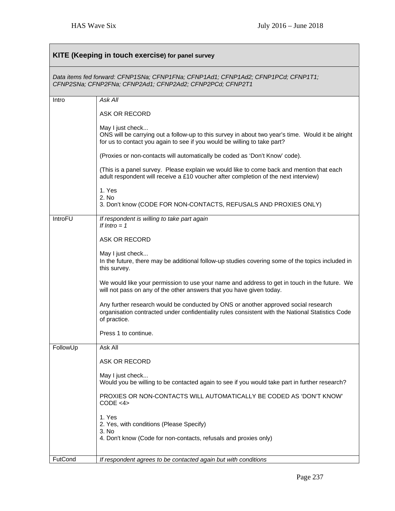| <b>KITE (Keeping in touch exercise) for panel survey</b>                                                                                        |                                                                                                                                                                                                        |  |
|-------------------------------------------------------------------------------------------------------------------------------------------------|--------------------------------------------------------------------------------------------------------------------------------------------------------------------------------------------------------|--|
| Data items fed forward: CFNP1SNa; CFNP1FNa; CFNP1Ad1; CFNP1Ad2; CFNP1PCd; CFNP1T1;<br>CFNP2SNa; CFNP2FNa; CFNP2Ad1; CFNP2Ad2; CFNP2PCd; CFNP2T1 |                                                                                                                                                                                                        |  |
| Intro                                                                                                                                           | Ask All                                                                                                                                                                                                |  |
|                                                                                                                                                 | ASK OR RECORD                                                                                                                                                                                          |  |
|                                                                                                                                                 | May I just check<br>ONS will be carrying out a follow-up to this survey in about two year's time. Would it be alright<br>for us to contact you again to see if you would be willing to take part?      |  |
|                                                                                                                                                 | (Proxies or non-contacts will automatically be coded as 'Don't Know' code).                                                                                                                            |  |
|                                                                                                                                                 | (This is a panel survey. Please explain we would like to come back and mention that each<br>adult respondent will receive a £10 voucher after completion of the next interview)                        |  |
|                                                                                                                                                 | 1. Yes<br>2. No<br>3. Don't know (CODE FOR NON-CONTACTS, REFUSALS AND PROXIES ONLY)                                                                                                                    |  |
| IntroFU                                                                                                                                         | If respondent is willing to take part again<br>If $Intro = 1$                                                                                                                                          |  |
|                                                                                                                                                 | ASK OR RECORD                                                                                                                                                                                          |  |
|                                                                                                                                                 | May I just check<br>In the future, there may be additional follow-up studies covering some of the topics included in<br>this survey.                                                                   |  |
|                                                                                                                                                 | We would like your permission to use your name and address to get in touch in the future. We<br>will not pass on any of the other answers that you have given today.                                   |  |
|                                                                                                                                                 | Any further research would be conducted by ONS or another approved social research<br>organisation contracted under confidentiality rules consistent with the National Statistics Code<br>of practice. |  |
|                                                                                                                                                 | Press 1 to continue                                                                                                                                                                                    |  |
| FollowUp                                                                                                                                        | Ask All                                                                                                                                                                                                |  |
|                                                                                                                                                 | ASK OR RECORD                                                                                                                                                                                          |  |
|                                                                                                                                                 | May I just check<br>Would you be willing to be contacted again to see if you would take part in further research?                                                                                      |  |
|                                                                                                                                                 | PROXIES OR NON-CONTACTS WILL AUTOMATICALLY BE CODED AS 'DON'T KNOW'<br>CODE < 4>                                                                                                                       |  |
|                                                                                                                                                 | 1. Yes                                                                                                                                                                                                 |  |
|                                                                                                                                                 | 2. Yes, with conditions (Please Specify)<br>3. No                                                                                                                                                      |  |
|                                                                                                                                                 | 4. Don't know (Code for non-contacts, refusals and proxies only)                                                                                                                                       |  |
| FutCond                                                                                                                                         | If respondent agrees to be contacted again but with conditions                                                                                                                                         |  |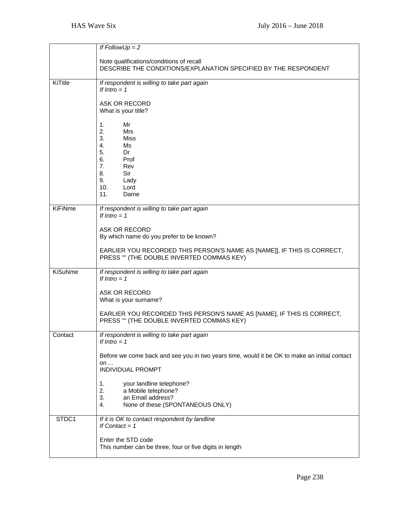|                | If $FollowUp = 2$                                                                                                                           |
|----------------|---------------------------------------------------------------------------------------------------------------------------------------------|
|                | Note qualifications/conditions of recall                                                                                                    |
|                | DESCRIBE THE CONDITIONS/EXPLANATION SPECIFIED BY THE RESPONDENT                                                                             |
| KiTitle        | If respondent is willing to take part again<br>If Intro $= 1$                                                                               |
|                | ASK OR RECORD<br>What is your title?                                                                                                        |
|                | 1.<br>Mr<br>2.<br><b>Mrs</b><br>3.<br><b>Miss</b><br>4.<br>Ms<br>5.<br>Dr<br>6.<br>Prof                                                     |
|                | 7.<br>Rev<br>8.<br>Sir                                                                                                                      |
|                | 9.<br>Lady<br>10.<br>Lord<br>11.<br>Dame                                                                                                    |
| <b>KiFiNme</b> | If respondent is willing to take part again<br>If Intro $= 1$                                                                               |
|                | <b>ASK OR RECORD</b><br>By which name do you prefer to be known?<br>EARLIER YOU RECORDED THIS PERSON'S NAME AS [NAME]], IF THIS IS CORRECT, |
|                | PRESS "" (THE DOUBLE INVERTED COMMAS KEY)                                                                                                   |
| <b>KiSuNme</b> | If respondent is willing to take part again<br>If $Intro = 1$                                                                               |
|                | ASK OR RECORD<br>What is your surname?                                                                                                      |
|                | EARLIER YOU RECORDED THIS PERSON'S NAME AS [NAME], IF THIS IS CORRECT,<br>PRESS "" (THE DOUBLE INVERTED COMMAS KEY)                         |
| Contact        | If respondent is willing to take part again<br>If Intro $= 1$                                                                               |
|                | Before we come back and see you in two years time, would it be OK to make an initial contact<br>on<br><b>INDIVIDUAL PROMPT</b>              |
|                | 1.<br>your landline telephone?<br>2.<br>a Mobile telephone?<br>3.<br>an Email address?<br>None of these (SPONTANEOUS ONLY)<br>4.            |
| STDC1          | If it is OK to contact respondent by landline<br>If Contact = $1$                                                                           |
|                | Enter the STD code<br>This number can be three, four or five digits in length                                                               |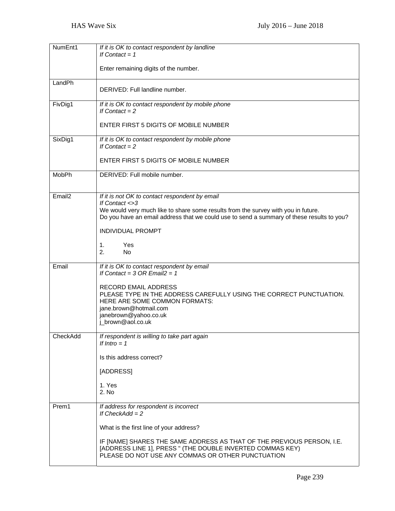| NumEnt1            | If it is OK to contact respondent by landline<br>If Contact = $1$                                                                                                                                                                                                                              |
|--------------------|------------------------------------------------------------------------------------------------------------------------------------------------------------------------------------------------------------------------------------------------------------------------------------------------|
|                    | Enter remaining digits of the number.                                                                                                                                                                                                                                                          |
| LandPh             | DERIVED: Full landline number.                                                                                                                                                                                                                                                                 |
| FivDig1            | If it is OK to contact respondent by mobile phone<br>If Contact $= 2$                                                                                                                                                                                                                          |
|                    | ENTER FIRST 5 DIGITS OF MOBILE NUMBER                                                                                                                                                                                                                                                          |
| SixDig1            | If it is OK to contact respondent by mobile phone<br>If Contact $= 2$                                                                                                                                                                                                                          |
|                    | ENTER FIRST 5 DIGITS OF MOBILE NUMBER                                                                                                                                                                                                                                                          |
| MobPh              | DERIVED: Full mobile number.                                                                                                                                                                                                                                                                   |
| Email <sub>2</sub> | If it is not OK to contact respondent by email<br>If Contact <>3<br>We would very much like to share some results from the survey with you in future.<br>Do you have an email address that we could use to send a summary of these results to you?<br><b>INDIVIDUAL PROMPT</b>                 |
|                    | 1.<br>Yes<br>2.<br><b>No</b>                                                                                                                                                                                                                                                                   |
| Email              | If it is OK to contact respondent by email<br>If Contact = $3$ OR Email $2 = 1$<br><b>RECORD EMAIL ADDRESS</b><br>PLEASE TYPE IN THE ADDRESS CAREFULLY USING THE CORRECT PUNCTUATION.<br>HERE ARE SOME COMMON FORMATS:<br>jane.brown@hotmail.com<br>janebrown@yahoo.co.uk<br>j_brown@aol.co.uk |
| CheckAdd           | If respondent is willing to take part again<br>If Intro $= 1$<br>Is this address correct?                                                                                                                                                                                                      |
|                    | [ADDRESS]                                                                                                                                                                                                                                                                                      |
|                    | 1. Yes<br>2. No                                                                                                                                                                                                                                                                                |
| Prem1              | If address for respondent is incorrect<br>If $CheckAdd = 2$                                                                                                                                                                                                                                    |
|                    | What is the first line of your address?                                                                                                                                                                                                                                                        |
|                    | IF [NAME] SHARES THE SAME ADDRESS AS THAT OF THE PREVIOUS PERSON, I.E.<br>[ADDRESS LINE 1], PRESS " (THE DOUBLE INVERTED COMMAS KEY)<br>PLEASE DO NOT USE ANY COMMAS OR OTHER PUNCTUATION                                                                                                      |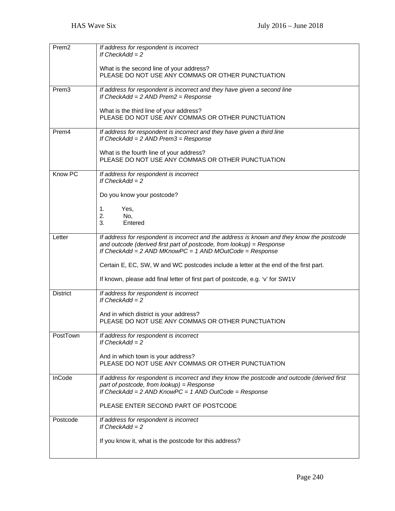| Prem <sub>2</sub> | If address for respondent is incorrect<br>If $CheckAdd = 2$<br>What is the second line of your address?<br>PLEASE DO NOT USE ANY COMMAS OR OTHER PUNCTUATION                                                                    |  |  |  |  |
|-------------------|---------------------------------------------------------------------------------------------------------------------------------------------------------------------------------------------------------------------------------|--|--|--|--|
|                   |                                                                                                                                                                                                                                 |  |  |  |  |
| Prem <sub>3</sub> | If address for respondent is incorrect and they have given a second line<br>If $CheckAdd = 2$ AND Prem $2 = Response$                                                                                                           |  |  |  |  |
|                   | What is the third line of your address?<br>PLEASE DO NOT USE ANY COMMAS OR OTHER PUNCTUATION                                                                                                                                    |  |  |  |  |
| Prem <sub>4</sub> | If address for respondent is incorrect and they have given a third line<br>If $CheckAdd = 2$ AND Prem $3 = Response$                                                                                                            |  |  |  |  |
|                   | What is the fourth line of your address?<br>PLEASE DO NOT USE ANY COMMAS OR OTHER PUNCTUATION                                                                                                                                   |  |  |  |  |
| Know PC           | If address for respondent is incorrect<br>If $CheckAdd = 2$                                                                                                                                                                     |  |  |  |  |
|                   | Do you know your postcode?                                                                                                                                                                                                      |  |  |  |  |
|                   | 1.<br>Yes,<br>2.<br>No,<br>Entered<br>3.                                                                                                                                                                                        |  |  |  |  |
|                   |                                                                                                                                                                                                                                 |  |  |  |  |
| Letter            | If address for respondent is incorrect and the address is known and they know the postcode<br>and outcode (derived first part of postcode, from lookup) = Response<br>If $CheckAdd = 2$ AND MKnowPC = 1 AND MOutCode = Response |  |  |  |  |
|                   | Certain E, EC, SW, W and WC postcodes include a letter at the end of the first part.                                                                                                                                            |  |  |  |  |
|                   | If known, please add final letter of first part of postcode, e.g. 'v' for SW1V                                                                                                                                                  |  |  |  |  |
| <b>District</b>   | If address for respondent is incorrect<br>If $CheckAdd = 2$                                                                                                                                                                     |  |  |  |  |
|                   | And in which district is your address?<br>PLEASE DO NOT USE ANY COMMAS OR OTHER PUNCTUATION                                                                                                                                     |  |  |  |  |
| PostTown          | If address for respondent is incorrect<br>If $CheckAdd = 2$                                                                                                                                                                     |  |  |  |  |
|                   | And in which town is your address?<br>PLEASE DO NOT USE ANY COMMAS OR OTHER PUNCTUATION                                                                                                                                         |  |  |  |  |
| InCode            | If address for respondent is incorrect and they know the postcode and outcode (derived first<br>part of postcode, from lookup) = $Resposure$<br>If $CheckAdd = 2$ AND $KnowPC = 1$ AND $OutCode = Response$                     |  |  |  |  |
|                   | PLEASE ENTER SECOND PART OF POSTCODE                                                                                                                                                                                            |  |  |  |  |
| Postcode          | If address for respondent is incorrect<br>If $CheckAdd = 2$                                                                                                                                                                     |  |  |  |  |
|                   | If you know it, what is the postcode for this address?                                                                                                                                                                          |  |  |  |  |
|                   |                                                                                                                                                                                                                                 |  |  |  |  |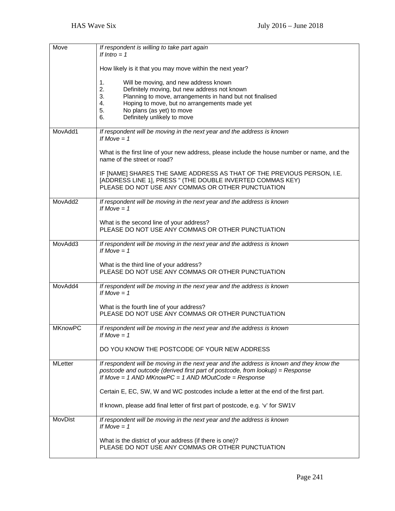| Move           | If respondent is willing to take part again<br>If Intro $= 1$                                                                                                                                                                                                                                     |  |  |  |  |
|----------------|---------------------------------------------------------------------------------------------------------------------------------------------------------------------------------------------------------------------------------------------------------------------------------------------------|--|--|--|--|
|                | How likely is it that you may move within the next year?                                                                                                                                                                                                                                          |  |  |  |  |
|                | Will be moving, and new address known<br>1.<br>2.<br>Definitely moving, but new address not known<br>3.<br>Planning to move, arrangements in hand but not finalised<br>Hoping to move, but no arrangements made yet<br>4.<br>No plans (as yet) to move<br>5.<br>Definitely unlikely to move<br>6. |  |  |  |  |
| MovAdd1        | If respondent will be moving in the next year and the address is known<br>If Move $= 1$                                                                                                                                                                                                           |  |  |  |  |
|                | What is the first line of your new address, please include the house number or name, and the<br>name of the street or road?                                                                                                                                                                       |  |  |  |  |
|                | IF [NAME] SHARES THE SAME ADDRESS AS THAT OF THE PREVIOUS PERSON, I.E.<br>[ADDRESS LINE 1], PRESS " (THE DOUBLE INVERTED COMMAS KEY)<br>PLEASE DO NOT USE ANY COMMAS OR OTHER PUNCTUATION                                                                                                         |  |  |  |  |
| MovAdd2        | If respondent will be moving in the next year and the address is known<br>If Move $= 1$                                                                                                                                                                                                           |  |  |  |  |
|                | What is the second line of your address?<br>PLEASE DO NOT USE ANY COMMAS OR OTHER PUNCTUATION                                                                                                                                                                                                     |  |  |  |  |
| MovAdd3        | If respondent will be moving in the next year and the address is known<br>If Move $= 1$                                                                                                                                                                                                           |  |  |  |  |
|                | What is the third line of your address?<br>PLEASE DO NOT USE ANY COMMAS OR OTHER PUNCTUATION                                                                                                                                                                                                      |  |  |  |  |
| MovAdd4        | If respondent will be moving in the next year and the address is known<br>If Move $= 1$                                                                                                                                                                                                           |  |  |  |  |
|                | What is the fourth line of your address?<br>PLEASE DO NOT USE ANY COMMAS OR OTHER PUNCTUATION                                                                                                                                                                                                     |  |  |  |  |
| <b>MKnowPC</b> | If respondent will be moving in the next year and the address is known<br>If Move $= 1$                                                                                                                                                                                                           |  |  |  |  |
|                | DO YOU KNOW THE POSTCODE OF YOUR NEW ADDRESS                                                                                                                                                                                                                                                      |  |  |  |  |
| <b>MLetter</b> | If respondent will be moving in the next year and the address is known and they know the<br>postcode and outcode (derived first part of postcode, from lookup) = Response<br>If Move = 1 AND MKnowPC = 1 AND MOutCode = Response                                                                  |  |  |  |  |
|                | Certain E, EC, SW, W and WC postcodes include a letter at the end of the first part.                                                                                                                                                                                                              |  |  |  |  |
|                | If known, please add final letter of first part of postcode, e.g. 'v' for SW1V                                                                                                                                                                                                                    |  |  |  |  |
| MovDist        | If respondent will be moving in the next year and the address is known<br>If Move $= 1$                                                                                                                                                                                                           |  |  |  |  |
|                | What is the district of your address (if there is one)?<br>PLEASE DO NOT USE ANY COMMAS OR OTHER PUNCTUATION                                                                                                                                                                                      |  |  |  |  |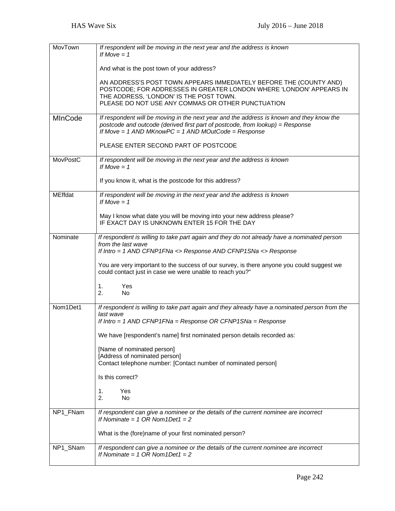| MovTown        | If respondent will be moving in the next year and the address is known<br>If Move $= 1$                                                               |  |  |  |  |  |
|----------------|-------------------------------------------------------------------------------------------------------------------------------------------------------|--|--|--|--|--|
|                |                                                                                                                                                       |  |  |  |  |  |
|                | And what is the post town of your address?                                                                                                            |  |  |  |  |  |
|                | AN ADDRESS'S POST TOWN APPEARS IMMEDIATELY BEFORE THE (COUNTY AND)<br>POSTCODE; FOR ADDRESSES IN GREATER LONDON WHERE 'LONDON' APPEARS IN             |  |  |  |  |  |
|                | THE ADDRESS, 'LONDON' IS THE POST TOWN.<br>PLEASE DO NOT USE ANY COMMAS OR OTHER PUNCTUATION                                                          |  |  |  |  |  |
| <b>MInCode</b> | If respondent will be moving in the next year and the address is known and they know the                                                              |  |  |  |  |  |
|                | postcode and outcode (derived first part of postcode, from lookup) = Response<br>If Move = $1$ AND MKnowPC = $1$ AND MOutCode = Response              |  |  |  |  |  |
|                | PLEASE ENTER SECOND PART OF POSTCODE                                                                                                                  |  |  |  |  |  |
| MovPostC       | If respondent will be moving in the next year and the address is known<br>If Move $= 1$                                                               |  |  |  |  |  |
|                | If you know it, what is the postcode for this address?                                                                                                |  |  |  |  |  |
| <b>MEffdat</b> | If respondent will be moving in the next year and the address is known<br>If Move $= 1$                                                               |  |  |  |  |  |
|                | May I know what date you will be moving into your new address please?<br>IF EXACT DAY IS UNKNOWN ENTER 15 FOR THE DAY                                 |  |  |  |  |  |
| Nominate       | If respondent is willing to take part again and they do not already have a nominated person<br>from the last wave                                     |  |  |  |  |  |
|                | If Intro = 1 AND CFNP1FNa <> Response AND CFNP1SNa <> Response                                                                                        |  |  |  |  |  |
|                | You are very important to the success of our survey, is there anyone you could suggest we<br>could contact just in case we were unable to reach you?" |  |  |  |  |  |
|                | 1.<br>Yes                                                                                                                                             |  |  |  |  |  |
|                | 2.<br>N <sub>o</sub>                                                                                                                                  |  |  |  |  |  |
| Nom1Det1       | If respondent is willing to take part again and they already have a nominated person from the<br>last wave                                            |  |  |  |  |  |
|                | If Intro = 1 AND CFNP1FNa = Response OR CFNP1SNa = Response                                                                                           |  |  |  |  |  |
|                | We have [respondent's name] first nominated person details recorded as:                                                                               |  |  |  |  |  |
|                | [Name of nominated person]                                                                                                                            |  |  |  |  |  |
|                | [Address of nominated person]<br>Contact telephone number: [Contact number of nominated person]                                                       |  |  |  |  |  |
|                | Is this correct?                                                                                                                                      |  |  |  |  |  |
|                | Yes<br>1.                                                                                                                                             |  |  |  |  |  |
|                | 2.<br>No                                                                                                                                              |  |  |  |  |  |
| NP1_FNam       | If respondent can give a nominee or the details of the current nominee are incorrect<br>If Nominate = $1$ OR Nom 1 Det $1 = 2$                        |  |  |  |  |  |
|                | What is the (fore)name of your first nominated person?                                                                                                |  |  |  |  |  |
| NP1_SNam       | If respondent can give a nominee or the details of the current nominee are incorrect<br>If Nominate = $1$ OR Nom $1$ Det $1 = 2$                      |  |  |  |  |  |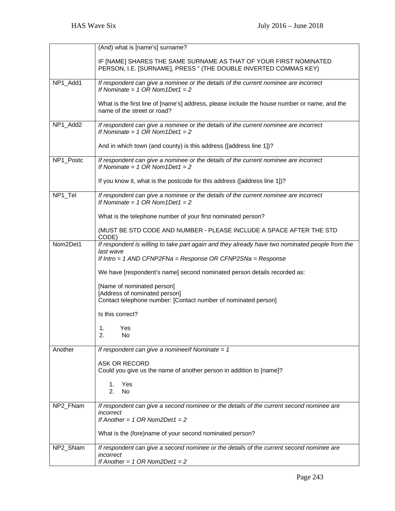|           | (And) what is [name's] surname?                                                                                                       |  |  |  |  |
|-----------|---------------------------------------------------------------------------------------------------------------------------------------|--|--|--|--|
|           | IF [NAME] SHARES THE SAME SURNAME AS THAT OF YOUR FIRST NOMINATED<br>PERSON, I.E. [SURNAME], PRESS " (THE DOUBLE INVERTED COMMAS KEY) |  |  |  |  |
| NP1_Add1  | If respondent can give a nominee or the details of the current nominee are incorrect<br>If Nominate = $1$ OR Nom $1$ Det $1 = 2$      |  |  |  |  |
|           | What is the first line of [name's] address, please include the house number or name, and the<br>name of the street or road?           |  |  |  |  |
| NP1_Add2  | If respondent can give a nominee or the details of the current nominee are incorrect<br>If Nominate = $1$ OR Nom $1$ Det $1 = 2$      |  |  |  |  |
|           | And in which town (and county) is this address ([address line 1])?                                                                    |  |  |  |  |
| NP1_Postc | If respondent can give a nominee or the details of the current nominee are incorrect<br>If Nominate = $1$ OR Nom $1$ Det $1 = 2$      |  |  |  |  |
|           | If you know it, what is the postcode for this address ([address line 1])?                                                             |  |  |  |  |
| NP1_Tel   | If respondent can give a nominee or the details of the current nominee are incorrect<br>If Nominate = $1$ OR Nom $1$ Det $1 = 2$      |  |  |  |  |
|           | What is the telephone number of your first nominated person?                                                                          |  |  |  |  |
|           | (MUST BE STD CODE AND NUMBER - PLEASE INCLUDE A SPACE AFTER THE STD<br>CODE)                                                          |  |  |  |  |
| Nom2Det1  | If respondent is willing to take part again and they already have two nominated people from the                                       |  |  |  |  |
|           | last wave<br>If Intro = 1 AND CFNP2FNa = Response OR CFNP2SNa = Response                                                              |  |  |  |  |
|           | We have [respondent's name] second nominated person details recorded as:                                                              |  |  |  |  |
|           | [Name of nominated person]<br>[Address of nominated person]<br>Contact telephone number: [Contact number of nominated person]         |  |  |  |  |
|           | Is this correct?                                                                                                                      |  |  |  |  |
|           | 1.<br>Yes<br>2.<br>No                                                                                                                 |  |  |  |  |
| Another   | If respondent can give a nomineelf Nominate = $1$                                                                                     |  |  |  |  |
|           | ASK OR RECORD<br>Could you give us the name of another person in addition to [name]?                                                  |  |  |  |  |
|           | Yes<br>1.<br>2.<br>No                                                                                                                 |  |  |  |  |
| NP2_FNam  | If respondent can give a second nominee or the details of the current second nominee are                                              |  |  |  |  |
|           | incorrect<br>If Another = $1$ OR Nom2Det1 = 2                                                                                         |  |  |  |  |
|           | What is the (fore)name of your second nominated person?                                                                               |  |  |  |  |
| NP2_SNam  | If respondent can give a second nominee or the details of the current second nominee are<br>incorrect                                 |  |  |  |  |
|           | If Another = $1$ OR Nom2Det1 = 2                                                                                                      |  |  |  |  |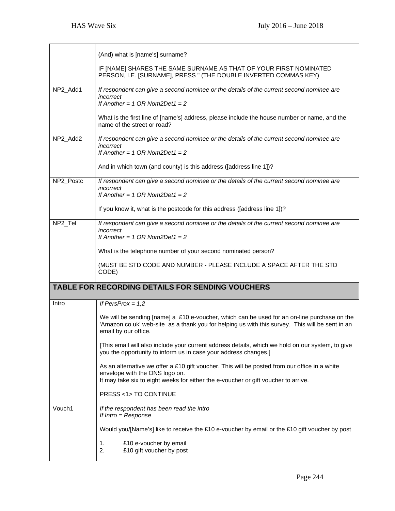|           | (And) what is [name's] surname?                                                                                                                                                                                        |  |  |  |  |
|-----------|------------------------------------------------------------------------------------------------------------------------------------------------------------------------------------------------------------------------|--|--|--|--|
|           | IF [NAME] SHARES THE SAME SURNAME AS THAT OF YOUR FIRST NOMINATED<br>PERSON, I.E. [SURNAME], PRESS " (THE DOUBLE INVERTED COMMAS KEY)                                                                                  |  |  |  |  |
| NP2 Add1  | If respondent can give a second nominee or the details of the current second nominee are<br>incorrect<br>If Another = $1$ OR Nom2Det1 = 2                                                                              |  |  |  |  |
|           | What is the first line of [name's] address, please include the house number or name, and the<br>name of the street or road?                                                                                            |  |  |  |  |
| NP2 Add2  | If respondent can give a second nominee or the details of the current second nominee are<br>incorrect<br>If Another = $1$ OR Nom2Det1 = 2                                                                              |  |  |  |  |
|           | And in which town (and county) is this address ([address line 1])?                                                                                                                                                     |  |  |  |  |
| NP2_Postc | If respondent can give a second nominee or the details of the current second nominee are<br>incorrect<br>If Another = $1$ OR Nom2Det1 = $2$                                                                            |  |  |  |  |
|           | If you know it, what is the postcode for this address ([address line 1])?                                                                                                                                              |  |  |  |  |
| NP2_Tel   | If respondent can give a second nominee or the details of the current second nominee are<br>incorrect<br>If Another = $1$ OR Nom2Det1 = 2                                                                              |  |  |  |  |
|           | What is the telephone number of your second nominated person?                                                                                                                                                          |  |  |  |  |
|           | (MUST BE STD CODE AND NUMBER - PLEASE INCLUDE A SPACE AFTER THE STD<br>CODE)                                                                                                                                           |  |  |  |  |
|           | <b>TABLE FOR RECORDING DETAILS FOR SENDING VOUCHERS</b>                                                                                                                                                                |  |  |  |  |
| Intro     | If PersProx = $1,2$                                                                                                                                                                                                    |  |  |  |  |
|           | We will be sending [name] a £10 e-voucher, which can be used for an on-line purchase on the<br>'Amazon.co.uk' web-site as a thank you for helping us with this survey. This will be sent in an<br>email by our office. |  |  |  |  |
|           | [This email will also include your current address details, which we hold on our system, to give<br>you the opportunity to inform us in case your address changes.]                                                    |  |  |  |  |
|           | As an alternative we offer a £10 gift voucher. This will be posted from our office in a white<br>envelope with the ONS logo on.<br>It may take six to eight weeks for either the e-voucher or gift voucher to arrive.  |  |  |  |  |
|           | PRESS <1>TO CONTINUE                                                                                                                                                                                                   |  |  |  |  |
| Vouch1    | If the respondent has been read the intro<br>If $Intro = Response$                                                                                                                                                     |  |  |  |  |
|           | Would you/[Name's] like to receive the £10 e-voucher by email or the £10 gift voucher by post                                                                                                                          |  |  |  |  |
|           | 1.<br>£10 e-voucher by email<br>2.<br>£10 gift voucher by post                                                                                                                                                         |  |  |  |  |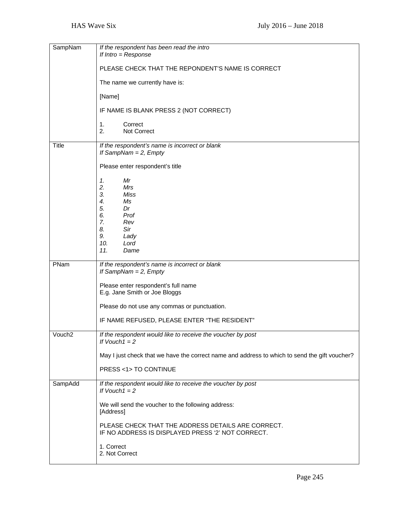| SampNam      | If the respondent has been read the intro<br>If $Intro = Response$                                      |  |  |  |  |
|--------------|---------------------------------------------------------------------------------------------------------|--|--|--|--|
|              | PLEASE CHECK THAT THE REPONDENT'S NAME IS CORRECT                                                       |  |  |  |  |
|              | The name we currently have is:                                                                          |  |  |  |  |
|              | [Name]                                                                                                  |  |  |  |  |
|              | IF NAME IS BLANK PRESS 2 (NOT CORRECT)                                                                  |  |  |  |  |
|              | 1.<br>Correct<br>2.<br>Not Correct                                                                      |  |  |  |  |
| <b>Title</b> | If the respondent's name is incorrect or blank<br>If SampNam = $2$ , Empty                              |  |  |  |  |
|              | Please enter respondent's title                                                                         |  |  |  |  |
|              | 1.<br>Mr<br>2.<br>Mrs                                                                                   |  |  |  |  |
|              | 3.<br><b>Miss</b><br>4.<br>Ms                                                                           |  |  |  |  |
|              | 5.<br>Dr<br>6.<br>Prof                                                                                  |  |  |  |  |
|              | 7.<br>Rev<br>8.<br>Sir                                                                                  |  |  |  |  |
|              | 9.<br>Lady<br>10.<br>Lord                                                                               |  |  |  |  |
|              | 11.<br>Dame                                                                                             |  |  |  |  |
| PNam         | If the respondent's name is incorrect or blank                                                          |  |  |  |  |
|              | If SampNam = $2$ , Empty                                                                                |  |  |  |  |
|              | Please enter respondent's full name<br>E.g. Jane Smith or Joe Bloggs                                    |  |  |  |  |
|              | Please do not use any commas or punctuation.                                                            |  |  |  |  |
|              | IF NAME REFUSED, PLEASE ENTER "THE RESIDENT"                                                            |  |  |  |  |
| Vouch2       | If the respondent would like to receive the voucher by post<br>If $Vouch1 = 2$                          |  |  |  |  |
|              | May I just check that we have the correct name and address to which to send the gift voucher?           |  |  |  |  |
|              | PRESS <1>TO CONTINUE                                                                                    |  |  |  |  |
| SampAdd      | If the respondent would like to receive the voucher by post<br>If $Vouch1 = 2$                          |  |  |  |  |
|              | We will send the voucher to the following address:<br>[Address]                                         |  |  |  |  |
|              | PLEASE CHECK THAT THE ADDRESS DETAILS ARE CORRECT.<br>IF NO ADDRESS IS DISPLAYED PRESS '2' NOT CORRECT. |  |  |  |  |
|              | 1. Correct<br>2. Not Correct                                                                            |  |  |  |  |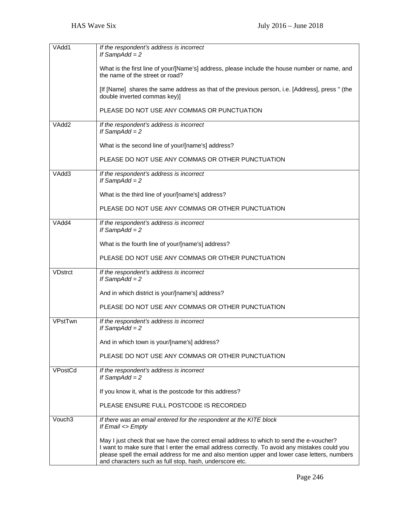| VAdd1          | If the respondent's address is incorrect<br>If SampAdd = $2$                                                                                                                                                                                                                                                                                        |  |  |  |  |
|----------------|-----------------------------------------------------------------------------------------------------------------------------------------------------------------------------------------------------------------------------------------------------------------------------------------------------------------------------------------------------|--|--|--|--|
|                | What is the first line of your/[Name's] address, please include the house number or name, and<br>the name of the street or road?                                                                                                                                                                                                                    |  |  |  |  |
|                | [If [Name] shares the same address as that of the previous person, i.e. [Address], press " (the<br>double inverted commas key)]                                                                                                                                                                                                                     |  |  |  |  |
|                | PLEASE DO NOT USE ANY COMMAS OR PUNCTUATION                                                                                                                                                                                                                                                                                                         |  |  |  |  |
| VAdd2          | If the respondent's address is incorrect<br>If SampAdd = $2$                                                                                                                                                                                                                                                                                        |  |  |  |  |
|                | What is the second line of your/[name's] address?                                                                                                                                                                                                                                                                                                   |  |  |  |  |
|                | PLEASE DO NOT USE ANY COMMAS OR OTHER PUNCTUATION                                                                                                                                                                                                                                                                                                   |  |  |  |  |
| VAdd3          | If the respondent's address is incorrect<br>If SampAdd = $2$                                                                                                                                                                                                                                                                                        |  |  |  |  |
|                | What is the third line of your/[name's] address?                                                                                                                                                                                                                                                                                                    |  |  |  |  |
|                | PLEASE DO NOT USE ANY COMMAS OR OTHER PUNCTUATION                                                                                                                                                                                                                                                                                                   |  |  |  |  |
| VAdd4          | If the respondent's address is incorrect<br>If SampAdd = $2$                                                                                                                                                                                                                                                                                        |  |  |  |  |
|                | What is the fourth line of your/[name's] address?                                                                                                                                                                                                                                                                                                   |  |  |  |  |
|                | PLEASE DO NOT USE ANY COMMAS OR OTHER PUNCTUATION                                                                                                                                                                                                                                                                                                   |  |  |  |  |
| <b>VDstrct</b> | If the respondent's address is incorrect<br>If SampAdd = $2$                                                                                                                                                                                                                                                                                        |  |  |  |  |
|                | And in which district is your/[name's] address?                                                                                                                                                                                                                                                                                                     |  |  |  |  |
|                | PLEASE DO NOT USE ANY COMMAS OR OTHER PUNCTUATION                                                                                                                                                                                                                                                                                                   |  |  |  |  |
| VPstTwn        | If the respondent's address is incorrect<br>If SampAdd = $2$                                                                                                                                                                                                                                                                                        |  |  |  |  |
|                | And in which town is your/[name's] address?                                                                                                                                                                                                                                                                                                         |  |  |  |  |
|                | PLEASE DO NOT USE ANY COMMAS OR OTHER PUNCTUATION                                                                                                                                                                                                                                                                                                   |  |  |  |  |
| VPostCd        | If the respondent's address is incorrect<br>If SampAdd = $2$                                                                                                                                                                                                                                                                                        |  |  |  |  |
|                | If you know it, what is the postcode for this address?                                                                                                                                                                                                                                                                                              |  |  |  |  |
|                | PLEASE ENSURE FULL POSTCODE IS RECORDED                                                                                                                                                                                                                                                                                                             |  |  |  |  |
| Vouch3         | If there was an email entered for the respondent at the KITE block<br>If Email <> Empty                                                                                                                                                                                                                                                             |  |  |  |  |
|                | May I just check that we have the correct email address to which to send the e-voucher?<br>I want to make sure that I enter the email address correctly. To avoid any mistakes could you<br>please spell the email address for me and also mention upper and lower case letters, numbers<br>and characters such as full stop, hash, underscore etc. |  |  |  |  |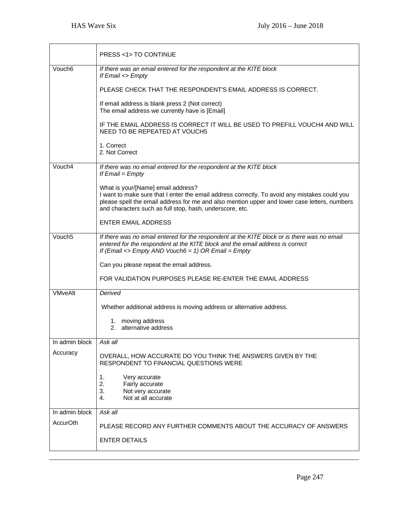|                    | <b>PRESS &lt;1&gt; TO CONTINUE</b>                                                                                                                                                                                                                                                              |  |  |  |  |  |
|--------------------|-------------------------------------------------------------------------------------------------------------------------------------------------------------------------------------------------------------------------------------------------------------------------------------------------|--|--|--|--|--|
| Vouch <sub>6</sub> | If there was an email entered for the respondent at the KITE block<br>If Email <> Empty                                                                                                                                                                                                         |  |  |  |  |  |
|                    | PLEASE CHECK THAT THE RESPONDENT'S EMAIL ADDRESS IS CORRECT.                                                                                                                                                                                                                                    |  |  |  |  |  |
|                    | If email address is blank press 2 (Not correct)<br>The email address we currently have is [Email]                                                                                                                                                                                               |  |  |  |  |  |
|                    | IF THE EMAIL ADDRESS IS CORRECT IT WILL BE USED TO PREFILL VOUCH4 AND WILL<br>NEED TO BE REPEATED AT VOUCH5                                                                                                                                                                                     |  |  |  |  |  |
|                    | 1. Correct<br>2. Not Correct                                                                                                                                                                                                                                                                    |  |  |  |  |  |
| Vouch4             | If there was no email entered for the respondent at the KITE block<br>If $Email = Empty$                                                                                                                                                                                                        |  |  |  |  |  |
|                    | What is your/[Name] email address?<br>I want to make sure that I enter the email address correctly. To avoid any mistakes could you<br>please spell the email address for me and also mention upper and lower case letters, numbers<br>and characters such as full stop, hash, underscore, etc. |  |  |  |  |  |
|                    | <b>ENTER EMAIL ADDRESS</b>                                                                                                                                                                                                                                                                      |  |  |  |  |  |
| Vouch <sub>5</sub> | If there was no email entered for the respondent at the KITE block or is there was no email<br>entered for the respondent at the KITE block and the email address is correct<br>If (Email $\le$ Empty AND Vouch6 = 1) OR Email = Empty                                                          |  |  |  |  |  |
|                    | Can you please repeat the email address.                                                                                                                                                                                                                                                        |  |  |  |  |  |
|                    | FOR VALIDATION PURPOSES PLEASE RE-ENTER THE EMAIL ADDRESS                                                                                                                                                                                                                                       |  |  |  |  |  |
| <b>VMveAlt</b>     | Derived                                                                                                                                                                                                                                                                                         |  |  |  |  |  |
|                    | Whether additional address is moving address or alternative address.                                                                                                                                                                                                                            |  |  |  |  |  |
|                    | 1. moving address<br>2. alternative address                                                                                                                                                                                                                                                     |  |  |  |  |  |
| In admin block     | Ask all                                                                                                                                                                                                                                                                                         |  |  |  |  |  |
| Accuracy           | OVERALL, HOW ACCURATE DO YOU THINK THE ANSWERS GIVEN BY THE<br>RESPONDENT TO FINANCIAL QUESTIONS WERE                                                                                                                                                                                           |  |  |  |  |  |
|                    | 1.<br>Very accurate<br>2.<br>Fairly accurate<br>3.<br>Not very accurate<br>Not at all accurate<br>4.                                                                                                                                                                                            |  |  |  |  |  |
| In admin block     | Ask all                                                                                                                                                                                                                                                                                         |  |  |  |  |  |
| AccurOth           | PLEASE RECORD ANY FURTHER COMMENTS ABOUT THE ACCURACY OF ANSWERS<br><b>ENTER DETAILS</b>                                                                                                                                                                                                        |  |  |  |  |  |
|                    |                                                                                                                                                                                                                                                                                                 |  |  |  |  |  |